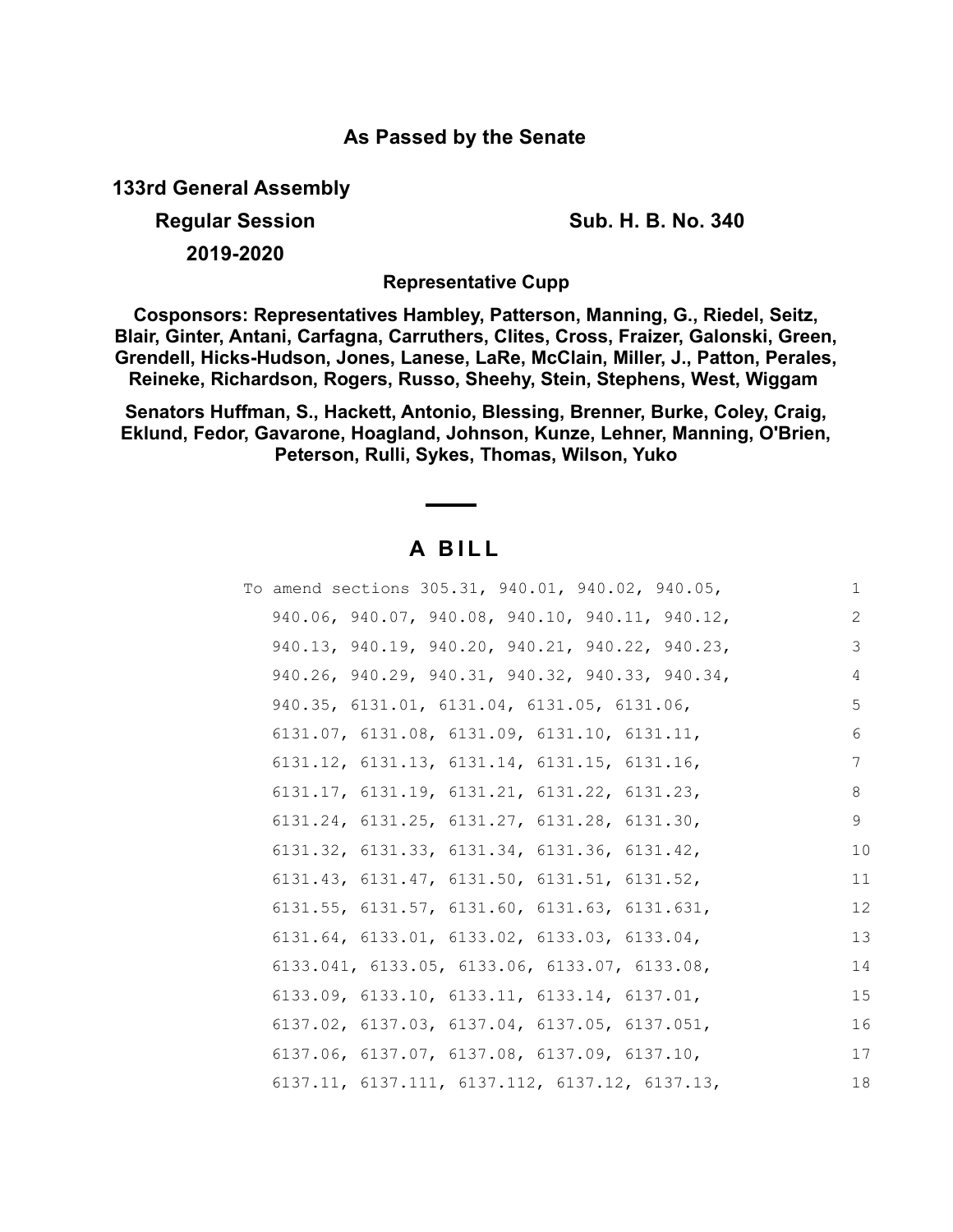### **As Passed by the Senate**

**133rd General Assembly**

**Regular Session Sub. H. B. No. 340**

**2019-2020**

**Representative Cupp**

**Cosponsors: Representatives Hambley, Patterson, Manning, G., Riedel, Seitz, Blair, Ginter, Antani, Carfagna, Carruthers, Clites, Cross, Fraizer, Galonski, Green, Grendell, Hicks-Hudson, Jones, Lanese, LaRe, McClain, Miller, J., Patton, Perales, Reineke, Richardson, Rogers, Russo, Sheehy, Stein, Stephens, West, Wiggam** 

**Senators Huffman, S., Hackett, Antonio, Blessing, Brenner, Burke, Coley, Craig, Eklund, Fedor, Gavarone, Hoagland, Johnson, Kunze, Lehner, Manning, O'Brien, Peterson, Rulli, Sykes, Thomas, Wilson, Yuko**

## **A B I L L**

| To amend sections 305.31, 940.01, 940.02, 940.05,            | 1  |
|--------------------------------------------------------------|----|
| 940.06, 940.07, 940.08, 940.10, 940.11, 940.12,              | 2  |
| 940.13, 940.19, 940.20, 940.21, 940.22, 940.23,              | 3  |
| 940.26, 940.29, 940.31, 940.32, 940.33, 940.34,              | 4  |
| 940.35, 6131.01, 6131.04, 6131.05, 6131.06,                  | 5  |
| 6131.07, 6131.08, 6131.09, 6131.10, 6131.11,                 | 6  |
| 6131.12, 6131.13, 6131.14, 6131.15, 6131.16,                 | 7  |
| $6131.17$ , $6131.19$ , $6131.21$ , $6131.22$ , $6131.23$ ,  | 8  |
| $6131.24$ , $6131.25$ , $6131.27$ , $6131.28$ , $6131.30$ ,  | 9  |
| 6131.32, 6131.33, 6131.34, 6131.36, 6131.42,                 | 10 |
| 6131.43, 6131.47, 6131.50, 6131.51, 6131.52,                 | 11 |
| $6131.55$ , $6131.57$ , $6131.60$ , $6131.63$ , $6131.631$ , | 12 |
| 6131.64, 6133.01, 6133.02, 6133.03, 6133.04,                 | 13 |
| 6133.041, 6133.05, 6133.06, 6133.07, 6133.08,                | 14 |
| $6133.09, 6133.10, 6133.11, 6133.14, 6137.01,$               | 15 |
| 6137.02, 6137.03, 6137.04, 6137.05, 6137.051,                | 16 |
| 6137.06, 6137.07, 6137.08, 6137.09, 6137.10,                 | 17 |
| $6137.11, 6137.111, 6137.112, 6137.12, 6137.13,$             | 18 |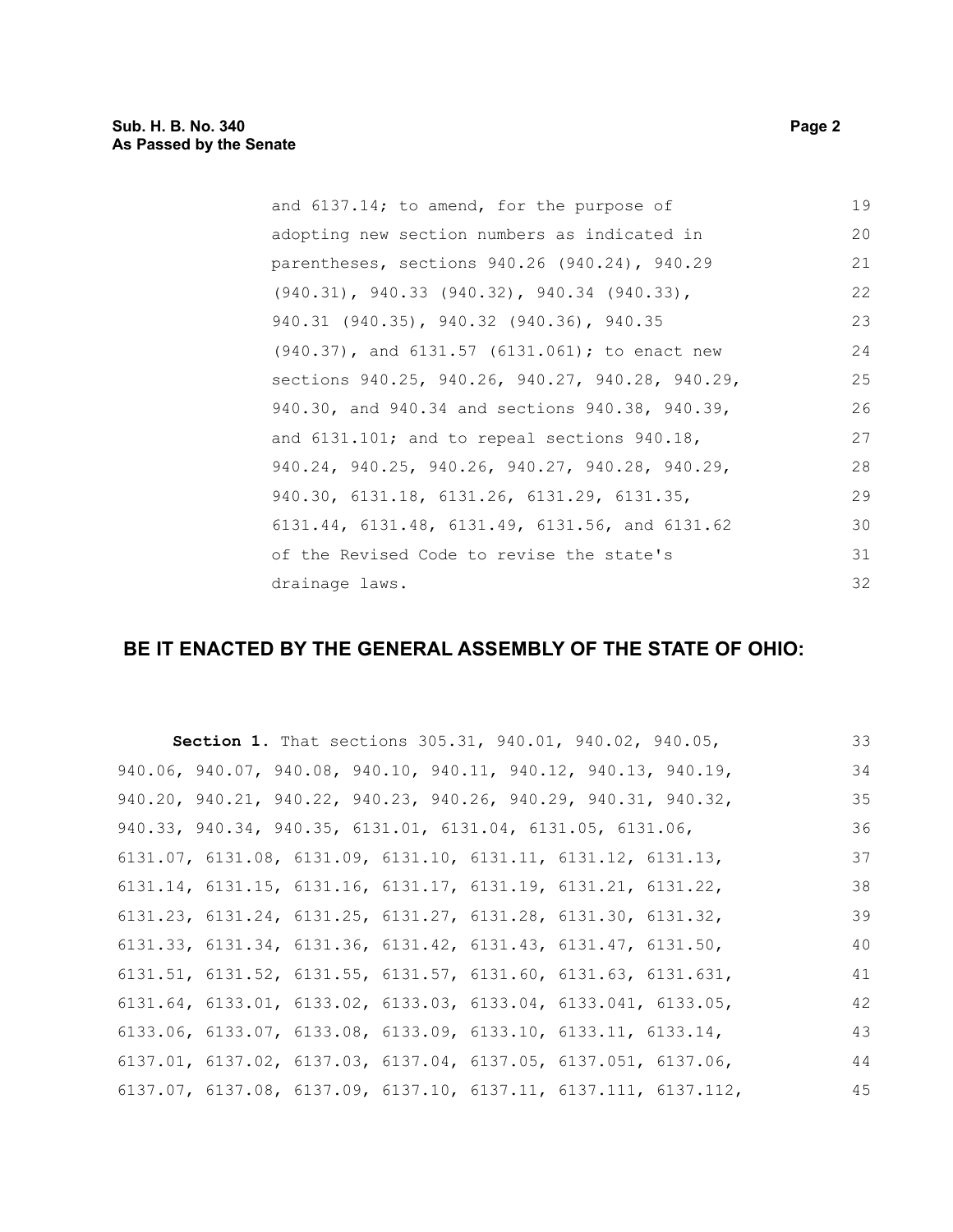| and 6137.14; to amend, for the purpose of            | 19 |
|------------------------------------------------------|----|
| adopting new section numbers as indicated in         | 20 |
| parentheses, sections 940.26 (940.24), 940.29        | 21 |
| $(940.31)$ , 940.33 $(940.32)$ , 940.34 $(940.33)$ , | 22 |
| 940.31 (940.35), 940.32 (940.36), 940.35             | 23 |
| (940.37), and 6131.57 (6131.061); to enact new       | 24 |
| sections 940.25, 940.26, 940.27, 940.28, 940.29,     | 25 |
| 940.30, and 940.34 and sections 940.38, 940.39,      | 26 |
| and $6131.101$ ; and to repeal sections $940.18$ ,   | 27 |
| 940.24, 940.25, 940.26, 940.27, 940.28, 940.29,      | 28 |
| 940.30, 6131.18, 6131.26, 6131.29, 6131.35,          | 29 |
| 6131.44, 6131.48, 6131.49, 6131.56, and 6131.62      | 30 |
| of the Revised Code to revise the state's            | 31 |
| drainage laws.                                       | 32 |

# **BE IT ENACTED BY THE GENERAL ASSEMBLY OF THE STATE OF OHIO:**

| Section 1. That sections 305.31, 940.01, 940.02, 940.05,                            |  |  |                                                                                      | 33 |
|-------------------------------------------------------------------------------------|--|--|--------------------------------------------------------------------------------------|----|
|                                                                                     |  |  | 940.06, 940.07, 940.08, 940.10, 940.11, 940.12, 940.13, 940.19,                      | 34 |
|                                                                                     |  |  | 940.20, 940.21, 940.22, 940.23, 940.26, 940.29, 940.31, 940.32,                      | 35 |
| 940.33, 940.34, 940.35, 6131.01, 6131.04, 6131.05, 6131.06,                         |  |  |                                                                                      | 36 |
| $6131.07$ , $6131.08$ , $6131.09$ , $6131.10$ , $6131.11$ , $6131.12$ , $6131.13$ , |  |  |                                                                                      | 37 |
| $6131.14$ , $6131.15$ , $6131.16$ , $6131.17$ , $6131.19$ , $6131.21$ , $6131.22$ , |  |  |                                                                                      | 38 |
| $6131.23$ , $6131.24$ , $6131.25$ , $6131.27$ , $6131.28$ , $6131.30$ , $6131.32$ , |  |  |                                                                                      | 39 |
| $6131.33$ , $6131.34$ , $6131.36$ , $6131.42$ , $6131.43$ , $6131.47$ , $6131.50$ , |  |  |                                                                                      | 40 |
|                                                                                     |  |  | $6131.51$ , $6131.52$ , $6131.55$ , $6131.57$ , $6131.60$ , $6131.63$ , $6131.631$ , | 41 |
|                                                                                     |  |  | $6131.64, 6133.01, 6133.02, 6133.03, 6133.04, 6133.041, 6133.05,$                    | 42 |
| 6133.06, 6133.07, 6133.08, 6133.09, 6133.10, 6133.11, 6133.14,                      |  |  |                                                                                      | 43 |
|                                                                                     |  |  | $6137.01, 6137.02, 6137.03, 6137.04, 6137.05, 6137.051, 6137.06,$                    | 44 |
|                                                                                     |  |  | 6137.07, 6137.08, 6137.09, 6137.10, 6137.11, 6137.111, 6137.112,                     | 45 |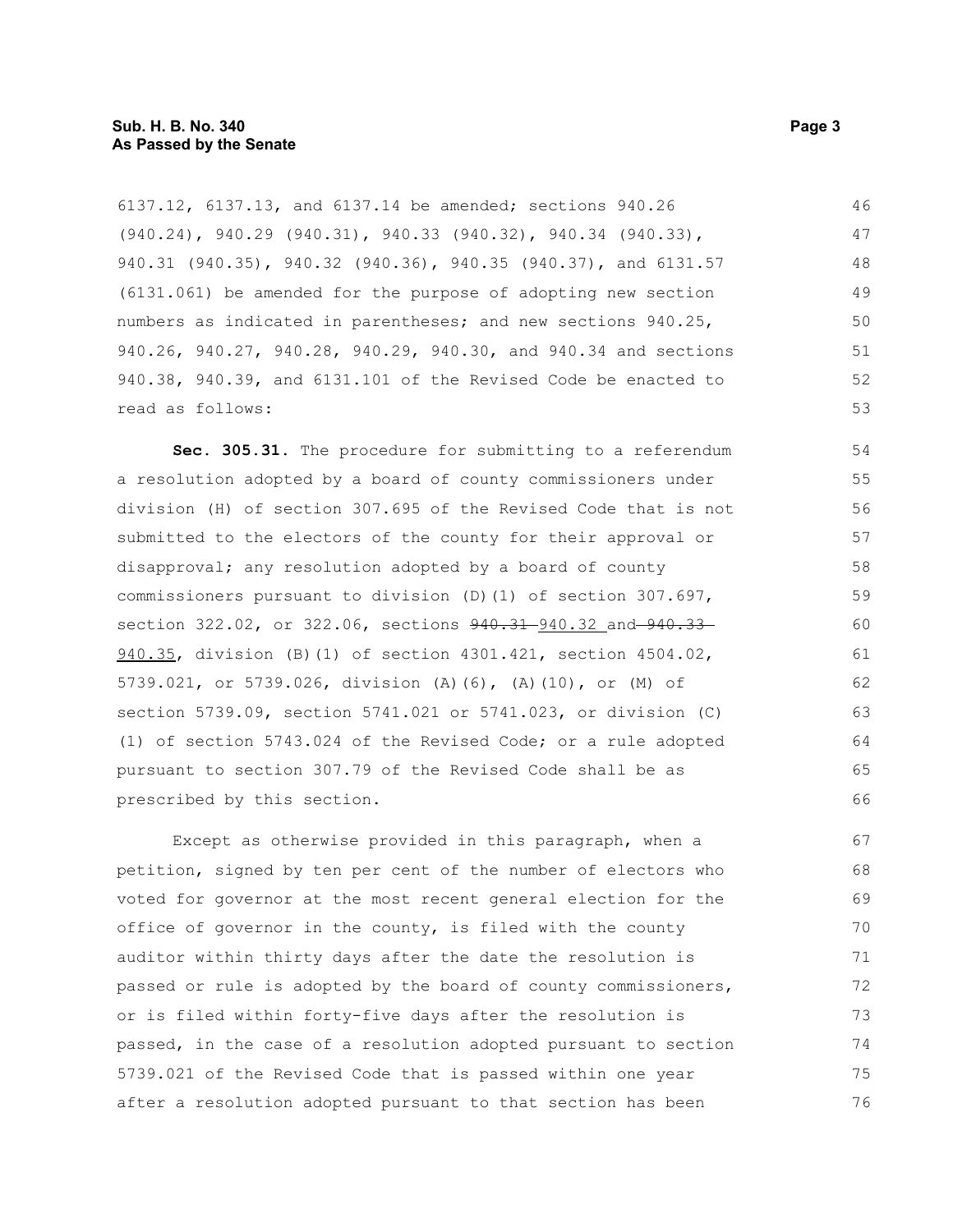6137.12, 6137.13, and 6137.14 be amended; sections 940.26 (940.24), 940.29 (940.31), 940.33 (940.32), 940.34 (940.33), 940.31 (940.35), 940.32 (940.36), 940.35 (940.37), and 6131.57 (6131.061) be amended for the purpose of adopting new section numbers as indicated in parentheses; and new sections 940.25, 940.26, 940.27, 940.28, 940.29, 940.30, and 940.34 and sections 940.38, 940.39, and 6131.101 of the Revised Code be enacted to read as follows: 46 47 48 49 50 51 52 53

**Sec. 305.31.** The procedure for submitting to a referendum a resolution adopted by a board of county commissioners under division (H) of section 307.695 of the Revised Code that is not submitted to the electors of the county for their approval or disapproval; any resolution adopted by a board of county commissioners pursuant to division (D)(1) of section 307.697, section 322.02, or 322.06, sections  $940.31 - 940.32$  and  $940.33 -$ 940.35, division (B)(1) of section 4301.421, section 4504.02, 5739.021, or 5739.026, division (A)(6), (A)(10), or (M) of section 5739.09, section 5741.021 or 5741.023, or division (C) (1) of section 5743.024 of the Revised Code; or a rule adopted pursuant to section 307.79 of the Revised Code shall be as prescribed by this section.

Except as otherwise provided in this paragraph, when a petition, signed by ten per cent of the number of electors who voted for governor at the most recent general election for the office of governor in the county, is filed with the county auditor within thirty days after the date the resolution is passed or rule is adopted by the board of county commissioners, or is filed within forty-five days after the resolution is passed, in the case of a resolution adopted pursuant to section 5739.021 of the Revised Code that is passed within one year after a resolution adopted pursuant to that section has been 67 68 69 70 71 72 73 74 75 76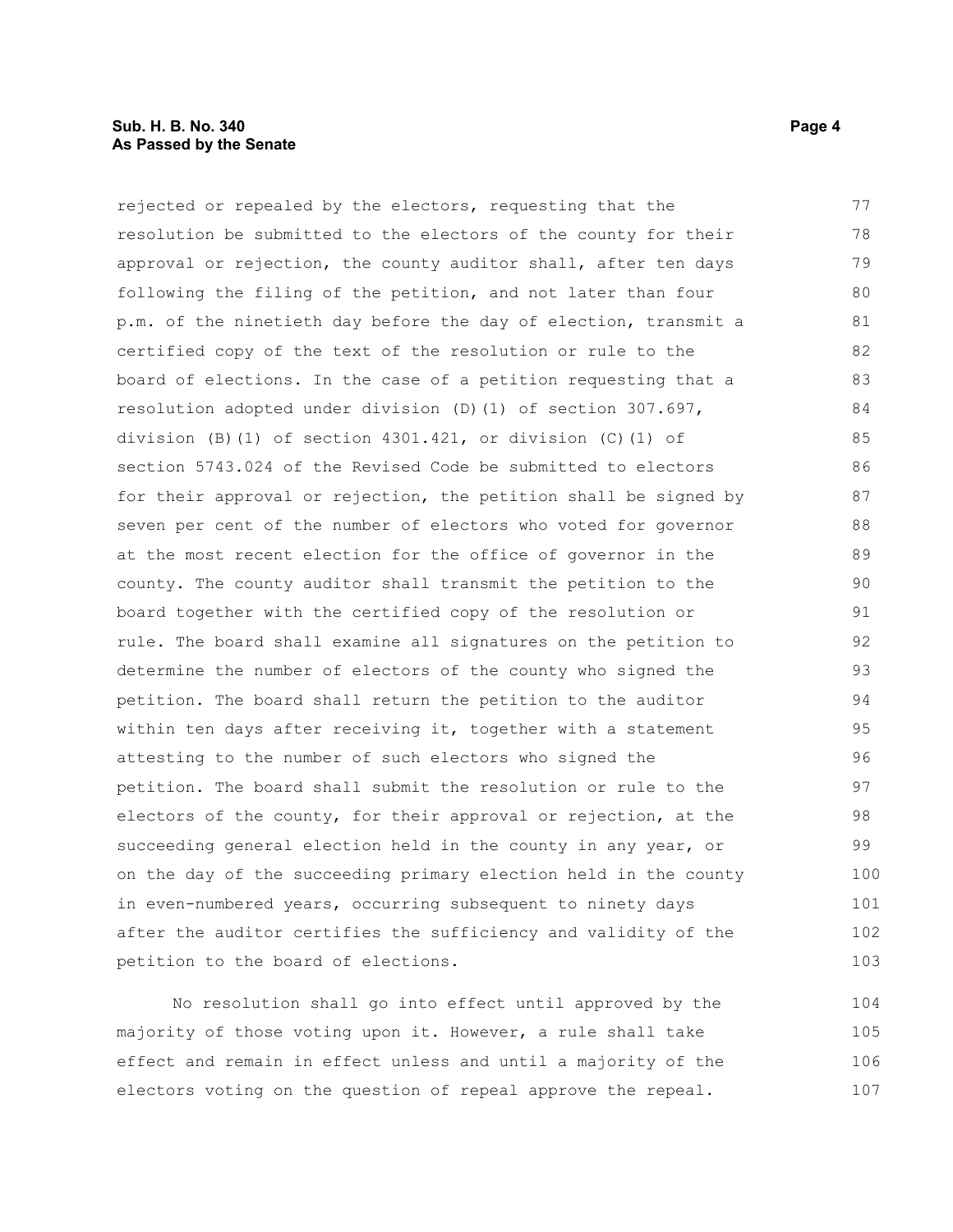rejected or repealed by the electors, requesting that the resolution be submitted to the electors of the county for their approval or rejection, the county auditor shall, after ten days following the filing of the petition, and not later than four p.m. of the ninetieth day before the day of election, transmit a certified copy of the text of the resolution or rule to the board of elections. In the case of a petition requesting that a resolution adopted under division (D)(1) of section 307.697, division (B)(1) of section  $4301.421$ , or division (C)(1) of section 5743.024 of the Revised Code be submitted to electors for their approval or rejection, the petition shall be signed by seven per cent of the number of electors who voted for governor at the most recent election for the office of governor in the county. The county auditor shall transmit the petition to the board together with the certified copy of the resolution or rule. The board shall examine all signatures on the petition to determine the number of electors of the county who signed the petition. The board shall return the petition to the auditor within ten days after receiving it, together with a statement attesting to the number of such electors who signed the petition. The board shall submit the resolution or rule to the electors of the county, for their approval or rejection, at the succeeding general election held in the county in any year, or on the day of the succeeding primary election held in the county in even-numbered years, occurring subsequent to ninety days after the auditor certifies the sufficiency and validity of the petition to the board of elections. 77 78 79 80 81 82 83 84 85 86 87 88 89 90 91 92 93 94 95 96 97 98 99 100 101 102 103

No resolution shall go into effect until approved by the majority of those voting upon it. However, a rule shall take effect and remain in effect unless and until a majority of the electors voting on the question of repeal approve the repeal. 104 105 106 107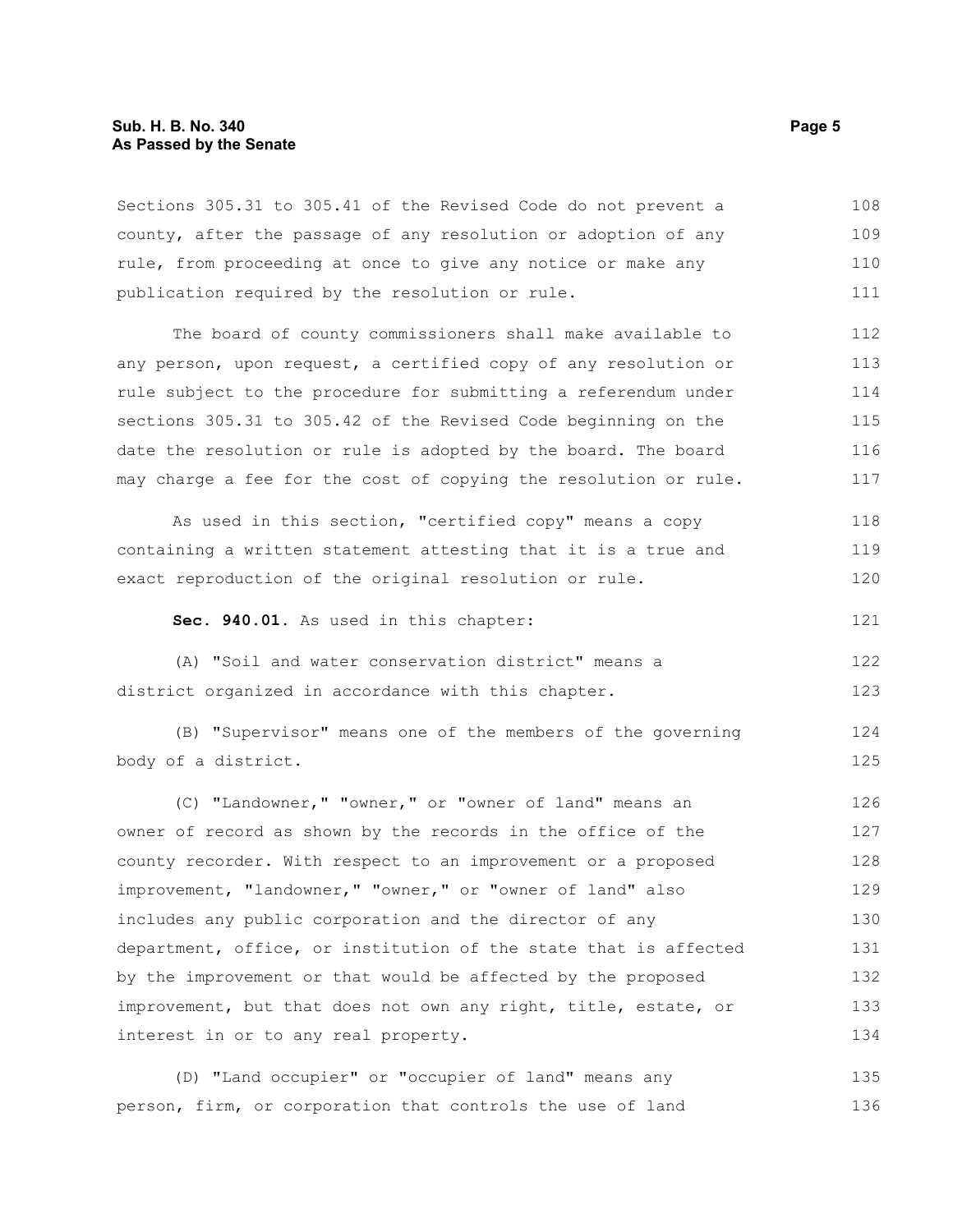#### **Sub. H. B. No. 340 Page 5 As Passed by the Senate**

Sections 305.31 to 305.41 of the Revised Code do not prevent a county, after the passage of any resolution or adoption of any rule, from proceeding at once to give any notice or make any publication required by the resolution or rule. 108 109 110 111

The board of county commissioners shall make available to any person, upon request, a certified copy of any resolution or rule subject to the procedure for submitting a referendum under sections 305.31 to 305.42 of the Revised Code beginning on the date the resolution or rule is adopted by the board. The board may charge a fee for the cost of copying the resolution or rule. 112 113 114 115 116 117

As used in this section, "certified copy" means a copy containing a written statement attesting that it is a true and exact reproduction of the original resolution or rule. 118 119 120

**Sec. 940.01.** As used in this chapter:

(A) "Soil and water conservation district" means a district organized in accordance with this chapter. 122 123

(B) "Supervisor" means one of the members of the governing body of a district. 124 125

(C) "Landowner," "owner," or "owner of land" means an owner of record as shown by the records in the office of the county recorder. With respect to an improvement or a proposed improvement, "landowner," "owner," or "owner of land" also includes any public corporation and the director of any department, office, or institution of the state that is affected by the improvement or that would be affected by the proposed improvement, but that does not own any right, title, estate, or interest in or to any real property. 126 127 128 129 130 131 132 133 134

(D) "Land occupier" or "occupier of land" means any person, firm, or corporation that controls the use of land 135 136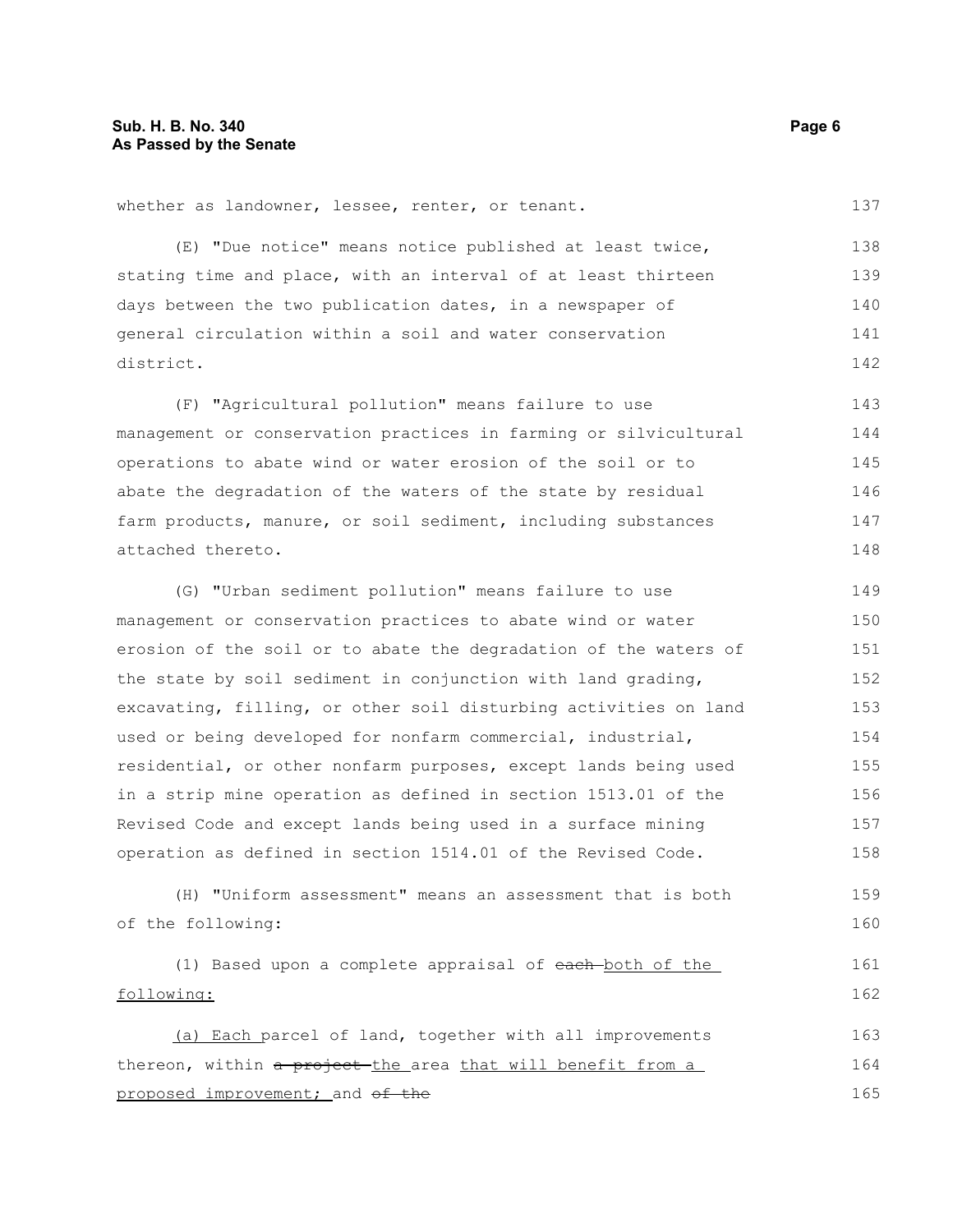following:

whether as landowner, lessee, renter, or tenant.

| (E) "Due notice" means notice published at least twice,          | 138 |
|------------------------------------------------------------------|-----|
| stating time and place, with an interval of at least thirteen    | 139 |
| days between the two publication dates, in a newspaper of        | 140 |
| general circulation within a soil and water conservation         | 141 |
| district.                                                        | 142 |
| (F) "Agricultural pollution" means failure to use                | 143 |
| management or conservation practices in farming or silvicultural | 144 |
| operations to abate wind or water erosion of the soil or to      | 145 |
| abate the degradation of the waters of the state by residual     | 146 |
| farm products, manure, or soil sediment, including substances    | 147 |
| attached thereto.                                                | 148 |
| (G) "Urban sediment pollution" means failure to use              | 149 |
| management or conservation practices to abate wind or water      | 150 |
| erosion of the soil or to abate the degradation of the waters of | 151 |
| the state by soil sediment in conjunction with land grading,     | 152 |
| excavating, filling, or other soil disturbing activities on land | 153 |
| used or being developed for nonfarm commercial, industrial,      | 154 |
| residential, or other nonfarm purposes, except lands being used  | 155 |
| in a strip mine operation as defined in section 1513.01 of the   | 156 |
| Revised Code and except lands being used in a surface mining     | 157 |
| operation as defined in section 1514.01 of the Revised Code.     | 158 |
| (H) "Uniform assessment" means an assessment that is both        | 159 |
| of the following:                                                | 160 |
| (1) Based upon a complete appraisal of each-both of the          | 161 |

(a) Each parcel of land, together with all improvements thereon, within a project-the area that will benefit from a proposed improvement; and of the 163 164 165

137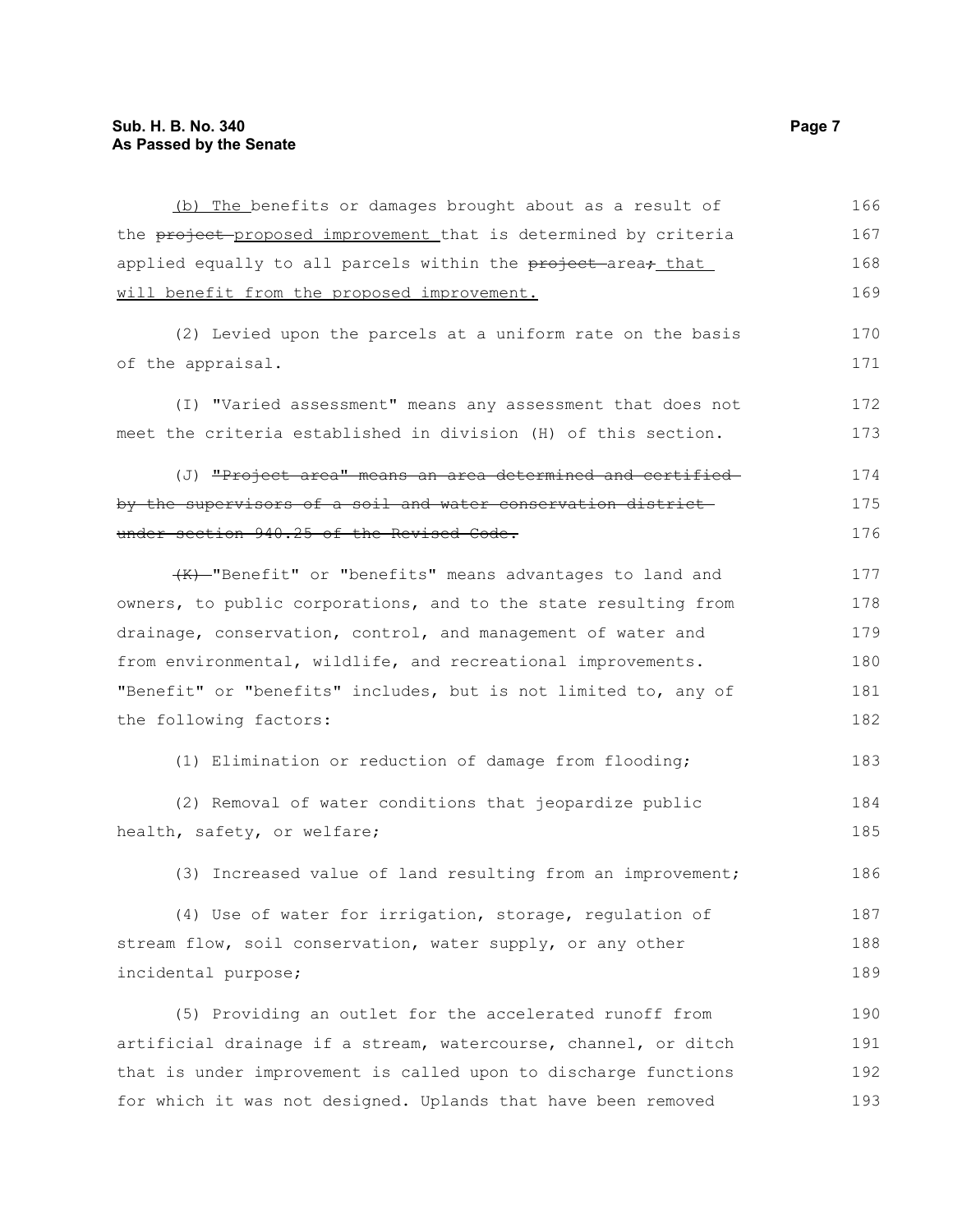| (b) The benefits or damages brought about as a result of                             | 166 |
|--------------------------------------------------------------------------------------|-----|
| the project proposed improvement that is determined by criteria                      | 167 |
| applied equally to all parcels within the <del>project a</del> rea <del>; that</del> | 168 |
| will benefit from the proposed improvement.                                          | 169 |
|                                                                                      |     |
| (2) Levied upon the parcels at a uniform rate on the basis                           | 170 |
| of the appraisal.                                                                    | 171 |
| (I) "Varied assessment" means any assessment that does not                           | 172 |
| meet the criteria established in division (H) of this section.                       | 173 |
| (J) <del>"Project area" means an area determined and certified-</del>                | 174 |
| by the supervisors of a soil and water conservation district-                        | 175 |
| under section 940.25 of the Revised Code.                                            | 176 |
| (K)-"Benefit" or "benefits" means advantages to land and                             | 177 |
| owners, to public corporations, and to the state resulting from                      | 178 |
| drainage, conservation, control, and management of water and                         | 179 |
| from environmental, wildlife, and recreational improvements.                         | 180 |
| "Benefit" or "benefits" includes, but is not limited to, any of                      | 181 |
| the following factors:                                                               | 182 |
|                                                                                      |     |
| (1) Elimination or reduction of damage from flooding;                                | 183 |
| (2) Removal of water conditions that jeopardize public                               | 184 |
| health, safety, or welfare;                                                          | 185 |
| (3) Increased value of land resulting from an improvement;                           | 186 |
| (4) Use of water for irrigation, storage, regulation of                              | 187 |
| stream flow, soil conservation, water supply, or any other                           | 188 |
| incidental purpose;                                                                  | 189 |
| (5) Providing an outlet for the accelerated runoff from                              |     |
|                                                                                      | 190 |
| artificial drainage if a stream, watercourse, channel, or ditch                      | 191 |

that is under improvement is called upon to discharge functions

for which it was not designed. Uplands that have been removed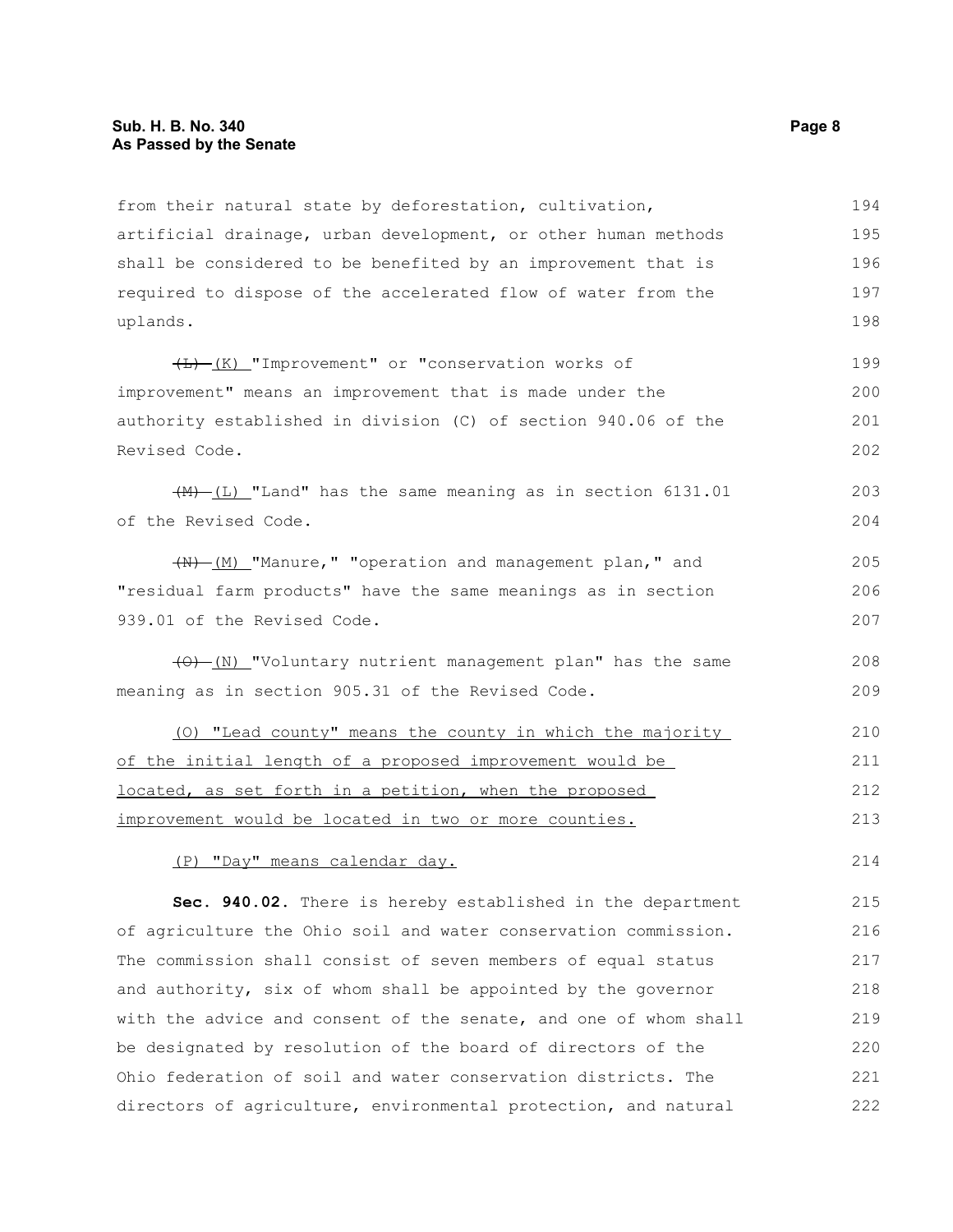#### **Sub. H. B. No. 340 Page 8 As Passed by the Senate**

from their natural state by deforestation, cultivation, artificial drainage, urban development, or other human methods shall be considered to be benefited by an improvement that is required to dispose of the accelerated flow of water from the uplands. 194 195 196 197 198

 $\overline{(L)}$  (K) "Improvement" or "conservation works of improvement" means an improvement that is made under the authority established in division (C) of section 940.06 of the Revised Code. 199 200 201 202

 $(H)$  (L) "Land" has the same meaning as in section 6131.01 of the Revised Code.

 $+$ (M)  $(M)$  "Manure," "operation and management plan," and "residual farm products" have the same meanings as in section 939.01 of the Revised Code.

 $(0)$  (N) "Voluntary nutrient management plan" has the same meaning as in section 905.31 of the Revised Code. 208 209

(O) "Lead county" means the county in which the majority of the initial length of a proposed improvement would be located, as set forth in a petition, when the proposed improvement would be located in two or more counties. 210 211 212 213

(P) "Day" means calendar day.

**Sec. 940.02.** There is hereby established in the department of agriculture the Ohio soil and water conservation commission. The commission shall consist of seven members of equal status and authority, six of whom shall be appointed by the governor with the advice and consent of the senate, and one of whom shall be designated by resolution of the board of directors of the Ohio federation of soil and water conservation districts. The directors of agriculture, environmental protection, and natural 215 216 217 218 219 220 221 222

214

203 204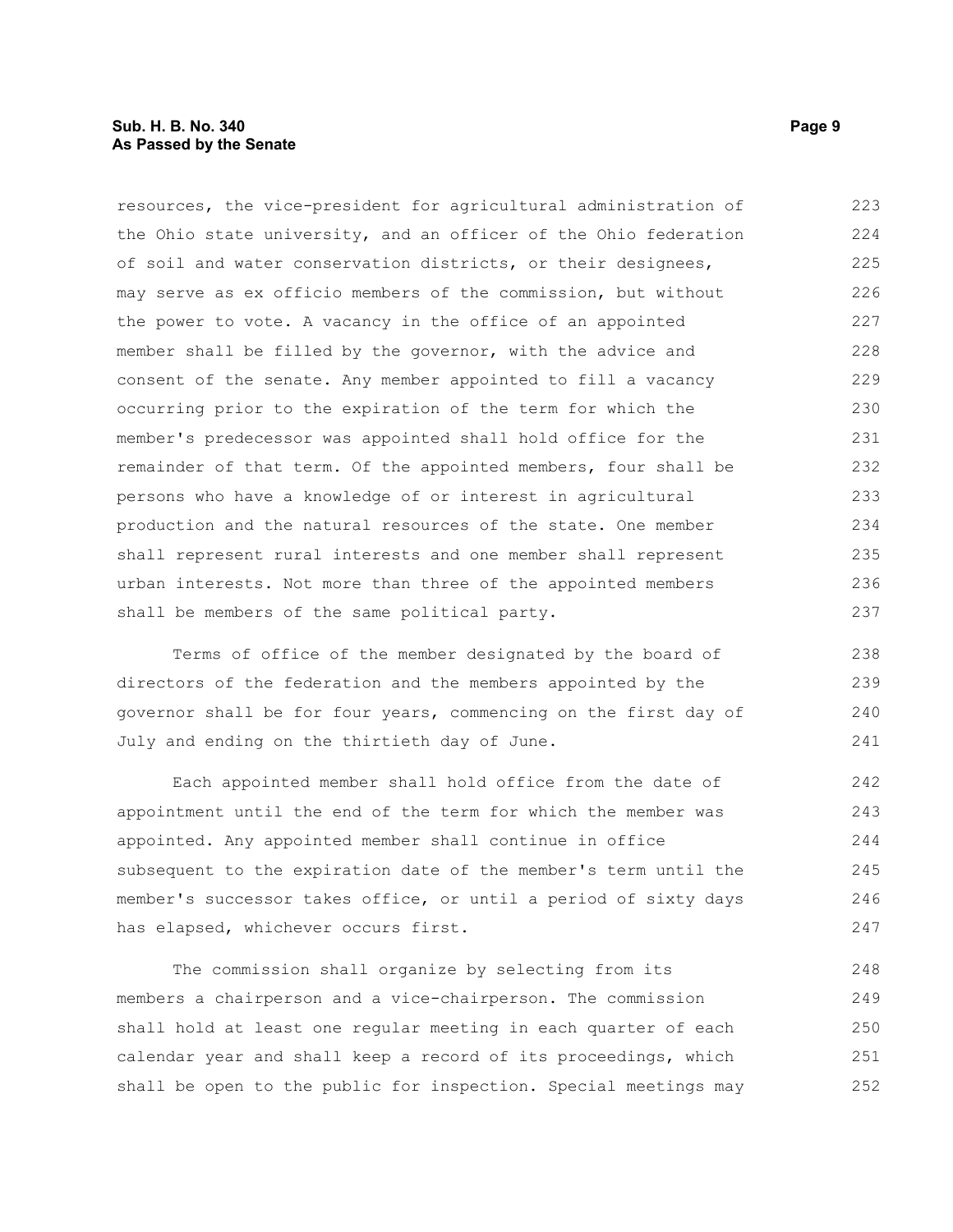#### **Sub. H. B. No. 340 Page 9 As Passed by the Senate**

resources, the vice-president for agricultural administration of the Ohio state university, and an officer of the Ohio federation of soil and water conservation districts, or their designees, may serve as ex officio members of the commission, but without the power to vote. A vacancy in the office of an appointed member shall be filled by the governor, with the advice and consent of the senate. Any member appointed to fill a vacancy occurring prior to the expiration of the term for which the member's predecessor was appointed shall hold office for the remainder of that term. Of the appointed members, four shall be persons who have a knowledge of or interest in agricultural production and the natural resources of the state. One member shall represent rural interests and one member shall represent urban interests. Not more than three of the appointed members shall be members of the same political party. 223 224 225 226 227 228 229 230 231 232 233 234 235 236 237

Terms of office of the member designated by the board of directors of the federation and the members appointed by the governor shall be for four years, commencing on the first day of July and ending on the thirtieth day of June. 238 239 240 241

Each appointed member shall hold office from the date of appointment until the end of the term for which the member was appointed. Any appointed member shall continue in office subsequent to the expiration date of the member's term until the member's successor takes office, or until a period of sixty days has elapsed, whichever occurs first. 242 243 244 245 246 247

The commission shall organize by selecting from its members a chairperson and a vice-chairperson. The commission shall hold at least one regular meeting in each quarter of each calendar year and shall keep a record of its proceedings, which shall be open to the public for inspection. Special meetings may 248 249 250 251 252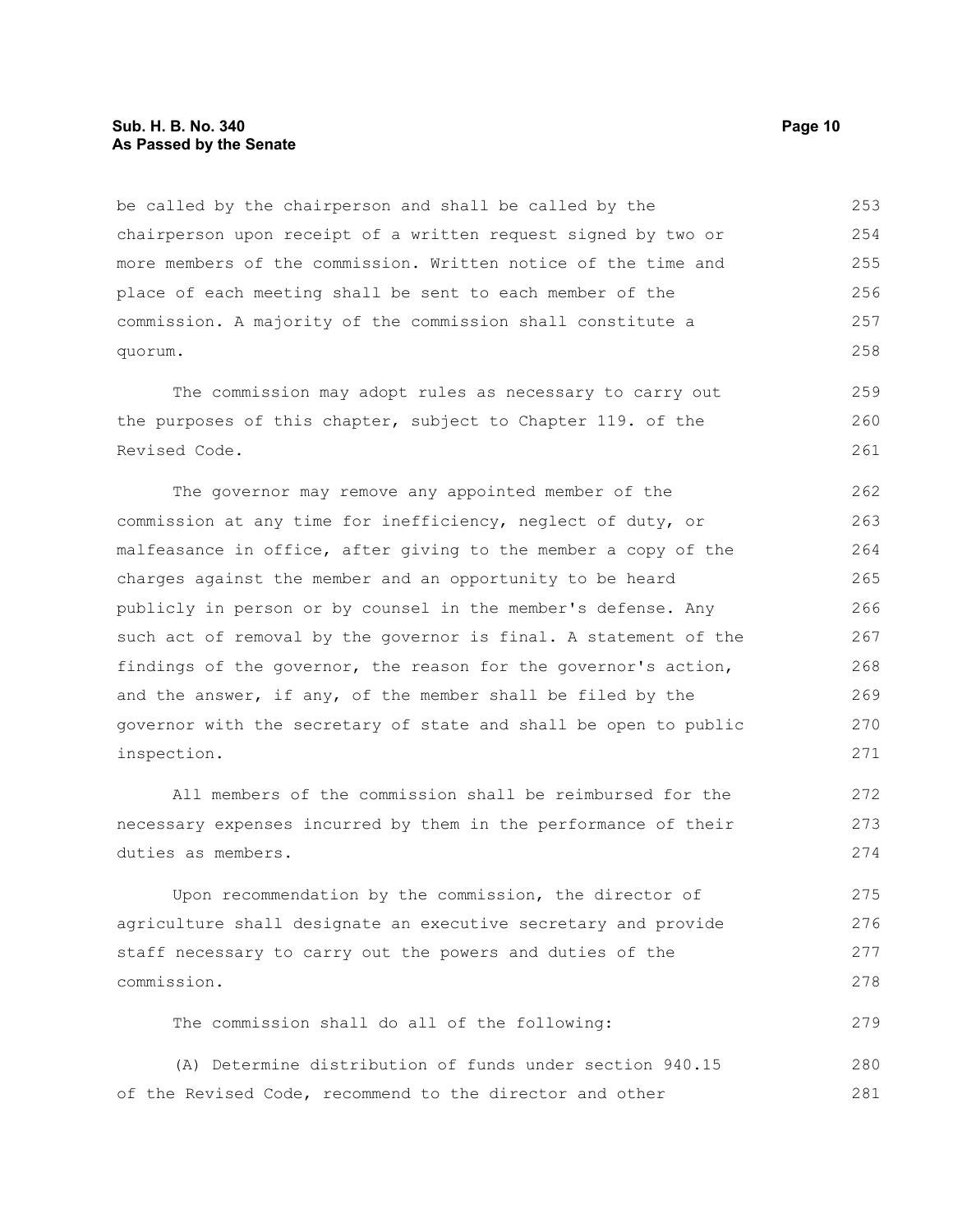#### **Sub. H. B. No. 340 Page 10 As Passed by the Senate**

be called by the chairperson and shall be called by the chairperson upon receipt of a written request signed by two or more members of the commission. Written notice of the time and place of each meeting shall be sent to each member of the commission. A majority of the commission shall constitute a quorum. 253 254 255 256 257 258

The commission may adopt rules as necessary to carry out the purposes of this chapter, subject to Chapter 119. of the Revised Code.

The governor may remove any appointed member of the commission at any time for inefficiency, neglect of duty, or malfeasance in office, after giving to the member a copy of the charges against the member and an opportunity to be heard publicly in person or by counsel in the member's defense. Any such act of removal by the governor is final. A statement of the findings of the governor, the reason for the governor's action, and the answer, if any, of the member shall be filed by the governor with the secretary of state and shall be open to public inspection. 262 263 264 265 266 267 268 269 270 271

All members of the commission shall be reimbursed for the necessary expenses incurred by them in the performance of their duties as members.

Upon recommendation by the commission, the director of agriculture shall designate an executive secretary and provide staff necessary to carry out the powers and duties of the commission. 275 276 277 278

The commission shall do all of the following:

(A) Determine distribution of funds under section 940.15 of the Revised Code, recommend to the director and other 280 281

259 260 261

272 273 274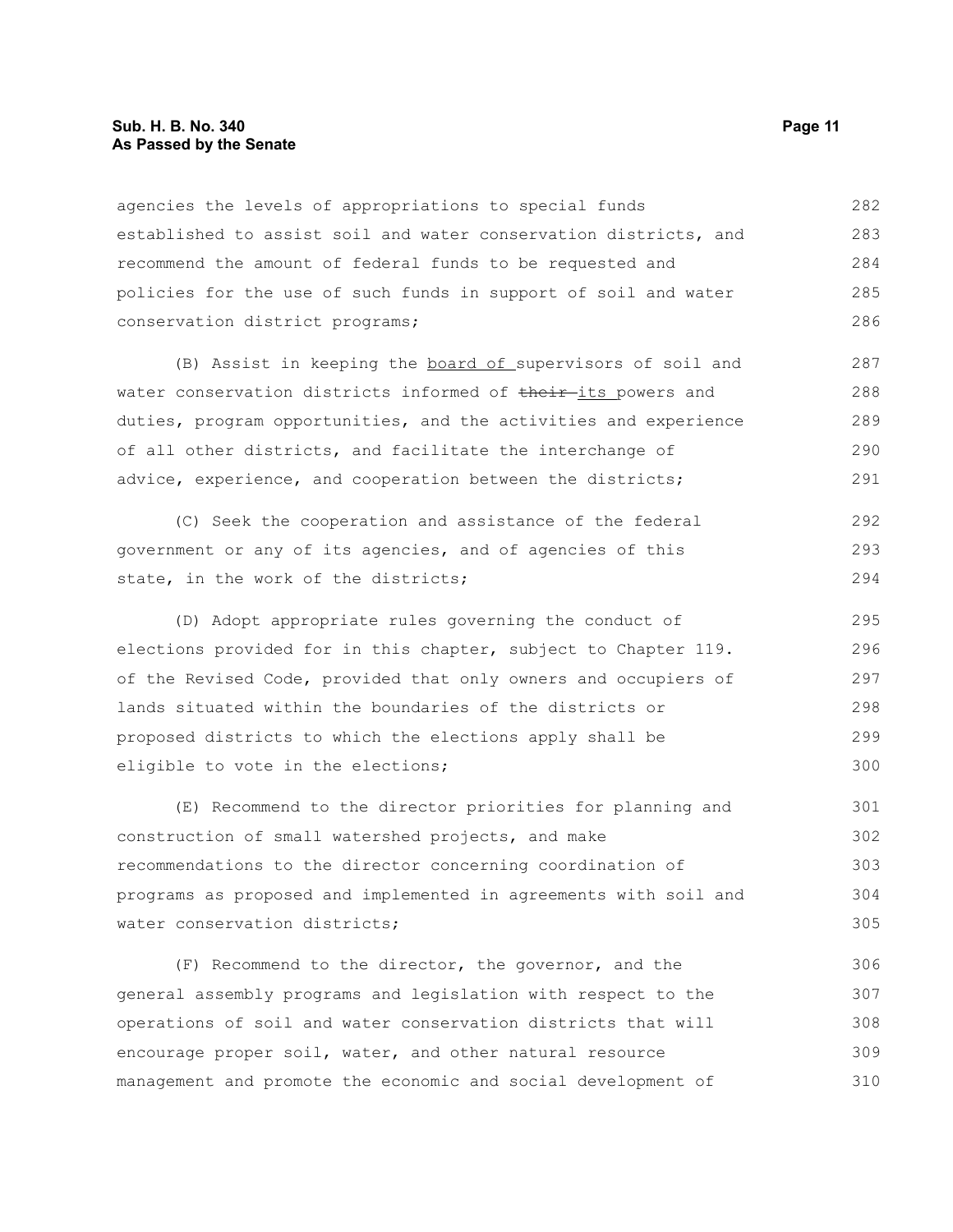#### **Sub. H. B. No. 340 Page 11 As Passed by the Senate**

agencies the levels of appropriations to special funds established to assist soil and water conservation districts, and recommend the amount of federal funds to be requested and policies for the use of such funds in support of soil and water conservation district programs; 282 283 284 285 286

(B) Assist in keeping the board of supervisors of soil and water conservation districts informed of their-its powers and duties, program opportunities, and the activities and experience of all other districts, and facilitate the interchange of advice, experience, and cooperation between the districts; 287 288 289 290 291

(C) Seek the cooperation and assistance of the federal government or any of its agencies, and of agencies of this state, in the work of the districts; 292 293 294

(D) Adopt appropriate rules governing the conduct of elections provided for in this chapter, subject to Chapter 119. of the Revised Code, provided that only owners and occupiers of lands situated within the boundaries of the districts or proposed districts to which the elections apply shall be eligible to vote in the elections; 295 296 297 298 299 300

(E) Recommend to the director priorities for planning and construction of small watershed projects, and make recommendations to the director concerning coordination of programs as proposed and implemented in agreements with soil and water conservation districts;

(F) Recommend to the director, the governor, and the general assembly programs and legislation with respect to the operations of soil and water conservation districts that will encourage proper soil, water, and other natural resource management and promote the economic and social development of 306 307 308 309 310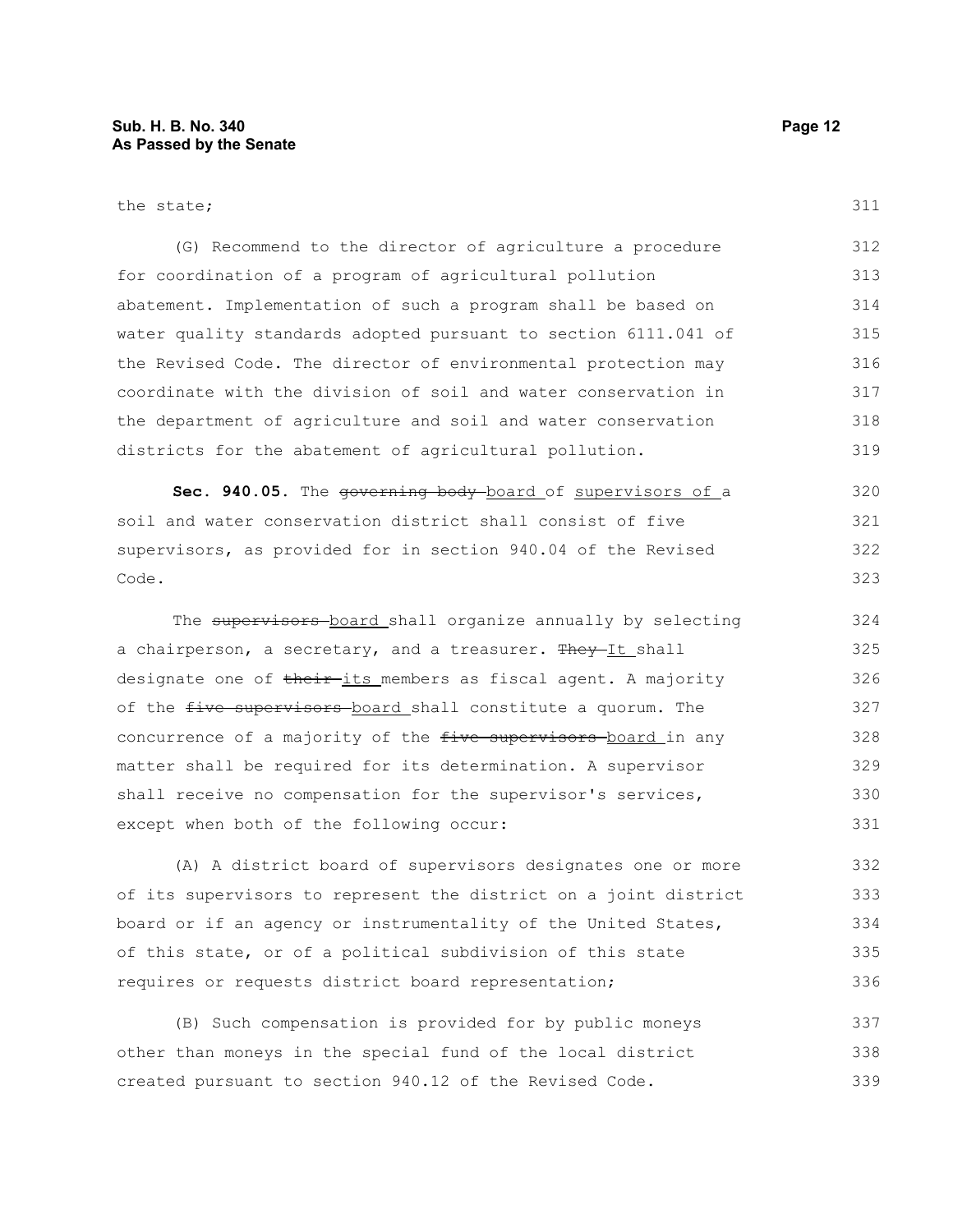#### the state;

311

| (G) Recommend to the director of agriculture a procedure        | 312 |
|-----------------------------------------------------------------|-----|
| for coordination of a program of agricultural pollution         | 313 |
| abatement. Implementation of such a program shall be based on   | 314 |
| water quality standards adopted pursuant to section 6111.041 of | 315 |
| the Revised Code. The director of environmental protection may  | 316 |
| coordinate with the division of soil and water conservation in  | 317 |
| the department of agriculture and soil and water conservation   | 318 |
| districts for the abatement of agricultural pollution.          | 319 |

Sec. 940.05. The governing body-board of supervisors of a soil and water conservation district shall consist of five supervisors, as provided for in section 940.04 of the Revised Code. 320 321 322 323

The supervisors board shall organize annually by selecting a chairperson, a secretary, and a treasurer. They-It shall designate one of their-its members as fiscal agent. A majority of the five supervisors board shall constitute a quorum. The concurrence of a majority of the five supervisors-board in any matter shall be required for its determination. A supervisor shall receive no compensation for the supervisor's services, except when both of the following occur: 324 325 326 327 328 329 330 331

(A) A district board of supervisors designates one or more of its supervisors to represent the district on a joint district board or if an agency or instrumentality of the United States, of this state, or of a political subdivision of this state requires or requests district board representation; 332 333 334 335 336

(B) Such compensation is provided for by public moneys other than moneys in the special fund of the local district created pursuant to section 940.12 of the Revised Code. 337 338 339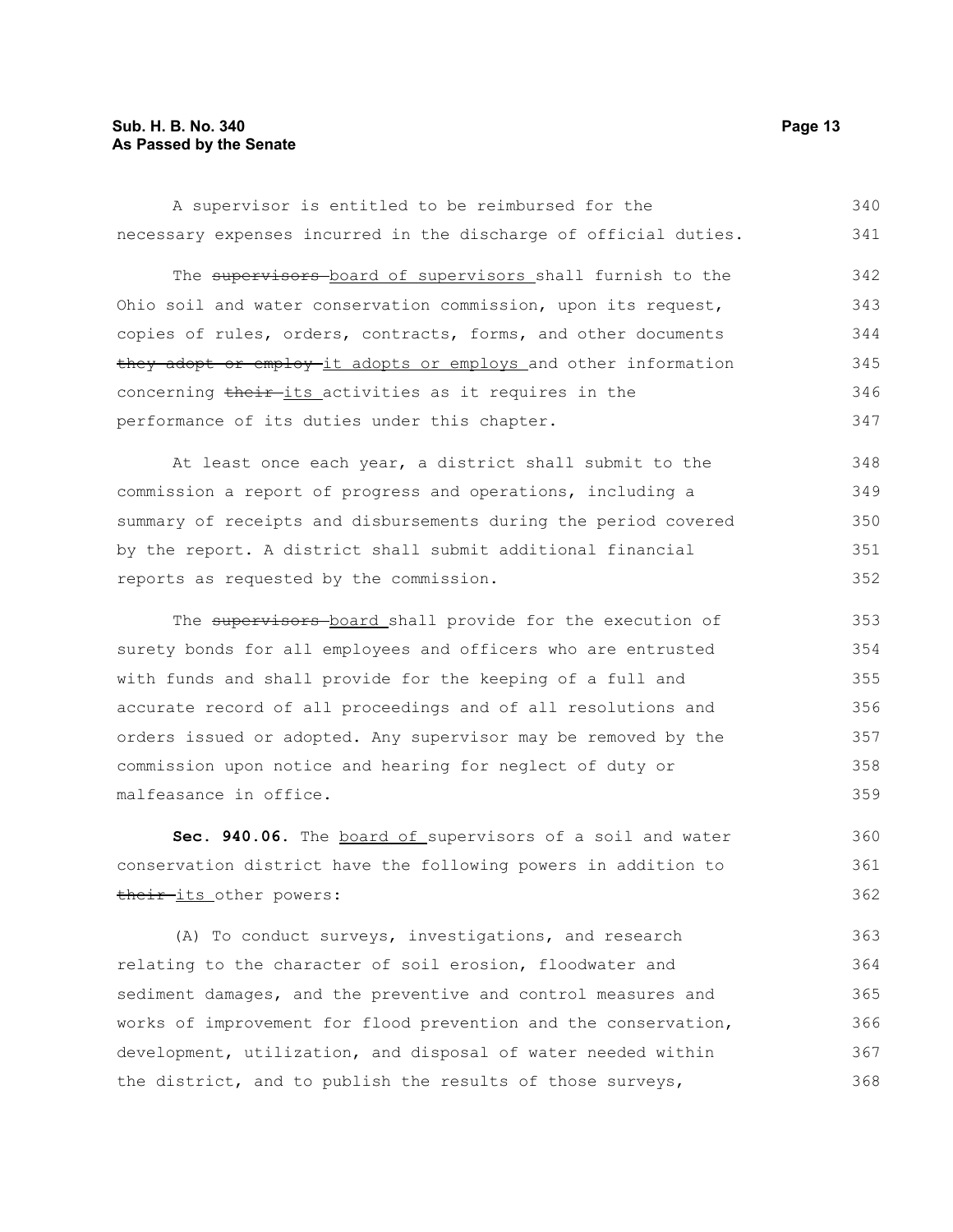#### **Sub. H. B. No. 340 Page 13 As Passed by the Senate**

A supervisor is entitled to be reimbursed for the necessary expenses incurred in the discharge of official duties. 340 341

The supervisors board of supervisors shall furnish to the Ohio soil and water conservation commission, upon its request, copies of rules, orders, contracts, forms, and other documents they adopt or employ it adopts or employs and other information concerning their-its activities as it requires in the performance of its duties under this chapter. 342 343 344 345 346 347

At least once each year, a district shall submit to the commission a report of progress and operations, including a summary of receipts and disbursements during the period covered by the report. A district shall submit additional financial reports as requested by the commission.

The supervisors board shall provide for the execution of surety bonds for all employees and officers who are entrusted with funds and shall provide for the keeping of a full and accurate record of all proceedings and of all resolutions and orders issued or adopted. Any supervisor may be removed by the commission upon notice and hearing for neglect of duty or malfeasance in office. 353 354 355 356 357 358 359

Sec. 940.06. The board of supervisors of a soil and water conservation district have the following powers in addition to their-its other powers: 360 361 362

(A) To conduct surveys, investigations, and research relating to the character of soil erosion, floodwater and sediment damages, and the preventive and control measures and works of improvement for flood prevention and the conservation, development, utilization, and disposal of water needed within the district, and to publish the results of those surveys, 363 364 365 366 367 368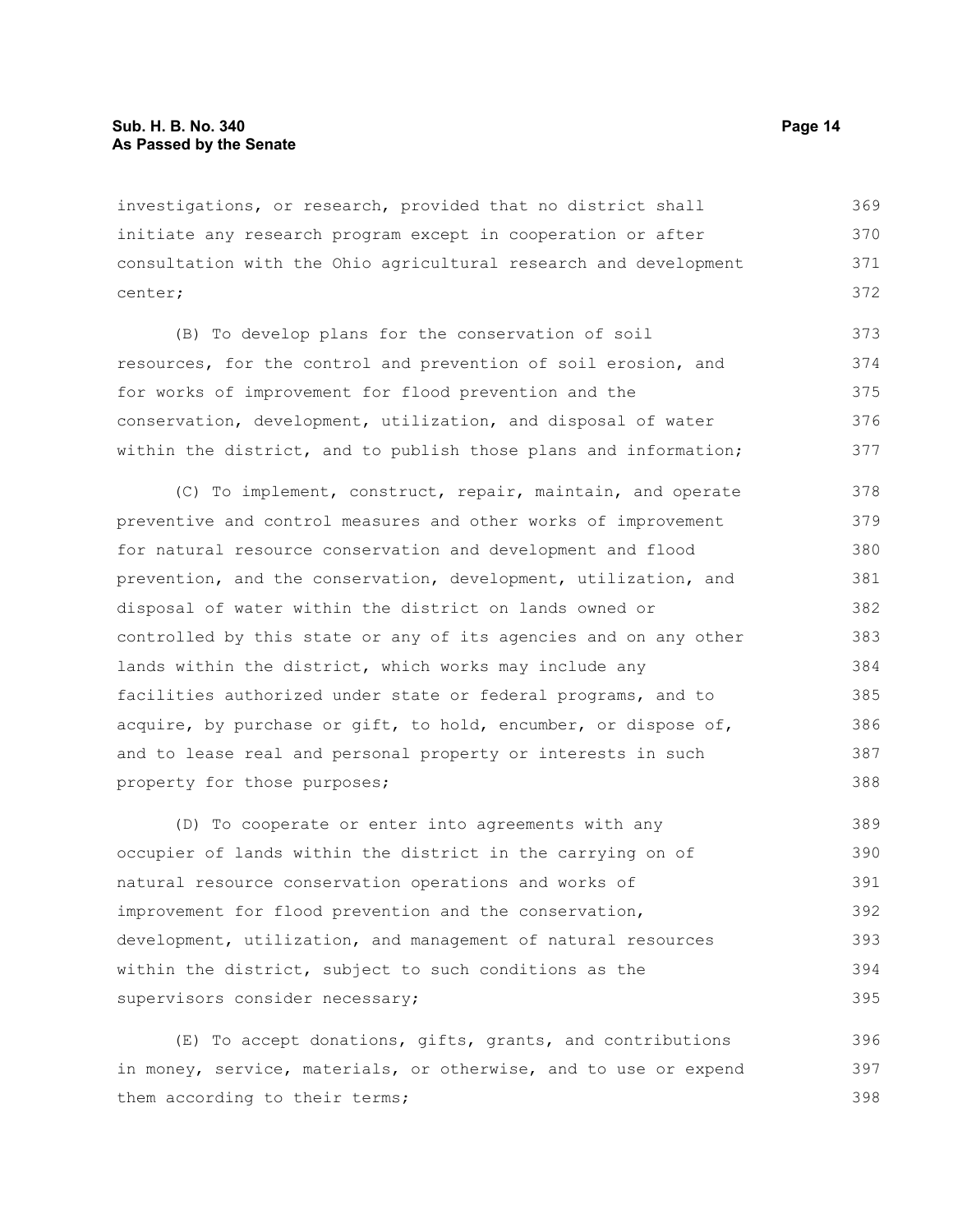investigations, or research, provided that no district shall initiate any research program except in cooperation or after consultation with the Ohio agricultural research and development center; 369 370 371 372

(B) To develop plans for the conservation of soil resources, for the control and prevention of soil erosion, and for works of improvement for flood prevention and the conservation, development, utilization, and disposal of water within the district, and to publish those plans and information; 373 374 375 376 377

(C) To implement, construct, repair, maintain, and operate preventive and control measures and other works of improvement for natural resource conservation and development and flood prevention, and the conservation, development, utilization, and disposal of water within the district on lands owned or controlled by this state or any of its agencies and on any other lands within the district, which works may include any facilities authorized under state or federal programs, and to acquire, by purchase or gift, to hold, encumber, or dispose of, and to lease real and personal property or interests in such property for those purposes; 378 379 380 381 382 383 384 385 386 387 388

(D) To cooperate or enter into agreements with any occupier of lands within the district in the carrying on of natural resource conservation operations and works of improvement for flood prevention and the conservation, development, utilization, and management of natural resources within the district, subject to such conditions as the supervisors consider necessary; 389 390 391 392 393 394 395

(E) To accept donations, gifts, grants, and contributions in money, service, materials, or otherwise, and to use or expend them according to their terms; 396 397 398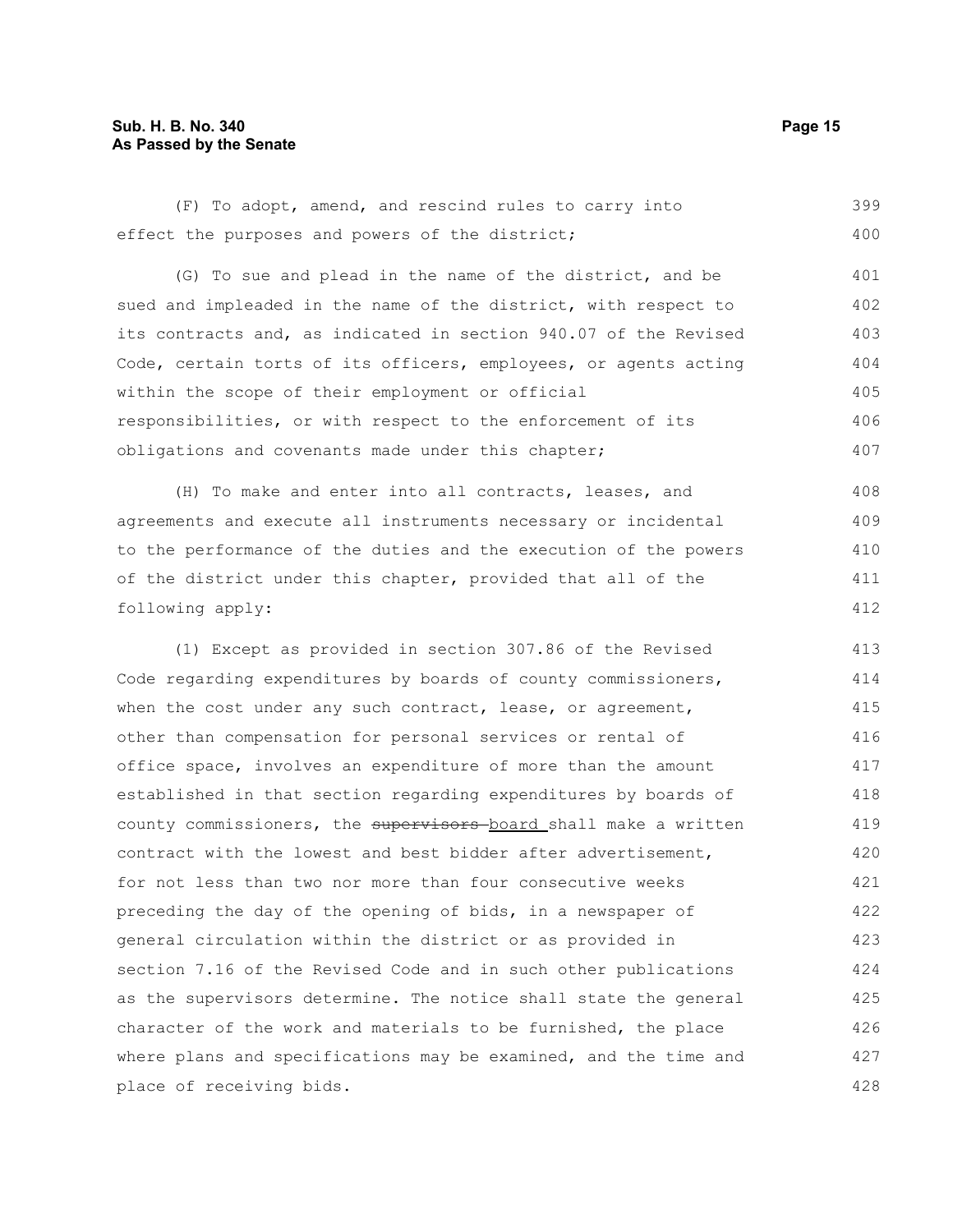#### **Sub. H. B. No. 340 Page 15 As Passed by the Senate**

(F) To adopt, amend, and rescind rules to carry into effect the purposes and powers of the district; 399 400

(G) To sue and plead in the name of the district, and be sued and impleaded in the name of the district, with respect to its contracts and, as indicated in section 940.07 of the Revised Code, certain torts of its officers, employees, or agents acting within the scope of their employment or official responsibilities, or with respect to the enforcement of its obligations and covenants made under this chapter; 401 402 403 404 405 406 407

(H) To make and enter into all contracts, leases, and agreements and execute all instruments necessary or incidental to the performance of the duties and the execution of the powers of the district under this chapter, provided that all of the following apply: 408 409 410 411 412

(1) Except as provided in section 307.86 of the Revised Code regarding expenditures by boards of county commissioners, when the cost under any such contract, lease, or agreement, other than compensation for personal services or rental of office space, involves an expenditure of more than the amount established in that section regarding expenditures by boards of county commissioners, the supervisors-board shall make a written contract with the lowest and best bidder after advertisement, for not less than two nor more than four consecutive weeks preceding the day of the opening of bids, in a newspaper of general circulation within the district or as provided in section 7.16 of the Revised Code and in such other publications as the supervisors determine. The notice shall state the general character of the work and materials to be furnished, the place where plans and specifications may be examined, and the time and place of receiving bids. 413 414 415 416 417 418 419 420 421 422 423 424 425 426 427 428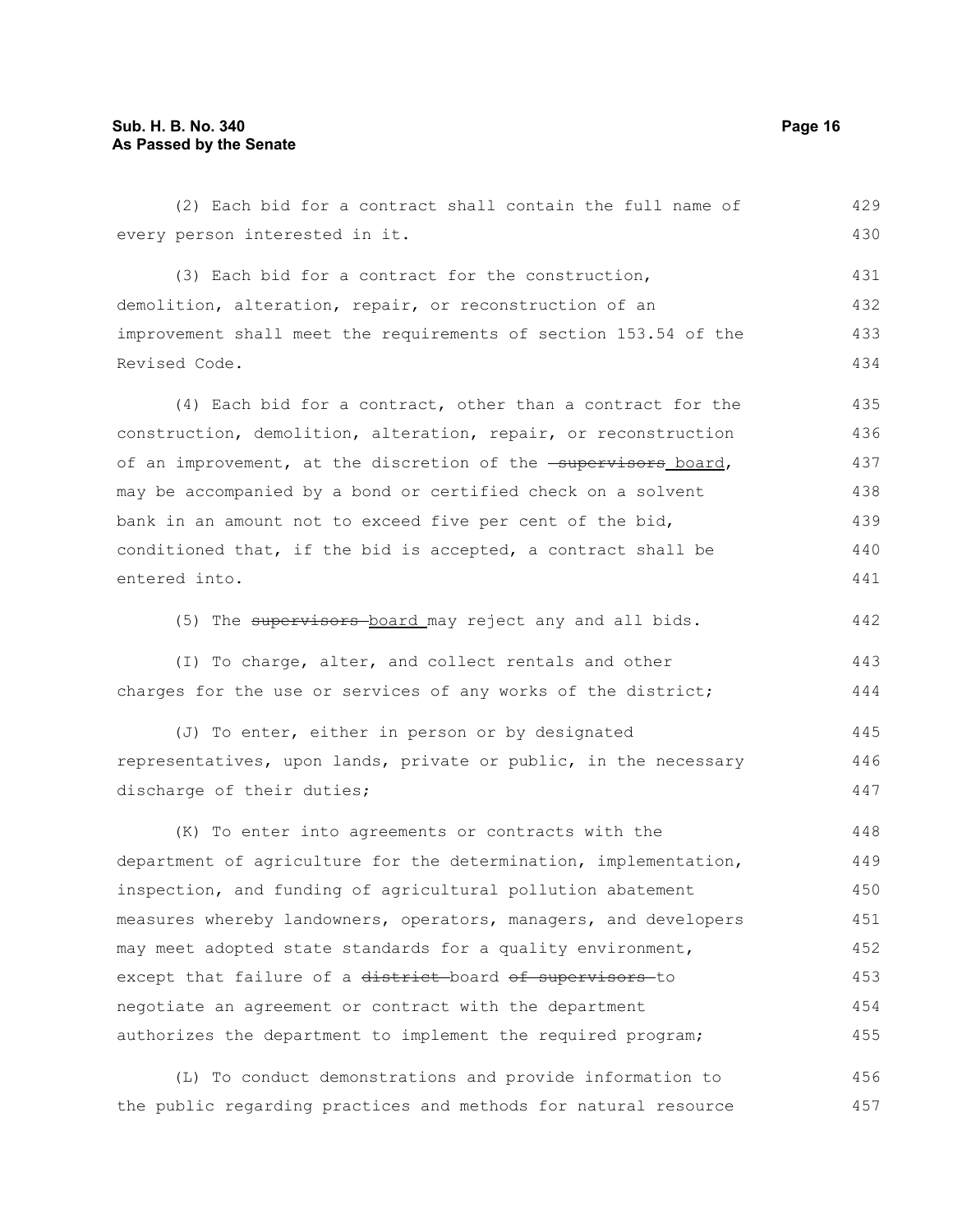(2) Each bid for a contract shall contain the full name of every person interested in it. (3) Each bid for a contract for the construction, demolition, alteration, repair, or reconstruction of an improvement shall meet the requirements of section 153.54 of the Revised Code. (4) Each bid for a contract, other than a contract for the construction, demolition, alteration, repair, or reconstruction of an improvement, at the discretion of the **supervisors** board, may be accompanied by a bond or certified check on a solvent bank in an amount not to exceed five per cent of the bid, conditioned that, if the bid is accepted, a contract shall be entered into. (5) The supervisors board may reject any and all bids. (I) To charge, alter, and collect rentals and other charges for the use or services of any works of the district; (J) To enter, either in person or by designated representatives, upon lands, private or public, in the necessary discharge of their duties; (K) To enter into agreements or contracts with the department of agriculture for the determination, implementation, inspection, and funding of agricultural pollution abatement measures whereby landowners, operators, managers, and developers may meet adopted state standards for a quality environment, except that failure of a district-board of supervisors-to negotiate an agreement or contract with the department authorizes the department to implement the required program; 429 430 431 432 433 434 435 436 437 438 439 440 441 442 443 444 445 446 447 448 449 450 451 452 453 454 455

(L) To conduct demonstrations and provide information to the public regarding practices and methods for natural resource 456 457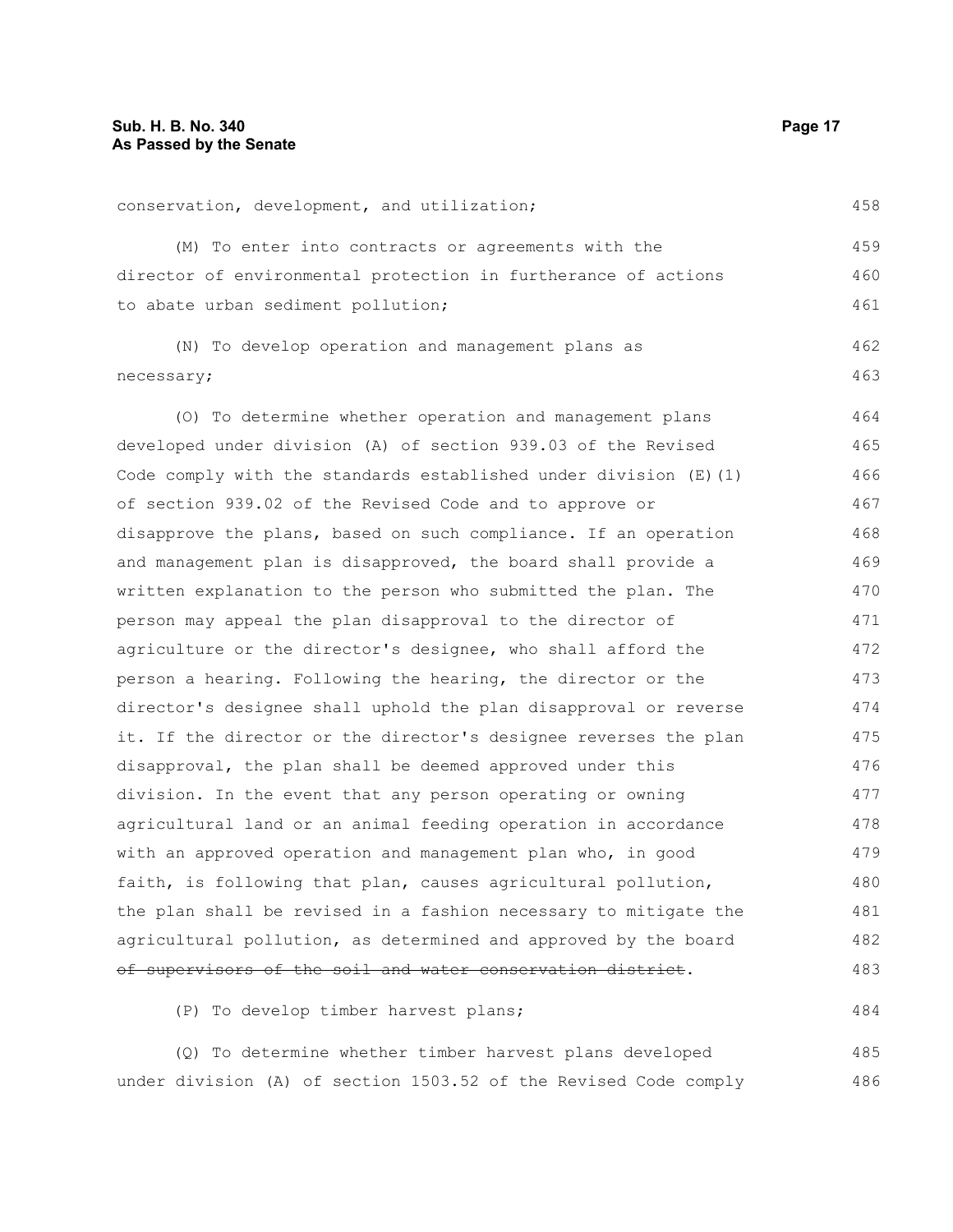| conservation, development, and utilization;                         | 458 |
|---------------------------------------------------------------------|-----|
| (M) To enter into contracts or agreements with the                  | 459 |
| director of environmental protection in furtherance of actions      | 460 |
| to abate urban sediment pollution;                                  | 461 |
| (N) To develop operation and management plans as                    | 462 |
| necessary;                                                          | 463 |
| (0) To determine whether operation and management plans             | 464 |
| developed under division (A) of section 939.03 of the Revised       | 465 |
| Code comply with the standards established under division $(E)$ (1) | 466 |
| of section 939.02 of the Revised Code and to approve or             | 467 |
| disapprove the plans, based on such compliance. If an operation     | 468 |
| and management plan is disapproved, the board shall provide a       | 469 |
| written explanation to the person who submitted the plan. The       | 470 |
| person may appeal the plan disapproval to the director of           | 471 |
| agriculture or the director's designee, who shall afford the        | 472 |
| person a hearing. Following the hearing, the director or the        | 473 |
| director's designee shall uphold the plan disapproval or reverse    | 474 |
| it. If the director or the director's designee reverses the plan    | 475 |
| disapproval, the plan shall be deemed approved under this           | 476 |
| division. In the event that any person operating or owning          | 477 |
| agricultural land or an animal feeding operation in accordance      | 478 |
| with an approved operation and management plan who, in good         | 479 |
| faith, is following that plan, causes agricultural pollution,       | 480 |
| the plan shall be revised in a fashion necessary to mitigate the    | 481 |
| agricultural pollution, as determined and approved by the board     | 482 |
| <u>of supervisors of the soil and water conservation district.</u>  | 483 |

(P) To develop timber harvest plans;

(Q) To determine whether timber harvest plans developed under division (A) of section 1503.52 of the Revised Code comply 485 486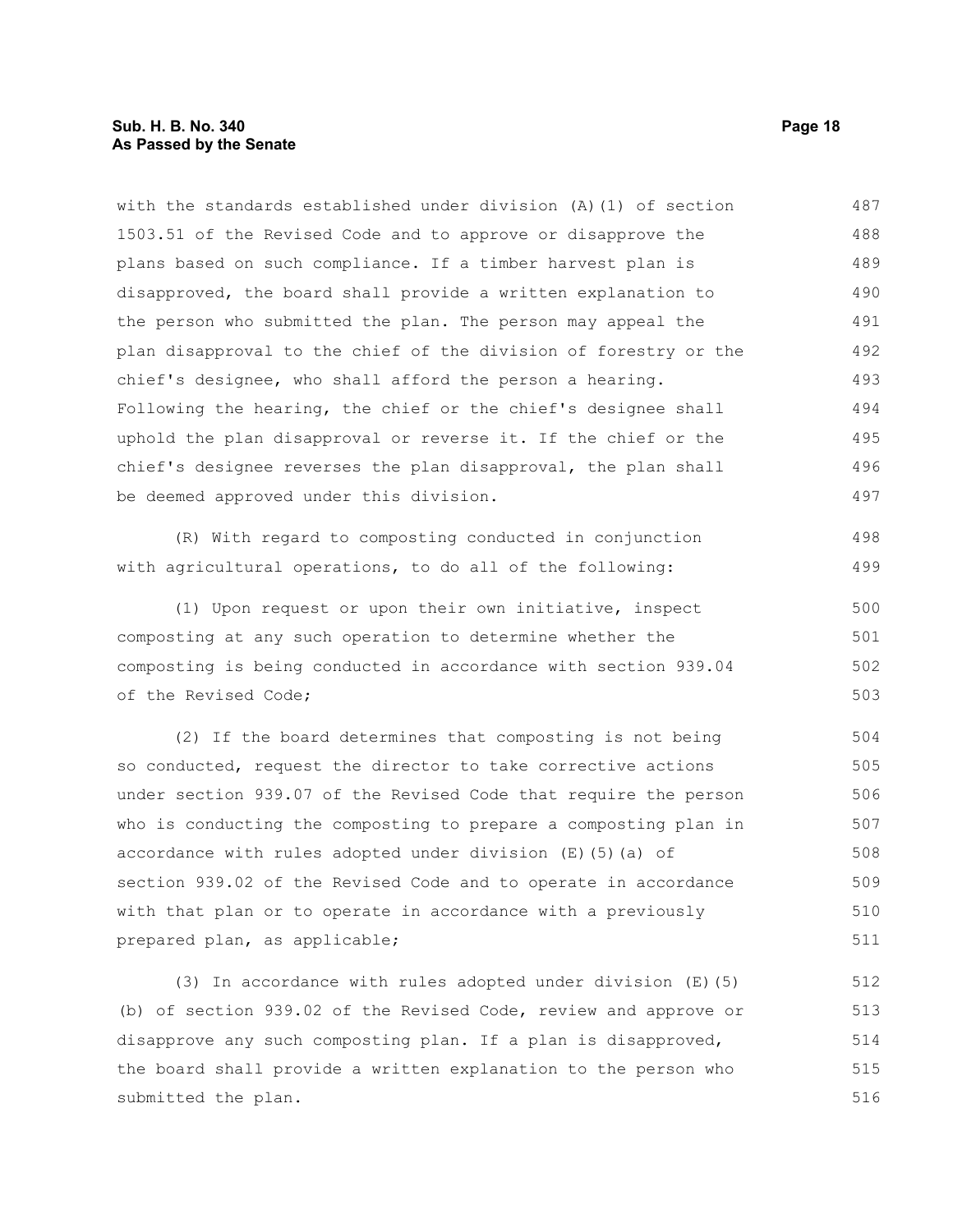#### **Sub. H. B. No. 340 Page 18 As Passed by the Senate**

with the standards established under division (A)(1) of section 1503.51 of the Revised Code and to approve or disapprove the plans based on such compliance. If a timber harvest plan is disapproved, the board shall provide a written explanation to the person who submitted the plan. The person may appeal the plan disapproval to the chief of the division of forestry or the chief's designee, who shall afford the person a hearing. Following the hearing, the chief or the chief's designee shall uphold the plan disapproval or reverse it. If the chief or the chief's designee reverses the plan disapproval, the plan shall be deemed approved under this division. 487 488 489 490 491 492 493 494 495 496 497

(R) With regard to composting conducted in conjunction with agricultural operations, to do all of the following:

(1) Upon request or upon their own initiative, inspect composting at any such operation to determine whether the composting is being conducted in accordance with section 939.04 of the Revised Code; 500 501 502 503

(2) If the board determines that composting is not being so conducted, request the director to take corrective actions under section 939.07 of the Revised Code that require the person who is conducting the composting to prepare a composting plan in accordance with rules adopted under division (E)(5)(a) of section 939.02 of the Revised Code and to operate in accordance with that plan or to operate in accordance with a previously prepared plan, as applicable; 504 505 506 507 508 509 510 511

(3) In accordance with rules adopted under division (E)(5) (b) of section 939.02 of the Revised Code, review and approve or disapprove any such composting plan. If a plan is disapproved, the board shall provide a written explanation to the person who submitted the plan. 512 513 514 515 516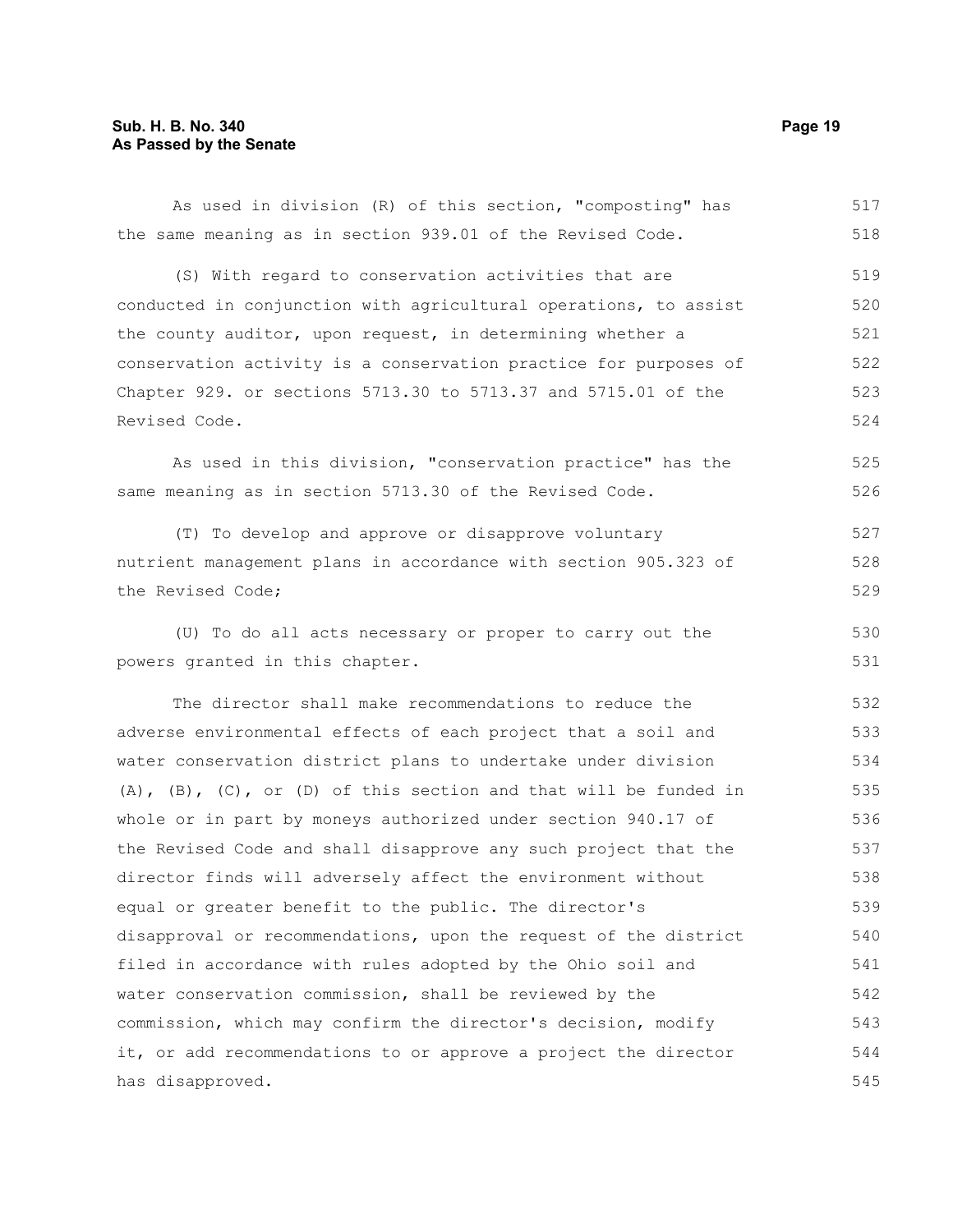#### **Sub. H. B. No. 340 Page 19 As Passed by the Senate**

As used in division (R) of this section, "composting" has the same meaning as in section 939.01 of the Revised Code. (S) With regard to conservation activities that are conducted in conjunction with agricultural operations, to assist the county auditor, upon request, in determining whether a conservation activity is a conservation practice for purposes of Chapter 929. or sections 5713.30 to 5713.37 and 5715.01 of the Revised Code. As used in this division, "conservation practice" has the same meaning as in section 5713.30 of the Revised Code. (T) To develop and approve or disapprove voluntary nutrient management plans in accordance with section 905.323 of the Revised Code; (U) To do all acts necessary or proper to carry out the powers granted in this chapter. The director shall make recommendations to reduce the adverse environmental effects of each project that a soil and water conservation district plans to undertake under division (A), (B), (C), or (D) of this section and that will be funded in whole or in part by moneys authorized under section 940.17 of the Revised Code and shall disapprove any such project that the director finds will adversely affect the environment without equal or greater benefit to the public. The director's disapproval or recommendations, upon the request of the district filed in accordance with rules adopted by the Ohio soil and water conservation commission, shall be reviewed by the commission, which may confirm the director's decision, modify it, or add recommendations to or approve a project the director has disapproved. 517 518 519 520 521 522 523 524 525 526 527 528 529 530 531 532 533 534 535 536 537 538 539 540 541 542 543 544 545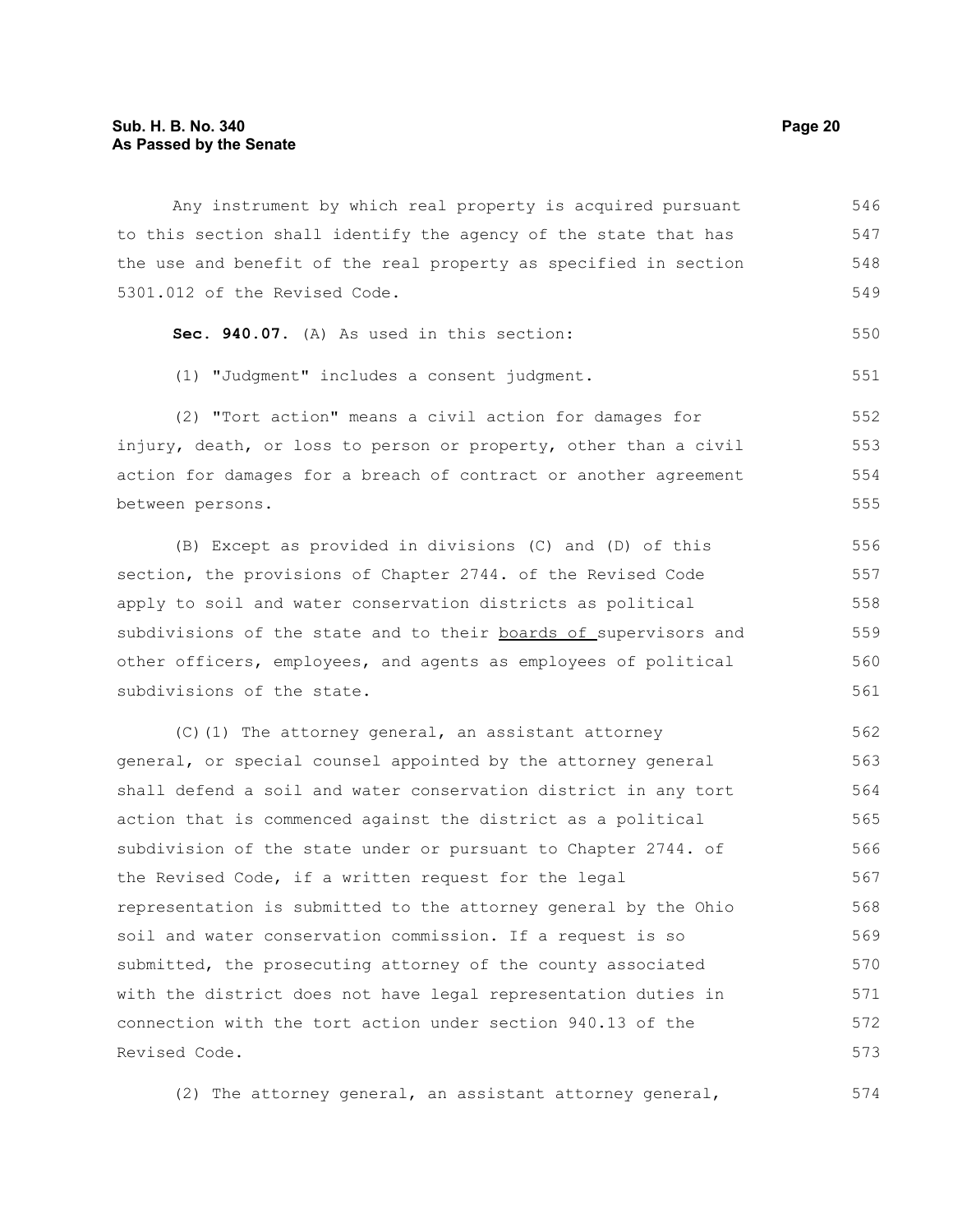Any instrument by which real property is acquired pursuant to this section shall identify the agency of the state that has the use and benefit of the real property as specified in section 5301.012 of the Revised Code. 546 547 548 549

|  |  |  |  |  |  |  | Sec. 940.07. (A) As used in this section: | 550 |
|--|--|--|--|--|--|--|-------------------------------------------|-----|
|--|--|--|--|--|--|--|-------------------------------------------|-----|

(1) "Judgment" includes a consent judgment. 551

(2) "Tort action" means a civil action for damages for injury, death, or loss to person or property, other than a civil action for damages for a breach of contract or another agreement between persons. 552 553 554 555

(B) Except as provided in divisions (C) and (D) of this section, the provisions of Chapter 2744. of the Revised Code apply to soil and water conservation districts as political subdivisions of the state and to their boards of supervisors and other officers, employees, and agents as employees of political subdivisions of the state. 556 557 558 559 560 561

(C)(1) The attorney general, an assistant attorney general, or special counsel appointed by the attorney general shall defend a soil and water conservation district in any tort action that is commenced against the district as a political subdivision of the state under or pursuant to Chapter 2744. of the Revised Code, if a written request for the legal representation is submitted to the attorney general by the Ohio soil and water conservation commission. If a request is so submitted, the prosecuting attorney of the county associated with the district does not have legal representation duties in connection with the tort action under section 940.13 of the Revised Code. 562 563 564 565 566 567 568 569 570 571 572 573

(2) The attorney general, an assistant attorney general, 574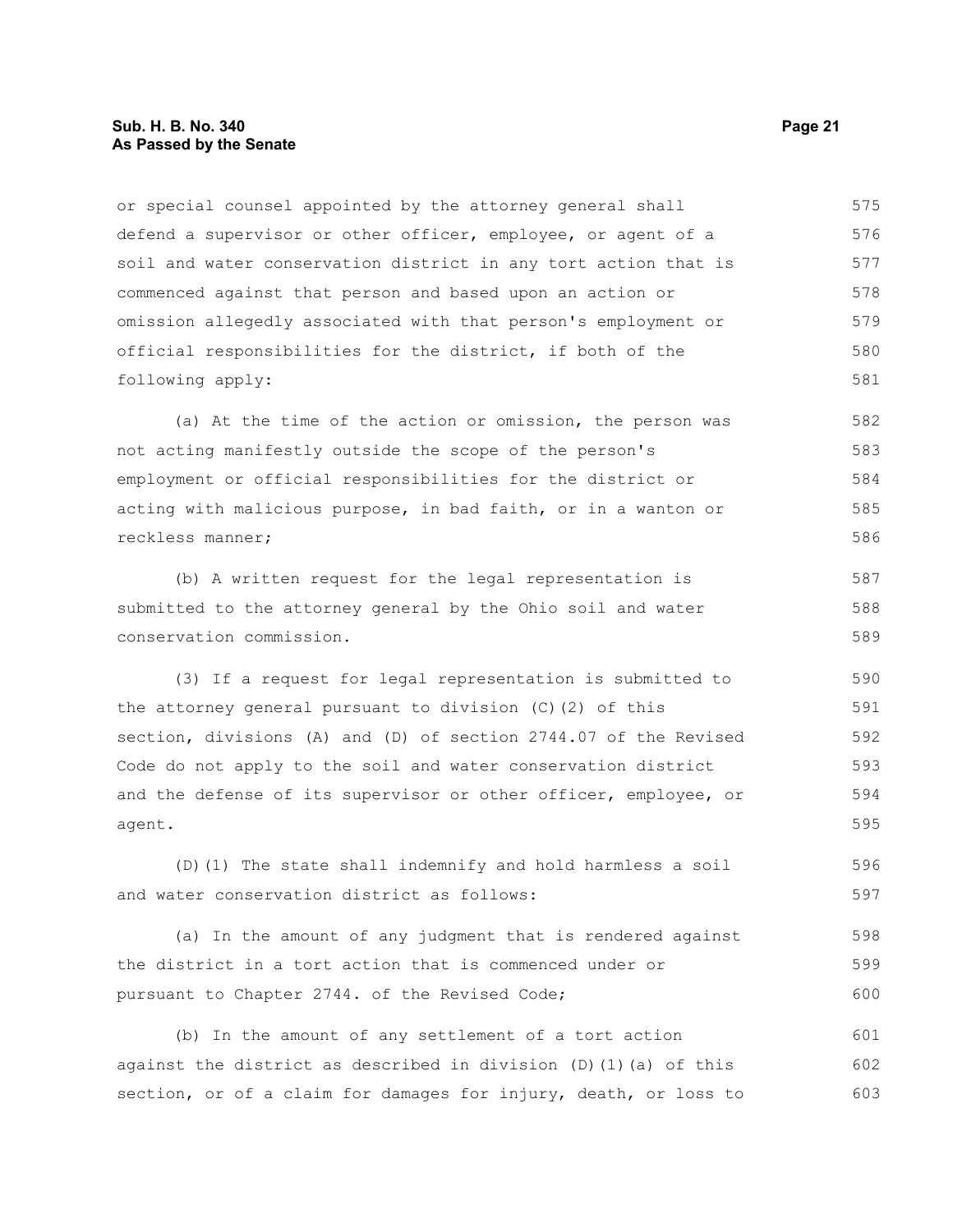#### **Sub. H. B. No. 340 Page 21 As Passed by the Senate**

or special counsel appointed by the attorney general shall defend a supervisor or other officer, employee, or agent of a soil and water conservation district in any tort action that is commenced against that person and based upon an action or omission allegedly associated with that person's employment or official responsibilities for the district, if both of the following apply: 575 576 577 578 579 580 581

(a) At the time of the action or omission, the person was not acting manifestly outside the scope of the person's employment or official responsibilities for the district or acting with malicious purpose, in bad faith, or in a wanton or reckless manner; 582 583 584 585 586

(b) A written request for the legal representation is submitted to the attorney general by the Ohio soil and water conservation commission. 587 588 589

(3) If a request for legal representation is submitted to the attorney general pursuant to division (C)(2) of this section, divisions (A) and (D) of section 2744.07 of the Revised Code do not apply to the soil and water conservation district and the defense of its supervisor or other officer, employee, or agent. 590 591 592 593 594 595

(D)(1) The state shall indemnify and hold harmless a soil and water conservation district as follows: 596 597

(a) In the amount of any judgment that is rendered against the district in a tort action that is commenced under or pursuant to Chapter 2744. of the Revised Code; 598 599 600

(b) In the amount of any settlement of a tort action against the district as described in division  $(D)$  (1)(a) of this section, or of a claim for damages for injury, death, or loss to 601 602 603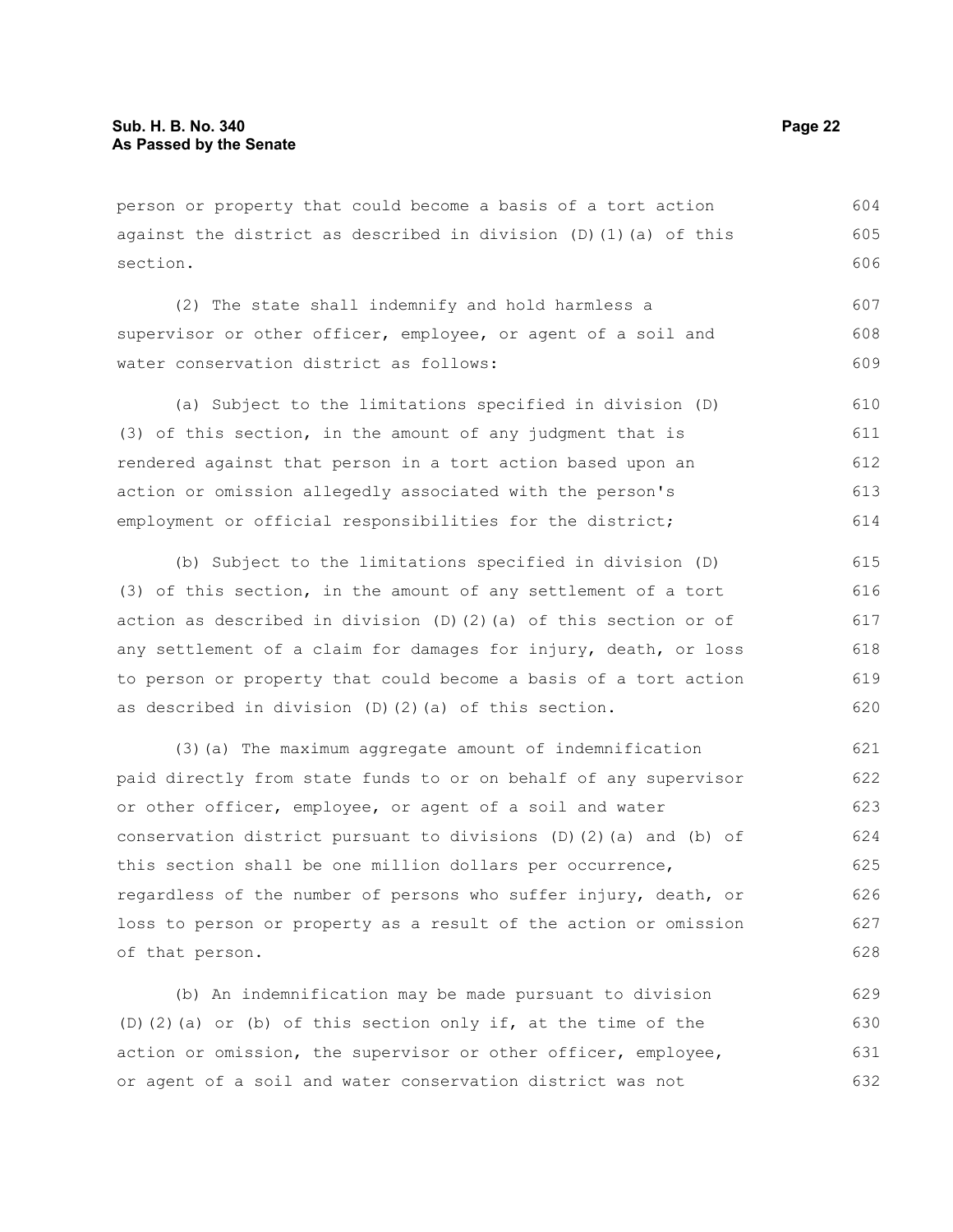person or property that could become a basis of a tort action against the district as described in division  $(D)$  (1)(a) of this section.

(2) The state shall indemnify and hold harmless a supervisor or other officer, employee, or agent of a soil and water conservation district as follows: 607 608 609

(a) Subject to the limitations specified in division (D) (3) of this section, in the amount of any judgment that is rendered against that person in a tort action based upon an action or omission allegedly associated with the person's employment or official responsibilities for the district; 610 611 612 613 614

(b) Subject to the limitations specified in division (D) (3) of this section, in the amount of any settlement of a tort action as described in division  $(D)$   $(2)$   $(a)$  of this section or of any settlement of a claim for damages for injury, death, or loss to person or property that could become a basis of a tort action as described in division (D)(2)(a) of this section. 615 616 617 618 619 620

(3)(a) The maximum aggregate amount of indemnification paid directly from state funds to or on behalf of any supervisor or other officer, employee, or agent of a soil and water conservation district pursuant to divisions (D)(2)(a) and (b) of this section shall be one million dollars per occurrence, regardless of the number of persons who suffer injury, death, or loss to person or property as a result of the action or omission of that person. 621 622 623 624 625 626 627 628

(b) An indemnification may be made pursuant to division (D)(2)(a) or (b) of this section only if, at the time of the action or omission, the supervisor or other officer, employee, or agent of a soil and water conservation district was not 629 630 631 632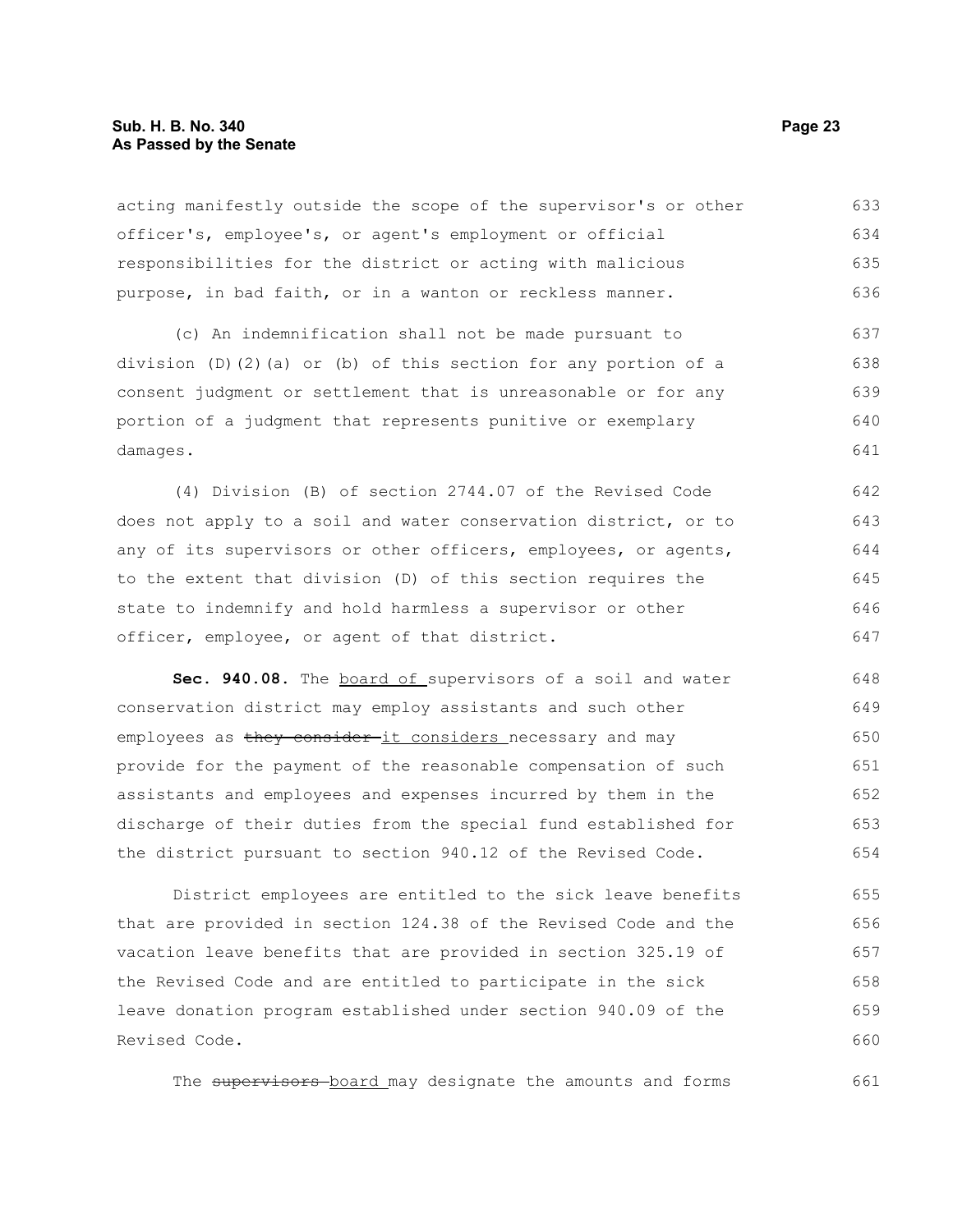#### **Sub. H. B. No. 340 Page 23 As Passed by the Senate**

acting manifestly outside the scope of the supervisor's or other officer's, employee's, or agent's employment or official responsibilities for the district or acting with malicious purpose, in bad faith, or in a wanton or reckless manner. 633 634 635 636

(c) An indemnification shall not be made pursuant to division (D)(2)(a) or (b) of this section for any portion of a consent judgment or settlement that is unreasonable or for any portion of a judgment that represents punitive or exemplary damages. 637 638 639 640 641

(4) Division (B) of section 2744.07 of the Revised Code does not apply to a soil and water conservation district, or to any of its supervisors or other officers, employees, or agents, to the extent that division (D) of this section requires the state to indemnify and hold harmless a supervisor or other officer, employee, or agent of that district. 642 643 644 645 646 647

Sec. 940.08. The board of supervisors of a soil and water conservation district may employ assistants and such other employees as they consider-it considers necessary and may provide for the payment of the reasonable compensation of such assistants and employees and expenses incurred by them in the discharge of their duties from the special fund established for the district pursuant to section 940.12 of the Revised Code. 648 649 650 651 652 653 654

District employees are entitled to the sick leave benefits that are provided in section 124.38 of the Revised Code and the vacation leave benefits that are provided in section 325.19 of the Revised Code and are entitled to participate in the sick leave donation program established under section 940.09 of the Revised Code. 655 656 657 658 659 660

The supervisors board may designate the amounts and forms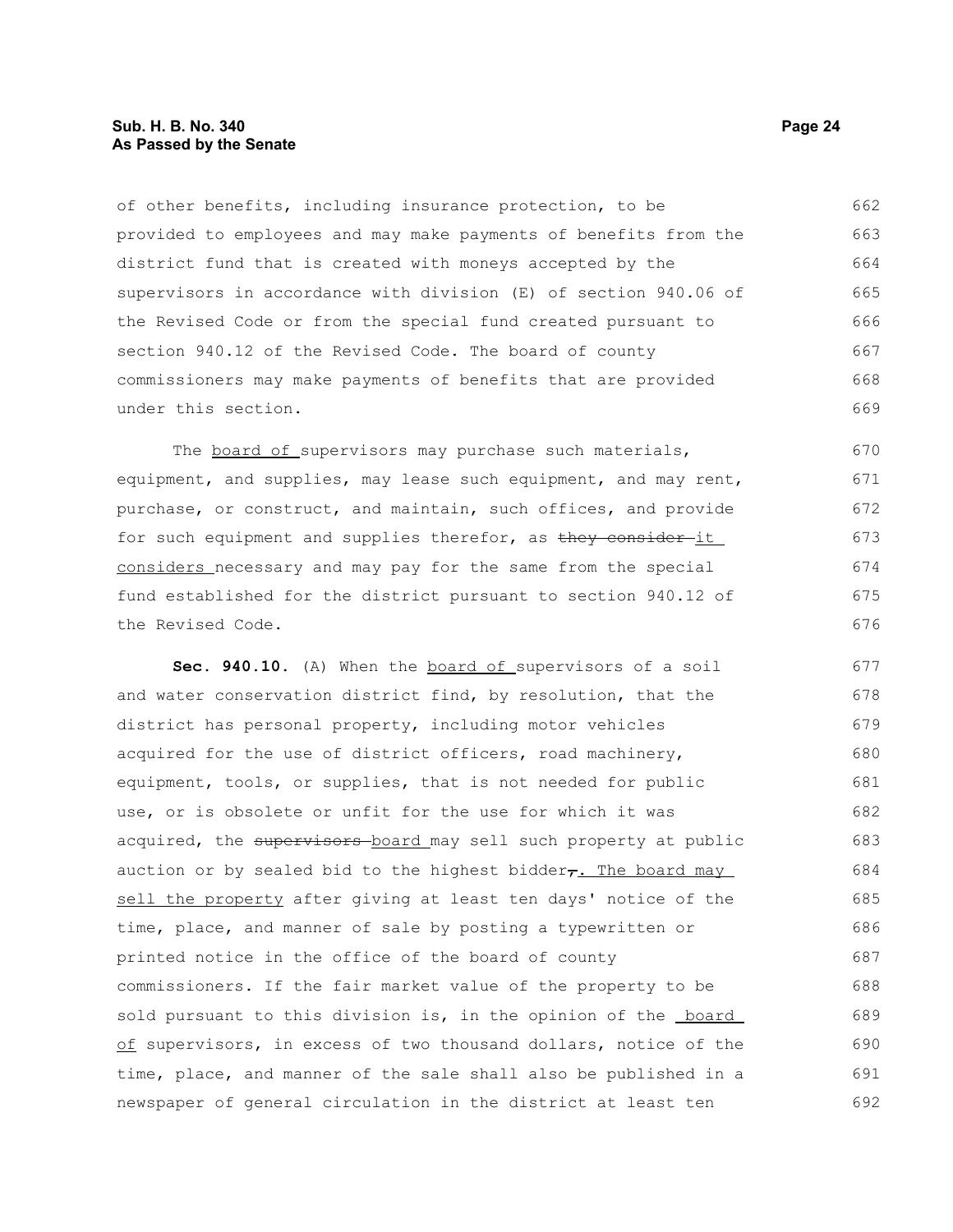#### **Sub. H. B. No. 340 Page 24 As Passed by the Senate**

of other benefits, including insurance protection, to be provided to employees and may make payments of benefits from the district fund that is created with moneys accepted by the supervisors in accordance with division (E) of section 940.06 of the Revised Code or from the special fund created pursuant to section 940.12 of the Revised Code. The board of county commissioners may make payments of benefits that are provided under this section. 662 663 664 665 666 667 668 669

The board of supervisors may purchase such materials, equipment, and supplies, may lease such equipment, and may rent, purchase, or construct, and maintain, such offices, and provide for such equipment and supplies therefor, as they consider it considers necessary and may pay for the same from the special fund established for the district pursuant to section 940.12 of the Revised Code.

**Sec. 940.10.** (A) When the board of supervisors of a soil and water conservation district find, by resolution, that the district has personal property, including motor vehicles acquired for the use of district officers, road machinery, equipment, tools, or supplies, that is not needed for public use, or is obsolete or unfit for the use for which it was acquired, the supervisors board may sell such property at public auction or by sealed bid to the highest bidder $\tau$ . The board may sell the property after giving at least ten days' notice of the time, place, and manner of sale by posting a typewritten or printed notice in the office of the board of county commissioners. If the fair market value of the property to be sold pursuant to this division is, in the opinion of the **board** of supervisors, in excess of two thousand dollars, notice of the time, place, and manner of the sale shall also be published in a newspaper of general circulation in the district at least ten 677 678 679 680 681 682 683 684 685 686 687 688 689 690 691 692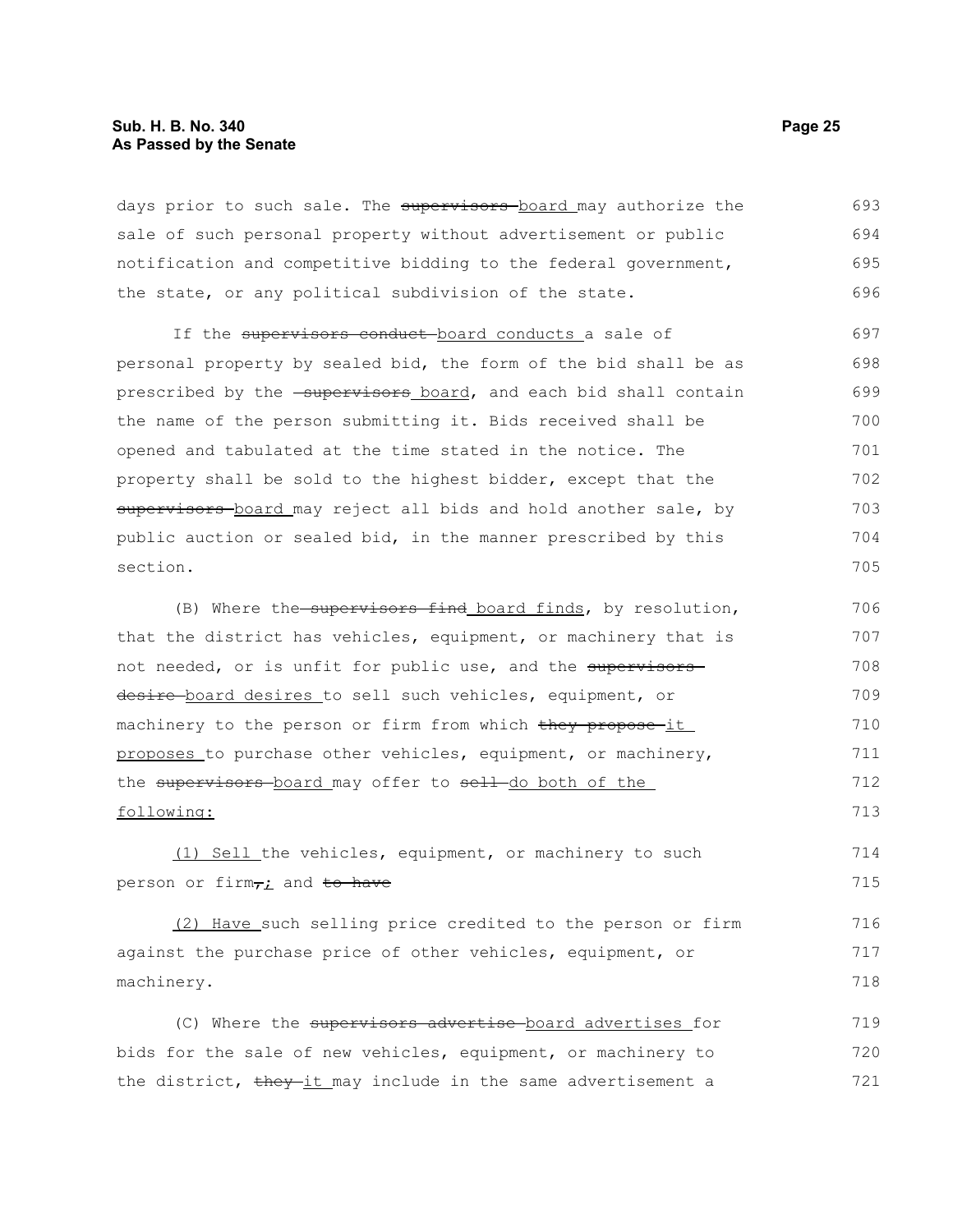#### **Sub. H. B. No. 340 Page 25 As Passed by the Senate**

days prior to such sale. The supervisors board may authorize the sale of such personal property without advertisement or public notification and competitive bidding to the federal government, the state, or any political subdivision of the state. 693 694 695 696

If the supervisors conduct-board conducts a sale of personal property by sealed bid, the form of the bid shall be as prescribed by the -supervisors board, and each bid shall contain the name of the person submitting it. Bids received shall be opened and tabulated at the time stated in the notice. The property shall be sold to the highest bidder, except that the supervisors-board may reject all bids and hold another sale, by public auction or sealed bid, in the manner prescribed by this section. 697 698 699 700 701 702 703 704 705

(B) Where the supervisors find board finds, by resolution, that the district has vehicles, equipment, or machinery that is not needed, or is unfit for public use, and the supervisors desire-board desires to sell such vehicles, equipment, or machinery to the person or firm from which they propose it proposes to purchase other vehicles, equipment, or machinery, the supervisors board may offer to sell do both of the following: 706 707 708 709 710 711 712 713

(1) Sell the vehicles, equipment, or machinery to such person or firm<sub>7</sub>; and to have

(2) Have such selling price credited to the person or firm against the purchase price of other vehicles, equipment, or machinery. 716 717 718

(C) Where the supervisors advertise board advertises for bids for the sale of new vehicles, equipment, or machinery to the district, they it may include in the same advertisement a 719 720 721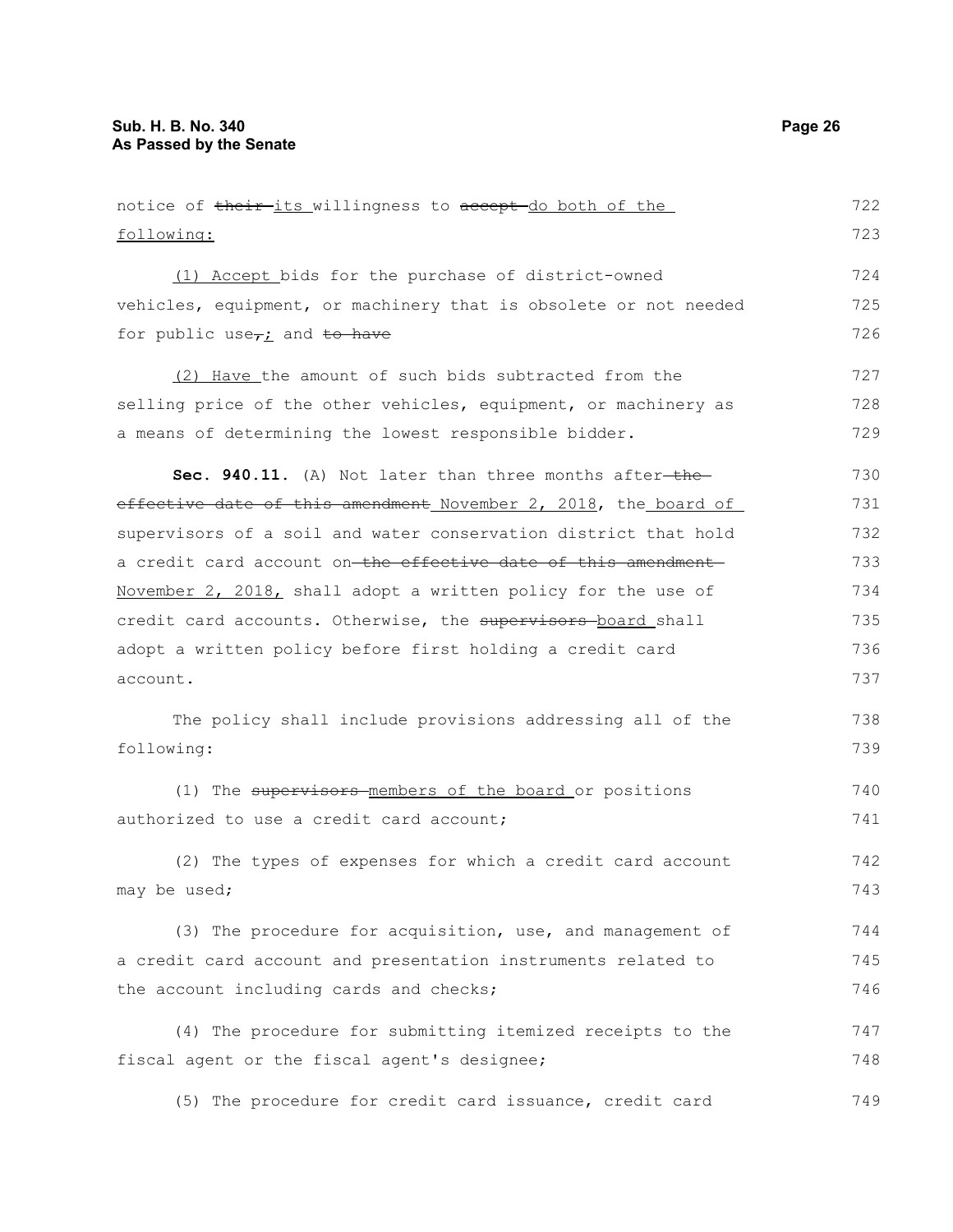notice of their its willingness to accept do both of the following: (1) Accept bids for the purchase of district-owned vehicles, equipment, or machinery that is obsolete or not needed for public use $\tau$ *i* and to have (2) Have the amount of such bids subtracted from the selling price of the other vehicles, equipment, or machinery as a means of determining the lowest responsible bidder. **Sec. 940.11.** (A) Not later than three months after-theeffective date of this amendment November 2, 2018, the board of supervisors of a soil and water conservation district that hold a credit card account on the effective date of this amendment November 2, 2018, shall adopt a written policy for the use of credit card accounts. Otherwise, the supervisors-board shall adopt a written policy before first holding a credit card account. The policy shall include provisions addressing all of the following: (1) The supervisors members of the board or positions authorized to use a credit card account; (2) The types of expenses for which a credit card account may be used; (3) The procedure for acquisition, use, and management of a credit card account and presentation instruments related to the account including cards and checks; (4) The procedure for submitting itemized receipts to the fiscal agent or the fiscal agent's designee; (5) The procedure for credit card issuance, credit card 722 723 724 725 726 727 728 729 730 731 732 733 734 735 736 737 738 739 740 741 742 743 744 745 746 747 748 749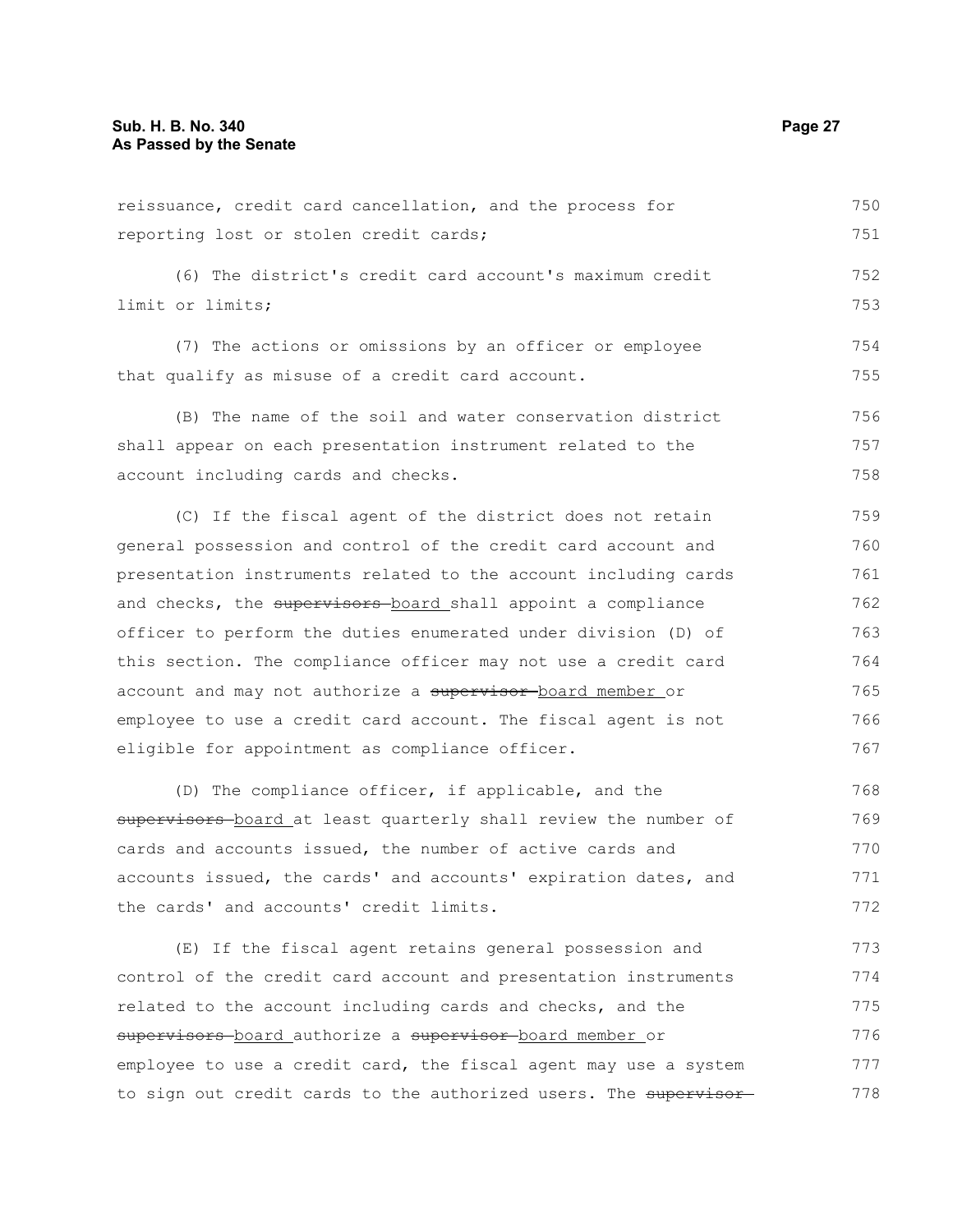reissuance, credit card cancellation, and the process for reporting lost or stolen credit cards; (6) The district's credit card account's maximum credit limit or limits; (7) The actions or omissions by an officer or employee that qualify as misuse of a credit card account. (B) The name of the soil and water conservation district shall appear on each presentation instrument related to the account including cards and checks. 750 751 752 753 754 755 756 757 758

(C) If the fiscal agent of the district does not retain general possession and control of the credit card account and presentation instruments related to the account including cards and checks, the supervisors board shall appoint a compliance officer to perform the duties enumerated under division (D) of this section. The compliance officer may not use a credit card account and may not authorize a supervisor board member or employee to use a credit card account. The fiscal agent is not eligible for appointment as compliance officer. 759 760 761 762 763 764 765 766 767

(D) The compliance officer, if applicable, and the supervisors-board at least quarterly shall review the number of cards and accounts issued, the number of active cards and accounts issued, the cards' and accounts' expiration dates, and the cards' and accounts' credit limits. 768 769 770 771 772

(E) If the fiscal agent retains general possession and control of the credit card account and presentation instruments related to the account including cards and checks, and the supervisors board authorize a supervisor board member or employee to use a credit card, the fiscal agent may use a system to sign out credit cards to the authorized users. The supervisor 773 774 775 776 777 778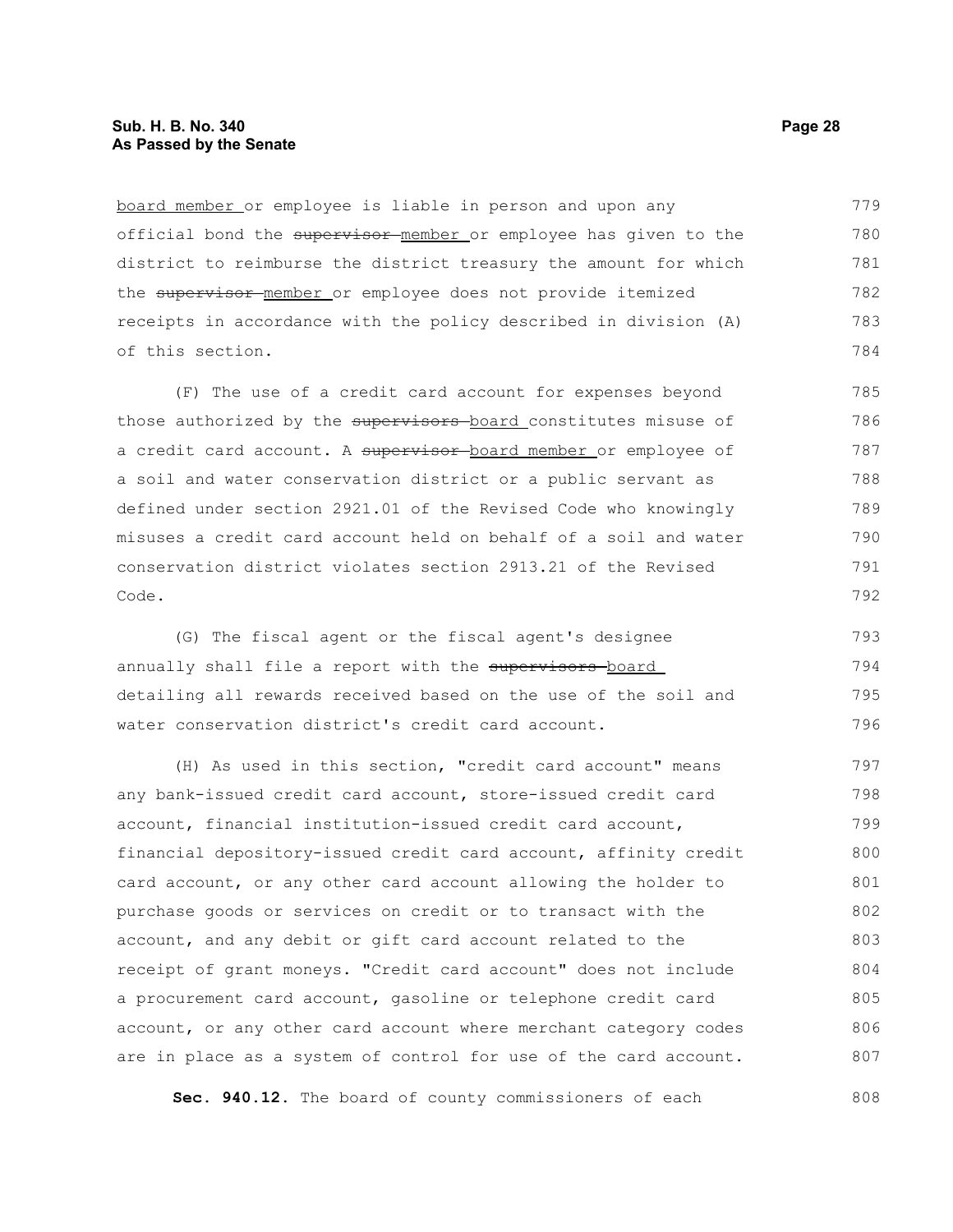board member or employee is liable in person and upon any official bond the supervisor member or employee has given to the district to reimburse the district treasury the amount for which the supervisor member or employee does not provide itemized receipts in accordance with the policy described in division (A) of this section. 779 780 781 782 783 784

(F) The use of a credit card account for expenses beyond those authorized by the supervisors board constitutes misuse of a credit card account. A supervisor board member or employee of a soil and water conservation district or a public servant as defined under section 2921.01 of the Revised Code who knowingly misuses a credit card account held on behalf of a soil and water conservation district violates section 2913.21 of the Revised Code. 785 786 787 788 789 790 791 792

(G) The fiscal agent or the fiscal agent's designee annually shall file a report with the supervisors-board detailing all rewards received based on the use of the soil and water conservation district's credit card account. 793 794 795 796

(H) As used in this section, "credit card account" means any bank-issued credit card account, store-issued credit card account, financial institution-issued credit card account, financial depository-issued credit card account, affinity credit card account, or any other card account allowing the holder to purchase goods or services on credit or to transact with the account, and any debit or gift card account related to the receipt of grant moneys. "Credit card account" does not include a procurement card account, gasoline or telephone credit card account, or any other card account where merchant category codes are in place as a system of control for use of the card account. 797 798 799 800 801 802 803 804 805 806 807

**Sec. 940.12.** The board of county commissioners of each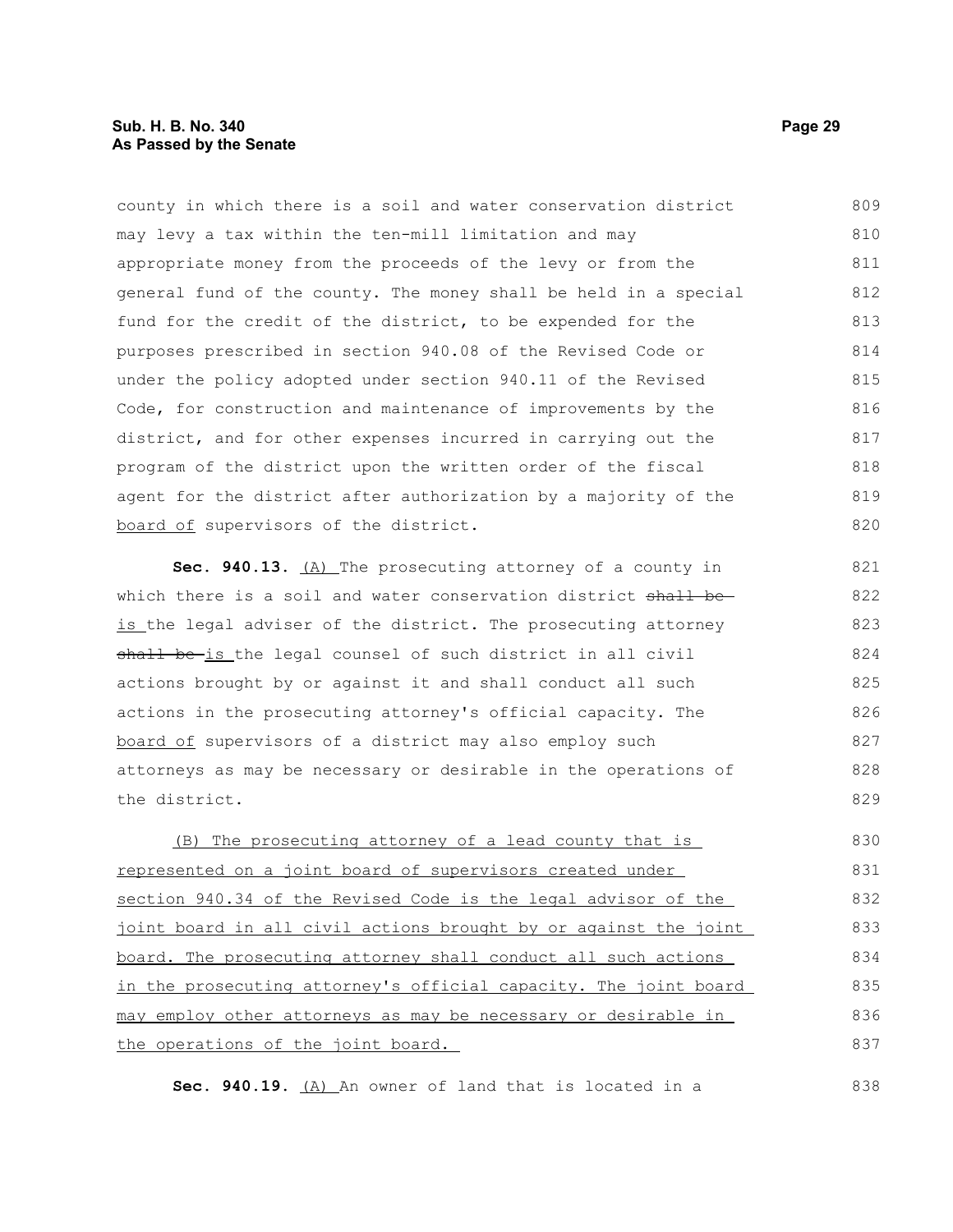county in which there is a soil and water conservation district may levy a tax within the ten-mill limitation and may appropriate money from the proceeds of the levy or from the general fund of the county. The money shall be held in a special fund for the credit of the district, to be expended for the purposes prescribed in section 940.08 of the Revised Code or under the policy adopted under section 940.11 of the Revised Code, for construction and maintenance of improvements by the district, and for other expenses incurred in carrying out the program of the district upon the written order of the fiscal agent for the district after authorization by a majority of the board of supervisors of the district. 809 810 811 812 813 814 815 816 817 818 819 820

**Sec. 940.13.** (A) The prosecuting attorney of a county in which there is a soil and water conservation district shall beis the legal adviser of the district. The prosecuting attorney shall be-is the legal counsel of such district in all civil actions brought by or against it and shall conduct all such actions in the prosecuting attorney's official capacity. The board of supervisors of a district may also employ such attorneys as may be necessary or desirable in the operations of the district. 821 822 823 824 825 826 827 828 829

(B) The prosecuting attorney of a lead county that is represented on a joint board of supervisors created under section 940.34 of the Revised Code is the legal advisor of the joint board in all civil actions brought by or against the joint board. The prosecuting attorney shall conduct all such actions in the prosecuting attorney's official capacity. The joint board may employ other attorneys as may be necessary or desirable in the operations of the joint board. 830 831 832 833 834 835 836 837

Sec. 940.19. (A) An owner of land that is located in a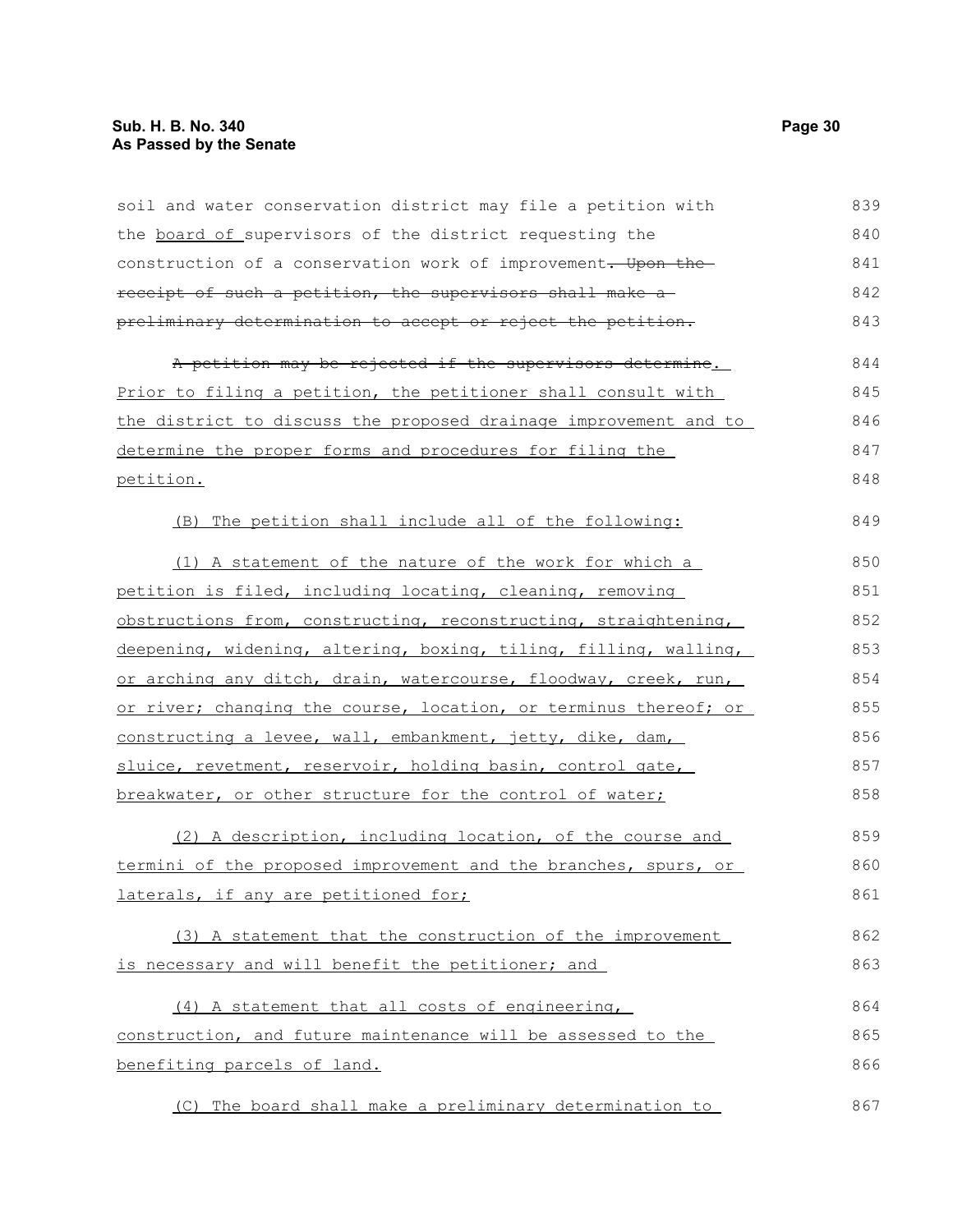| soil and water conservation district may file a petition with    | 839 |
|------------------------------------------------------------------|-----|
| the board of supervisors of the district requesting the          | 840 |
| construction of a conservation work of improvement. Upon the     | 841 |
| receipt of such a petition, the supervisors shall make a         | 842 |
| preliminary determination to accept or reject the petition.      | 843 |
| A petition may be rejected if the supervisors determine.         | 844 |
| Prior to filing a petition, the petitioner shall consult with    | 845 |
| the district to discuss the proposed drainage improvement and to | 846 |
| determine the proper forms and procedures for filing the         | 847 |
| petition.                                                        | 848 |
| (B) The petition shall include all of the following:             | 849 |
| (1) A statement of the nature of the work for which a            | 850 |
| petition is filed, including locating, cleaning, removing        | 851 |
| obstructions from, constructing, reconstructing, straightening,  | 852 |
| deepening, widening, altering, boxing, tiling, filling, walling, | 853 |
| or arching any ditch, drain, watercourse, floodway, creek, run,  | 854 |
| or river; changing the course, location, or terminus thereof; or | 855 |
| constructing a levee, wall, embankment, jetty, dike, dam,        | 856 |
| sluice, revetment, reservoir, holding basin, control gate,       | 857 |
| breakwater, or other structure for the control of water;         | 858 |
| (2) A description, including location, of the course and         | 859 |
| termini of the proposed improvement and the branches, spurs, or  | 860 |
| laterals, if any are petitioned for;                             | 861 |
| (3) A statement that the construction of the improvement         | 862 |
| is necessary and will benefit the petitioner; and                | 863 |
| (4) A statement that all costs of engineering,                   | 864 |
| construction, and future maintenance will be assessed to the     | 865 |
| benefiting parcels of land.                                      | 866 |
| (C) The board shall make a preliminary determination to          | 867 |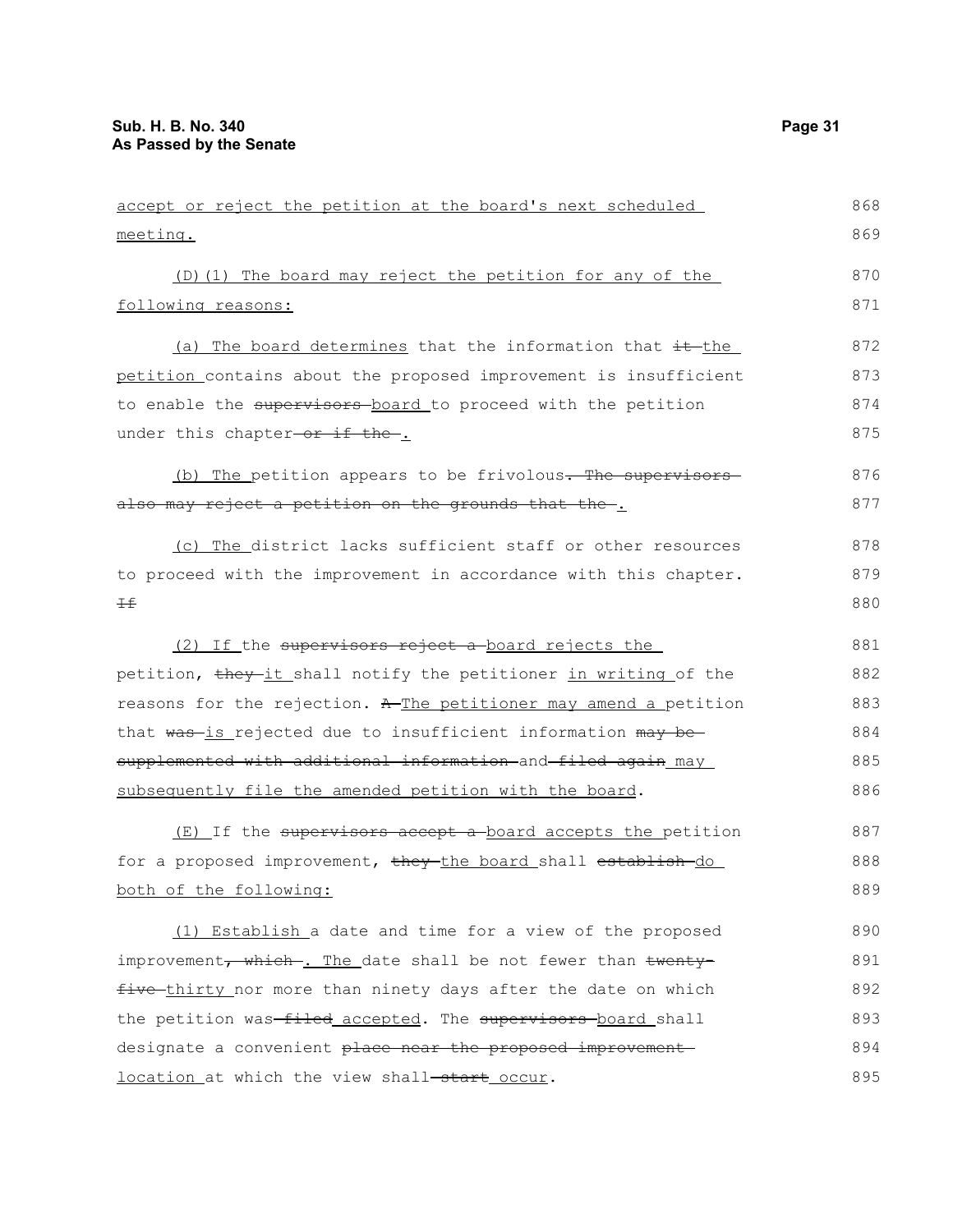| meeting.                                                         | 869 |
|------------------------------------------------------------------|-----|
| (D)(1) The board may reject the petition for any of the          | 870 |
| following reasons:                                               | 871 |
| (a) The board determines that the information that it the        | 872 |
| petition contains about the proposed improvement is insufficient | 873 |
| to enable the supervisors board to proceed with the petition     | 874 |
| under this chapter-or if the-.                                   | 875 |
| (b) The petition appears to be frivolous. The supervisors        | 876 |
| also may reject a petition on the grounds that the .             | 877 |
| (c) The district lacks sufficient staff or other resources       | 878 |
| to proceed with the improvement in accordance with this chapter. | 879 |
| ±€                                                               | 880 |
| (2) If the supervisors reject a board rejects the                | 881 |
| petition, they-it shall notify the petitioner in writing of the  | 882 |
| reasons for the rejection. A The petitioner may amend a petition | 883 |
| that was-is rejected due to insufficient information may be-     | 884 |
| supplemented with additional information and filed again may     | 885 |
| subsequently file the amended petition with the board.           | 886 |
| (E) If the supervisors accept a board accepts the petition       | 887 |
| for a proposed improvement, they the board shall establish do    | 888 |
| both of the following:                                           | 889 |
| (1) Establish a date and time for a view of the proposed         | 890 |
| improvement, which . The date shall be not fewer than twenty-    | 891 |
| five thirty nor more than ninety days after the date on which    | 892 |
| the petition was-filed accepted. The supervisors board shall     | 893 |
| designate a convenient place near the proposed improvement       | 894 |
| location at which the view shall-start occur.                    | 895 |

accept or reject the petition at the board's next scheduled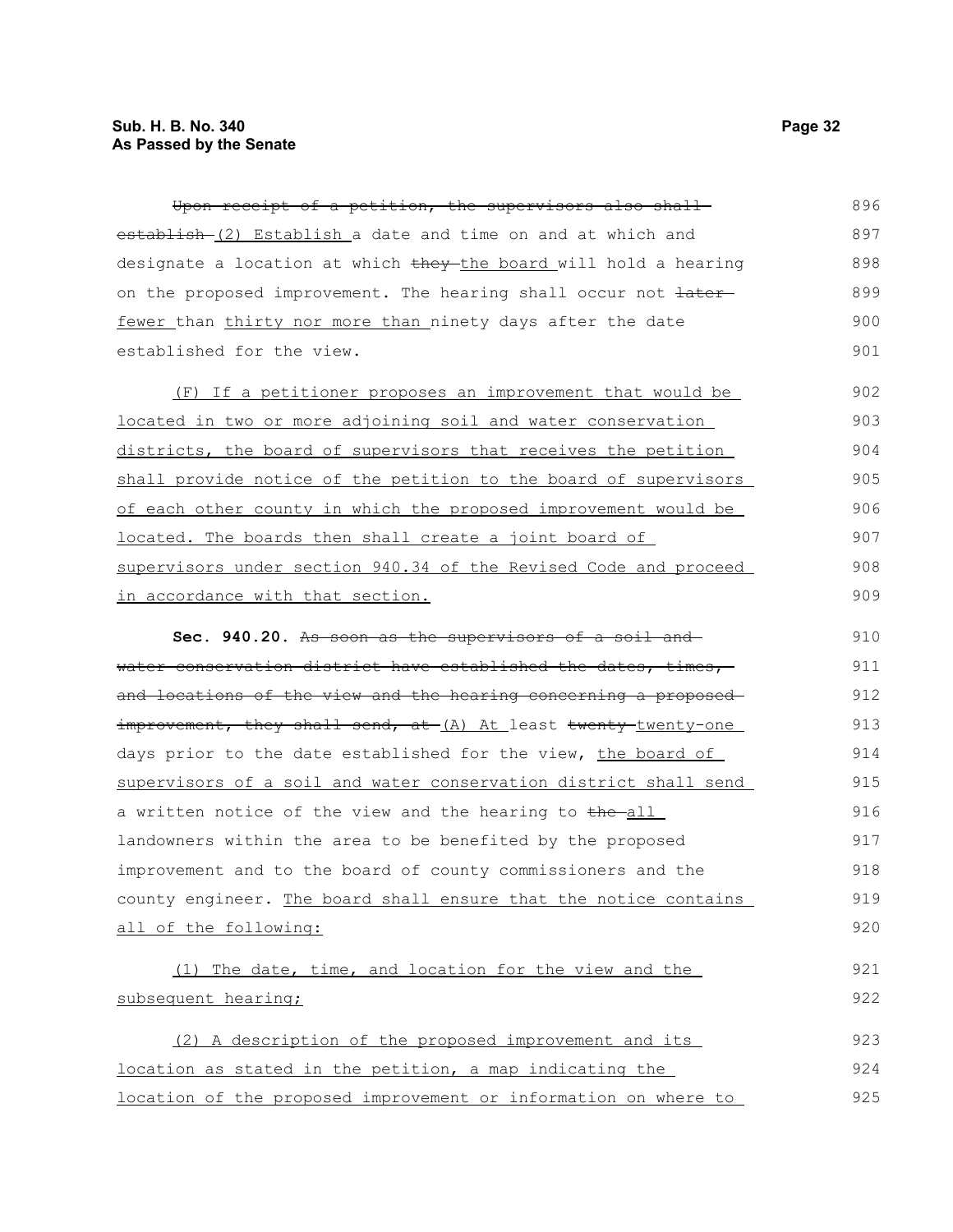Upon receipt of a petition, the supervisors also shall establish (2) Establish a date and time on and at which and designate a location at which they the board will hold a hearing on the proposed improvement. The hearing shall occur not  $\frac{1}{1}$ fewer than thirty nor more than ninety days after the date established for the view. 896 897 898 899 900 901

(F) If a petitioner proposes an improvement that would be located in two or more adjoining soil and water conservation districts, the board of supervisors that receives the petition shall provide notice of the petition to the board of supervisors of each other county in which the proposed improvement would be located. The boards then shall create a joint board of supervisors under section 940.34 of the Revised Code and proceed in accordance with that section. 902 903 904 905 906 907 908 909

**Sec. 940.20.** As soon as the supervisors of a soil and water conservation district have established the dates, times, and locations of the view and the hearing concerning a proposed improvement, they shall send, at (A) At least twenty-twenty-one days prior to the date established for the view, the board of supervisors of a soil and water conservation district shall send a written notice of the view and the hearing to the-all landowners within the area to be benefited by the proposed improvement and to the board of county commissioners and the county engineer. The board shall ensure that the notice contains all of the following: 910 911 912 913 914 915 916 917 918 919 920

(1) The date, time, and location for the view and the subsequent hearing; (2) A description of the proposed improvement and its 921 922 923

location as stated in the petition, a map indicating the location of the proposed improvement or information on where to 924 925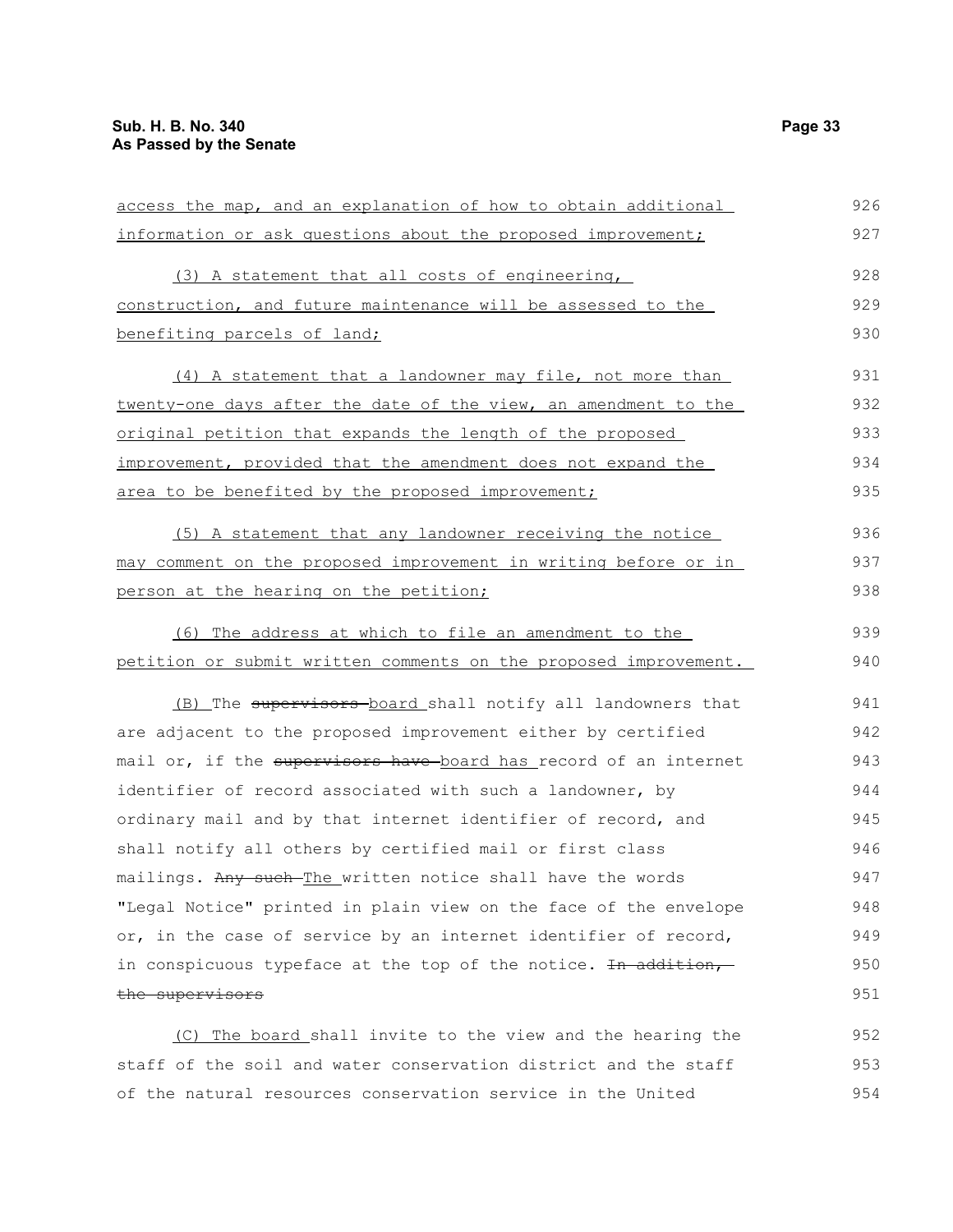| access the map, and an explanation of how to obtain additional            | 926 |
|---------------------------------------------------------------------------|-----|
| information or ask questions about the proposed improvement;              | 927 |
| (3) A statement that all costs of engineering,                            | 928 |
| construction, and future maintenance will be assessed to the              | 929 |
| benefiting parcels of land;                                               | 930 |
| (4) A statement that a landowner may file, not more than                  | 931 |
| twenty-one days after the date of the view, an amendment to the           | 932 |
| <u>original petition that expands the length of the proposed</u>          | 933 |
| improvement, provided that the amendment does not expand the              | 934 |
| area to be benefited by the proposed improvement;                         | 935 |
| (5) A statement that any landowner receiving the notice                   | 936 |
| may comment on the proposed improvement in writing before or in           | 937 |
| person at the hearing on the petition;                                    | 938 |
| (6) The address at which to file an amendment to the                      | 939 |
| petition or submit written comments on the proposed improvement.          | 940 |
| (B) The supervisors board shall notify all landowners that                | 941 |
| are adjacent to the proposed improvement either by certified              | 942 |
| mail or, if the supervisors have board has record of an internet          | 943 |
| identifier of record associated with such a landowner, by                 | 944 |
| ordinary mail and by that internet identifier of record, and              | 945 |
| shall notify all others by certified mail or first class                  | 946 |
| mailings. Any such-The written notice shall have the words                | 947 |
| "Legal Notice" printed in plain view on the face of the envelope          | 948 |
| or, in the case of service by an internet identifier of record,           | 949 |
| in conspicuous typeface at the top of the notice. <del>In addition,</del> | 950 |
| the supervisors                                                           | 951 |
| $(0)$ The board shall invite to the view and the bearing the              | 952 |

(C) The board shall invite to the view and the hearing the staff of the soil and water conservation district and the staff of the natural resources conservation service in the United 952 953 954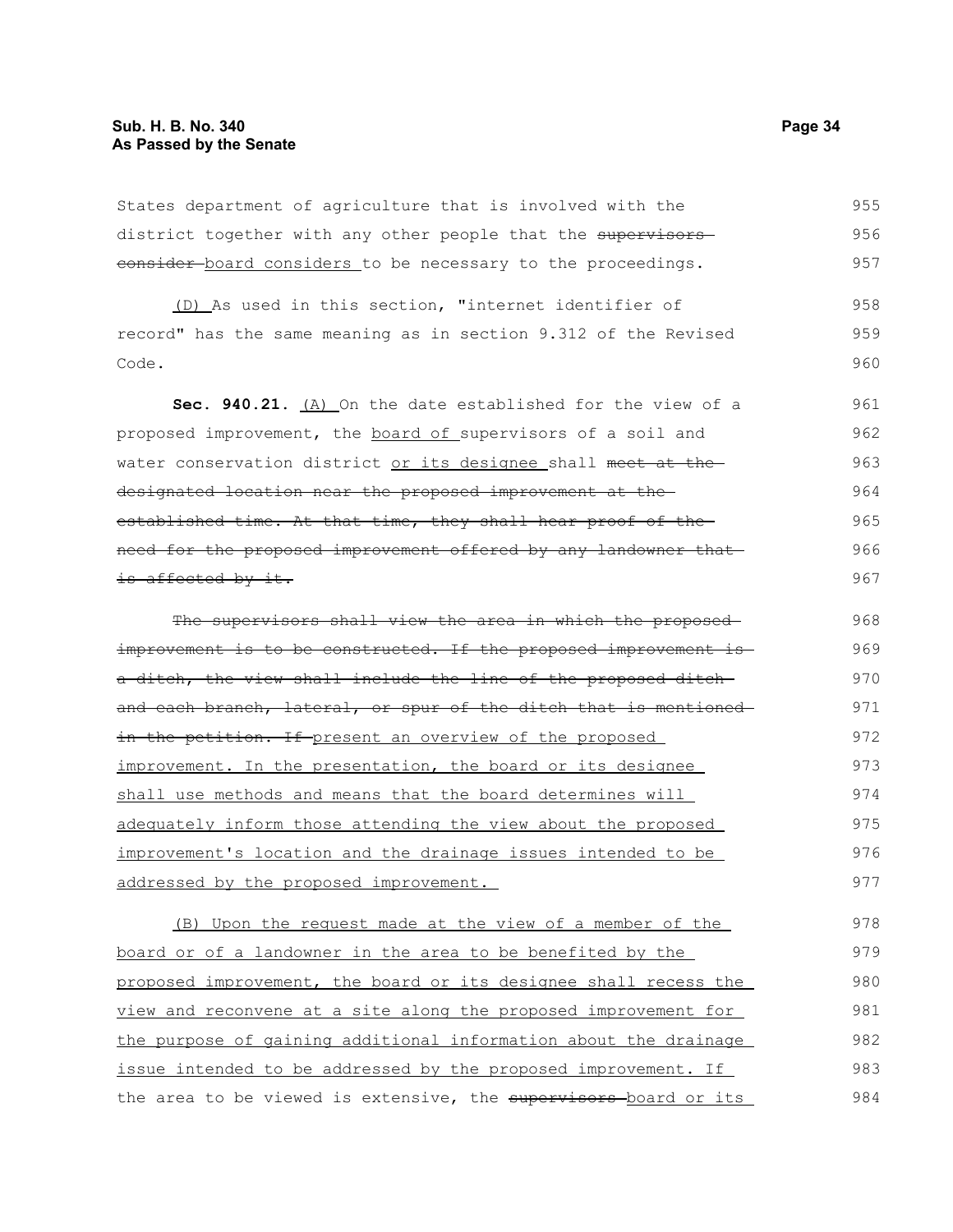States department of agriculture that is involved with the district together with any other people that the supervisorseonsider-board considers to be necessary to the proceedings.

(D) As used in this section, "internet identifier of record" has the same meaning as in section 9.312 of the Revised Code. 958 959 960

**Sec. 940.21.** (A) On the date established for the view of a proposed improvement, the board of supervisors of a soil and water conservation district or its designee shall meet at the designated location near the proposed improvement at the established time. At that time, they shall hear proof of the need for the proposed improvement offered by any landowner that is affected by it. 961 962 963 964 965 966 967

The supervisors shall view the area in which the proposedimprovement is to be constructed. If the proposed improvement is a ditch, the view shall include the line of the proposed ditchand each branch, lateral, or spur of the ditch that is mentioned in the petition. If present an overview of the proposed improvement. In the presentation, the board or its designee shall use methods and means that the board determines will adequately inform those attending the view about the proposed improvement's location and the drainage issues intended to be addressed by the proposed improvement. 968 969 970 971 972 973 974 975 976 977

(B) Upon the request made at the view of a member of the board or of a landowner in the area to be benefited by the proposed improvement, the board or its designee shall recess the view and reconvene at a site along the proposed improvement for the purpose of gaining additional information about the drainage issue intended to be addressed by the proposed improvement. If the area to be viewed is extensive, the supervisors-board or its 978 979 980 981 982 983 984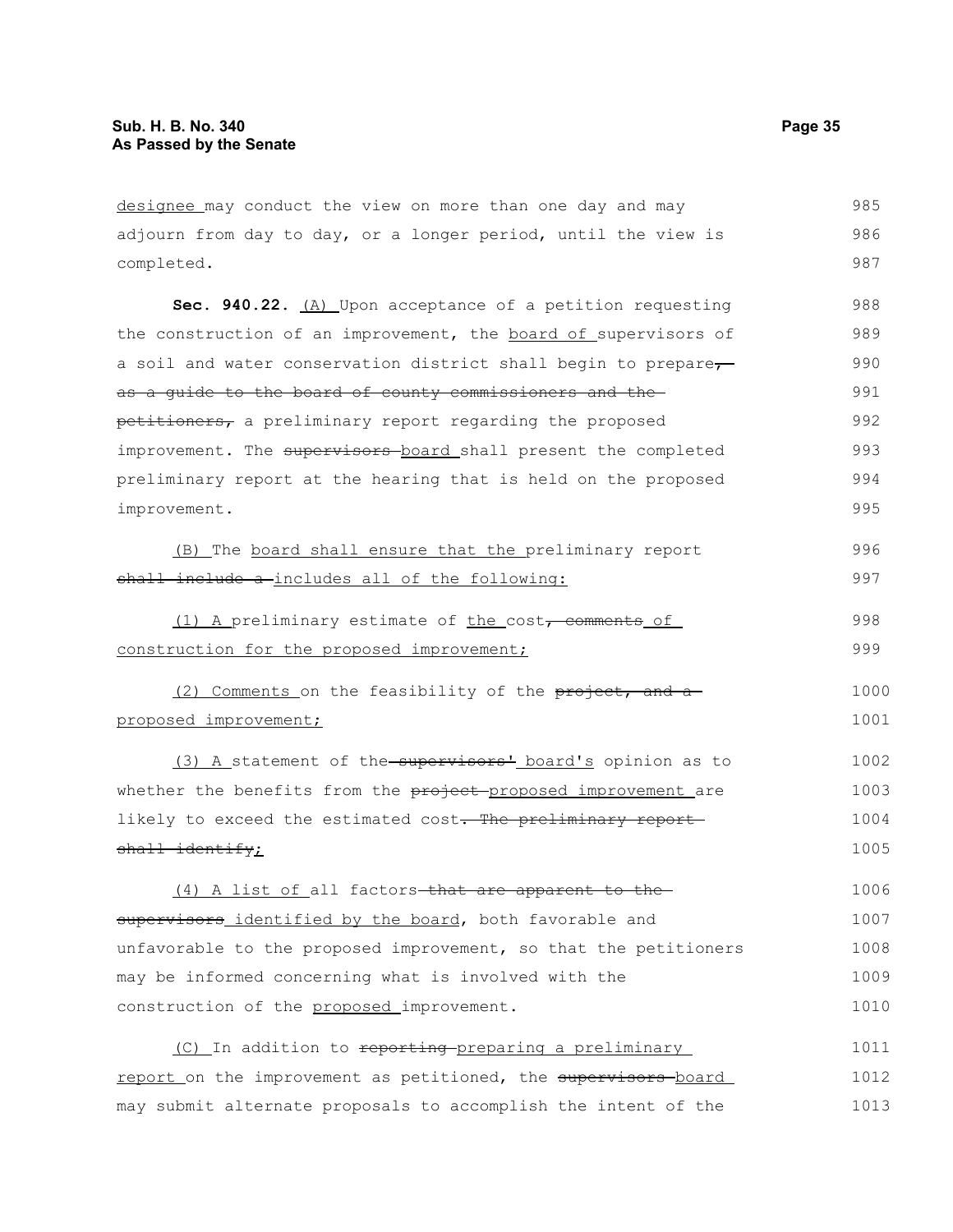designee may conduct the view on more than one day and may adjourn from day to day, or a longer period, until the view is completed. 985 986 987

Sec. 940.22. (A) Upon acceptance of a petition requesting the construction of an improvement, the board of supervisors of a soil and water conservation district shall begin to prepare, as a guide to the board of county commissioners and the petitioners, a preliminary report regarding the proposed improvement. The supervisors board shall present the completed preliminary report at the hearing that is held on the proposed improvement. 988 989 990 991 992 993 994 995

|                                                |  |  | (B) The board shall ensure that the preliminary report |  | 996 |
|------------------------------------------------|--|--|--------------------------------------------------------|--|-----|
| shall include a-includes all of the following: |  |  |                                                        |  | 997 |

|                                            | (1) A preliminary estimate of the cost <del>, comments</del> of | 998 |
|--------------------------------------------|-----------------------------------------------------------------|-----|
| construction for the proposed improvement; |                                                                 | 999 |

(2) Comments on the feasibility of the project, and a proposed improvement; 1000 1001

(3) A statement of the supervisors<sup>1</sup> board's opinion as to whether the benefits from the project proposed improvement are likely to exceed the estimated cost. The preliminary reportshall identify; 1002 1003 1004 1005

(4) A list of all factors-that are apparent to thesupervisors identified by the board, both favorable and unfavorable to the proposed improvement, so that the petitioners may be informed concerning what is involved with the construction of the proposed improvement. 1006 1007 1008 1009 1010

(C) In addition to reporting preparing a preliminary report on the improvement as petitioned, the supervisors-board may submit alternate proposals to accomplish the intent of the 1011 1012 1013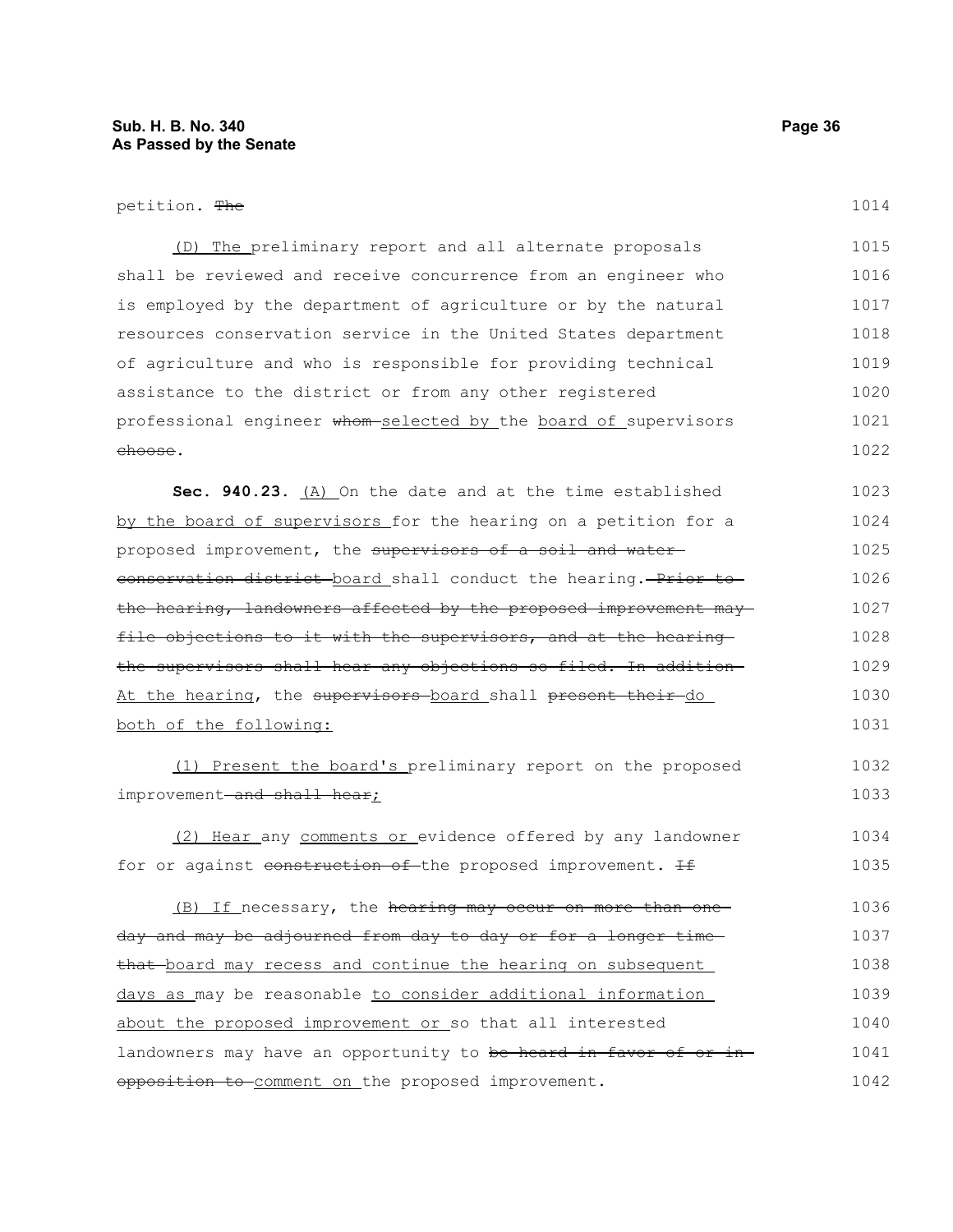| petition. The                                                     | 1014 |  |
|-------------------------------------------------------------------|------|--|
| (D) The preliminary report and all alternate proposals            | 1015 |  |
| shall be reviewed and receive concurrence from an engineer who    |      |  |
| is employed by the department of agriculture or by the natural    | 1017 |  |
| resources conservation service in the United States department    | 1018 |  |
| of agriculture and who is responsible for providing technical     |      |  |
| assistance to the district or from any other registered           |      |  |
| professional engineer whom selected by the board of supervisors   |      |  |
| <del>choose</del> .                                               | 1022 |  |
| Sec. 940.23. (A) On the date and at the time established          | 1023 |  |
| by the board of supervisors for the hearing on a petition for a   | 1024 |  |
| proposed improvement, the supervisors of a soil and water-        |      |  |
| eonservation district board shall conduct the hearing. Prior to   | 1026 |  |
| the hearing, landowners affected by the proposed improvement may  | 1027 |  |
| file objections to it with the supervisors, and at the hearing    | 1028 |  |
| the supervisors shall hear any objections so filed. In addition   | 1029 |  |
| At the hearing, the supervisors-board shall present their-do      |      |  |
| both of the following:                                            | 1031 |  |
| (1) Present the board's preliminary report on the proposed        | 1032 |  |
| improvement <del>-and shall hear</del> ;                          |      |  |
| (2) Hear any comments or evidence offered by any landowner        | 1034 |  |
| for or against construction of the proposed improvement. If       | 1035 |  |
| (B) If necessary, the hearing may occur on more than one          | 1036 |  |
| day and may be adjourned from day to day or for a longer time     |      |  |
| that board may recess and continue the hearing on subsequent      |      |  |
| days as may be reasonable to consider additional information      |      |  |
| about the proposed improvement or so that all interested          |      |  |
| landowners may have an opportunity to be heard in favor of or in- |      |  |
| opposition to comment on the proposed improvement.                |      |  |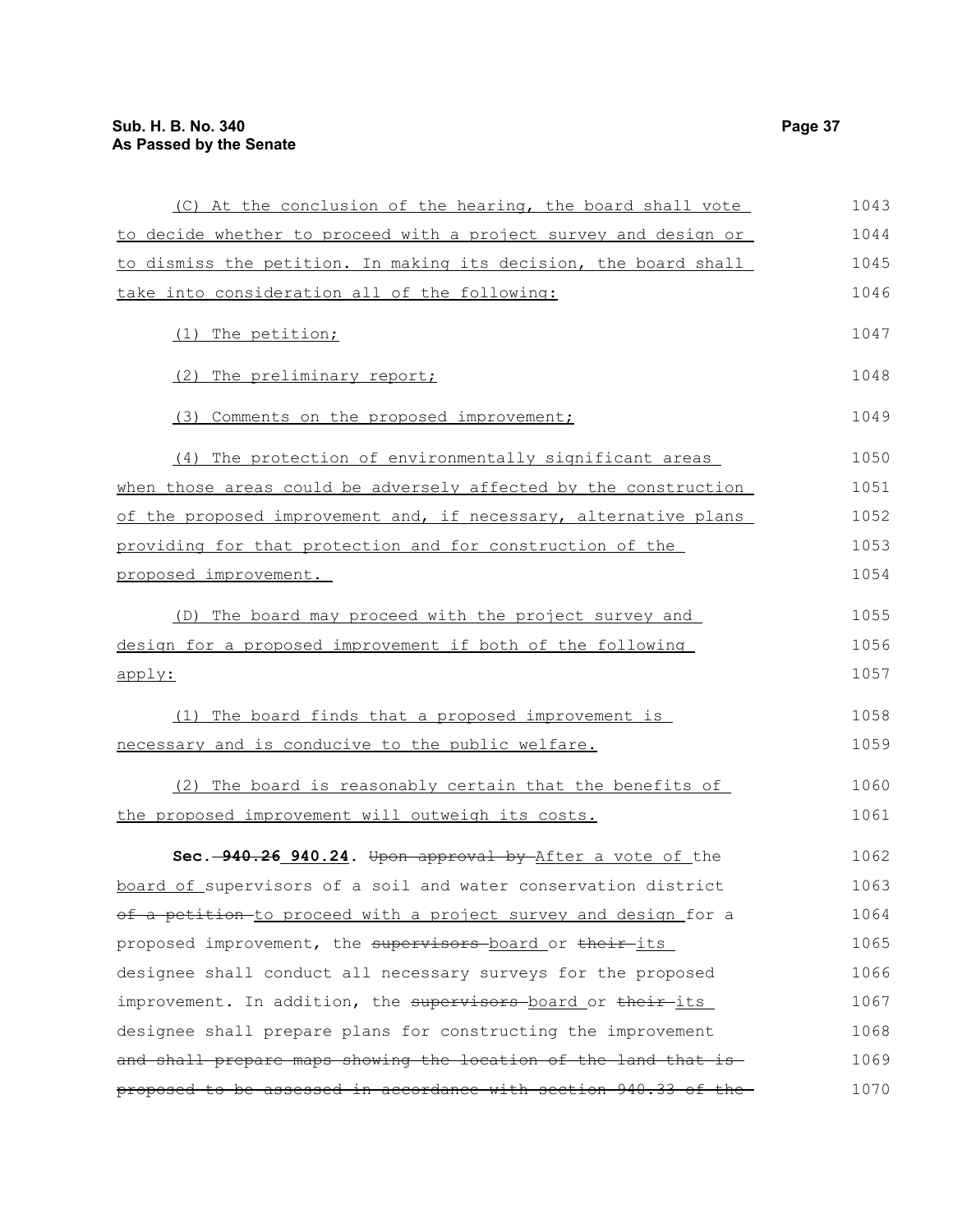| (C) At the conclusion of the hearing, the board shall vote       | 1043 |
|------------------------------------------------------------------|------|
| to decide whether to proceed with a project survey and design or | 1044 |
| to dismiss the petition. In making its decision, the board shall | 1045 |
| take into consideration all of the following:                    | 1046 |
| (1) The petition;                                                | 1047 |
| (2) The preliminary report;                                      | 1048 |
| (3) Comments on the proposed improvement;                        | 1049 |
| (4) The protection of environmentally significant areas          | 1050 |
| when those areas could be adversely affected by the construction | 1051 |
| of the proposed improvement and, if necessary, alternative plans | 1052 |
| providing for that protection and for construction of the        | 1053 |
| proposed improvement.                                            | 1054 |
| (D) The board may proceed with the project survey and            | 1055 |
| design for a proposed improvement if both of the following       | 1056 |
| apply:                                                           | 1057 |
| (1) The board finds that a proposed improvement is               | 1058 |
| necessary and is conducive to the public welfare.                | 1059 |
| (2) The board is reasonably certain that the benefits of         | 1060 |
| the proposed improvement will outweigh its costs.                | 1061 |
| Sec. -940.26 940.24. Upon approval by After a vote of the        | 1062 |
| board of supervisors of a soil and water conservation district   | 1063 |
| of a petition to proceed with a project survey and design for a  | 1064 |
| proposed improvement, the supervisors-board or their-its         | 1065 |
| designee shall conduct all necessary surveys for the proposed    | 1066 |
| improvement. In addition, the supervisors board or their-its     | 1067 |
| designee shall prepare plans for constructing the improvement    | 1068 |
| and shall prepare maps showing the location of the land that is  | 1069 |
| proposed to be assessed in accordance with section 940.33 of the | 1070 |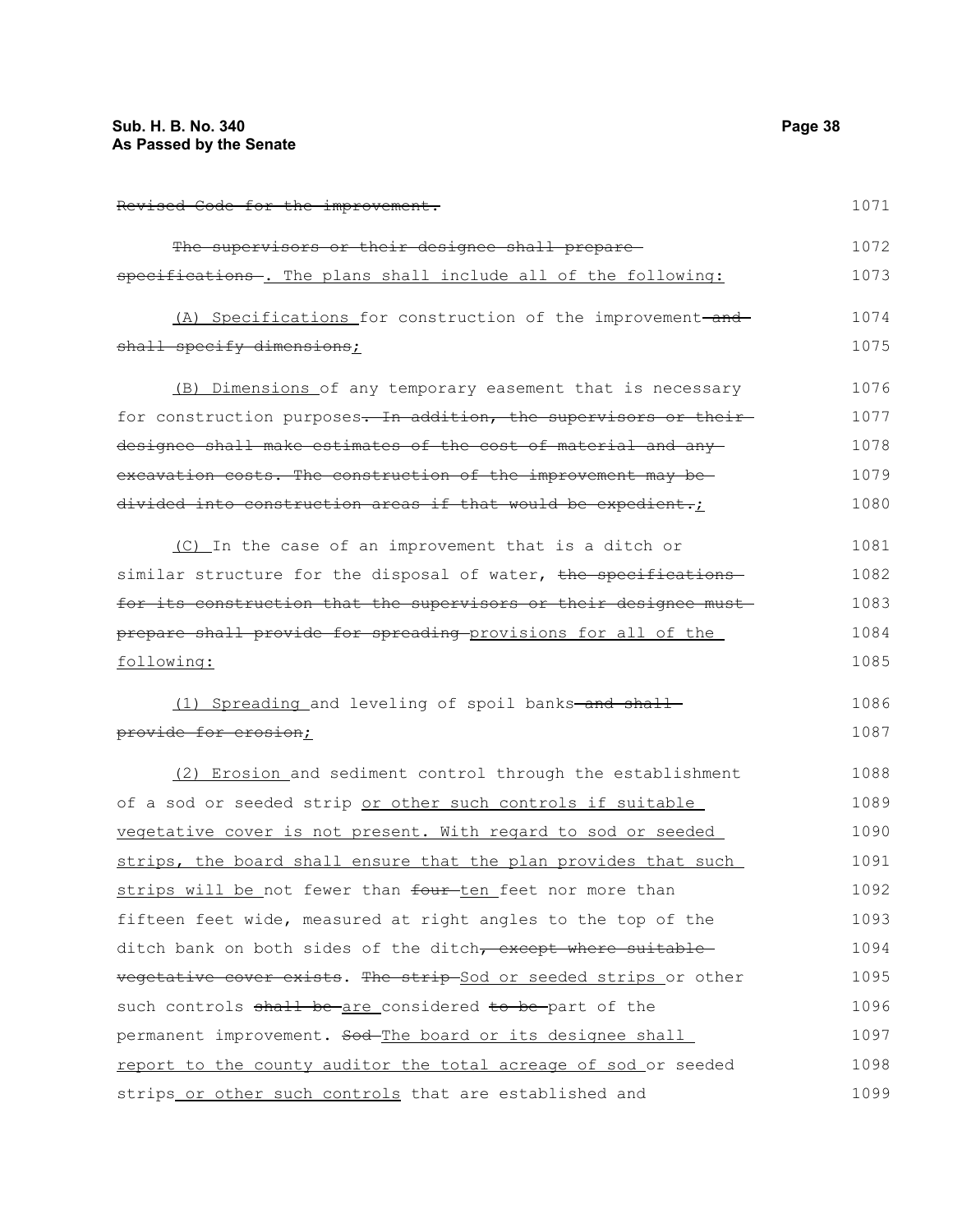Revised Code for the improvement. The supervisors or their designee shall preparespecifications -. The plans shall include all of the following: (A) Specifications for construction of the improvement-andshall specify dimensions; (B) Dimensions of any temporary easement that is necessary for construction purposes. In addition, the supervisors or theirdesignee shall make estimates of the cost of material and any excavation costs. The construction of the improvement may be divided into construction areas if that would be expedient.; (C) In the case of an improvement that is a ditch or similar structure for the disposal of water, the specificationsfor its construction that the supervisors or their designee must prepare shall provide for spreading provisions for all of the following: (1) Spreading and leveling of spoil banks-and shallprovide for erosion; (2) Erosion and sediment control through the establishment of a sod or seeded strip or other such controls if suitable vegetative cover is not present. With regard to sod or seeded strips, the board shall ensure that the plan provides that such strips will be not fewer than four-ten feet nor more than fifteen feet wide, measured at right angles to the top of the ditch bank on both sides of the ditch, except where suitable vegetative cover exists. The strip Sod or seeded strips or other such controls shall be are considered to be part of the 1071 1072 1073 1074 1075 1076 1077 1078 1079 1080 1081 1082 1083 1084 1085 1086 1087 1088 1089 1090 1091 1092 1093 1094 1095 1096 1097

permanent improvement. Sod-The board or its designee shall report to the county auditor the total acreage of sod or seeded strips or other such controls that are established and 1098 1099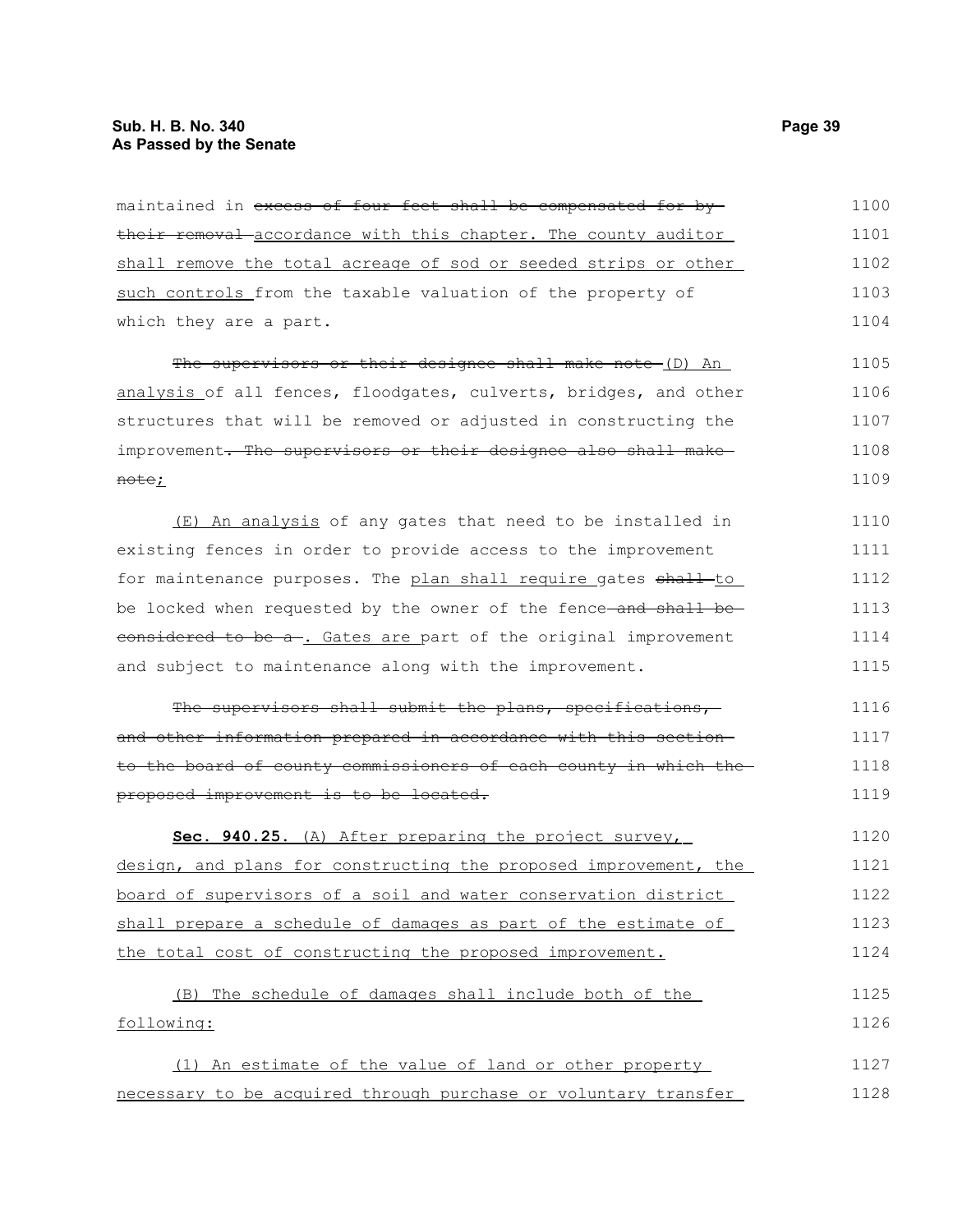| maintained in <del>excess of four feet shall be compensated for by-</del> | 1100 |
|---------------------------------------------------------------------------|------|
| their removal accordance with this chapter. The county auditor            | 1101 |
| shall remove the total acreage of sod or seeded strips or other           | 1102 |
| such controls from the taxable valuation of the property of               | 1103 |
| which they are a part.                                                    | 1104 |
| The supervisors or their designee shall make note (D) An                  | 1105 |
| analysis of all fences, floodgates, culverts, bridges, and other          | 1106 |
| structures that will be removed or adjusted in constructing the           | 1107 |
| improvement. The supervisors or their designee also shall make            | 1108 |
| <del>note</del> ;                                                         | 1109 |
| (E) An analysis of any gates that need to be installed in                 | 1110 |
| existing fences in order to provide access to the improvement             | 1111 |
| for maintenance purposes. The plan shall require gates shall-to           | 1112 |
| be locked when requested by the owner of the fence-and shall be-          | 1113 |
| considered to be a . Gates are part of the original improvement           | 1114 |
| and subject to maintenance along with the improvement.                    | 1115 |
| The supervisors shall submit the plans, specifications,                   | 1116 |
| and other information prepared in accordance with this section-           | 1117 |
| to the board of county commissioners of each county in which the          | 1118 |
| proposed improvement is to be located.                                    | 1119 |
| Sec. 940.25. (A) After preparing the project survey,                      | 1120 |
| design, and plans for constructing the proposed improvement, the          | 1121 |
| <u>board of supervisors of a soil and water conservation district</u>     | 1122 |
| shall prepare a schedule of damages as part of the estimate of            | 1123 |
| the total cost of constructing the proposed improvement.                  | 1124 |
| (B) The schedule of damages shall include both of the                     | 1125 |
| following:                                                                | 1126 |
| (1) An estimate of the value of land or other property                    | 1127 |

necessary to be acquired through purchase or voluntary transfer 1128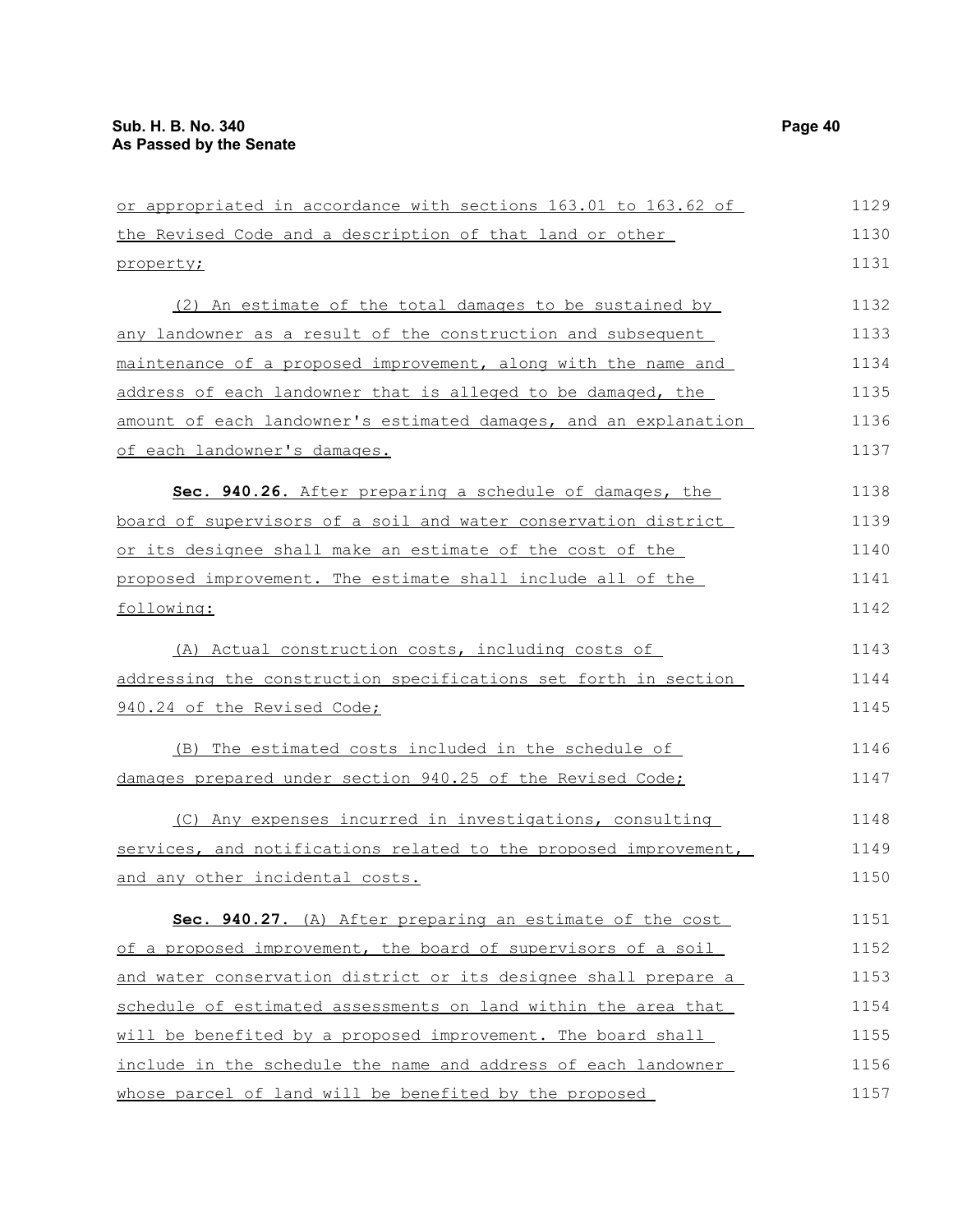| or appropriated in accordance with sections 163.01 to 163.62 of  | 1129 |
|------------------------------------------------------------------|------|
| the Revised Code and a description of that land or other         | 1130 |
| property;                                                        | 1131 |
| (2) An estimate of the total damages to be sustained by          | 1132 |
| any landowner as a result of the construction and subsequent     | 1133 |
| maintenance of a proposed improvement, along with the name and   | 1134 |
| address of each landowner that is alleged to be damaged, the     | 1135 |
| amount of each landowner's estimated damages, and an explanation | 1136 |
| of each landowner's damages.                                     | 1137 |
| Sec. 940.26. After preparing a schedule of damages, the          | 1138 |
| board of supervisors of a soil and water conservation district   | 1139 |
| or its designee shall make an estimate of the cost of the        | 1140 |
| proposed improvement. The estimate shall include all of the      | 1141 |
| following:                                                       | 1142 |
| (A) Actual construction costs, including costs of                | 1143 |
| addressing the construction specifications set forth in section  | 1144 |
| 940.24 of the Revised Code;                                      | 1145 |
| (B) The estimated costs included in the schedule of              | 1146 |
| damages prepared under section 940.25 of the Revised Code;       | 1147 |
| (C) Any expenses incurred in investigations, consulting          | 1148 |
| services, and notifications related to the proposed improvement, | 1149 |
| and any other incidental costs.                                  | 1150 |
| Sec. 940.27. (A) After preparing an estimate of the cost         | 1151 |
| of a proposed improvement, the board of supervisors of a soil    | 1152 |
| and water conservation district or its designee shall prepare a  | 1153 |
| schedule of estimated assessments on land within the area that   | 1154 |
| will be benefited by a proposed improvement. The board shall     | 1155 |
| include in the schedule the name and address of each landowner   | 1156 |
| whose parcel of land will be benefited by the proposed           | 1157 |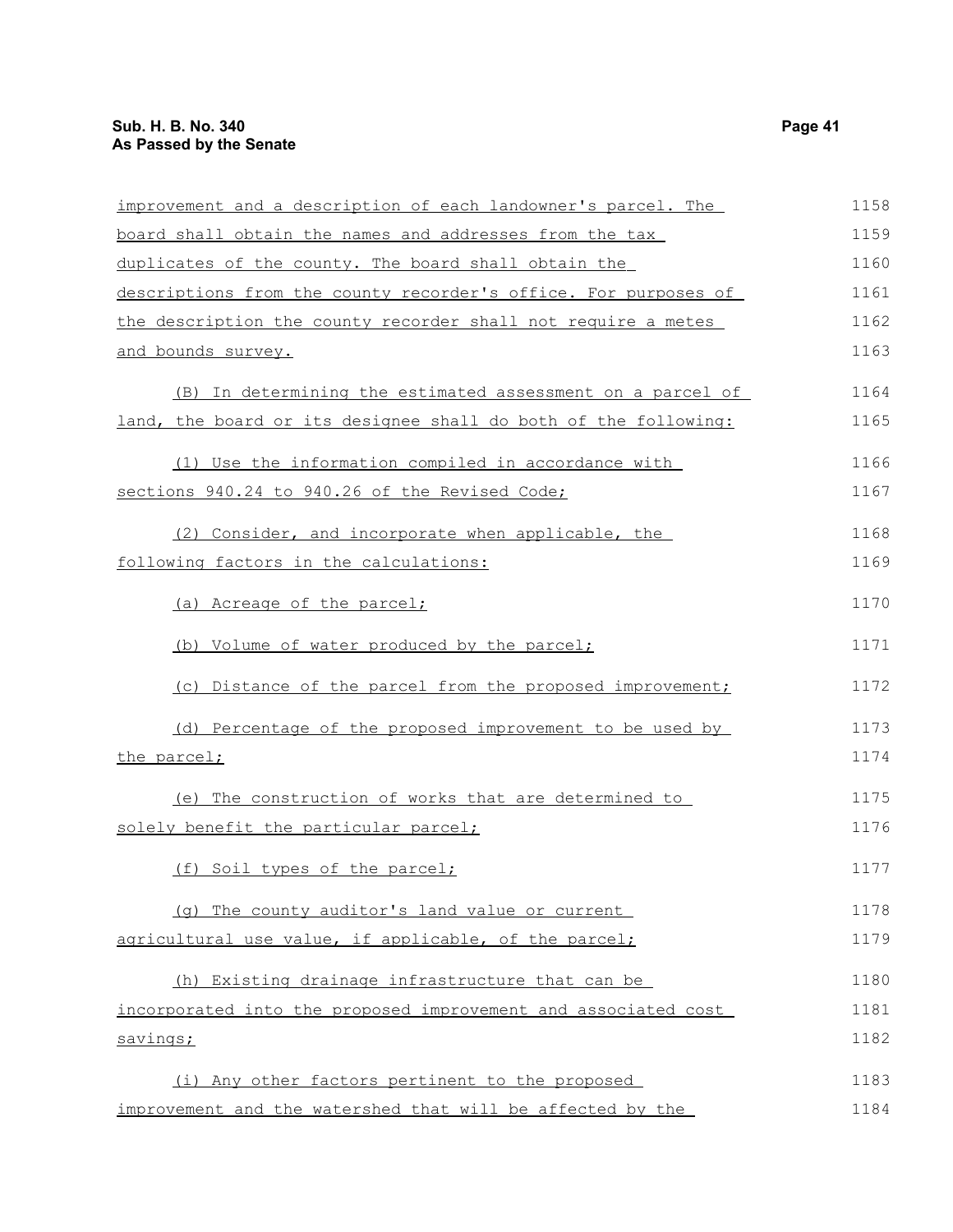| improvement and a description of each landowner's parcel. The   | 1158 |
|-----------------------------------------------------------------|------|
| board shall obtain the names and addresses from the tax         | 1159 |
| duplicates of the county. The board shall obtain the            | 1160 |
| descriptions from the county recorder's office. For purposes of | 1161 |
| the description the county recorder shall not require a metes   | 1162 |
| and bounds survey.                                              | 1163 |
| (B) In determining the estimated assessment on a parcel of      | 1164 |
| land, the board or its designee shall do both of the following: | 1165 |
| (1) Use the information compiled in accordance with             | 1166 |
| sections 940.24 to 940.26 of the Revised Code;                  | 1167 |
| (2) Consider, and incorporate when applicable, the              | 1168 |
| following factors in the calculations:                          | 1169 |
| (a) Acreage of the parcel;                                      | 1170 |
| (b) Volume of water produced by the parcel;                     | 1171 |
| (c) Distance of the parcel from the proposed improvement;       | 1172 |
| (d) Percentage of the proposed improvement to be used by        | 1173 |
| the parcel;                                                     | 1174 |
| (e) The construction of works that are determined to            | 1175 |
| solely benefit the particular parcel;                           | 1176 |
| (f) Soil types of the parcel;                                   | 1177 |
| (q) The county auditor's land value or current                  | 1178 |
| agricultural use value, if applicable, of the parcel;           | 1179 |
| (h) Existing drainage infrastructure that can be                | 1180 |
| incorporated into the proposed improvement and associated cost  | 1181 |
| savings;                                                        | 1182 |
| (i) Any other factors pertinent to the proposed                 | 1183 |
| improvement and the watershed that will be affected by the      | 1184 |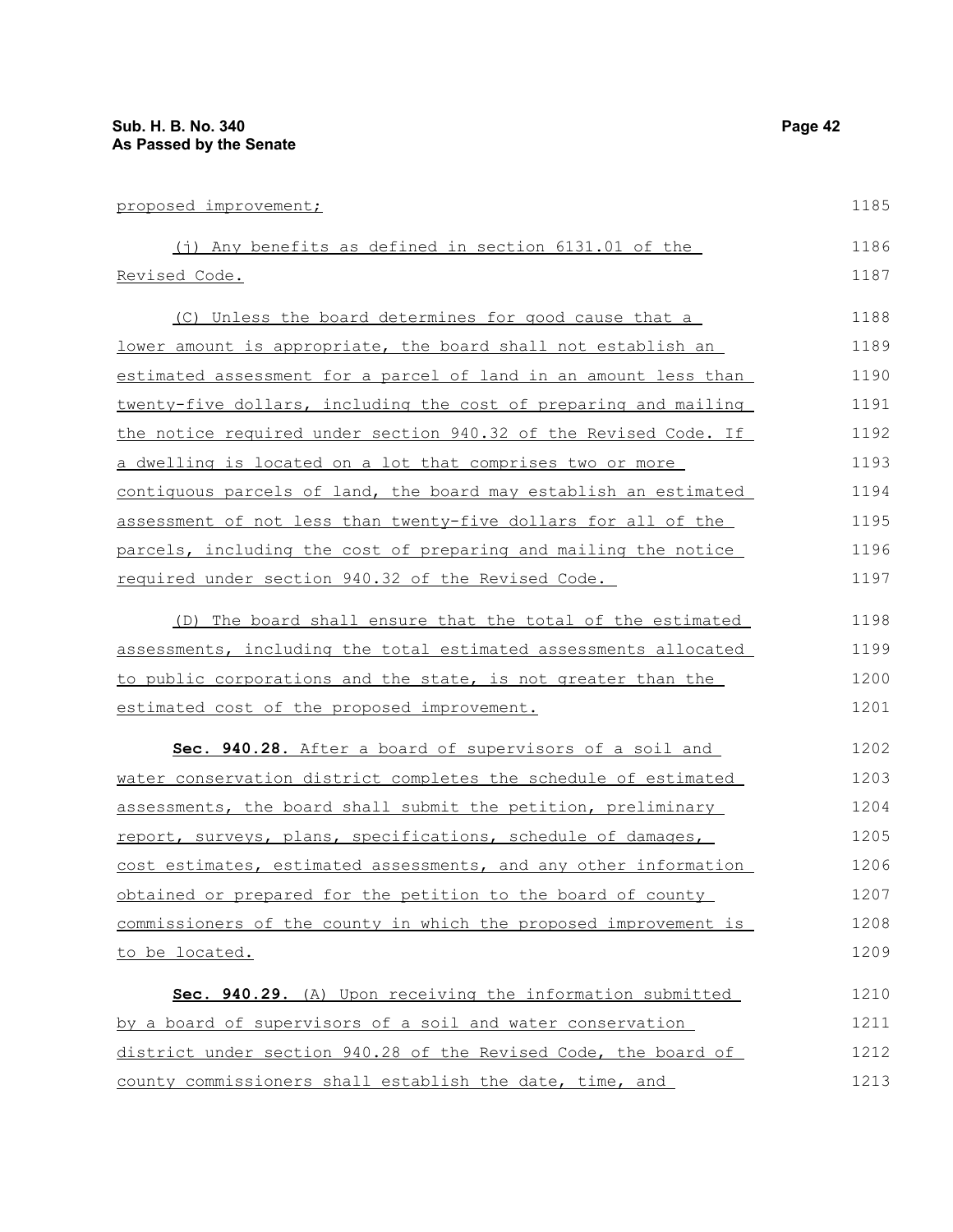| proposed improvement;                                            | 1185 |
|------------------------------------------------------------------|------|
| (j) Any benefits as defined in section $6131.01$ of the          | 1186 |
| Revised Code.                                                    | 1187 |
| (C) Unless the board determines for good cause that a            | 1188 |
| lower amount is appropriate, the board shall not establish an    | 1189 |
| estimated assessment for a parcel of land in an amount less than | 1190 |
| twenty-five dollars, including the cost of preparing and mailing | 1191 |
| the notice required under section 940.32 of the Revised Code. If | 1192 |
| a dwelling is located on a lot that comprises two or more        | 1193 |
| contiguous parcels of land, the board may establish an estimated | 1194 |
| assessment of not less than twenty-five dollars for all of the   | 1195 |
| parcels, including the cost of preparing and mailing the notice  | 1196 |
| required under section 940.32 of the Revised Code.               | 1197 |
| (D) The board shall ensure that the total of the estimated       | 1198 |
| assessments, including the total estimated assessments allocated | 1199 |
| to public corporations and the state, is not greater than the    | 1200 |
| estimated cost of the proposed improvement.                      | 1201 |
| Sec. 940.28. After a board of supervisors of a soil and          | 1202 |
| water conservation district completes the schedule of estimated  | 1203 |
| assessments, the board shall submit the petition, preliminary    | 1204 |
| report, surveys, plans, specifications, schedule of damages,     | 1205 |
| cost estimates, estimated assessments, and any other information | 1206 |
| obtained or prepared for the petition to the board of county     | 1207 |
| commissioners of the county in which the proposed improvement is | 1208 |
| to be located.                                                   | 1209 |
| Sec. 940.29. (A) Upon receiving the information submitted        | 1210 |
| by a board of supervisors of a soil and water conservation       | 1211 |
| district under section 940.28 of the Revised Code, the board of  | 1212 |
| county commissioners shall establish the date, time, and         | 1213 |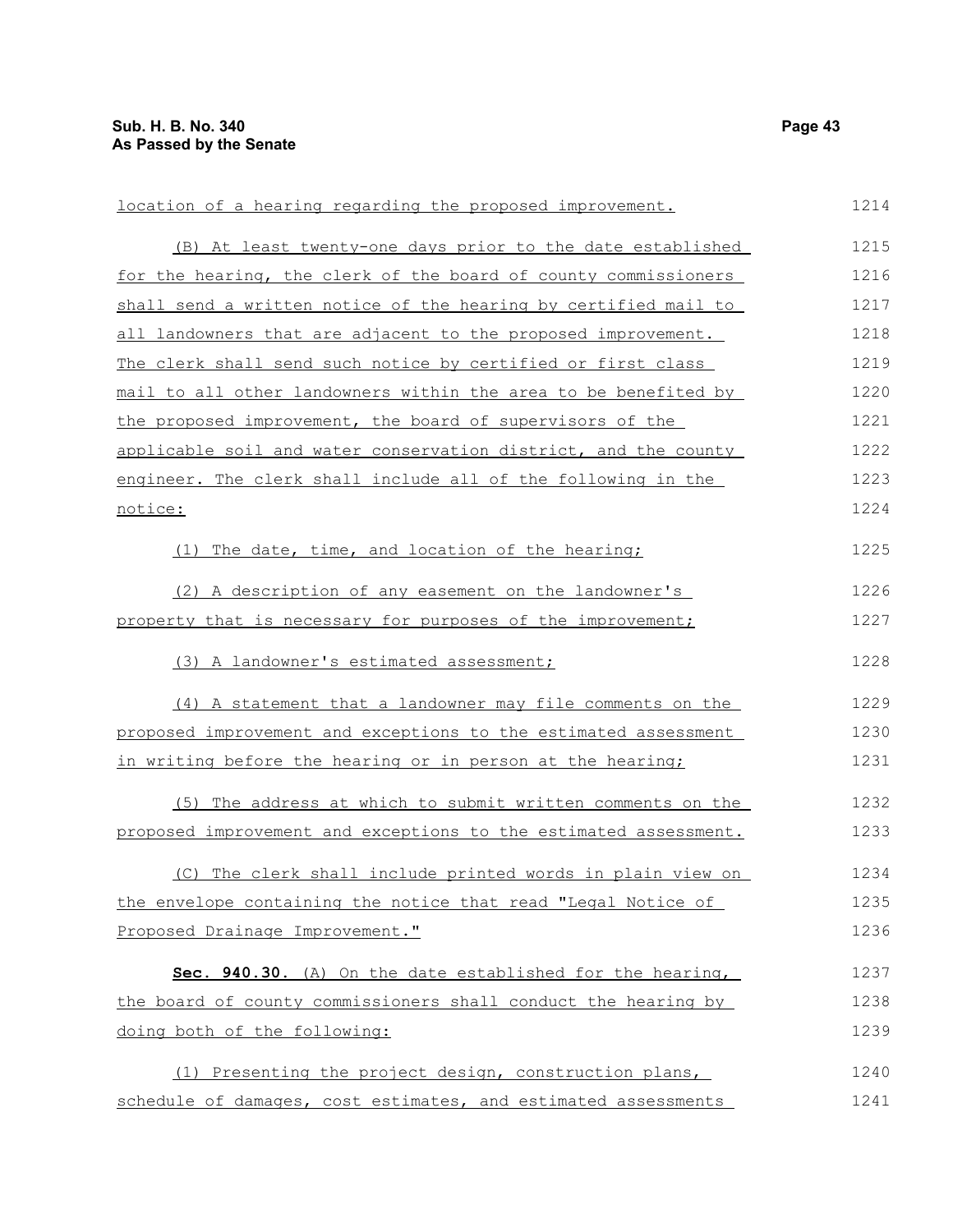| location of a hearing regarding the proposed improvement.        | 1214 |
|------------------------------------------------------------------|------|
| (B) At least twenty-one days prior to the date established       | 1215 |
| for the hearing, the clerk of the board of county commissioners  | 1216 |
| shall send a written notice of the hearing by certified mail to  | 1217 |
| all landowners that are adjacent to the proposed improvement.    | 1218 |
| The clerk shall send such notice by certified or first class     | 1219 |
| mail to all other landowners within the area to be benefited by  | 1220 |
| the proposed improvement, the board of supervisors of the        | 1221 |
| applicable soil and water conservation district, and the county  | 1222 |
| engineer. The clerk shall include all of the following in the    | 1223 |
| notice:                                                          | 1224 |
| (1) The date, time, and location of the hearing;                 | 1225 |
| (2) A description of any easement on the landowner's             | 1226 |
| property that is necessary for purposes of the improvement;      | 1227 |
| (3) A landowner's estimated assessment;                          | 1228 |
| (4) A statement that a landowner may file comments on the        | 1229 |
| proposed improvement and exceptions to the estimated assessment  | 1230 |
| in writing before the hearing or in person at the hearing;       | 1231 |
| (5) The address at which to submit written comments on the       | 1232 |
| proposed improvement and exceptions to the estimated assessment. | 1233 |
| (C) The clerk shall include printed words in plain view on       | 1234 |
| the envelope containing the notice that read "Legal Notice of    | 1235 |
| Proposed Drainage Improvement."                                  | 1236 |
| Sec. 940.30. (A) On the date established for the hearing,        | 1237 |
| the board of county commissioners shall conduct the hearing by   | 1238 |
| doing both of the following:                                     | 1239 |
| (1) Presenting the project design, construction plans,           | 1240 |
| schedule of damages, cost estimates, and estimated assessments   | 1241 |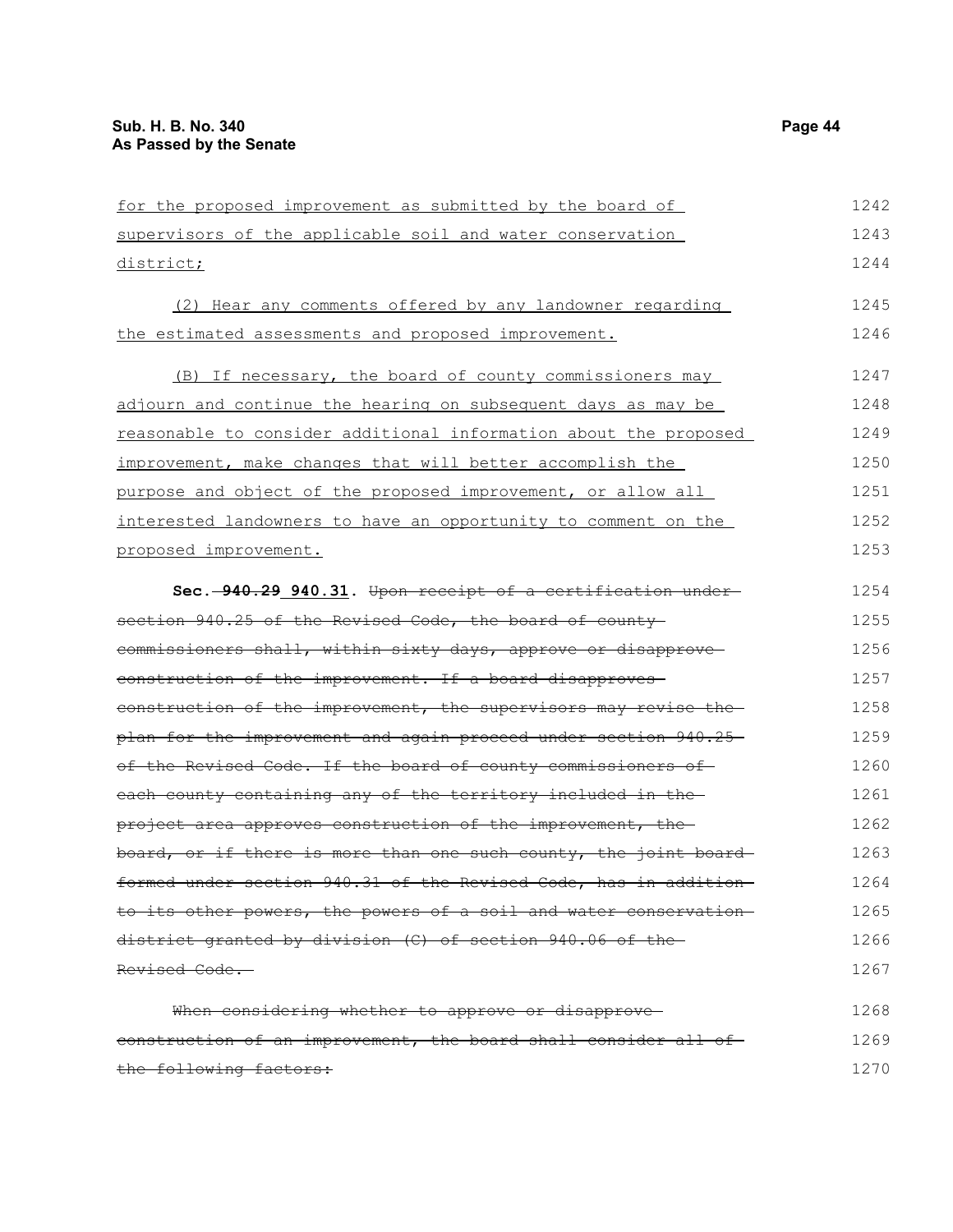| for the proposed improvement as submitted by the board of         | 1242 |
|-------------------------------------------------------------------|------|
| supervisors of the applicable soil and water conservation         | 1243 |
| district;                                                         | 1244 |
| (2) Hear any comments offered by any landowner regarding          | 1245 |
| the estimated assessments and proposed improvement.               | 1246 |
| (B) If necessary, the board of county commissioners may           | 1247 |
| adjourn and continue the hearing on subsequent days as may be     | 1248 |
| reasonable to consider additional information about the proposed  | 1249 |
| improvement, make changes that will better accomplish the         | 1250 |
| purpose and object of the proposed improvement, or allow all      | 1251 |
| interested landowners to have an opportunity to comment on the    | 1252 |
| proposed improvement.                                             | 1253 |
| Sec. -940.29 940.31. Upon receipt of a certification under-       | 1254 |
| section 940.25 of the Revised Code, the board of county           | 1255 |
| commissioners shall, within sixty days, approve or disapprove-    | 1256 |
| construction of the improvement. If a board disapproves           | 1257 |
| construction of the improvement, the supervisors may revise the   | 1258 |
| plan for the improvement and again proceed under section 940.25-  | 1259 |
| of the Revised Code. If the board of county commissioners of      | 1260 |
| each county containing any of the territory included in the       | 1261 |
| project area approves construction of the improvement, the        | 1262 |
| board, or if there is more than one such county, the joint board  | 1263 |
| formed under section 940.31 of the Revised Code, has in addition- | 1264 |
| to its other powers, the powers of a soil and water conservation- | 1265 |
| district granted by division (C) of section 940.06 of the         | 1266 |
| Revised Code.                                                     | 1267 |
| When considering whether to approve or disapprove-                | 1268 |
| eonstruction of an improvement, the board shall consider all of-  | 1269 |
| the following factors:                                            | 1270 |
|                                                                   |      |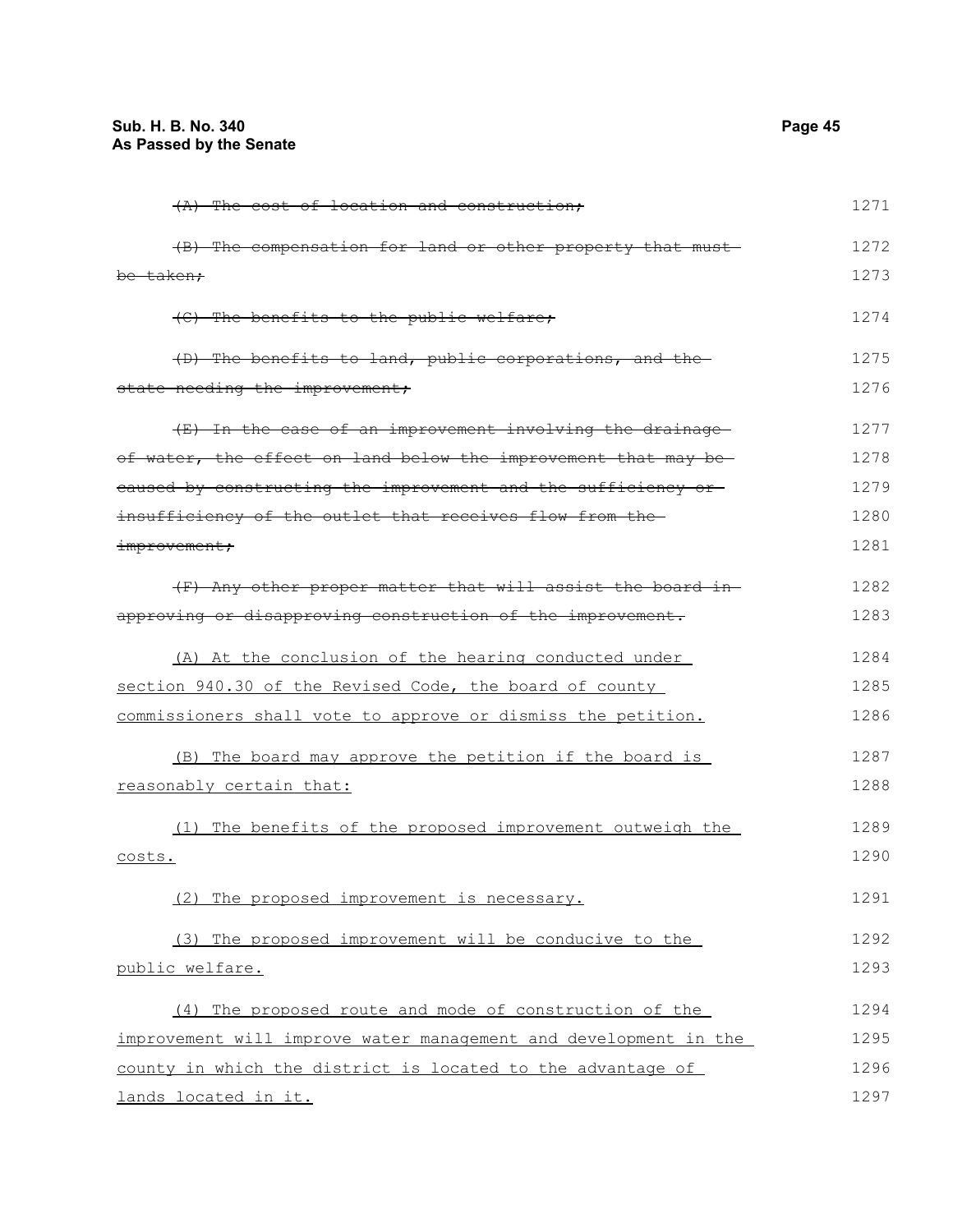| (A) The cost of location and construction:                       | 1271 |
|------------------------------------------------------------------|------|
| (B) The compensation for land or other property that must-       | 1272 |
| be taken;                                                        | 1273 |
| (C) The benefits to the public welfare;                          | 1274 |
| (D) The benefits to land, public corporations, and the           | 1275 |
| state needing the improvement;                                   | 1276 |
| (E) In the case of an improvement involving the drainage         | 1277 |
| of water, the effect on land below the improvement that may be-  | 1278 |
| eaused by constructing the improvement and the sufficiency or    | 1279 |
| insufficiency of the outlet that receives flow from the-         | 1280 |
| improvement;                                                     | 1281 |
| (F) Any other proper matter that will assist the board in-       | 1282 |
| approving or disapproving construction of the improvement.       | 1283 |
| (A) At the conclusion of the hearing conducted under             | 1284 |
| section 940.30 of the Revised Code, the board of county          | 1285 |
| commissioners shall vote to approve or dismiss the petition.     | 1286 |
| (B) The board may approve the petition if the board is           | 1287 |
| reasonably certain that:                                         | 1288 |
| (1) The benefits of the proposed improvement outweigh the        | 1289 |
| costs.                                                           | 1290 |
| (2) The proposed improvement is necessary.                       | 1291 |
| (3) The proposed improvement will be conducive to the            | 1292 |
| public welfare.                                                  | 1293 |
| (4) The proposed route and mode of construction of the           | 1294 |
| improvement will improve water management and development in the | 1295 |
| county in which the district is located to the advantage of      | 1296 |
| lands located in it.                                             | 1297 |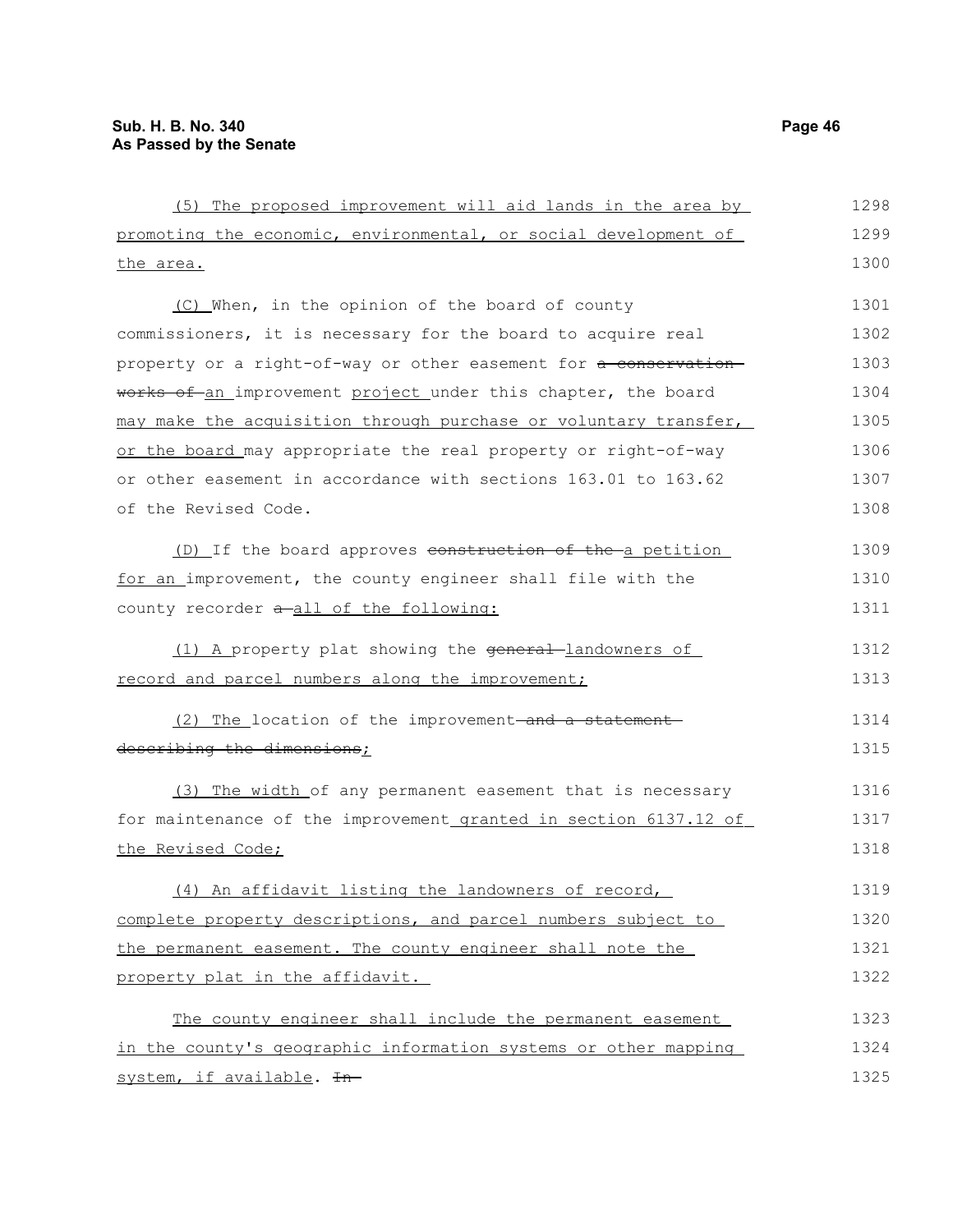(5) The proposed improvement will aid lands in the area by promoting the economic, environmental, or social development of the area. (C) When, in the opinion of the board of county commissioners, it is necessary for the board to acquire real property or a right-of-way or other easement for a conservationworks of an improvement project under this chapter, the board may make the acquisition through purchase or voluntary transfer, or the board may appropriate the real property or right-of-way or other easement in accordance with sections 163.01 to 163.62 of the Revised Code. (D) If the board approves construction of the a petition for an improvement, the county engineer shall file with the county recorder  $a$ -all of the following: (1) A property plat showing the general-landowners of record and parcel numbers along the improvement; (2) The location of the improvement-and a statementdescribing the dimensions; (3) The width of any permanent easement that is necessary for maintenance of the improvement granted in section 6137.12 of the Revised Code; (4) An affidavit listing the landowners of record, complete property descriptions, and parcel numbers subject to the permanent easement. The county engineer shall note the property plat in the affidavit. The county engineer shall include the permanent easement in the county's geographic information systems or other mapping system, if available. In-1298 1299 1300 1301 1302 1303 1304 1305 1306 1307 1308 1309 1310 1311 1312 1313 1314 1315 1316 1317 1318 1319 1320 1321 1322 1323 1324 1325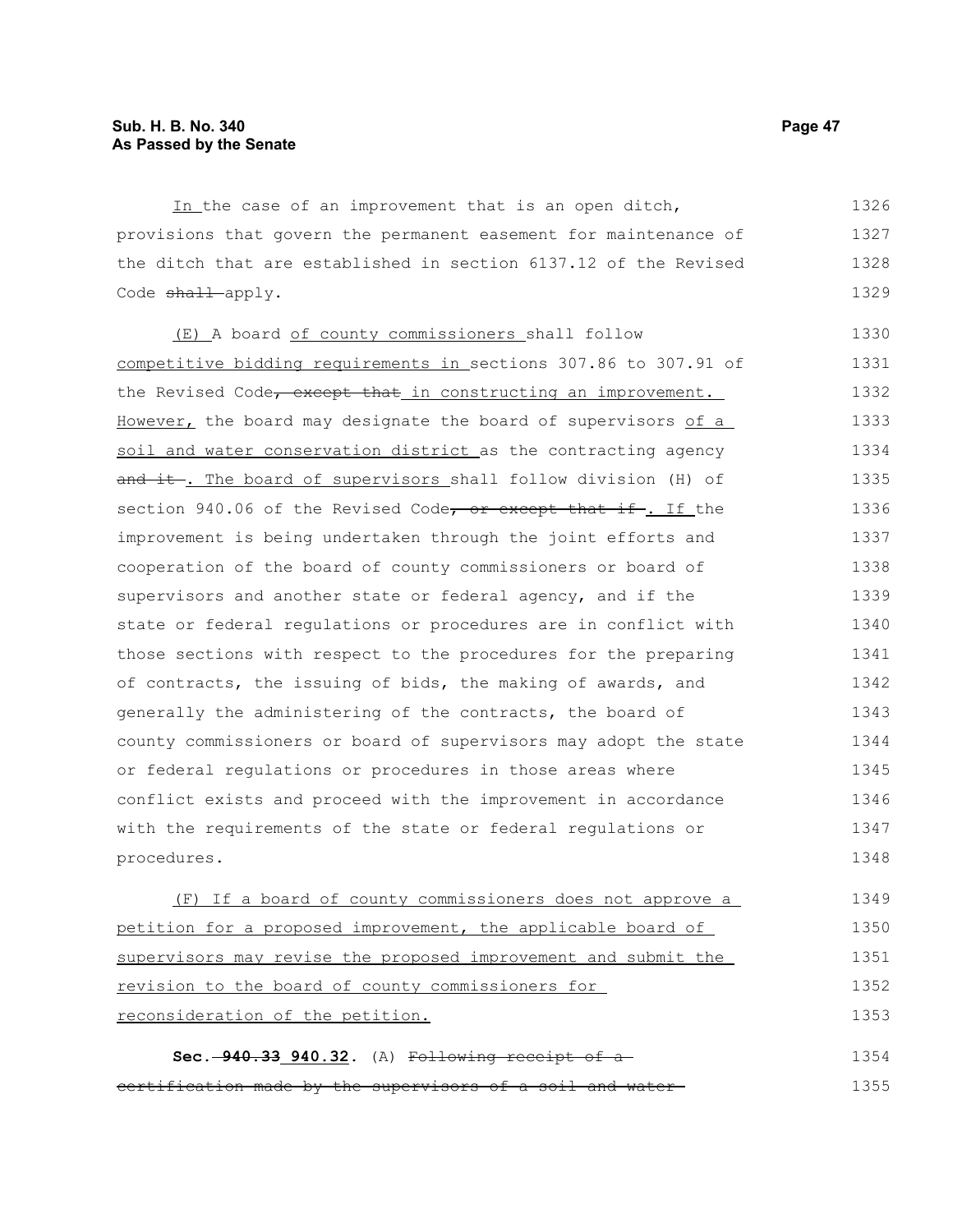In the case of an improvement that is an open ditch, provisions that govern the permanent easement for maintenance of the ditch that are established in section 6137.12 of the Revised Code shall apply. 1326 1327 1328 1329

(E) A board of county commissioners shall follow competitive bidding requirements in sections 307.86 to 307.91 of the Revised Code, except that in constructing an improvement. However, the board may designate the board of supervisors of a soil and water conservation district as the contracting agency and it. The board of supervisors shall follow division (H) of section 940.06 of the Revised Code, or except that if. If the improvement is being undertaken through the joint efforts and cooperation of the board of county commissioners or board of supervisors and another state or federal agency, and if the state or federal regulations or procedures are in conflict with those sections with respect to the procedures for the preparing of contracts, the issuing of bids, the making of awards, and generally the administering of the contracts, the board of county commissioners or board of supervisors may adopt the state or federal regulations or procedures in those areas where conflict exists and proceed with the improvement in accordance with the requirements of the state or federal regulations or procedures. 1330 1331 1332 1333 1334 1335 1336 1337 1338 1339 1340 1341 1342 1343 1344 1345 1346 1347 1348

(F) If a board of county commissioners does not approve a petition for a proposed improvement, the applicable board of supervisors may revise the proposed improvement and submit the revision to the board of county commissioners for reconsideration of the petition. 1349 1350 1351 1352 1353

**Sec. 940.33 940.32.** (A) Following receipt of a certification made by the supervisors of a soil and water 1354 1355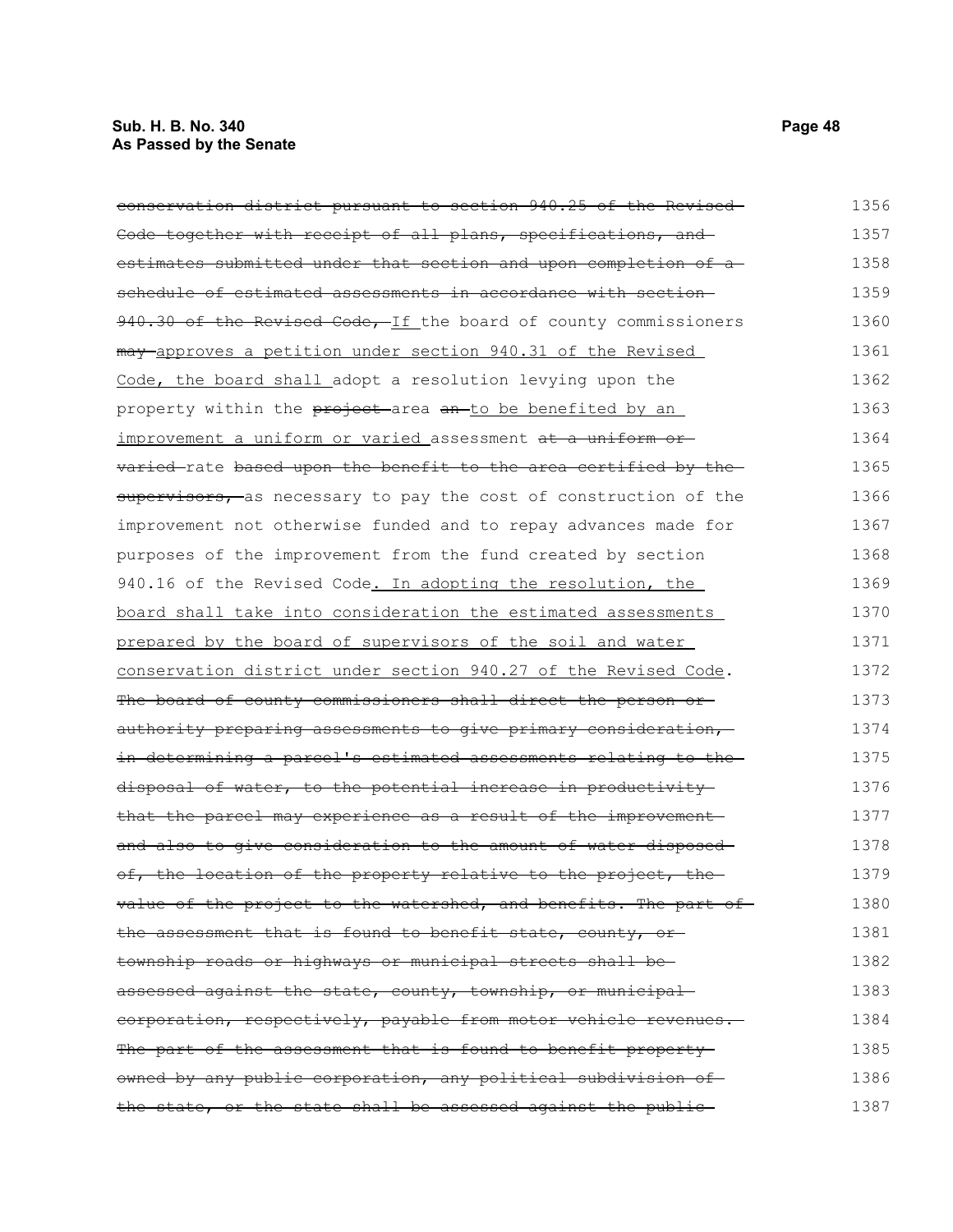# **Sub. H. B. No. 340 Page 48 As Passed by the Senate**

| conservation district pursuant to section 940.25 of the Revised   | 1356 |
|-------------------------------------------------------------------|------|
| Code together with receipt of all plans, specifications, and      | 1357 |
| estimates submitted under that section and upon completion of a   | 1358 |
| schedule of estimated assessments in accordance with section-     | 1359 |
| 940.30 of the Revised Code, If the board of county commissioners  | 1360 |
| may approves a petition under section 940.31 of the Revised       | 1361 |
| Code, the board shall adopt a resolution levying upon the         | 1362 |
| property within the project area an to be benefited by an         | 1363 |
| improvement a uniform or varied assessment at a uniform or-       | 1364 |
| varied-rate based upon the benefit to the area certified by the-  | 1365 |
| supervisors, as necessary to pay the cost of construction of the  | 1366 |
| improvement not otherwise funded and to repay advances made for   | 1367 |
| purposes of the improvement from the fund created by section      | 1368 |
| 940.16 of the Revised Code. In adopting the resolution, the       | 1369 |
| board shall take into consideration the estimated assessments     | 1370 |
| prepared by the board of supervisors of the soil and water        | 1371 |
| conservation district under section 940.27 of the Revised Code.   | 1372 |
| The board of county commissioners shall direct the person or      | 1373 |
| authority preparing assessments to give primary consideration,    | 1374 |
| in determining a parcel's estimated assessments relating to the   | 1375 |
| disposal of water, to the potential increase in productivity      | 1376 |
| that the parcel may experience as a result of the improvement     | 1377 |
| and also to give consideration to the amount of water disposed-   | 1378 |
| of, the location of the property relative to the project, the     | 1379 |
| value of the project to the watershed, and benefits. The part of- | 1380 |
| the assessment that is found to benefit state, county, or-        | 1381 |
| township roads or highways or municipal streets shall be-         | 1382 |
| assessed against the state, county, township, or municipal        | 1383 |
| corporation, respectively, payable from motor vehicle revenues.   | 1384 |
| The part of the assessment that is found to benefit property      | 1385 |
| owned by any public corporation, any political subdivision of     | 1386 |
| the state, or the state shall be assessed against the public-     | 1387 |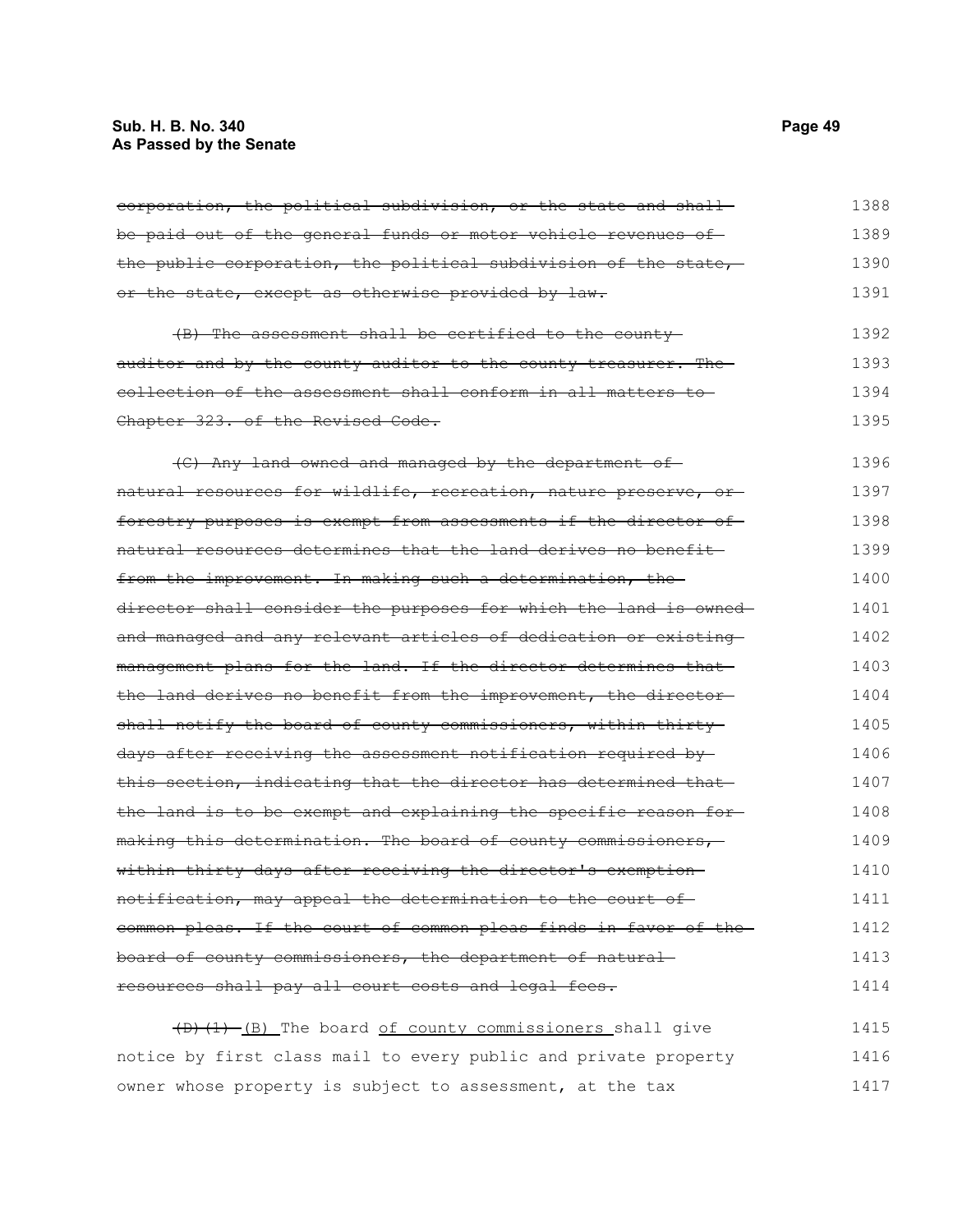# **Sub. H. B. No. 340 Page 49 As Passed by the Senate**

| corporation, the political subdivision, or the state and shall-   | 1388 |
|-------------------------------------------------------------------|------|
| be paid out of the general funds or motor vehicle revenues of     | 1389 |
| the public corporation, the political subdivision of the state,   | 1390 |
| or the state, except as otherwise provided by law.                | 1391 |
| (B) The assessment shall be certified to the county-              | 1392 |
| auditor and by the county auditor to the county treasurer. The    | 1393 |
| collection of the assessment shall conform in all matters to      | 1394 |
| Chapter 323, of the Revised Code,                                 | 1395 |
| (C) Any land owned and managed by the department of               | 1396 |
| natural resources for wildlife, recreation, nature preserve, or   | 1397 |
| forestry purposes is exempt from assessments if the director of   | 1398 |
| natural resources determines that the land derives no benefit-    | 1399 |
| from the improvement. In making such a determination, the         | 1400 |
| director shall consider the purposes for which the land is owned- | 1401 |
| and managed and any relevant articles of dedication or existing-  | 1402 |
| management plans for the land. If the director determines that-   | 1403 |
| the land derives no benefit from the improvement, the director-   | 1404 |
| shall notify the board of county commissioners, within thirty-    | 1405 |
| days after receiving the assessment notification required by-     | 1406 |
| this section, indicating that the director has determined that-   | 1407 |
| the land is to be exempt and explaining the specific reason for-  | 1408 |
| making this determination. The board of county commissioners,     | 1409 |
| within thirty days after receiving the director's exemption       | 1410 |
| notification, may appeal the determination to the court of        | 1411 |
| common pleas. If the court of common pleas finds in favor of the  | 1412 |
| board of county commissioners, the department of natural          | 1413 |
| resources shall pay all court costs and legal fees.               | 1414 |
| (D) (1) (B) The board of county commissioners shall give          | 1415 |
| notice by first class mail to every public and private property   | 1416 |
| owner whose property is subject to assessment, at the tax         | 1417 |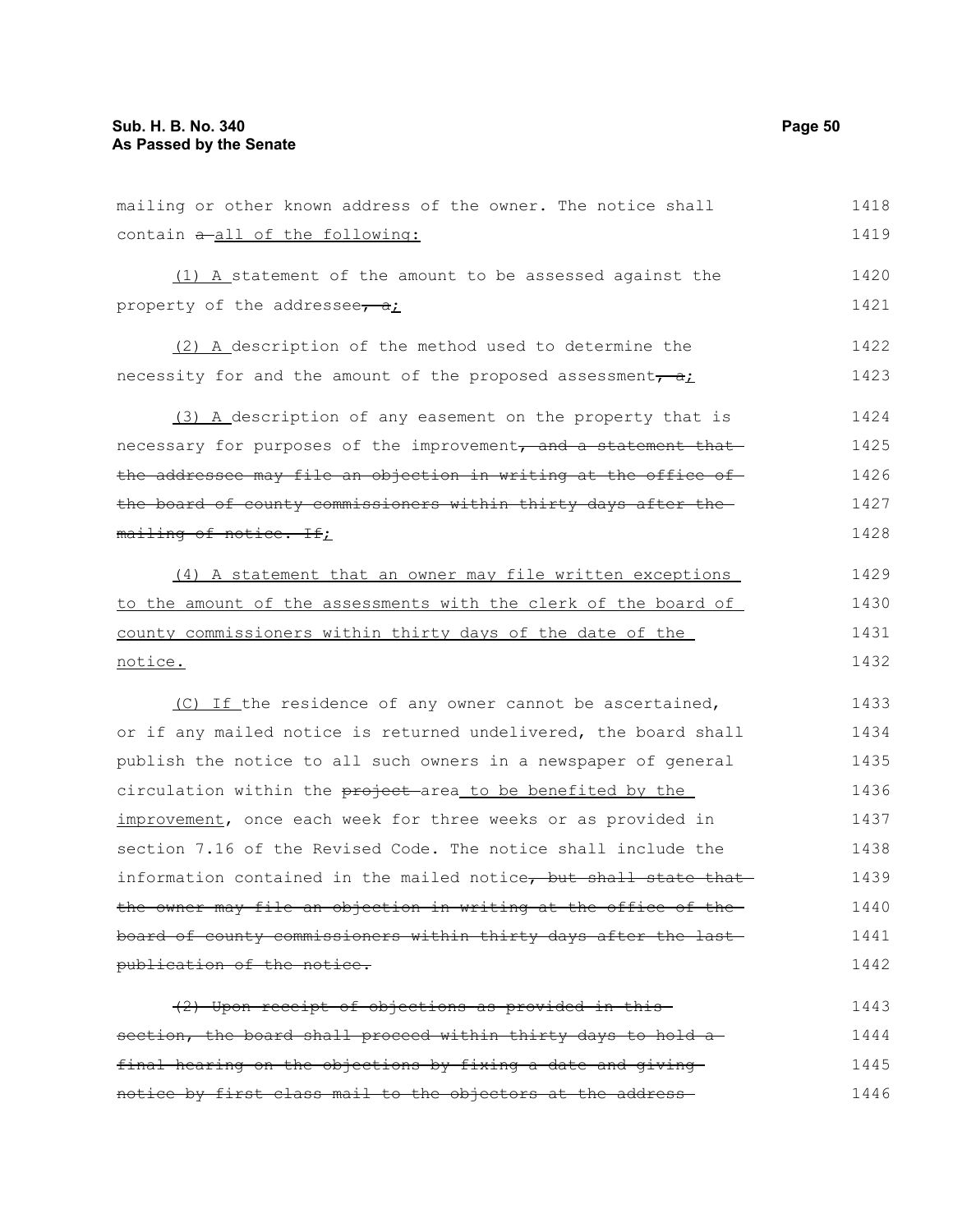mailing or other known address of the owner. The notice shall contain  $a$ -all of the following: (1) A statement of the amount to be assessed against the property of the addressee,  $a_i$ 1418 1419 1420 1421

(2) A description of the method used to determine the necessity for and the amount of the proposed assessment,  $a$ ; 1422 1423

(3) A description of any easement on the property that is necessary for purposes of the improvement, and a statement that the addressee may file an objection in writing at the office ofthe board of county commissioners within thirty days after the mailing of notice. If; 1424 1425 1426 1427 1428

(4) A statement that an owner may file written exceptions to the amount of the assessments with the clerk of the board of county commissioners within thirty days of the date of the notice. 1429 1430 1431 1432

(C) If the residence of any owner cannot be ascertained, or if any mailed notice is returned undelivered, the board shall publish the notice to all such owners in a newspaper of general circulation within the project area to be benefited by the improvement, once each week for three weeks or as provided in section 7.16 of the Revised Code. The notice shall include the information contained in the mailed notice, but shall state that the owner may file an objection in writing at the office of the board of county commissioners within thirty days after the last publication of the notice. 1433 1434 1435 1436 1437 1438 1439 1440 1441 1442

(2) Upon receipt of objections as provided in this section, the board shall proceed within thirty days to hold a final hearing on the objections by fixing a date and giving notice by first class mail to the objectors at the address 1443 1444 1445 1446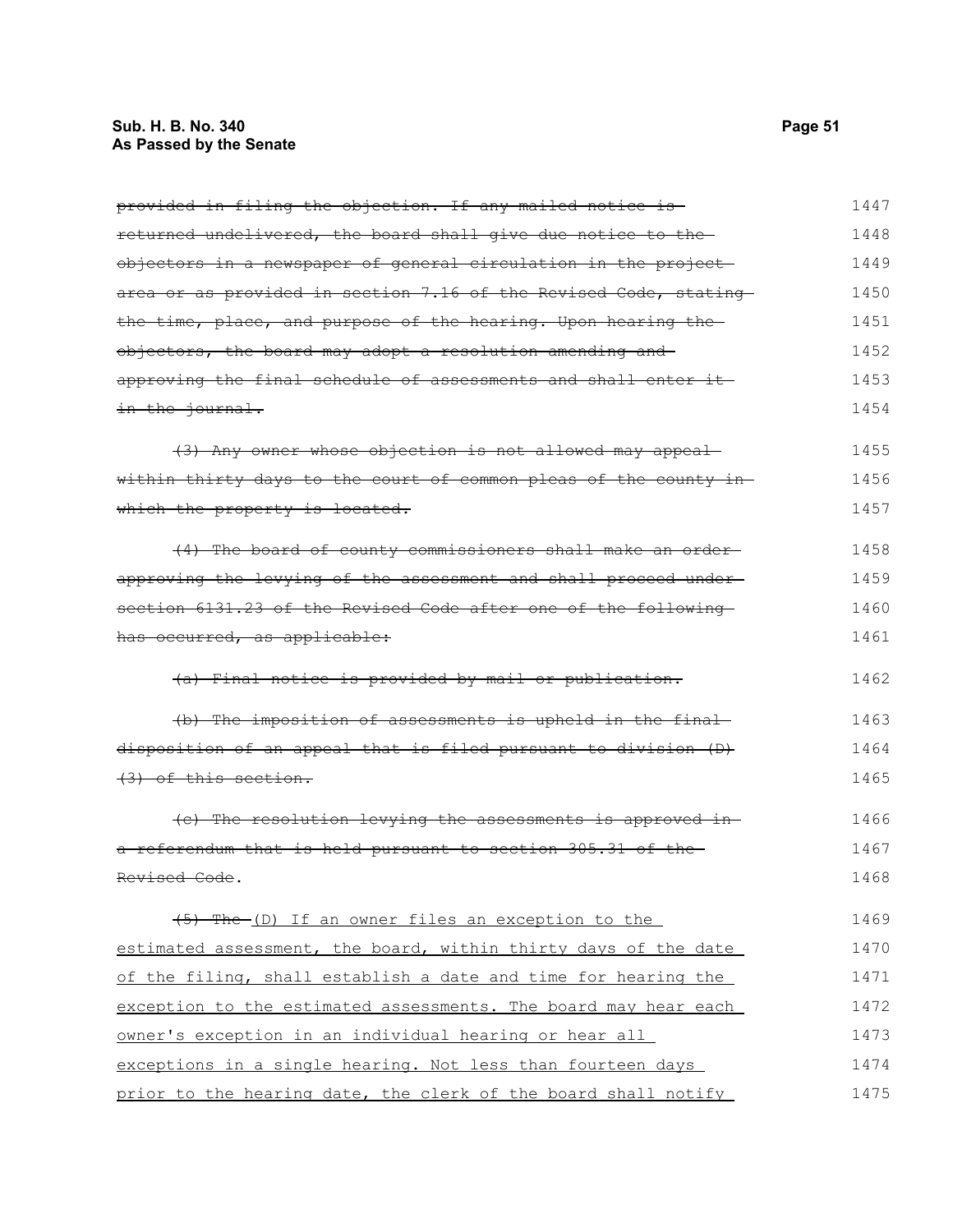# **Sub. H. B. No. 340 Page 51 As Passed by the Senate**

| provided in filing the objection. If any mailed notice is        | 1447 |
|------------------------------------------------------------------|------|
| returned undelivered, the board shall give due notice to the     | 1448 |
| objectors in a newspaper of general circulation in the project-  | 1449 |
| area or as provided in section 7.16 of the Revised Code, stating | 1450 |
| the time, place, and purpose of the hearing. Upon hearing the    | 1451 |
| objectors, the board may adopt a resolution amending and         | 1452 |
| approving the final schedule of assessments and shall enter it-  | 1453 |
| in the journal.                                                  | 1454 |
| (3) Any owner whose objection is not allowed may appeal          | 1455 |
| within thirty days to the court of common pleas of the county in | 1456 |
| which the property is located.                                   | 1457 |
| (4) The board of county commissioners shall make an order-       | 1458 |
| approving the levying of the assessment and shall proceed under- | 1459 |
| section 6131.23 of the Revised Code after one of the following   | 1460 |
| has occurred, as applicable:                                     | 1461 |
| (a) Final notice is provided by mail or publication.             | 1462 |
| (b) The imposition of assessments is upheld in the final         | 1463 |
| disposition of an appeal that is filed pursuant to division (D)  | 1464 |
| $(3)$ of this section.                                           | 1465 |
| (e) The resolution levying the assessments is approved in-       | 1466 |
| a referendum that is held pursuant to section 305.31 of the-     | 1467 |
| Revised Code.                                                    | 1468 |
| (5) The (D) If an owner files an exception to the                | 1469 |
| estimated assessment, the board, within thirty days of the date  | 1470 |
| of the filing, shall establish a date and time for hearing the   | 1471 |
| exception to the estimated assessments. The board may hear each  | 1472 |
| owner's exception in an individual hearing or hear all           | 1473 |
| exceptions in a single hearing. Not less than fourteen days      | 1474 |
| prior to the hearing date, the clerk of the board shall notify   | 1475 |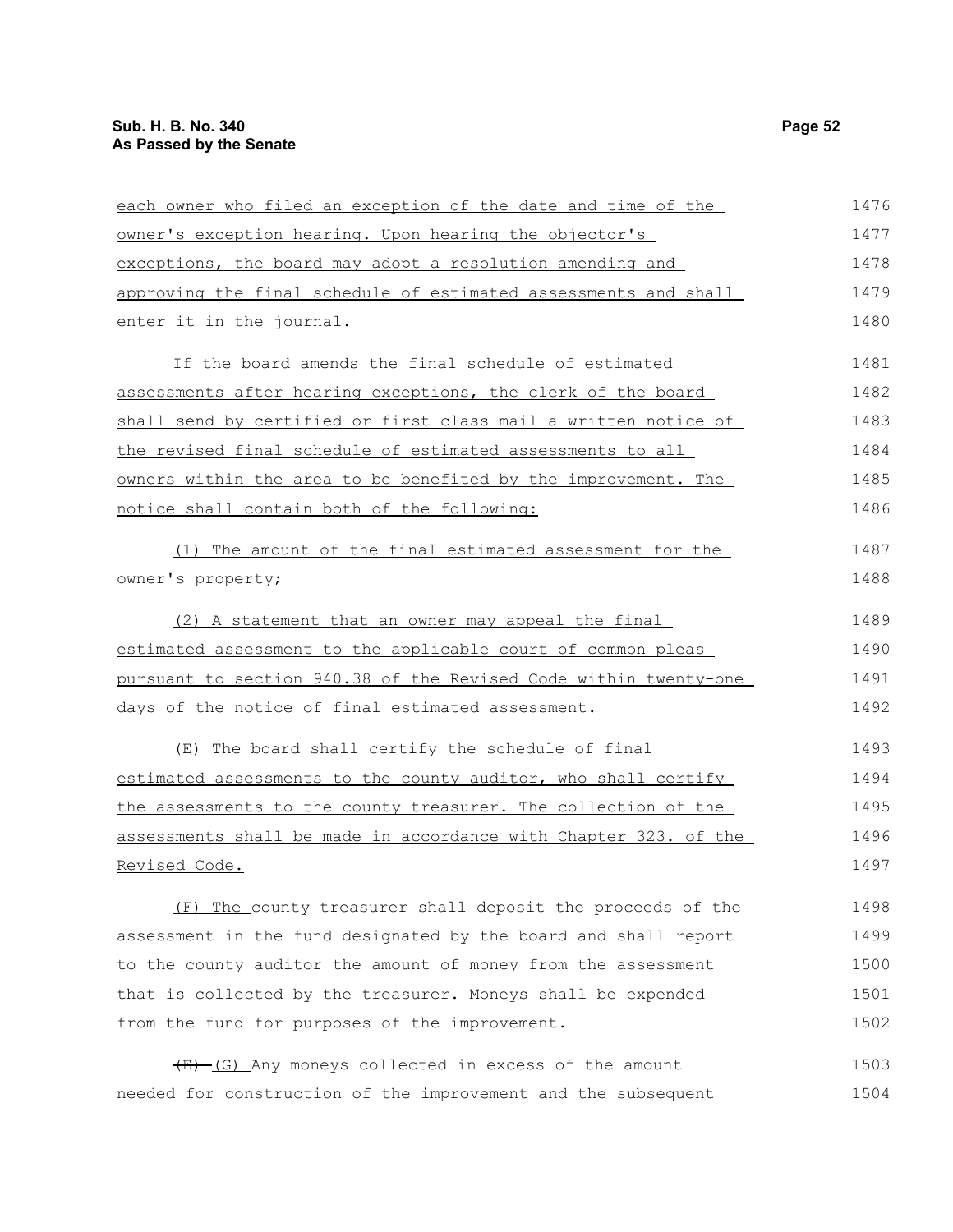| each owner who filed an exception of the date and time of the            | 1476 |
|--------------------------------------------------------------------------|------|
| owner's exception hearing. Upon hearing the objector's                   | 1477 |
| exceptions, the board may adopt a resolution amending and                | 1478 |
| approving the final schedule of estimated assessments and shall          | 1479 |
| enter it in the journal.                                                 | 1480 |
| If the board amends the final schedule of estimated                      | 1481 |
| assessments after hearing exceptions, the clerk of the board             | 1482 |
| shall send by certified or first class mail a written notice of          | 1483 |
| the revised final schedule of estimated assessments to all               | 1484 |
| <u>owners within the area to be benefited by the improvement. The </u>   | 1485 |
| notice shall contain both of the following:                              | 1486 |
| (1) The amount of the final estimated assessment for the                 | 1487 |
| owner's property;                                                        | 1488 |
| (2) A statement that an owner may appeal the final                       | 1489 |
| estimated assessment to the applicable court of common pleas             | 1490 |
| pursuant to section 940.38 of the Revised Code within twenty-one         | 1491 |
| days of the notice of final estimated assessment.                        | 1492 |
| (E) The board shall certify the schedule of final                        | 1493 |
| estimated assessments to the county auditor, who shall certify           | 1494 |
| the assessments to the county treasurer. The collection of the           | 1495 |
| <u>assessments shall be made in accordance with Chapter 323. of the </u> | 1496 |
| Revised Code.                                                            | 1497 |
| (F) The county treasurer shall deposit the proceeds of the               | 1498 |
| assessment in the fund designated by the board and shall report          | 1499 |
| to the county auditor the amount of money from the assessment            | 1500 |
| that is collected by the treasurer. Moneys shall be expended             | 1501 |
| from the fund for purposes of the improvement.                           | 1502 |
| $(E)$ (G) Any moneys collected in excess of the amount                   | 1503 |
| needed for construction of the improvement and the subsequent            | 1504 |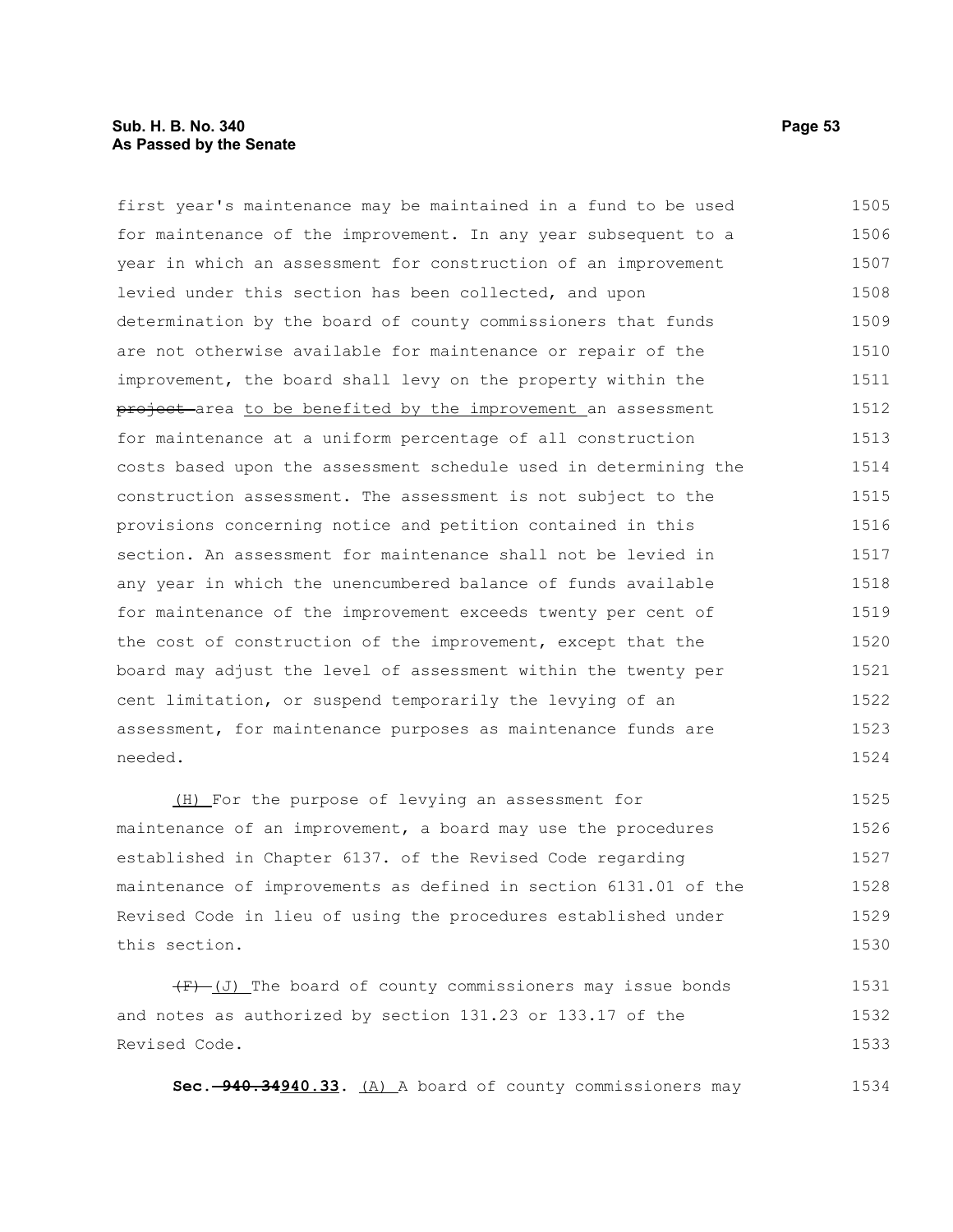### **Sub. H. B. No. 340 Page 53 As Passed by the Senate**

first year's maintenance may be maintained in a fund to be used for maintenance of the improvement. In any year subsequent to a year in which an assessment for construction of an improvement levied under this section has been collected, and upon determination by the board of county commissioners that funds are not otherwise available for maintenance or repair of the improvement, the board shall levy on the property within the project area to be benefited by the improvement an assessment for maintenance at a uniform percentage of all construction costs based upon the assessment schedule used in determining the construction assessment. The assessment is not subject to the provisions concerning notice and petition contained in this section. An assessment for maintenance shall not be levied in any year in which the unencumbered balance of funds available for maintenance of the improvement exceeds twenty per cent of the cost of construction of the improvement, except that the board may adjust the level of assessment within the twenty per cent limitation, or suspend temporarily the levying of an assessment, for maintenance purposes as maintenance funds are needed. 1505 1506 1507 1508 1509 1510 1511 1512 1513 1514 1515 1516 1517 1518 1519 1520 1521 1522 1523 1524

(H) For the purpose of levying an assessment for maintenance of an improvement, a board may use the procedures established in Chapter 6137. of the Revised Code regarding maintenance of improvements as defined in section 6131.01 of the Revised Code in lieu of using the procedures established under this section. 1525 1526 1527 1528 1529 1530

 $(F)$  (J) The board of county commissioners may issue bonds and notes as authorized by section 131.23 or 133.17 of the Revised Code. 1531 1532 1533

**Sec. 940.34940.33.** (A) A board of county commissioners may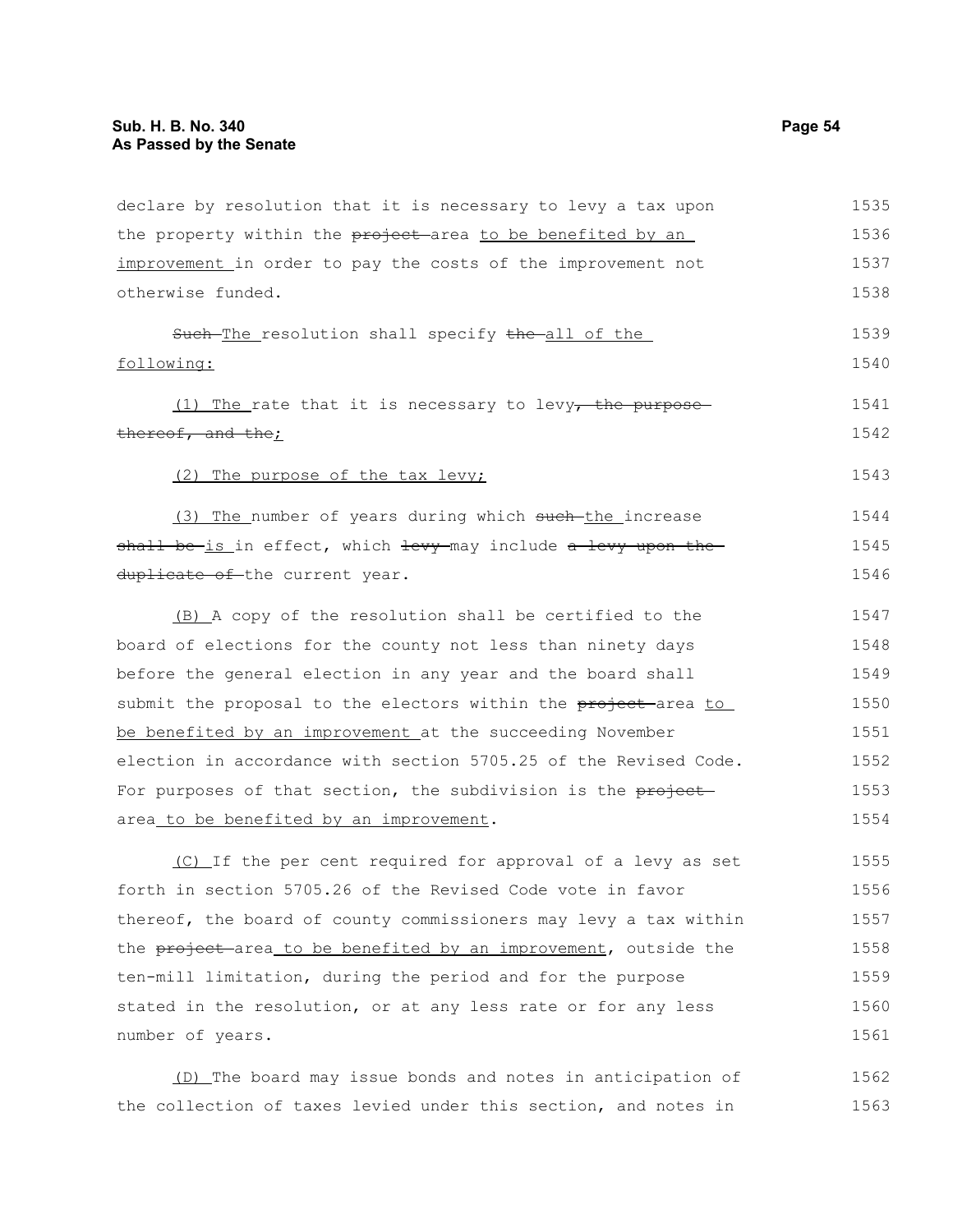| declare by resolution that it is necessary to levy a tax upon    | 1535 |
|------------------------------------------------------------------|------|
| the property within the project area to be benefited by an       | 1536 |
| improvement in order to pay the costs of the improvement not     | 1537 |
| otherwise funded.                                                | 1538 |
| Such-The resolution shall specify the all of the                 | 1539 |
| following:                                                       | 1540 |
| $(1)$ The rate that it is necessary to levy, the purpose-        | 1541 |
| thereof, and the;                                                | 1542 |
| (2) The purpose of the tax levy;                                 | 1543 |
| (3) The number of years during which such-the increase           | 1544 |
| shall be is in effect, which levy may include a levy upon the    | 1545 |
| duplicate of the current year.                                   | 1546 |
| (B) A copy of the resolution shall be certified to the           | 1547 |
| board of elections for the county not less than ninety days      | 1548 |
| before the general election in any year and the board shall      | 1549 |
| submit the proposal to the electors within the project area to   | 1550 |
| be benefited by an improvement at the succeeding November        | 1551 |
| election in accordance with section 5705.25 of the Revised Code. | 1552 |
| For purposes of that section, the subdivision is the project     | 1553 |
| area_to be benefited by an improvement.                          | 1554 |
| (C) If the per cent required for approval of a levy as set       | 1555 |
| forth in section 5705.26 of the Revised Code vote in favor       | 1556 |
| thereof, the board of county commissioners may levy a tax within | 1557 |
| the project area to be benefited by an improvement, outside the  | 1558 |
| ten-mill limitation, during the period and for the purpose       | 1559 |
| stated in the resolution, or at any less rate or for any less    | 1560 |
| number of years.                                                 | 1561 |
| (D) The board may issue bonds and notes in anticipation of       | 1562 |
| the collection of taxes levied under this section, and notes in  | 1563 |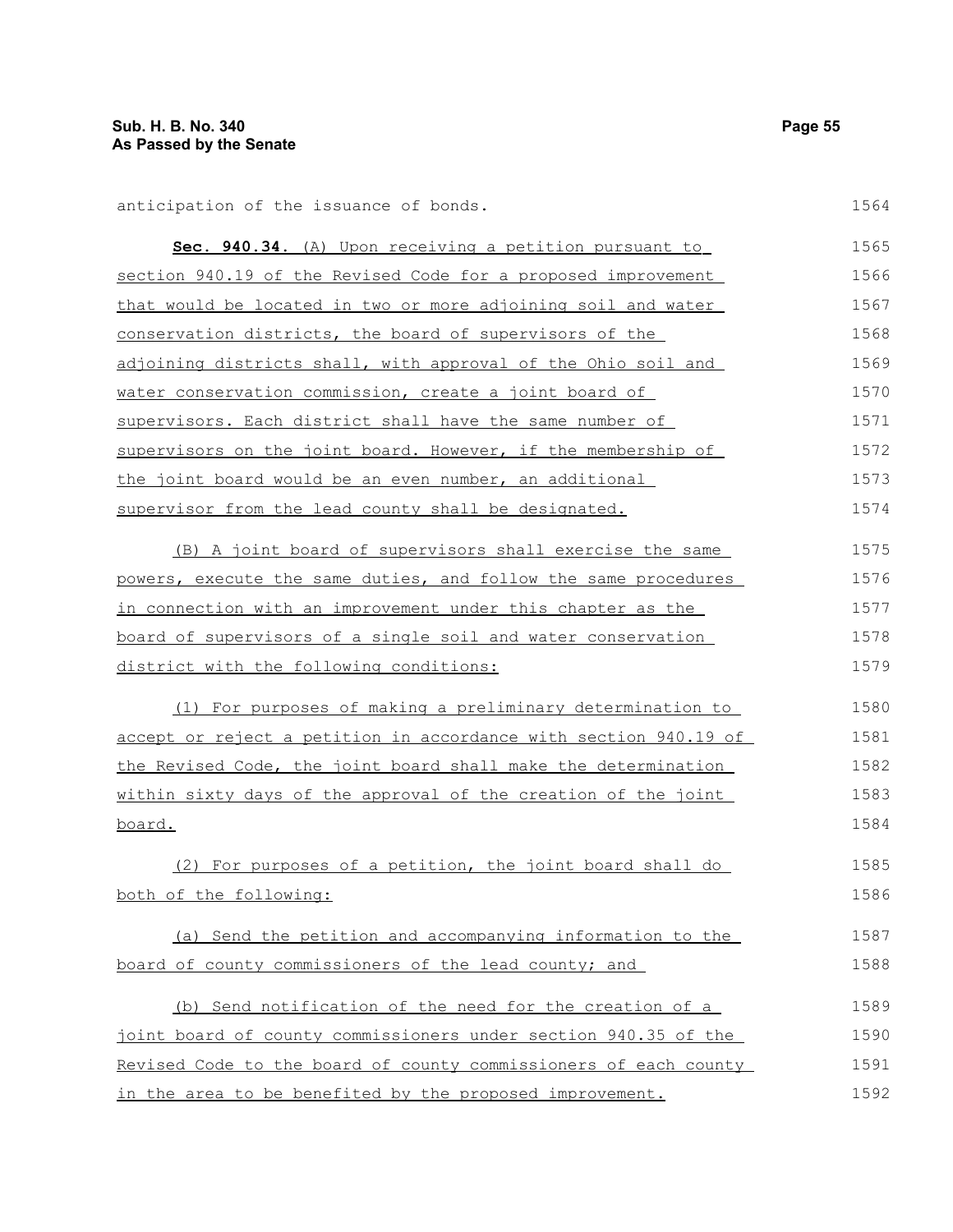anticipation of the issuance of bonds.

| Sec. 940.34. (A) Upon receiving a petition pursuant to               | 1565  |
|----------------------------------------------------------------------|-------|
| section 940.19 of the Revised Code for a proposed improvement        | 1566  |
| <u>that would be located in two or more adjoining soil and water</u> | 1567  |
| conservation districts, the board of supervisors of the              | 1568  |
| adjoining districts shall, with approval of the Ohio soil and        | 1569  |
| water conservation commission, create a joint board of               | 1570  |
| supervisors. Each district shall have the same number of             | 1.571 |
| supervisors on the joint board. However, if the membership of        | 1572  |
| the joint board would be an even number, an additional               | 1573  |
| supervisor from the lead county shall be designated.                 | 1574  |
| (B) A joint board of supervisors shall exercise the same             | 1575  |
| powers, execute the same duties, and follow the same procedures      | 1576  |
| in connection with an improvement under this chapter as the          | 1577  |
| board of supervisors of a single soil and water conservation         | 1578  |
| district with the following conditions:                              | 1579  |
| (1) For purposes of making a preliminary determination to            | 1580  |
| accept or reject a petition in accordance with section 940.19 of     | 1581  |
| the Revised Code, the joint board shall make the determination       | 1582  |
| within sixty days of the approval of the creation of the joint       | 1583  |
| board.                                                               | 1584  |
| (2) For purposes of a petition, the joint board shall do             | 1585  |
| both of the following:                                               | 1586  |
| (a) Send the petition and accompanying information to the            | 1587  |
| board of county commissioners of the lead county; and                | 1588  |
| (b) Send notification of the need for the creation of a              | 1589  |
| joint board of county commissioners under section 940.35 of the      | 1590  |
| Revised Code to the board of county commissioners of each county     | 1591  |
| in the area to be benefited by the proposed improvement.             | 1592  |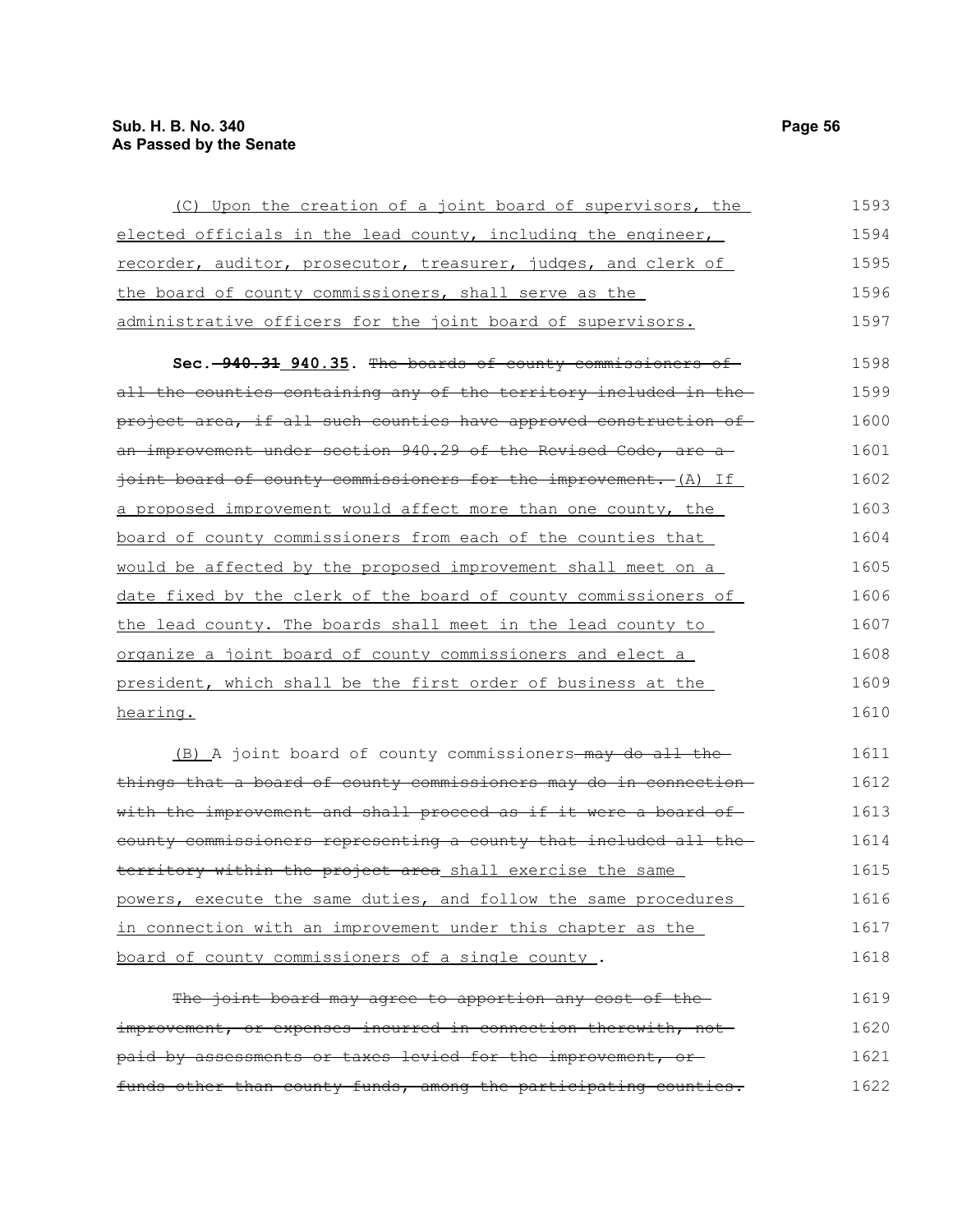| (C) Upon the creation of a joint board of supervisors, the        | 1593 |
|-------------------------------------------------------------------|------|
| elected officials in the lead county, including the engineer,     | 1594 |
| recorder, auditor, prosecutor, treasurer, judges, and clerk of    | 1595 |
| the board of county commissioners, shall serve as the             | 1596 |
| administrative officers for the joint board of supervisors.       | 1597 |
| Sec. -940.31 940.35. The boards of county commissioners of        | 1598 |
| all the counties containing any of the territory included in the  | 1599 |
| project area, if all such counties have approved construction of  | 1600 |
| an improvement under section 940.29 of the Revised Code, are a    | 1601 |
| joint board of county commissioners for the improvement. (A) If   | 1602 |
| a proposed improvement would affect more than one county, the     | 1603 |
| board of county commissioners from each of the counties that      | 1604 |
| would be affected by the proposed improvement shall meet on a     | 1605 |
| date fixed by the clerk of the board of county commissioners of   | 1606 |
| the lead county. The boards shall meet in the lead county to      | 1607 |
| organize a joint board of county commissioners and elect a        | 1608 |
| president, which shall be the first order of business at the      | 1609 |
| hearing.                                                          | 1610 |
| (B) A joint board of county commissioners-may do all the-         | 1611 |
| things that a board of county commissioners may do in connection- | 1612 |
| with the improvement and shall proceed as if it were a board of-  | 1613 |
| county commissioners representing a county that included all the  | 1614 |
| territory within the project area shall exercise the same         | 1615 |
| powers, execute the same duties, and follow the same procedures   | 1616 |
| in connection with an improvement under this chapter as the       | 1617 |
| board of county commissioners of a single county.                 | 1618 |

The joint board may agree to apportion any cost of theimprovement, or expenses incurred in connection therewith, notpaid by assessments or taxes levied for the improvement, or funds other than county funds, among the participating counties. 1619 1620 1621 1622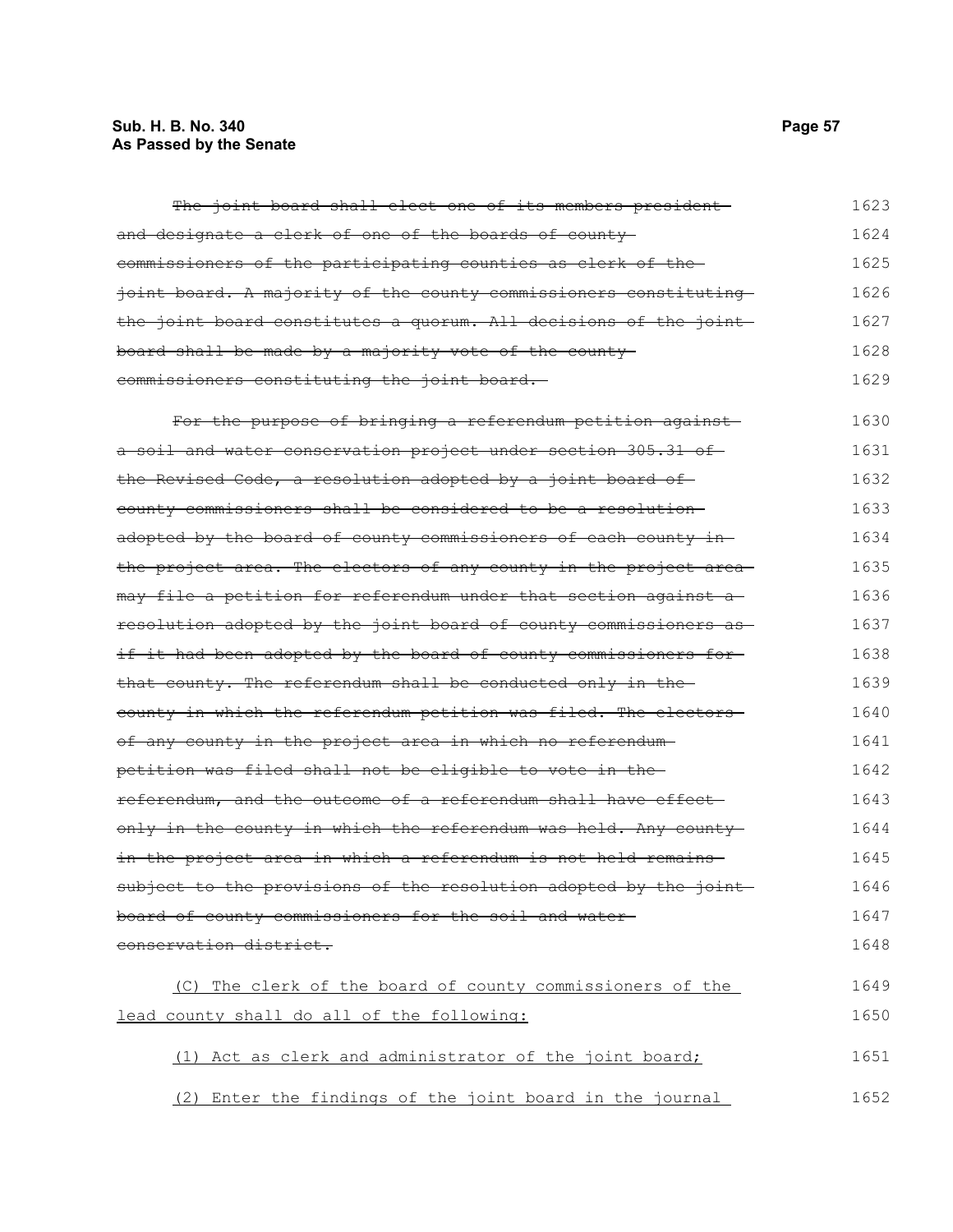# **Sub. H. B. No. 340 Page 57 As Passed by the Senate**

| The joint board shall elect one of its members president          | 1623 |
|-------------------------------------------------------------------|------|
| and designate a clerk of one of the boards of county-             | 1624 |
| commissioners of the participating counties as clerk of the-      | 1625 |
| joint board. A majority of the county commissioners constituting  | 1626 |
| the joint board constitutes a quorum. All decisions of the joint  | 1627 |
| board shall be made by a majority vote of the county-             | 1628 |
| commissioners constituting the joint board.                       | 1629 |
| For the purpose of bringing a referendum petition against         | 1630 |
| a soil and water conservation project under section 305.31 of     | 1631 |
| the Revised Code, a resolution adopted by a joint board of        | 1632 |
| county commissioners shall be considered to be a resolution-      | 1633 |
| adopted by the board of county commissioners of each county in-   | 1634 |
| the project area. The electors of any county in the project area- | 1635 |
| may file a petition for referendum under that section against a-  | 1636 |
| resolution adopted by the joint board of county commissioners as  | 1637 |
| if it had been adopted by the board of county commissioners for-  | 1638 |
| that county. The referendum shall be conducted only in the        | 1639 |
| county in which the referendum petition was filed. The electors-  | 1640 |
| of any county in the project area in which no referendum-         | 1641 |
| petition was filed shall not be eligible to vote in the-          | 1642 |
| referendum, and the outcome of a referendum shall have effect-    | 1643 |
| only in the county in which the referendum was held. Any county-  | 1644 |
| in the project area in which a referendum is not held remains     | 1645 |
| subject to the provisions of the resolution adopted by the joint  | 1646 |
| board of county commissioners for the soil and water-             | 1647 |
| conservation district.                                            | 1648 |
| (C) The clerk of the board of county commissioners of the         | 1649 |
| lead county shall do all of the following:                        | 1650 |
| (1) Act as clerk and administrator of the joint board;            | 1651 |
| Enter the findings of the joint board in the journal<br>(2)       | 1652 |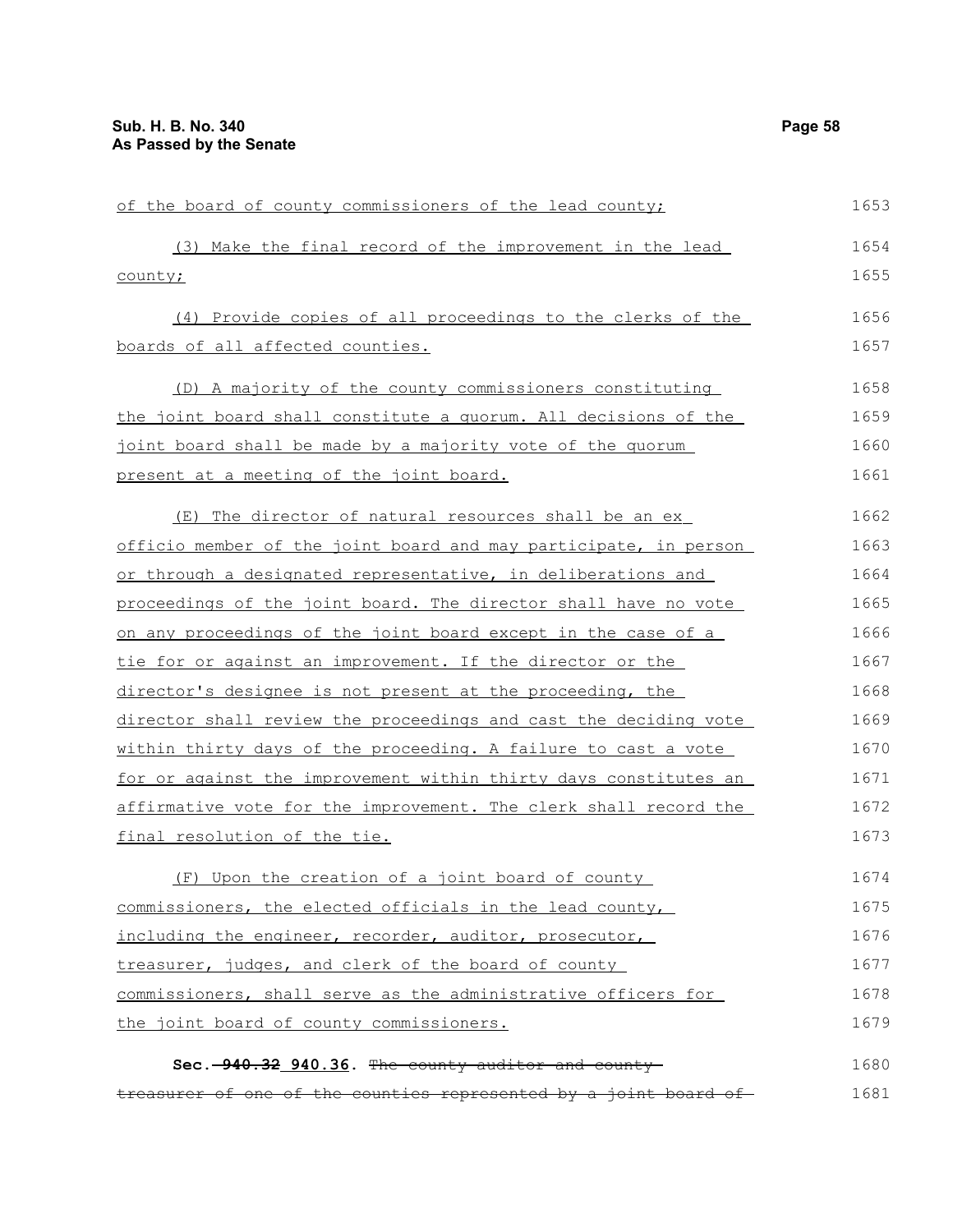| of the board of county commissioners of the lead county;         | 1653 |
|------------------------------------------------------------------|------|
| (3) Make the final record of the improvement in the lead         | 1654 |
| county;                                                          | 1655 |
| (4) Provide copies of all proceedings to the clerks of the       | 1656 |
| boards of all affected counties.                                 | 1657 |
| (D) A majority of the county commissioners constituting          | 1658 |
| the joint board shall constitute a quorum. All decisions of the  | 1659 |
| joint board shall be made by a majority vote of the quorum       | 1660 |
| present at a meeting of the joint board.                         | 1661 |
| (E) The director of natural resources shall be an ex             | 1662 |
| officio member of the joint board and may participate, in person | 1663 |
| or through a designated representative, in deliberations and     | 1664 |
| proceedings of the joint board. The director shall have no vote  | 1665 |
| on any proceedings of the joint board except in the case of a    | 1666 |
| tie for or against an improvement. If the director or the        | 1667 |
| director's designee is not present at the proceeding, the        | 1668 |
| director shall review the proceedings and cast the deciding vote | 1669 |
| within thirty days of the proceeding. A failure to cast a vote   | 1670 |
| for or against the improvement within thirty days constitutes an | 1671 |
| affirmative vote for the improvement. The clerk shall record the | 1672 |
| final resolution of the tie.                                     | 1673 |
| (F) Upon the creation of a joint board of county                 | 1674 |
| commissioners, the elected officials in the lead county,         | 1675 |
| including the engineer, recorder, auditor, prosecutor,           | 1676 |
| treasurer, judges, and clerk of the board of county              | 1677 |
| commissioners, shall serve as the administrative officers for    | 1678 |
| the joint board of county commissioners.                         | 1679 |
| Sec. 940.32 940.36. The county auditor and county-               | 1680 |
| treasurer of one of the counties represented by a joint board of | 1681 |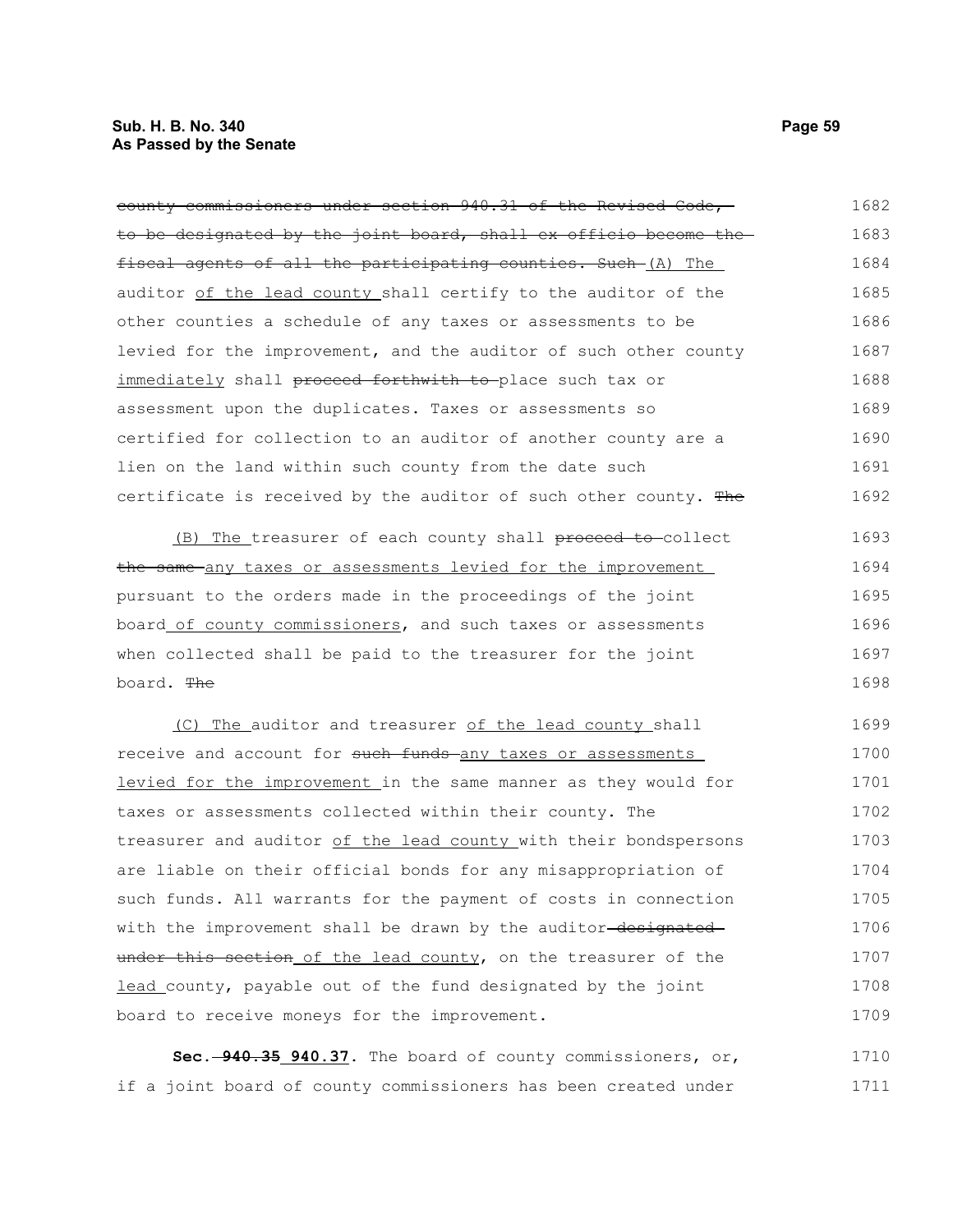#### **Sub. H. B. No. 340 Page 59 As Passed by the Senate**

| county commissioners under section 940.31 of the Revised Code,       | 1682 |
|----------------------------------------------------------------------|------|
| to be designated by the joint board, shall ex officio become the     | 1683 |
| fiscal agents of all the participating counties. Such-(A) The        | 1684 |
| auditor of the lead county shall certify to the auditor of the       | 1685 |
| other counties a schedule of any taxes or assessments to be          | 1686 |
| levied for the improvement, and the auditor of such other county     | 1687 |
| immediately shall <del>proceed forthwith to </del> place such tax or | 1688 |
| assessment upon the duplicates. Taxes or assessments so              | 1689 |
| certified for collection to an auditor of another county are a       | 1690 |
| lien on the land within such county from the date such               | 1691 |
| certificate is received by the auditor of such other county. The     | 1692 |
| (B) The treasurer of each county shall proceed to collect            | 1693 |
| the same any taxes or assessments levied for the improvement         | 1694 |
| pursuant to the orders made in the proceedings of the joint          | 1695 |
| board of county commissioners, and such taxes or assessments         | 1696 |
| when collected shall be paid to the treasurer for the joint          | 1697 |
| board. <del>The</del>                                                | 1698 |
| (C) The auditor and treasurer of the lead county shall               | 1699 |
| receive and account for such funds any taxes or assessments          | 1700 |

levied for the improvement in the same manner as they would for taxes or assessments collected within their county. The treasurer and auditor of the lead county with their bondspersons are liable on their official bonds for any misappropriation of such funds. All warrants for the payment of costs in connection with the improvement shall be drawn by the auditor-designatedunder this section of the lead county, on the treasurer of the lead county, payable out of the fund designated by the joint board to receive moneys for the improvement. 1701 1702 1703 1704 1705 1706 1707 1708 1709

**Sec. 940.35 940.37.** The board of county commissioners, or, if a joint board of county commissioners has been created under 1710 1711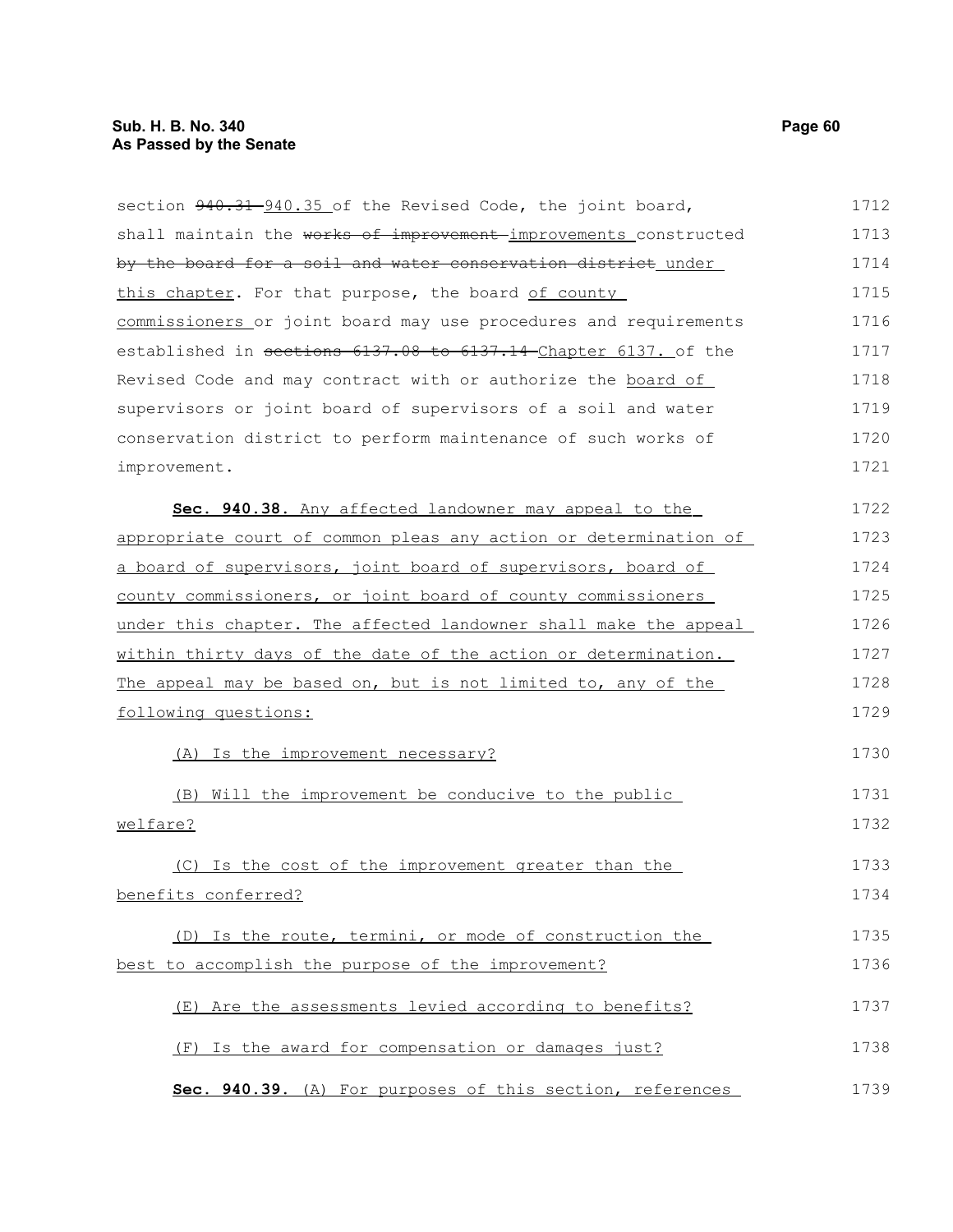| section 940.31 940.35 of the Revised Code, the joint board,      | 1712 |
|------------------------------------------------------------------|------|
| shall maintain the works of improvement improvements constructed | 1713 |
| by the board for a soil and water conservation district under    | 1714 |
| this chapter. For that purpose, the board of county              | 1715 |
| commissioners or joint board may use procedures and requirements | 1716 |
| established in sections 6137.08 to 6137.14 Chapter 6137. of the  | 1717 |
| Revised Code and may contract with or authorize the board of     | 1718 |
| supervisors or joint board of supervisors of a soil and water    | 1719 |
| conservation district to perform maintenance of such works of    | 1720 |
| improvement.                                                     | 1721 |
| Sec. 940.38. Any affected landowner may appeal to the            | 1722 |
| appropriate court of common pleas any action or determination of | 1723 |
| a board of supervisors, joint board of supervisors, board of     | 1724 |
| county commissioners, or joint board of county commissioners     | 1725 |
| under this chapter. The affected landowner shall make the appeal | 1726 |
| within thirty days of the date of the action or determination.   | 1727 |
| The appeal may be based on, but is not limited to, any of the    | 1728 |
| following questions:                                             | 1729 |
| (A) Is the improvement necessary?                                | 1730 |
| Will the improvement be conducive to the public<br>(B)           | 1731 |
| welfare?                                                         | 1732 |
| (C) Is the cost of the improvement greater than the              | 1733 |
| benefits conferred?                                              | 1734 |
| (D) Is the route, termini, or mode of construction the           | 1735 |
| best to accomplish the purpose of the improvement?               | 1736 |
| (E) Are the assessments levied according to benefits?            | 1737 |
| (F) Is the award for compensation or damages just?               | 1738 |
| Sec. 940.39. (A) For purposes of this section, references        | 1739 |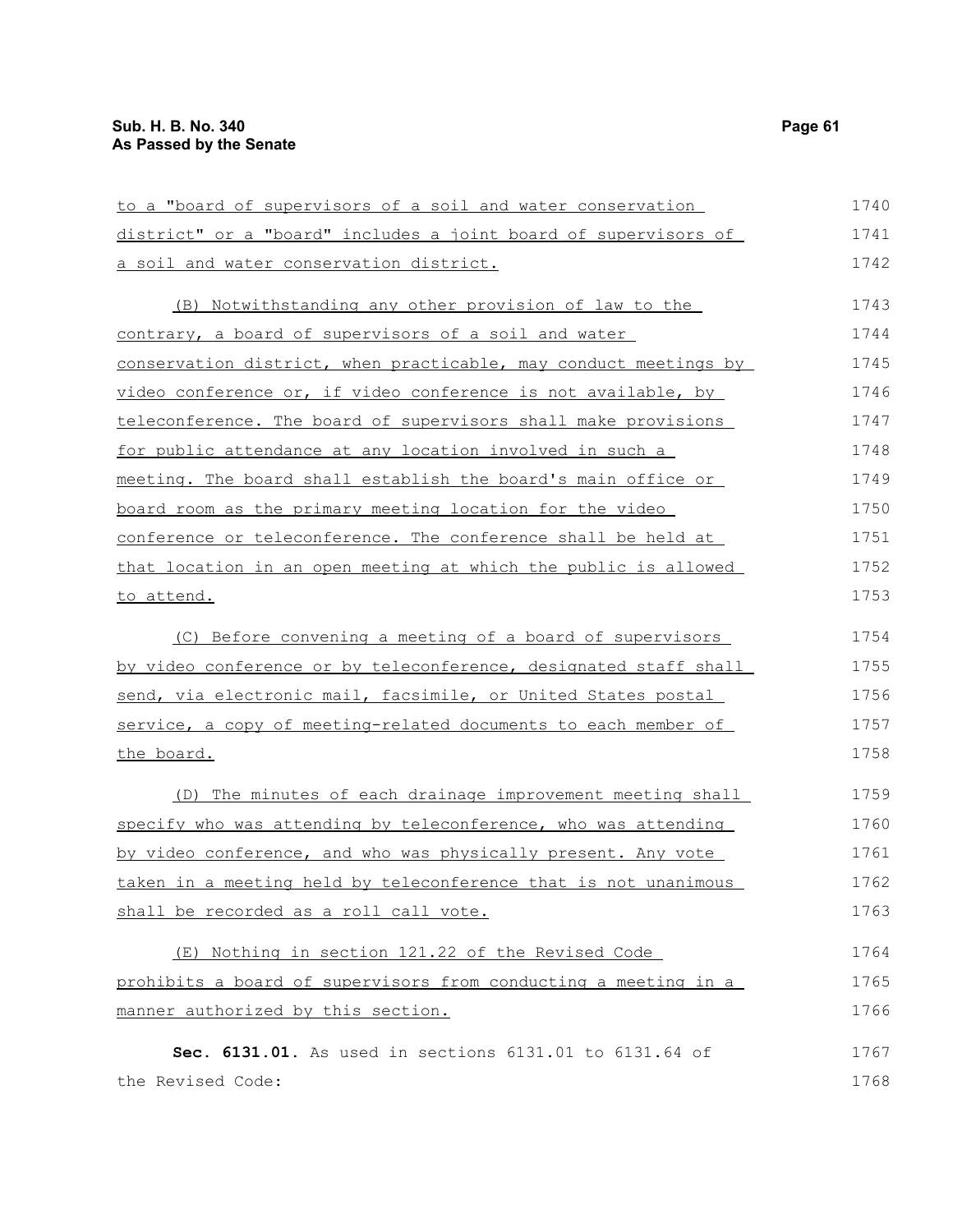| to a "board of supervisors of a soil and water conservation      | 1740 |
|------------------------------------------------------------------|------|
| district" or a "board" includes a joint board of supervisors of  | 1741 |
| a soil and water conservation district.                          | 1742 |
| (B) Notwithstanding any other provision of law to the            | 1743 |
| contrary, a board of supervisors of a soil and water             | 1744 |
| conservation district, when practicable, may conduct meetings by | 1745 |
| video conference or, if video conference is not available, by    | 1746 |
| teleconference. The board of supervisors shall make provisions   | 1747 |
| for public attendance at any location involved in such a         | 1748 |
| meeting. The board shall establish the board's main office or    | 1749 |
| board room as the primary meeting location for the video         | 1750 |
| conference or teleconference. The conference shall be held at    | 1751 |
| that location in an open meeting at which the public is allowed  | 1752 |
| to attend.                                                       | 1753 |
| (C) Before convening a meeting of a board of supervisors         | 1754 |
| by video conference or by teleconference, designated staff shall | 1755 |
| send, via electronic mail, facsimile, or United States postal    | 1756 |
| service, a copy of meeting-related documents to each member of   | 1757 |
| the board.                                                       | 1758 |
| (D) The minutes of each drainage improvement meeting shall       | 1759 |
| specify who was attending by teleconference, who was attending   | 1760 |
| by video conference, and who was physically present. Any vote    | 1761 |
| taken in a meeting held by teleconference that is not unanimous  | 1762 |
| shall be recorded as a roll call vote.                           | 1763 |
| (E) Nothing in section 121.22 of the Revised Code                | 1764 |
| prohibits a board of supervisors from conducting a meeting in a  | 1765 |
| manner authorized by this section.                               | 1766 |
| Sec. 6131.01. As used in sections 6131.01 to 6131.64 of          | 1767 |
| the Revised Code:                                                | 1768 |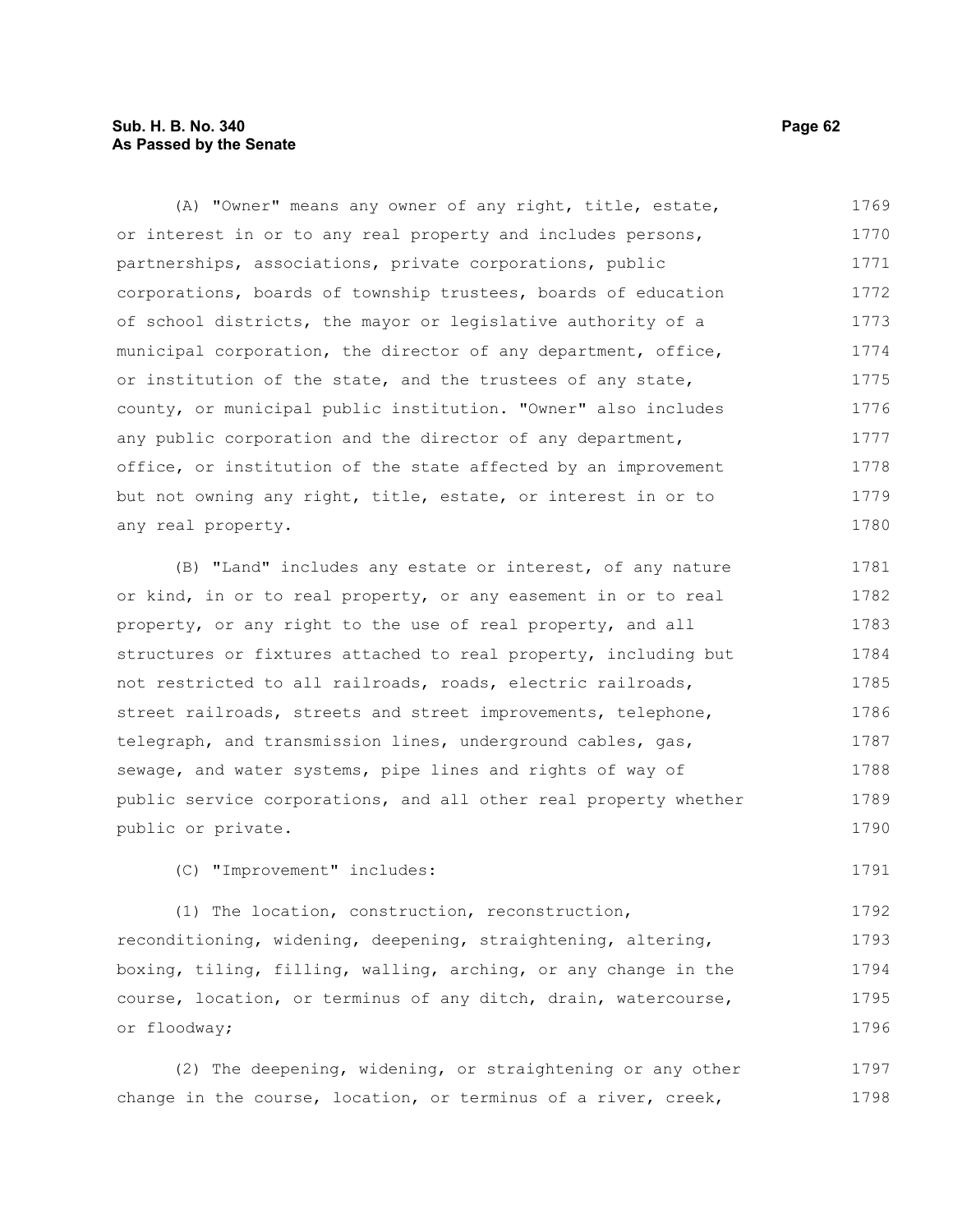### **Sub. H. B. No. 340 Page 62 As Passed by the Senate**

(A) "Owner" means any owner of any right, title, estate, or interest in or to any real property and includes persons, partnerships, associations, private corporations, public corporations, boards of township trustees, boards of education of school districts, the mayor or legislative authority of a municipal corporation, the director of any department, office, or institution of the state, and the trustees of any state, county, or municipal public institution. "Owner" also includes any public corporation and the director of any department, office, or institution of the state affected by an improvement but not owning any right, title, estate, or interest in or to any real property. 1769 1770 1771 1772 1773 1774 1775 1776 1777 1778 1779 1780

(B) "Land" includes any estate or interest, of any nature or kind, in or to real property, or any easement in or to real property, or any right to the use of real property, and all structures or fixtures attached to real property, including but not restricted to all railroads, roads, electric railroads, street railroads, streets and street improvements, telephone, telegraph, and transmission lines, underground cables, gas, sewage, and water systems, pipe lines and rights of way of public service corporations, and all other real property whether public or private. 1781 1782 1783 1784 1785 1786 1787 1788 1789 1790

(C) "Improvement" includes:

(1) The location, construction, reconstruction, reconditioning, widening, deepening, straightening, altering, boxing, tiling, filling, walling, arching, or any change in the course, location, or terminus of any ditch, drain, watercourse, or floodway; 1792 1793 1794 1795 1796

(2) The deepening, widening, or straightening or any other change in the course, location, or terminus of a river, creek, 1797 1798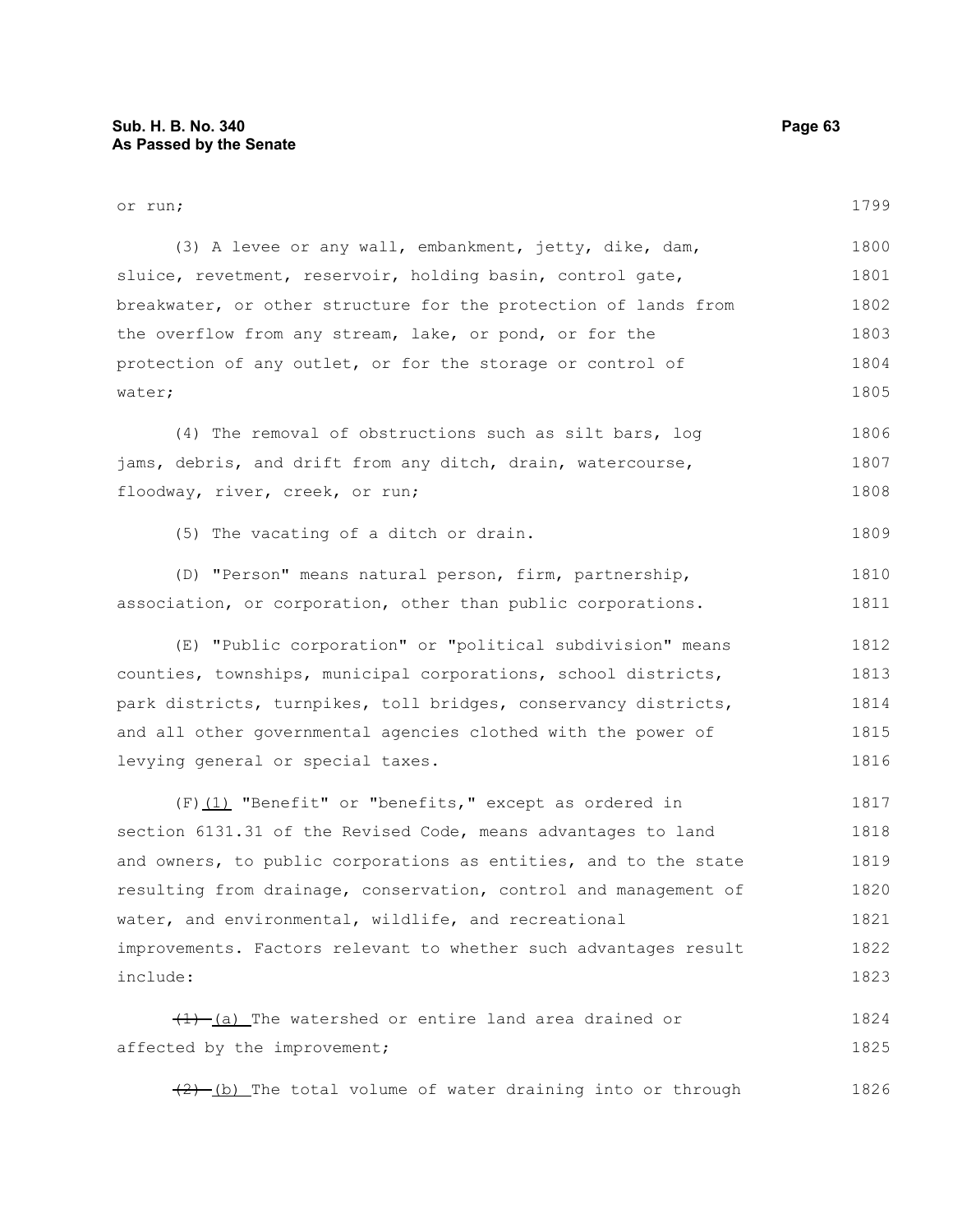| or run;                                                          | 1799 |
|------------------------------------------------------------------|------|
| (3) A levee or any wall, embankment, jetty, dike, dam,           | 1800 |
| sluice, revetment, reservoir, holding basin, control gate,       | 1801 |
| breakwater, or other structure for the protection of lands from  | 1802 |
| the overflow from any stream, lake, or pond, or for the          | 1803 |
| protection of any outlet, or for the storage or control of       | 1804 |
| water;                                                           | 1805 |
| (4) The removal of obstructions such as silt bars, log           | 1806 |
| jams, debris, and drift from any ditch, drain, watercourse,      | 1807 |
| floodway, river, creek, or run;                                  | 1808 |
| (5) The vacating of a ditch or drain.                            | 1809 |
| (D) "Person" means natural person, firm, partnership,            | 1810 |
| association, or corporation, other than public corporations.     | 1811 |
| (E) "Public corporation" or "political subdivision" means        | 1812 |
| counties, townships, municipal corporations, school districts,   | 1813 |
| park districts, turnpikes, toll bridges, conservancy districts,  | 1814 |
| and all other governmental agencies clothed with the power of    | 1815 |
| levying general or special taxes.                                | 1816 |
| $(F)$ (1) "Benefit" or "benefits," except as ordered in          | 1817 |
| section 6131.31 of the Revised Code, means advantages to land    | 1818 |
| and owners, to public corporations as entities, and to the state | 1819 |
| resulting from drainage, conservation, control and management of | 1820 |
| water, and environmental, wildlife, and recreational             | 1821 |
| improvements. Factors relevant to whether such advantages result | 1822 |
| include:                                                         | 1823 |
| $\frac{1}{1}$ (a) The watershed or entire land area drained or   | 1824 |
| affected by the improvement;                                     | 1825 |
| $(2)$ (b) The total volume of water draining into or through     | 1826 |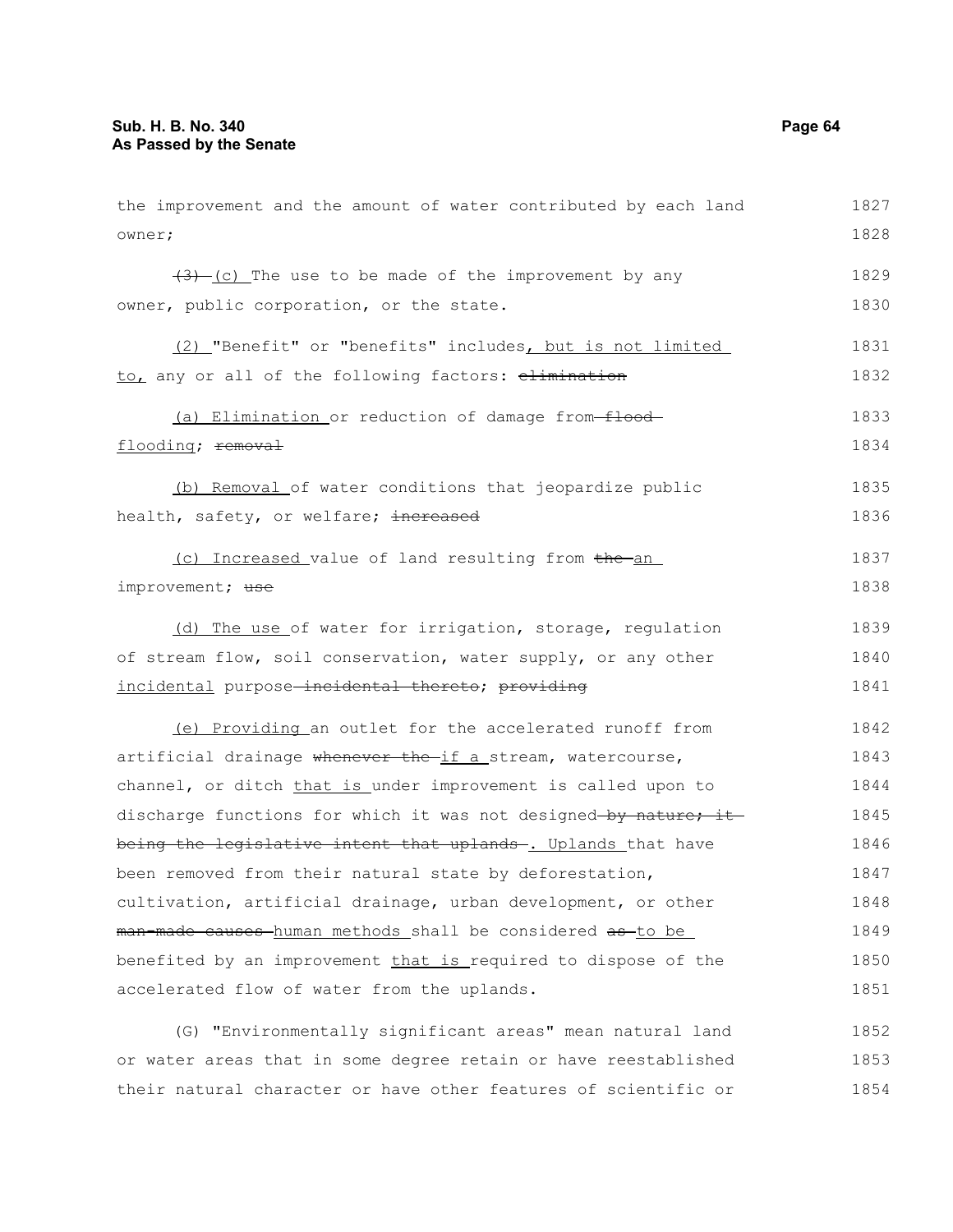| the improvement and the amount of water contributed by each land                    | 1827 |
|-------------------------------------------------------------------------------------|------|
| owner;                                                                              | 1828 |
| $\frac{1}{2}$ (c) The use to be made of the improvement by any                      | 1829 |
| owner, public corporation, or the state.                                            | 1830 |
| (2) "Benefit" or "benefits" includes, but is not limited                            | 1831 |
| to, any or all of the following factors: elimination                                | 1832 |
| (a) Elimination or reduction of damage from-flood-                                  | 1833 |
| flooding; removal                                                                   | 1834 |
| (b) Removal of water conditions that jeopardize public                              | 1835 |
| health, safety, or welfare; increased                                               | 1836 |
| (c) Increased value of land resulting from the an                                   | 1837 |
| improvement; use                                                                    | 1838 |
| (d) The use of water for irrigation, storage, regulation                            | 1839 |
| of stream flow, soil conservation, water supply, or any other                       | 1840 |
| incidental purpose-incidental thereto; providing                                    | 1841 |
| (e) Providing an outlet for the accelerated runoff from                             | 1842 |
| artificial drainage whenever the if a stream, watercourse,                          | 1843 |
| channel, or ditch that is under improvement is called upon to                       | 1844 |
| discharge functions for which it was not designed-by nature; it                     | 1845 |
| being the legislative intent that uplands . Uplands that have                       | 1846 |
| been removed from their natural state by deforestation,                             | 1847 |
| cultivation, artificial drainage, urban development, or other                       | 1848 |
| <del>man-made causes h</del> uman methods shall be considered <del>as to be l</del> | 1849 |
| benefited by an improvement that is required to dispose of the                      | 1850 |
| accelerated flow of water from the uplands.                                         | 1851 |
| (G) "Environmentally significant areas" mean natural land                           | 1852 |

or water areas that in some degree retain or have reestablished 1853 their natural character or have other features of scientific or 1854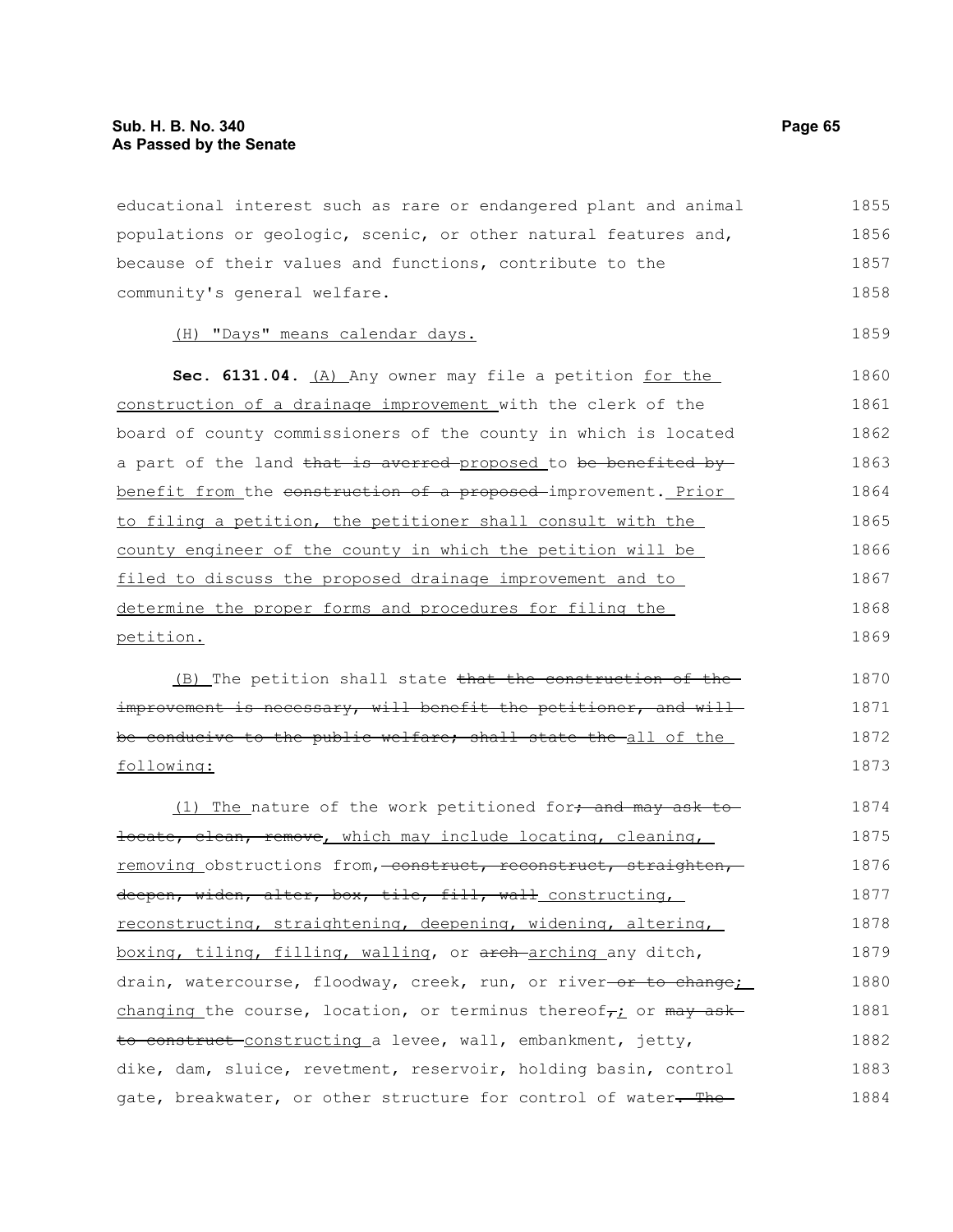educational interest such as rare or endangered plant and animal populations or geologic, scenic, or other natural features and, because of their values and functions, contribute to the community's general welfare. 1855 1856 1857 1858

### (H) "Days" means calendar days.

Sec. 6131.04. (A) Any owner may file a petition for the construction of a drainage improvement with the clerk of the board of county commissioners of the county in which is located a part of the land that is averred-proposed to be benefited bybenefit from the construction of a proposed improvement. Prior to filing a petition, the petitioner shall consult with the county engineer of the county in which the petition will be filed to discuss the proposed drainage improvement and to determine the proper forms and procedures for filing the petition. 1860 1861 1862 1863 1864 1865 1866 1867 1868 1869

(B) The petition shall state that the construction of the improvement is necessary, will benefit the petitioner, and willbe conducive to the public welfare; shall state the all of the following: 1870 1871 1872 1873

(1) The\_nature of the work petitioned for $\frac{1}{2}$  and may ask tolocate, clean, remove, which may include locating, cleaning, removing obstructions from, construct, reconstruct, straighten, deepen, widen, alter, box, tile, fill, wall constructing, reconstructing, straightening, deepening, widening, altering, boxing, tiling, filling, walling, or arch arching any ditch, drain, watercourse, floodway, creek, run, or river-or to change; changing the course, location, or terminus thereof<sub>r</sub>; or  $m$ ay askto construct-constructing a levee, wall, embankment, jetty, dike, dam, sluice, revetment, reservoir, holding basin, control gate, breakwater, or other structure for control of water. The 1874 1875 1876 1877 1878 1879 1880 1881 1882 1883 1884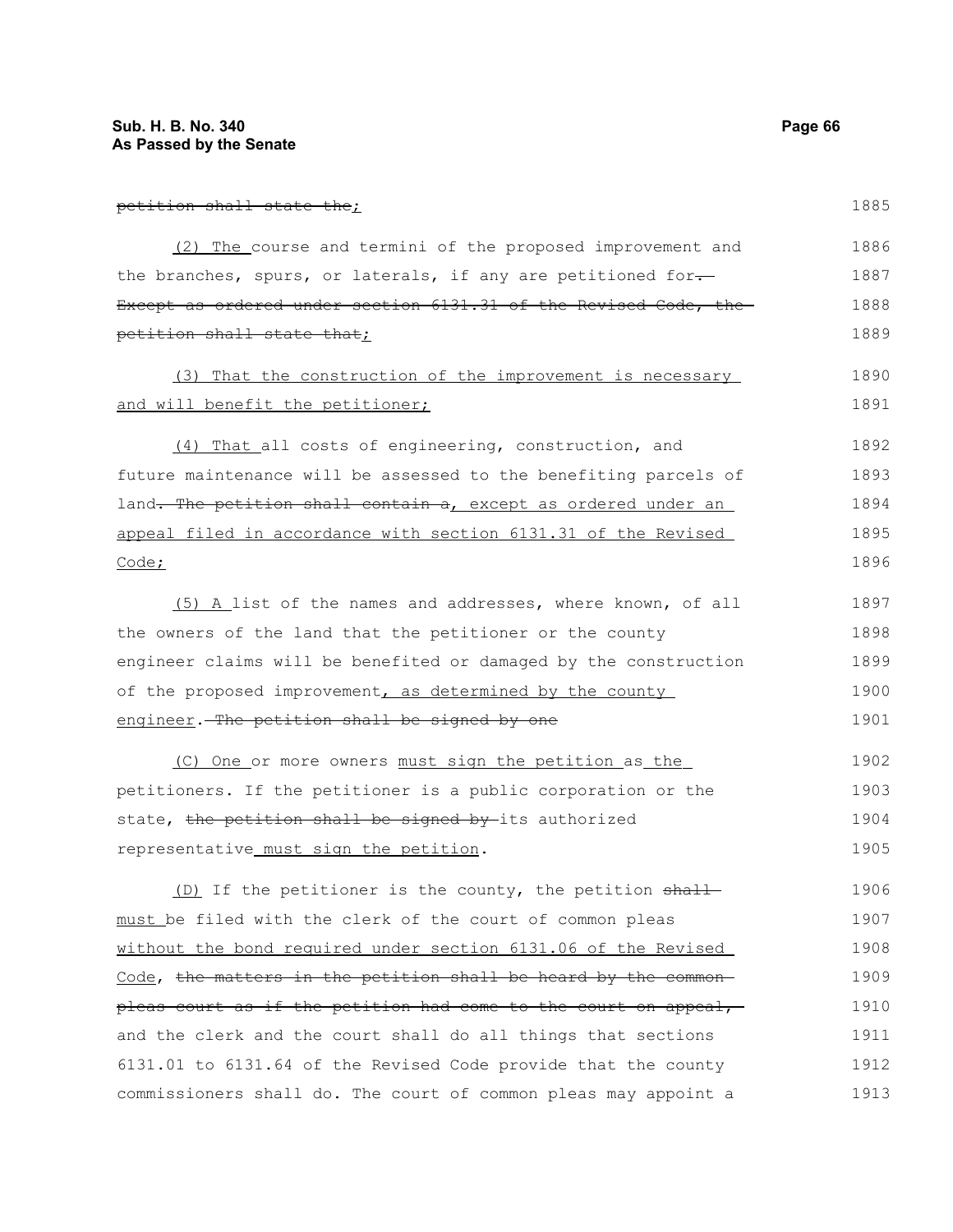1911

| petition shall state the;                                               | 1885 |
|-------------------------------------------------------------------------|------|
| (2) The course and termini of the proposed improvement and              | 1886 |
| the branches, spurs, or laterals, if any are petitioned for.            | 1887 |
| Except as ordered under section 6131.31 of the Revised Code, the        | 1888 |
| petition shall state that;                                              | 1889 |
| (3) That the construction of the improvement is necessary               | 1890 |
| and will benefit the petitioner;                                        | 1891 |
| (4) That all costs of engineering, construction, and                    | 1892 |
| future maintenance will be assessed to the benefiting parcels of        | 1893 |
| land. The petition shall contain a, except as ordered under an          | 1894 |
| appeal filed in accordance with section 6131.31 of the Revised          | 1895 |
| Code;                                                                   | 1896 |
| (5) A list of the names and addresses, where known, of all              | 1897 |
| the owners of the land that the petitioner or the county                | 1898 |
| engineer claims will be benefited or damaged by the construction        | 1899 |
| of the proposed improvement, as determined by the county                | 1900 |
| engineer. The petition shall be signed by one                           | 1901 |
| (C) One or more owners must sign the petition as the                    | 1902 |
| petitioners. If the petitioner is a public corporation or the           | 1903 |
| state, the petition shall be signed by its authorized                   | 1904 |
| representative_must_sign_the_petition.                                  | 1905 |
| (D) If the petitioner is the county, the petition shall                 | 1906 |
| <u>must</u> be filed with the clerk of the court of common pleas        | 1907 |
| without the bond required under section 6131.06 of the Revised          | 1908 |
| <u>Code</u> , the matters in the petition shall be heard by the common- | 1909 |
| pleas court as if the petition had come to the court on appeal,         | 1910 |

6131.01 to 6131.64 of the Revised Code provide that the county commissioners shall do. The court of common pleas may appoint a 1912 1913

and the clerk and the court shall do all things that sections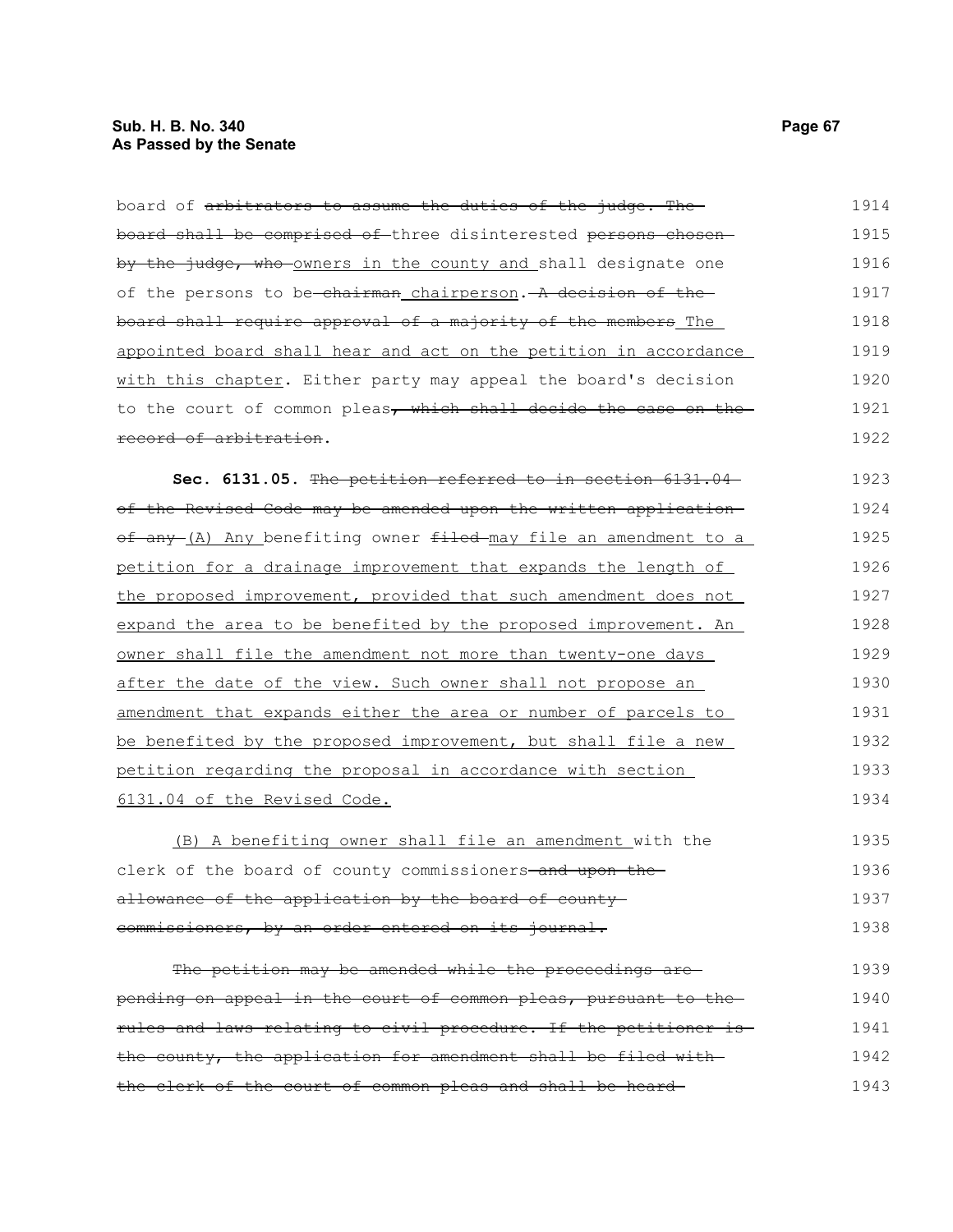# **Sub. H. B. No. 340 Page 67 As Passed by the Senate**

| board of arbitrators to assume the duties of the judge. The       | 1914 |
|-------------------------------------------------------------------|------|
| board shall be comprised of three disinterested persons chosen-   | 1915 |
| by the judge, who owners in the county and shall designate one    | 1916 |
| of the persons to be-chairman chairperson. A decision of the      | 1917 |
| board shall require approval of a majority of the members The     | 1918 |
| appointed board shall hear and act on the petition in accordance  | 1919 |
| with this chapter. Either party may appeal the board's decision   | 1920 |
| to the court of common pleas, which shall decide the case on the  | 1921 |
| record of arbitration.                                            | 1922 |
| Sec. 6131.05. The petition referred to in section 6131.04         | 1923 |
| of the Revised Code may be amended upon the written application-  | 1924 |
| of any (A) Any benefiting owner filed may file an amendment to a  | 1925 |
| petition for a drainage improvement that expands the length of    | 1926 |
| the proposed improvement, provided that such amendment does not   | 1927 |
| expand the area to be benefited by the proposed improvement. An   | 1928 |
| owner shall file the amendment not more than twenty-one days      | 1929 |
| after the date of the view. Such owner shall not propose an       | 1930 |
| amendment that expands either the area or number of parcels to    | 1931 |
| be benefited by the proposed improvement, but shall file a new    | 1932 |
| petition regarding the proposal in accordance with section        | 1933 |
| 6131.04 of the Revised Code.                                      | 1934 |
| (B) A benefiting owner shall file an amendment with the           | 1935 |
| clerk of the board of county commissioners-and upon the-          | 1936 |
| allowance of the application by the board of county-              | 1937 |
| commissioners, by an order entered on its journal.                | 1938 |
| The petition may be amended while the proceedings are-            | 1939 |
| pending on appeal in the court of common pleas, pursuant to the   | 1940 |
| rules and laws relating to civil procedure. If the petitioner is- | 1941 |
| the county, the application for amendment shall be filed with-    | 1942 |
| the clerk of the court of common pleas and shall be heard-        | 1943 |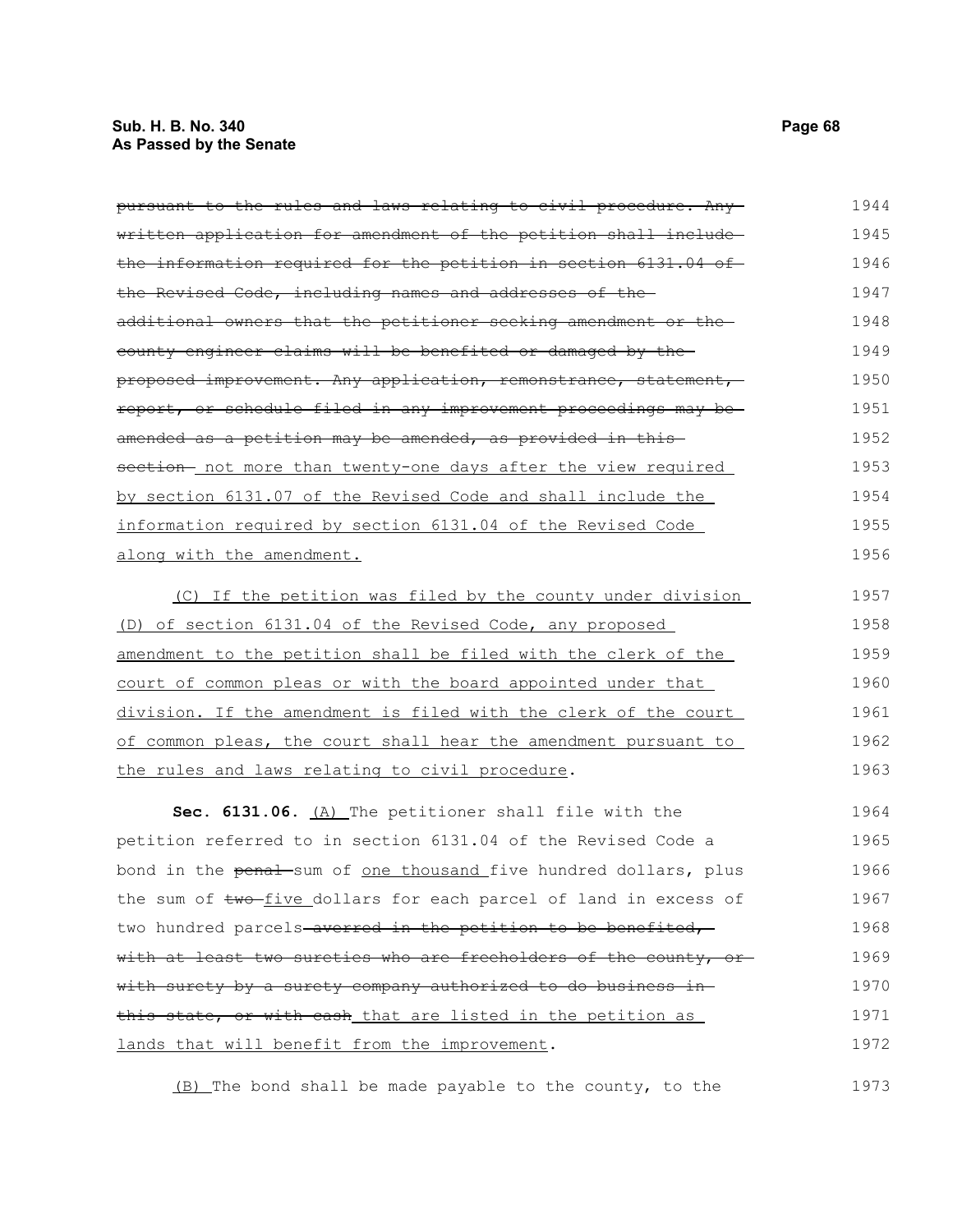### **Sub. H. B. No. 340 Page 68 As Passed by the Senate**

| pursuant to the rules and laws relating to civil procedure. Any- | 1944 |
|------------------------------------------------------------------|------|
| written application for amendment of the petition shall include- | 1945 |
| the information required for the petition in section 6131.04 of  | 1946 |
| the Revised Code, including names and addresses of the-          | 1947 |
| additional owners that the petitioner seeking amendment or the   | 1948 |
| county engineer claims will be benefited or damaged by the-      | 1949 |
| proposed improvement. Any application, remonstrance, statement,  | 1950 |
| report, or schedule filed in any improvement proceedings may be- | 1951 |
| amended as a petition may be amended, as provided in this-       | 1952 |
| section- not more than twenty-one days after the view required   | 1953 |
| by section 6131.07 of the Revised Code and shall include the     | 1954 |
| information required by section 6131.04 of the Revised Code      | 1955 |
| along with the amendment.                                        | 1956 |
| (C) If the petition was filed by the county under division       | 1957 |
| (D) of section 6131.04 of the Revised Code, any proposed         | 1958 |
| amendment to the petition shall be filed with the clerk of the   | 1959 |
| court of common pleas or with the board appointed under that     | 1960 |
| division. If the amendment is filed with the clerk of the court  | 1961 |
| of common pleas, the court shall hear the amendment pursuant to  | 1962 |

Sec. 6131.06. (A) The petitioner shall file with the petition referred to in section 6131.04 of the Revised Code a bond in the penal sum of one thousand five hundred dollars, plus the sum of two-five dollars for each parcel of land in excess of two hundred parcels-averred in the petition to be benefited, with at least two sureties who are freeholders of the county, orwith surety by a surety company authorized to do business inthis state, or with cash\_that are listed in the petition as lands that will benefit from the improvement. 1964 1965 1966 1967 1968 1969 1970 1971 1972

(B) The bond shall be made payable to the county, to the

the rules and laws relating to civil procedure.

1963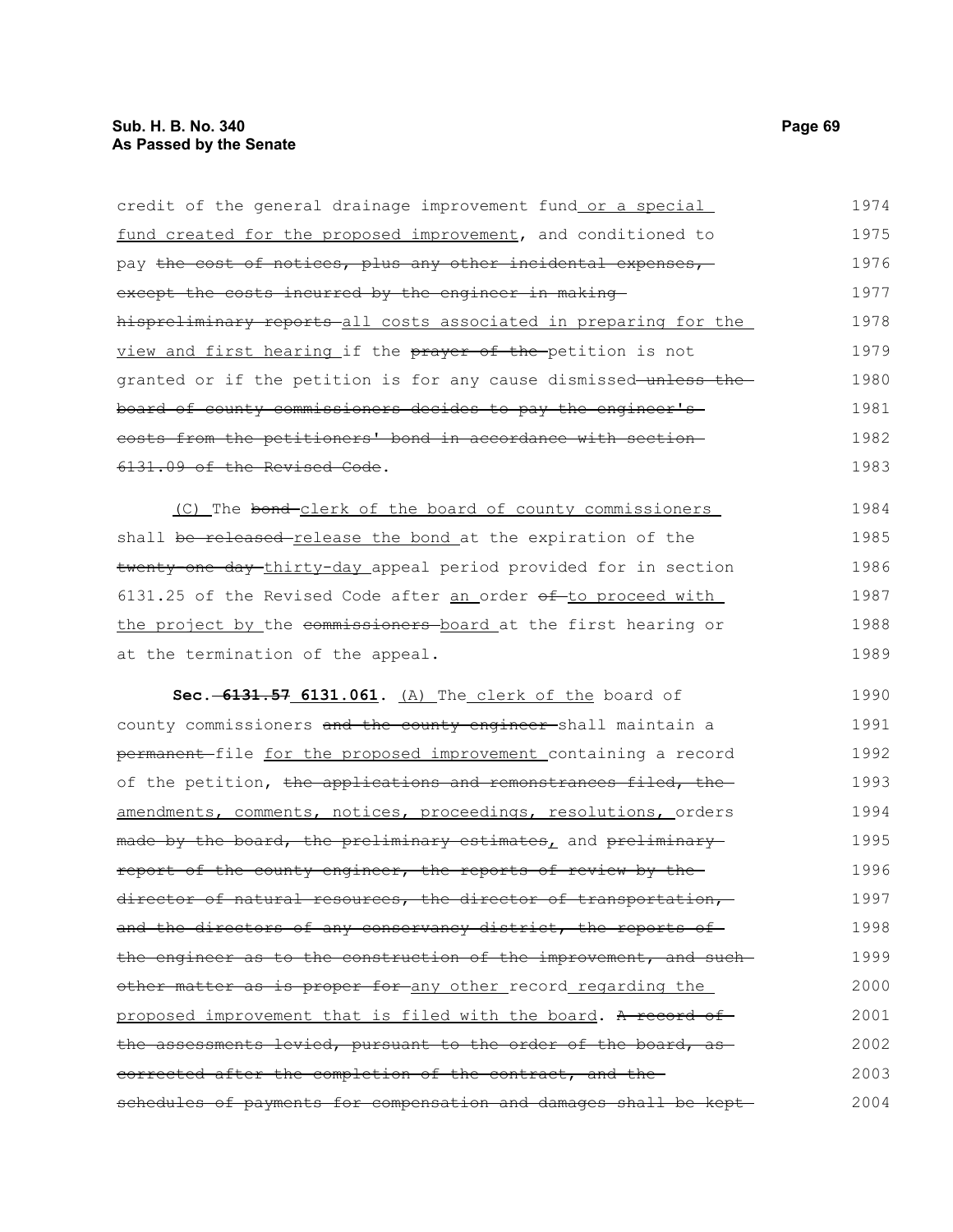credit of the general drainage improvement fund or a special fund created for the proposed improvement, and conditioned to pay the cost of notices, plus any other incidental expenses, except the costs incurred by the engineer in makinghispreliminary reports all costs associated in preparing for the view and first hearing if the prayer of the petition is not granted or if the petition is for any cause dismissed unless the board of county commissioners decides to pay the engineer's costs from the petitioners' bond in accordance with section 6131.09 of the Revised Code. (C) The bond-clerk of the board of county commissioners shall be released-release the bond at the expiration of the twenty-one day thirty-day appeal period provided for in section 6131.25 of the Revised Code after an order  $\theta$ f to proceed with the project by the commissioners board at the first hearing or at the termination of the appeal. **Sec. 6131.57 6131.061.** (A) The clerk of the board of county commissioners and the county engineer-shall maintain a permanent file for the proposed improvement containing a record of the petition, the applications and remonstrances filed, the amendments, comments, notices, proceedings, resolutions, orders made by the board, the preliminary estimates, and preliminaryreport of the county engineer, the reports of review by the director of natural resources, the director of transportation, and the directors of any conservancy district, the reports of the engineer as to the construction of the improvement, and suchother matter as is proper for any other record regarding the proposed improvement that is filed with the board. A record of the assessments levied, pursuant to the order of the board, as corrected after the completion of the contract, and the schedules of payments for compensation and damages shall be kept-1974 1975 1976 1977 1978 1979 1980 1981 1982 1983 1984 1985 1986 1987 1988 1989 1990 1991 1992 1993 1994 1995 1996 1997 1998 1999 2000 2001 2002 2003 2004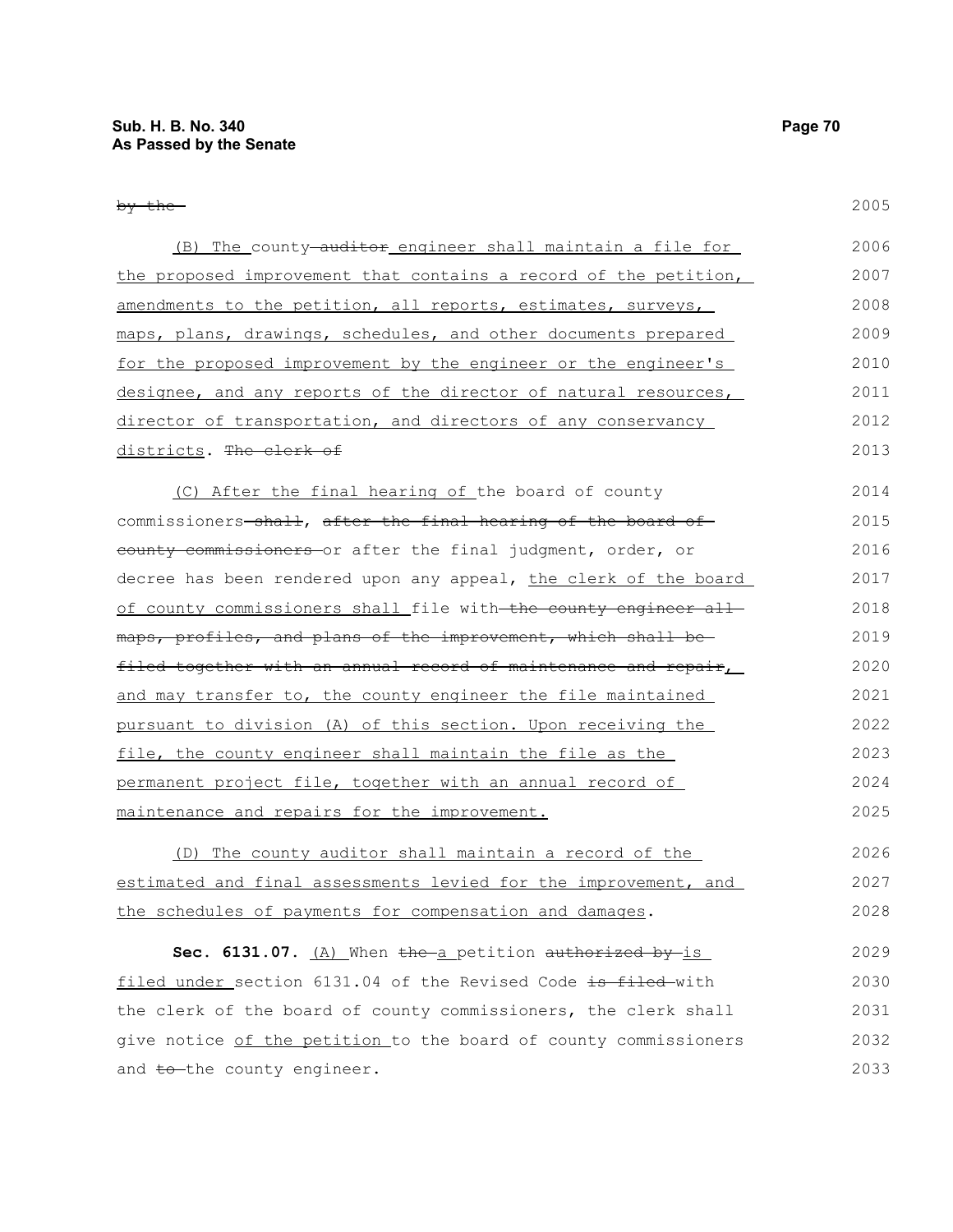and to the county engineer.

2005

| (B) The county auditor engineer shall maintain a file for        | 2006 |
|------------------------------------------------------------------|------|
| the proposed improvement that contains a record of the petition, | 2007 |
| amendments to the petition, all reports, estimates, surveys,     | 2008 |
| maps, plans, drawings, schedules, and other documents prepared   | 2009 |
| for the proposed improvement by the engineer or the engineer's   | 2010 |
| designee, and any reports of the director of natural resources,  | 2011 |
| director of transportation, and directors of any conservancy     | 2012 |
| districts. The clerk of                                          | 2013 |
| (C) After the final hearing of the board of county               | 2014 |
| commissioners-shall, after the final hearing of the board of     | 2015 |
| county commissioners or after the final judgment, order, or      | 2016 |
| decree has been rendered upon any appeal, the clerk of the board | 2017 |
| of county commissioners shall file with the county engineer all  | 2018 |
| maps, profiles, and plans of the improvement, which shall be-    | 2019 |
| filed together with an annual record of maintenance and repair,  | 2020 |
| and may transfer to, the county engineer the file maintained     | 2021 |
| pursuant to division (A) of this section. Upon receiving the     | 2022 |
| file, the county engineer shall maintain the file as the         | 2023 |
| permanent project file, together with an annual record of        | 2024 |
| maintenance and repairs for the improvement.                     | 2025 |
| (D) The county auditor shall maintain a record of the            | 2026 |
| estimated and final assessments levied for the improvement, and  | 2027 |
| the schedules of payments for compensation and damages.          | 2028 |
| Sec. 6131.07. (A) When the a petition authorized by is           | 2029 |
| filed under section 6131.04 of the Revised Code is filed-with    | 2030 |
| the clerk of the board of county commissioners, the clerk shall  | 2031 |
| give notice of the petition to the board of county commissioners | 2032 |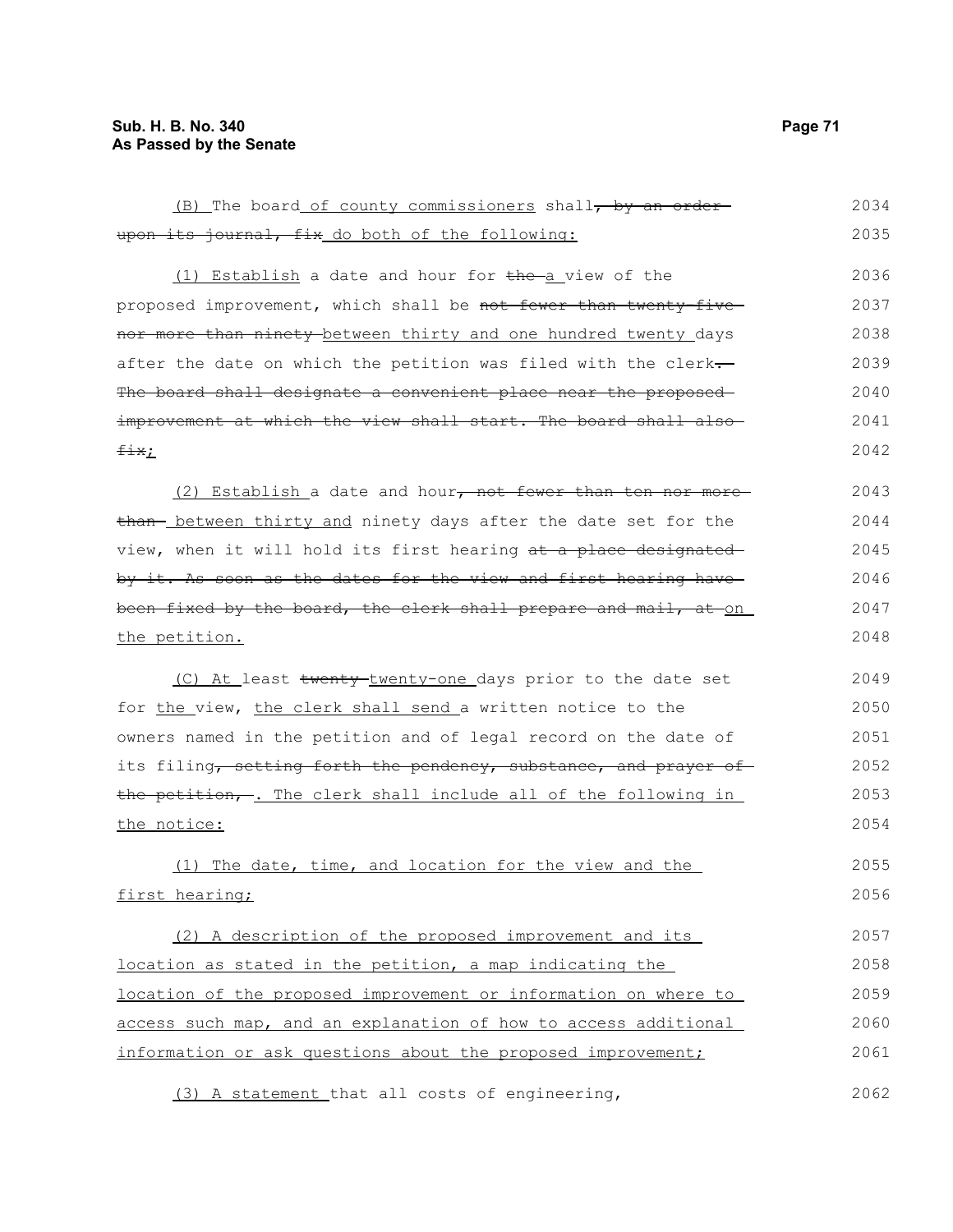upon its journal, fix do both of the following: (1) Establish a date and hour for  $the-a$  view of the proposed improvement, which shall be not fewer than twenty-fivenor more than ninety between thirty and one hundred twenty days after the date on which the petition was filed with the clerk-The board shall designate a convenient place near the proposedimprovement at which the view shall start. The board shall alsofix; (2) Establish a date and hour, not fewer than ten nor more than- between thirty and ninety days after the date set for the view, when it will hold its first hearing at a place designated by it. As soon as the dates for the view and first hearing have been fixed by the board, the clerk shall prepare and mail, at on the petition. (C) At least twenty-twenty-one days prior to the date set for the view, the clerk shall send a written notice to the owners named in the petition and of legal record on the date of its filing, setting forth the pendency, substance, and prayer of the petition, -. The clerk shall include all of the following in the notice: (1) The date, time, and location for the view and the first hearing; (2) A description of the proposed improvement and its location as stated in the petition, a map indicating the location of the proposed improvement or information on where to 2035 2036 2037 2038 2039 2040 2041 2042 2043 2044 2045 2046 2047 2048 2049 2050 2051 2052 2053 2054 2055 2056 2057 2058 2059

(B) The board of county commissioners shall, by an order-

access such map, and an explanation of how to access additional information or ask questions about the proposed improvement; 2060 2061

(3) A statement that all costs of engineering,

2034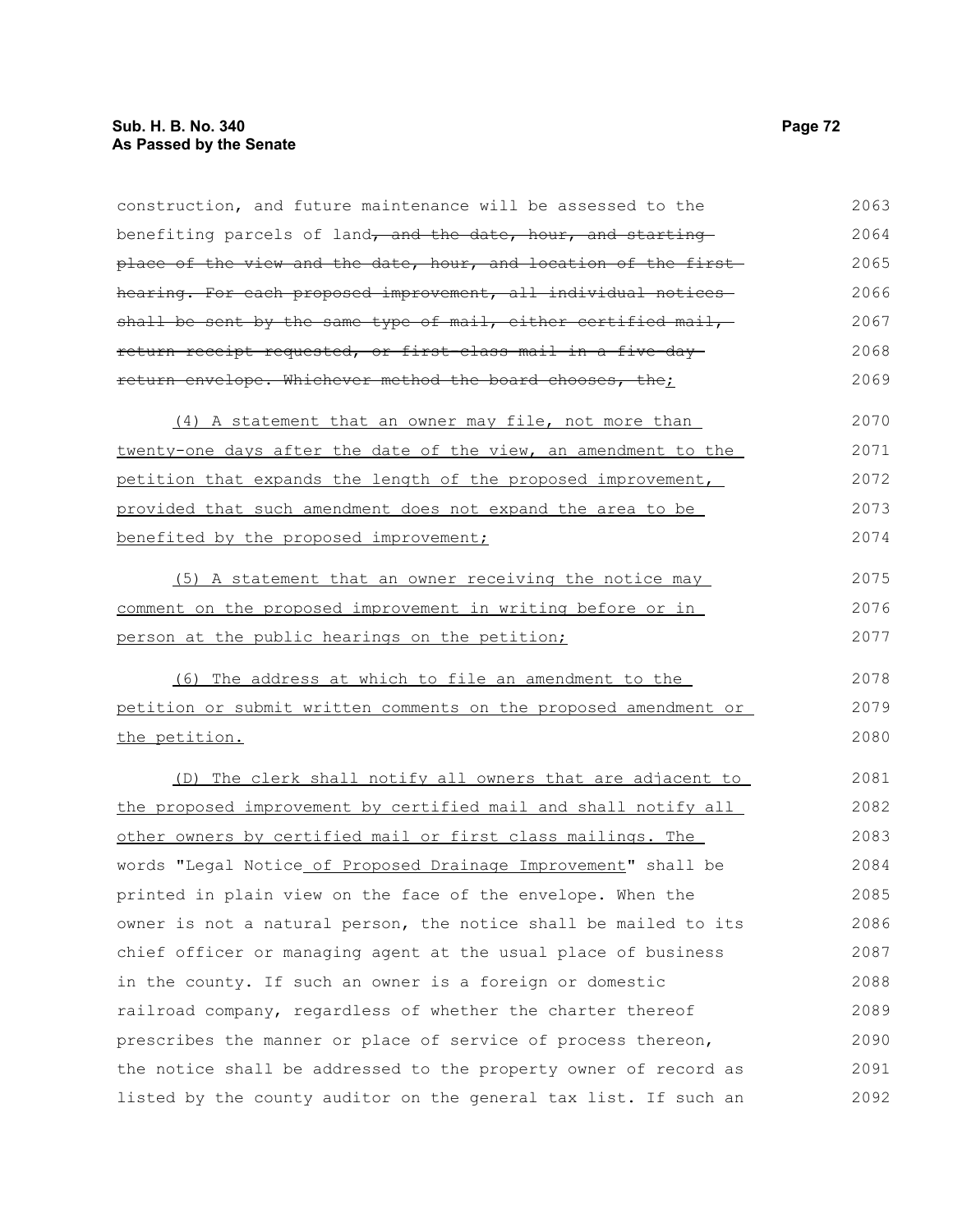construction, and future maintenance will be assessed to the benefiting parcels of land, and the date, hour, and starting place of the view and the date, hour, and location of the first hearing. For each proposed improvement, all individual notices shall be sent by the same type of mail, either certified mail, return receipt requested, or first-class mail in a five-day return envelope. Whichever method the board chooses, the; (4) A statement that an owner may file, not more than twenty-one days after the date of the view, an amendment to the petition that expands the length of the proposed improvement, provided that such amendment does not expand the area to be benefited by the proposed improvement; (5) A statement that an owner receiving the notice may comment on the proposed improvement in writing before or in person at the public hearings on the petition; (6) The address at which to file an amendment to the petition or submit written comments on the proposed amendment or the petition. (D) The clerk shall notify all owners that are adjacent to the proposed improvement by certified mail and shall notify all other owners by certified mail or first class mailings. The words "Legal Notice of Proposed Drainage Improvement" shall be printed in plain view on the face of the envelope. When the owner is not a natural person, the notice shall be mailed to its chief officer or managing agent at the usual place of business in the county. If such an owner is a foreign or domestic railroad company, regardless of whether the charter thereof prescribes the manner or place of service of process thereon, the notice shall be addressed to the property owner of record as listed by the county auditor on the general tax list. If such an 2063 2064 2065 2066 2067 2068 2069 2070 2071 2072 2073 2074 2075 2076 2077 2078 2079 2080 2081 2082 2083 2084 2085 2086 2087 2088 2089 2090 2091 2092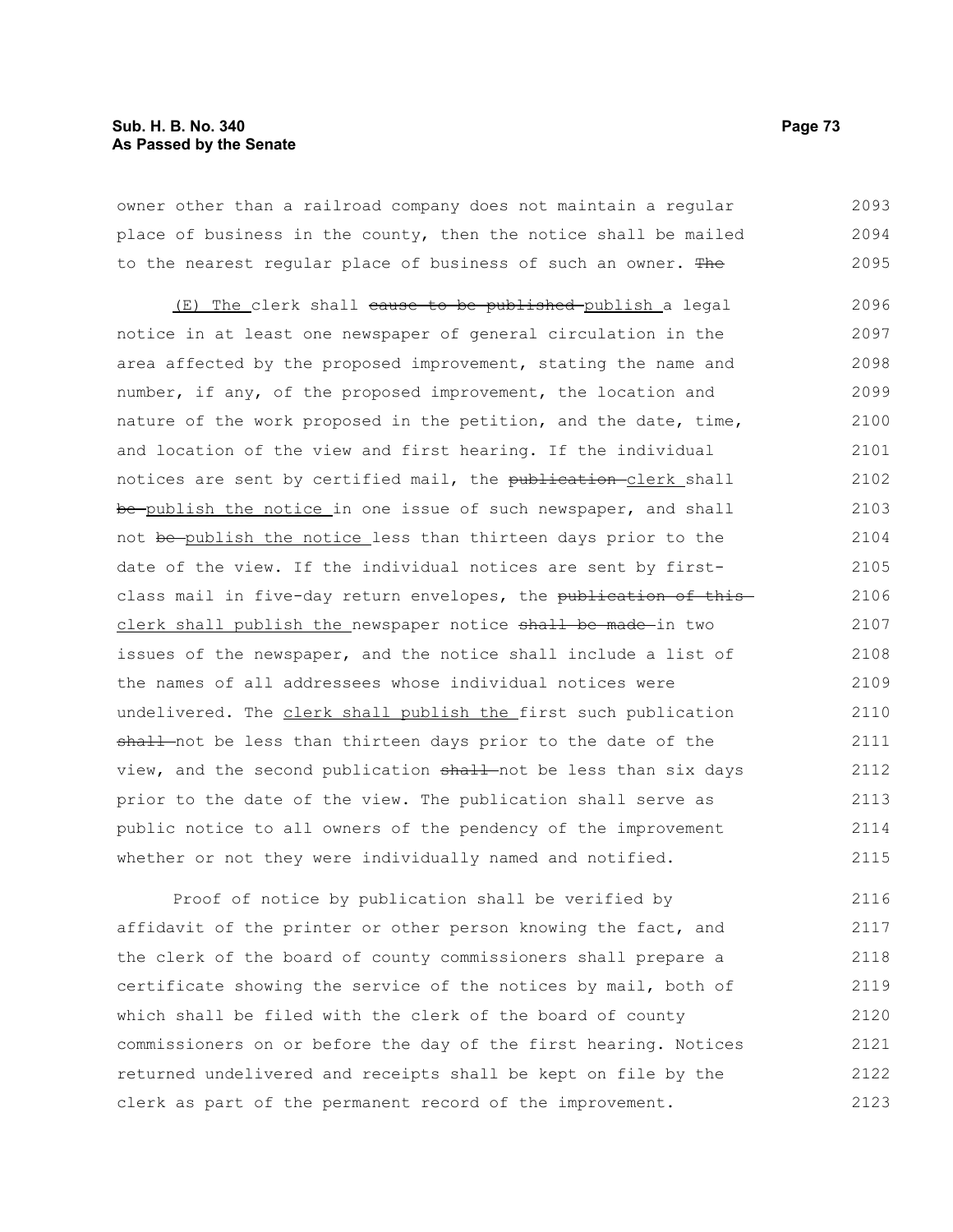### **Sub. H. B. No. 340 Page 73 As Passed by the Senate**

owner other than a railroad company does not maintain a regular place of business in the county, then the notice shall be mailed to the nearest regular place of business of such an owner. The 2093 2094 2095

(E) The clerk shall cause to be published publish a legal notice in at least one newspaper of general circulation in the area affected by the proposed improvement, stating the name and number, if any, of the proposed improvement, the location and nature of the work proposed in the petition, and the date, time, and location of the view and first hearing. If the individual notices are sent by certified mail, the publication-clerk shall be-publish the notice in one issue of such newspaper, and shall not be publish the notice less than thirteen days prior to the date of the view. If the individual notices are sent by firstclass mail in five-day return envelopes, the publication of this clerk shall publish the newspaper notice shall be made in two issues of the newspaper, and the notice shall include a list of the names of all addressees whose individual notices were undelivered. The clerk shall publish the first such publication shall not be less than thirteen days prior to the date of the view, and the second publication shall not be less than six days prior to the date of the view. The publication shall serve as public notice to all owners of the pendency of the improvement whether or not they were individually named and notified. 2096 2097 2098 2099 2100 2101 2102 2103 2104 2105 2106 2107 2108 2109 2110 2111 2112 2113 2114 2115

Proof of notice by publication shall be verified by affidavit of the printer or other person knowing the fact, and the clerk of the board of county commissioners shall prepare a certificate showing the service of the notices by mail, both of which shall be filed with the clerk of the board of county commissioners on or before the day of the first hearing. Notices returned undelivered and receipts shall be kept on file by the clerk as part of the permanent record of the improvement. 2116 2117 2118 2119 2120 2121 2122 2123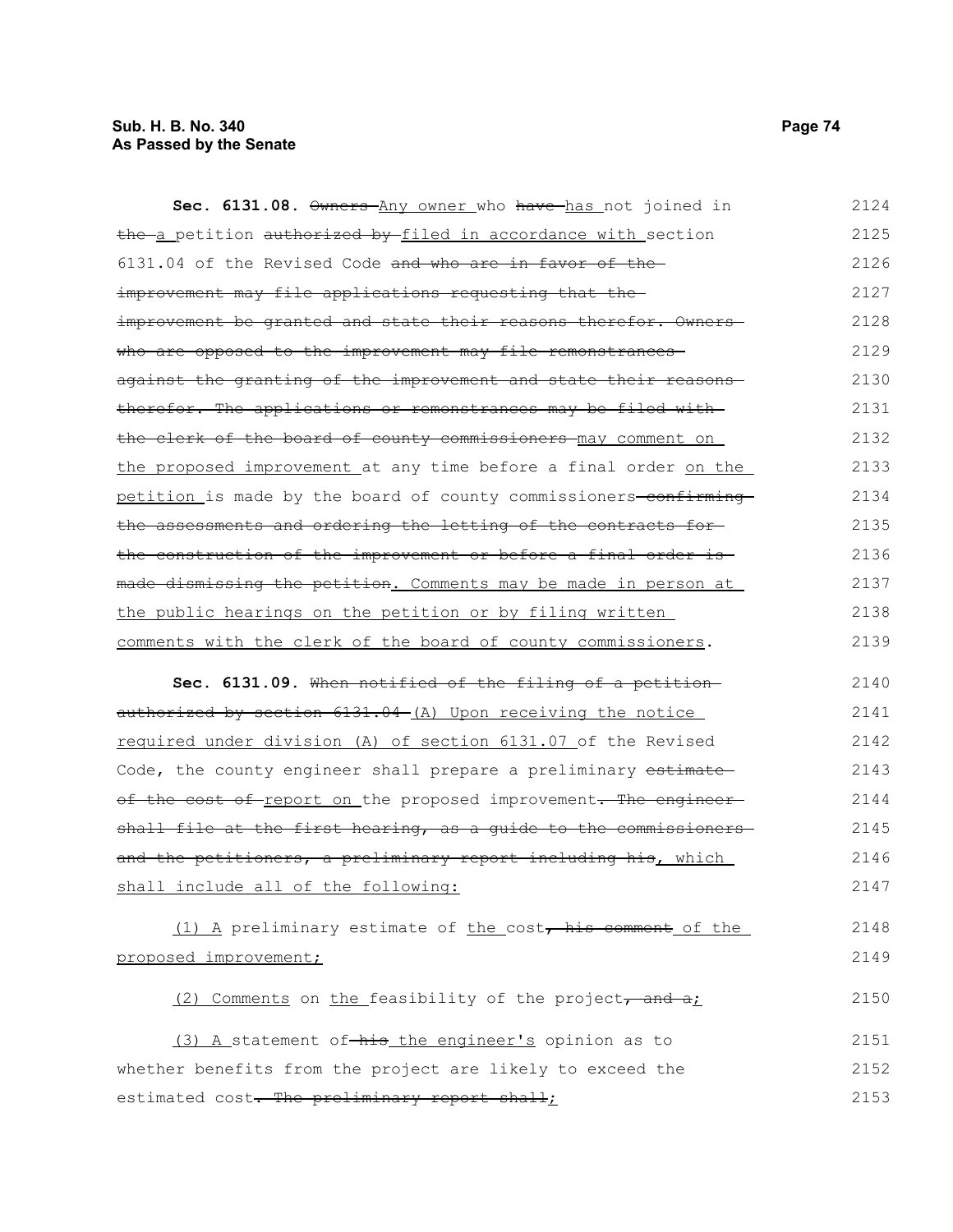# **Sub. H. B. No. 340 Page 74 As Passed by the Senate**

| Sec. 6131.08. Owners Any owner who have has not joined in         | 2124 |
|-------------------------------------------------------------------|------|
| the a petition authorized by filed in accordance with section     | 2125 |
| 6131.04 of the Revised Code and who are in favor of the           | 2126 |
| improvement may file applications requesting that the-            | 2127 |
| improvement be granted and state their reasons therefor. Owners-  | 2128 |
| who are opposed to the improvement may file remonstrances-        | 2129 |
| against the granting of the improvement and state their reasons-  | 2130 |
| therefor. The applications or remonstrances may be filed with     | 2131 |
| the clerk of the board of county commissioners may comment on     | 2132 |
| the proposed improvement at any time before a final order on the  | 2133 |
| petition is made by the board of county commissioners-confirming- | 2134 |
| the assessments and ordering the letting of the contracts for-    | 2135 |
| the construction of the improvement or before a final order is    | 2136 |
| made dismissing the petition. Comments may be made in person at   | 2137 |
| the public hearings on the petition or by filing written          | 2138 |
| comments with the clerk of the board of county commissioners.     | 2139 |
|                                                                   |      |
| Sec. 6131.09. When notified of the filing of a petition           | 2140 |
| authorized by section 6131.04 (A) Upon receiving the notice       | 2141 |
| required under division (A) of section 6131.07 of the Revised     | 2142 |
| Code, the county engineer shall prepare a preliminary estimate-   | 2143 |
| of the cost of report on the proposed improvement. The engineer   | 2144 |
| shall file at the first hearing, as a guide to the commissioners  | 2145 |
| and the petitioners, a preliminary report including his, which    | 2146 |
| shall include all of the following:                               | 2147 |
| (1) A preliminary estimate of the cost, his comment of the        | 2148 |
| proposed improvement;                                             | 2149 |
| (2) Comments on the feasibility of the project, and at            | 2150 |
| (3) A statement of-his the engineer's opinion as to               | 2151 |
| whether benefits from the project are likely to exceed the        | 2152 |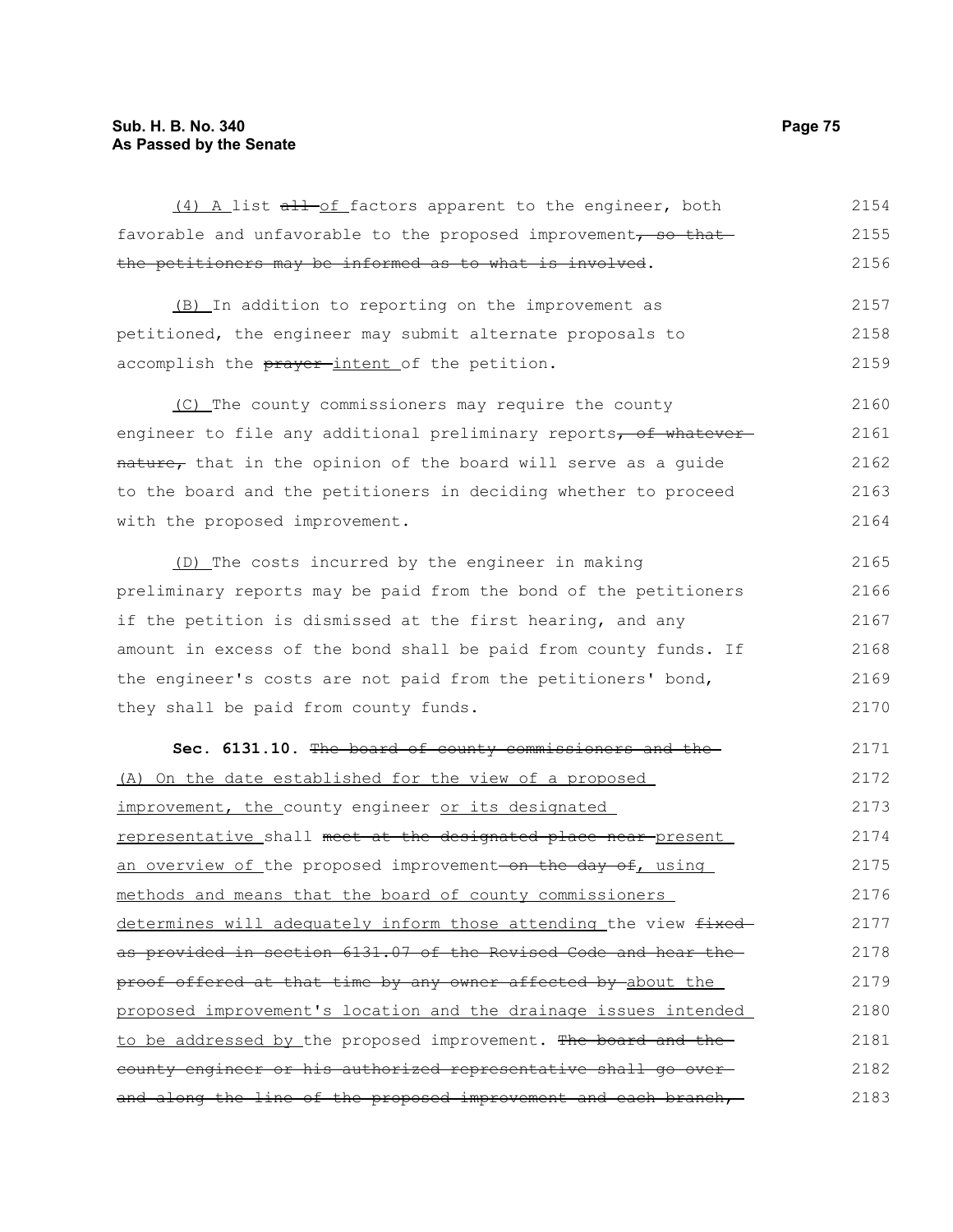# **Sub. H. B. No. 340 Page 75 As Passed by the Senate**

| (4) A list all-of factors apparent to the engineer, both          | 2154 |
|-------------------------------------------------------------------|------|
| favorable and unfavorable to the proposed improvement, so that    | 2155 |
| the petitioners may be informed as to what is involved.           | 2156 |
| (B) In addition to reporting on the improvement as                | 2157 |
| petitioned, the engineer may submit alternate proposals to        | 2158 |
| accomplish the prayer-intent of the petition.                     | 2159 |
| (C) The county commissioners may require the county               | 2160 |
| engineer to file any additional preliminary reports, of whatever  | 2161 |
| nature, that in the opinion of the board will serve as a guide    | 2162 |
| to the board and the petitioners in deciding whether to proceed   | 2163 |
| with the proposed improvement.                                    | 2164 |
| (D) The costs incurred by the engineer in making                  | 2165 |
| preliminary reports may be paid from the bond of the petitioners  | 2166 |
| if the petition is dismissed at the first hearing, and any        | 2167 |
| amount in excess of the bond shall be paid from county funds. If  | 2168 |
| the engineer's costs are not paid from the petitioners' bond,     | 2169 |
| they shall be paid from county funds.                             | 2170 |
| Sec. 6131.10. The board of county commissioners and the           | 2171 |
| (A) On the date established for the view of a proposed            | 2172 |
| improvement, the county engineer or its designated                | 2173 |
| representative shall meet at the designated place near present    | 2174 |
| an overview of the proposed improvement on the day of, using      | 2175 |
| methods and means that the board of county commissioners          | 2176 |
| determines will adequately inform those attending the view fixed- | 2177 |
| as provided in section 6131.07 of the Revised Code and hear the   | 2178 |
| proof offered at that time by any owner affected by about the     | 2179 |
| proposed improvement's location and the drainage issues intended  | 2180 |
| to be addressed by the proposed improvement. The board and the-   | 2181 |
| county engineer or his authorized representative shall go over-   | 2182 |
| and along the line of the proposed improvement and each branch,   |      |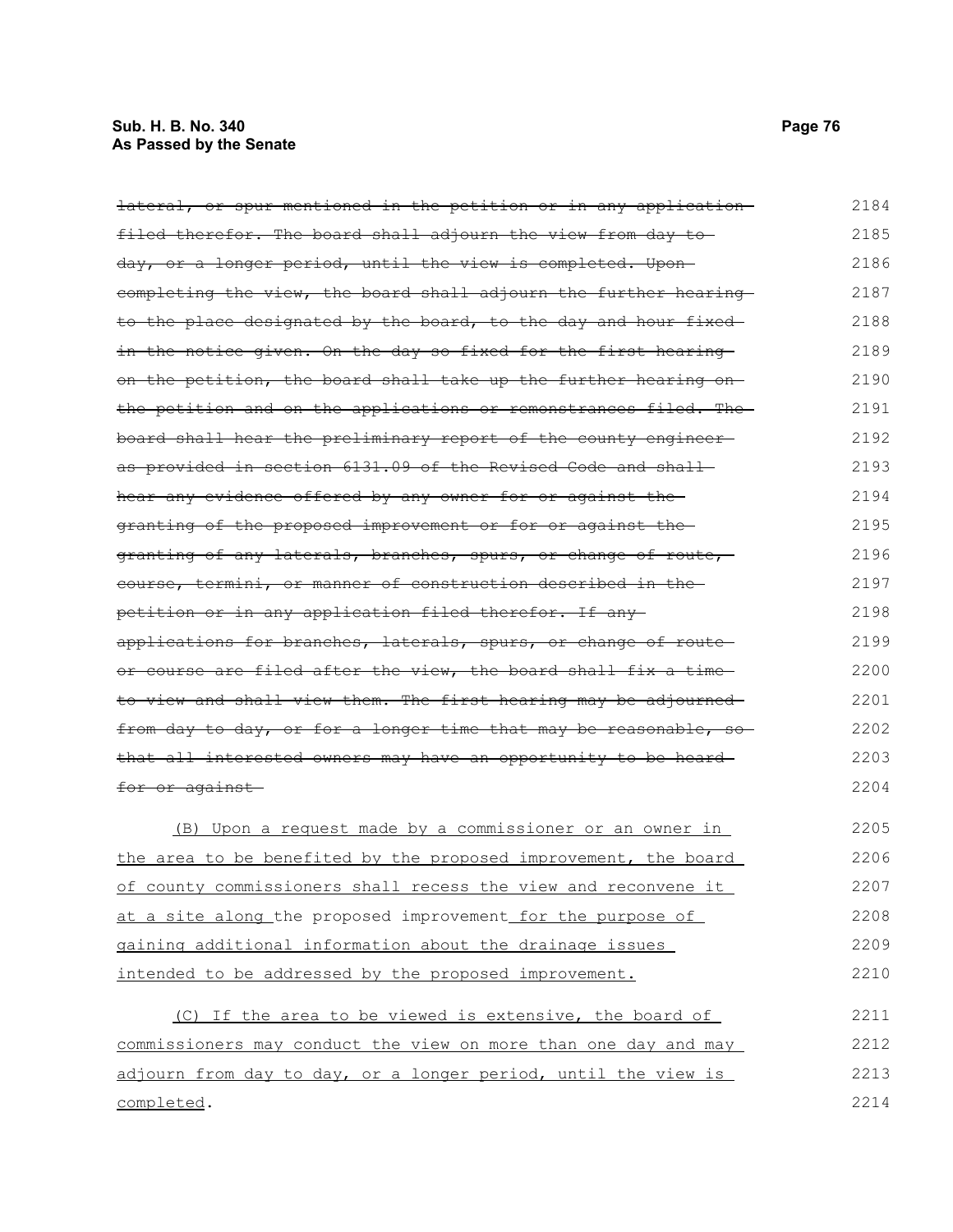# **Sub. H. B. No. 340 Page 76 As Passed by the Senate**

| <del>lateral, or spur mentioned in the petition or in any application-</del> | 2184 |
|------------------------------------------------------------------------------|------|
| filed therefor. The board shall adjourn the view from day to                 | 2185 |
| day, or a longer period, until the view is completed. Upon-                  | 2186 |
| completing the view, the board shall adjourn the further hearing             | 2187 |
| to the place designated by the board, to the day and hour fixed              | 2188 |
| in the notice given. On the day so fixed for the first hearing               | 2189 |
| on the petition, the board shall take up the further hearing on-             | 2190 |
| the petition and on the applications or remonstrances filed. The             | 2191 |
| board shall hear the preliminary report of the county engineer-              | 2192 |
| as provided in section 6131.09 of the Revised Code and shall-                | 2193 |
| hear any evidence offered by any owner for or against the                    | 2194 |
| granting of the proposed improvement or for or against the                   | 2195 |
| granting of any laterals, branches, spurs, or change of route,               | 2196 |
| course, termini, or manner of construction described in the                  | 2197 |
| petition or in any application filed therefor. If any-                       | 2198 |
| applications for branches, laterals, spurs, or change of route-              | 2199 |
| or course are filed after the view, the board shall fix a time               | 2200 |
| to view and shall view them. The first hearing may be adjourned              | 2201 |
| from day to day, or for a longer time that may be reasonable, so             | 2202 |
| that all interested owners may have an opportunity to be heard-              | 2203 |
| <del>for or against</del>                                                    | 2204 |
| (B) Upon a request made by a commissioner or an owner in                     | 2205 |
| <u>the area to be benefited by the proposed improvement, the board</u>       | 2206 |
| of county commissioners shall recess the view and reconvene it               | 2207 |
| at a site along the proposed improvement for the purpose of                  | 2208 |
| gaining additional information about the drainage issues                     | 2209 |
| intended to be addressed by the proposed improvement.                        | 2210 |
| (C) If the area to be viewed is extensive, the board of                      | 2211 |
| commissioners may conduct the view on more than one day and may              | 2212 |
| adjourn from day to day, or a longer period, until the view is               | 2213 |
| completed.                                                                   | 2214 |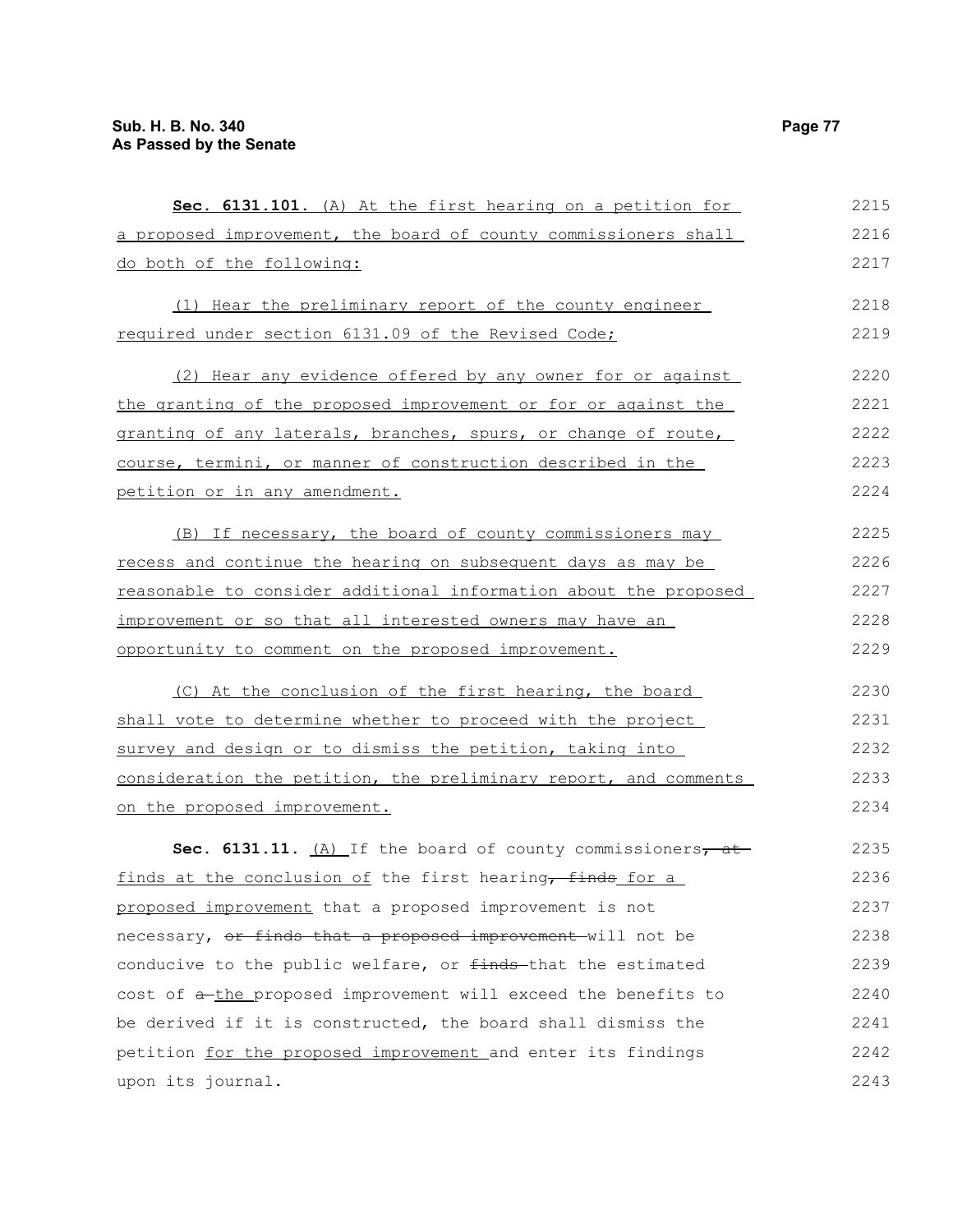| Sec. 6131.101. (A) At the first hearing on a petition for        | 2215 |
|------------------------------------------------------------------|------|
| a proposed improvement, the board of county commissioners shall  | 2216 |
| do both of the following:                                        | 2217 |
|                                                                  |      |
| (1) Hear the preliminary report of the county engineer           | 2218 |
| required under section 6131.09 of the Revised Code;              | 2219 |
| (2) Hear any evidence offered by any owner for or against        | 2220 |
| the granting of the proposed improvement or for or against the   | 2221 |
| granting of any laterals, branches, spurs, or change of route,   | 2222 |
| course, termini, or manner of construction described in the      | 2223 |
| petition or in any amendment.                                    | 2224 |
|                                                                  |      |
| (B) If necessary, the board of county commissioners may          | 2225 |
| recess and continue the hearing on subsequent days as may be     | 2226 |
| reasonable to consider additional information about the proposed | 2227 |
| improvement or so that all interested owners may have an         | 2228 |
| opportunity to comment on the proposed improvement.              | 2229 |
| (C) At the conclusion of the first hearing, the board            | 2230 |
| shall vote to determine whether to proceed with the project      | 2231 |
| survey and design or to dismiss the petition, taking into        | 2232 |
| consideration the petition, the preliminary report, and comments | 2233 |
| on the proposed improvement.                                     | 2234 |
| Sec. 6131.11. (A) If the board of county commissioners, at       | 2235 |
| finds at the conclusion of the first hearing, finds for a        | 2236 |
| proposed improvement that a proposed improvement is not          | 2237 |
| necessary, or finds that a proposed improvement will not be      | 2238 |
| conducive to the public welfare, or finds-that the estimated     | 2239 |
| cost of a-the proposed improvement will exceed the benefits to   | 2240 |
|                                                                  |      |
| be derived if it is constructed, the board shall dismiss the     | 2241 |
| petition for the proposed improvement and enter its findings     | 2242 |
| upon its journal.                                                | 2243 |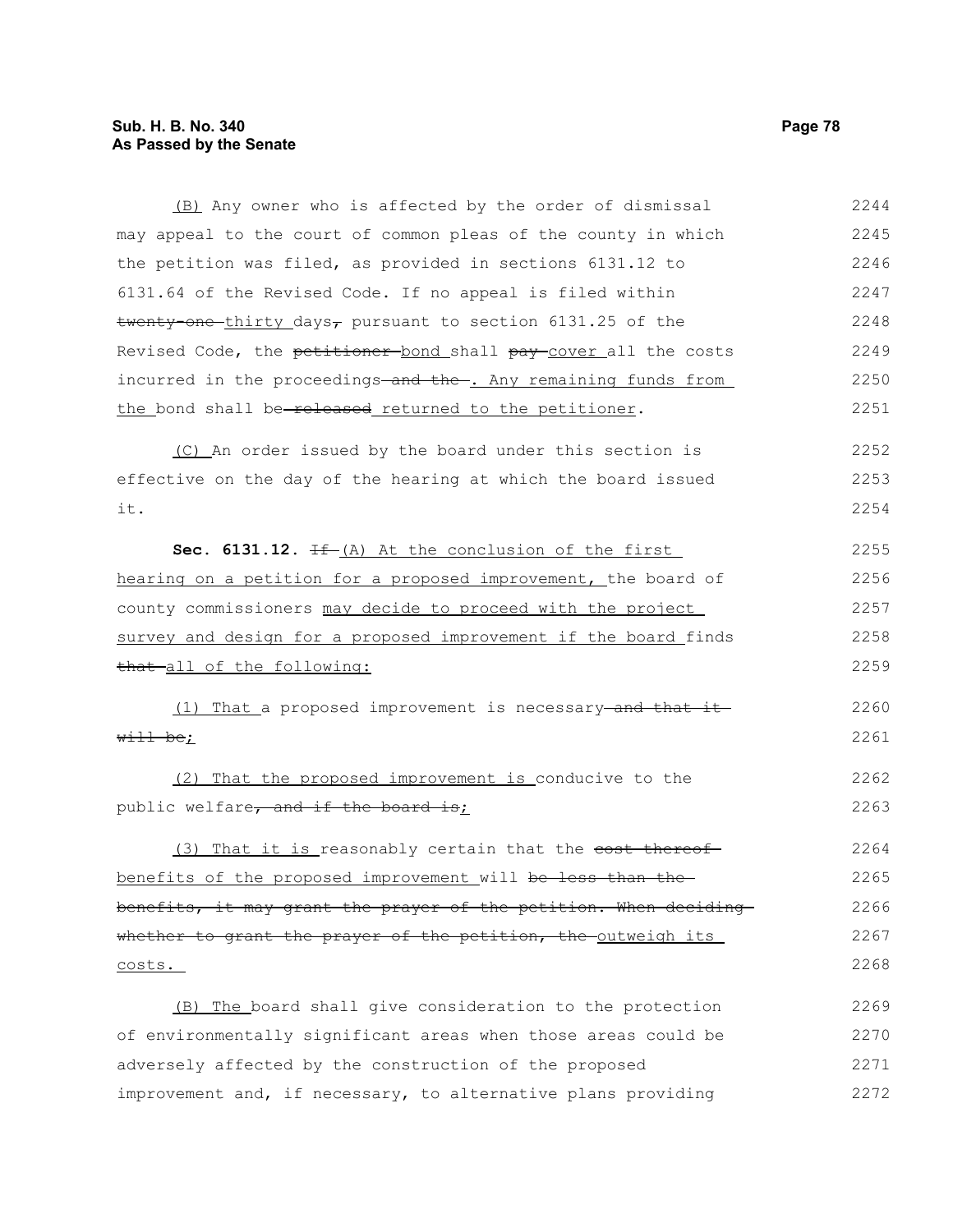### **Sub. H. B. No. 340 Page 78 As Passed by the Senate**

(B) Any owner who is affected by the order of dismissal may appeal to the court of common pleas of the county in which the petition was filed, as provided in sections 6131.12 to 6131.64 of the Revised Code. If no appeal is filed within twenty-one-thirty days<sub> $\tau$ </sub> pursuant to section 6131.25 of the Revised Code, the petitioner bond shall pay cover all the costs incurred in the proceedings and the . Any remaining funds from the bond shall be-released returned to the petitioner. (C) An order issued by the board under this section is effective on the day of the hearing at which the board issued it. **Sec. 6131.12.** If (A) At the conclusion of the first hearing on a petition for a proposed improvement, the board of county commissioners may decide to proceed with the project survey and design for a proposed improvement if the board finds that all of the following: (1) That a proposed improvement is necessary and that it will be; (2) That the proposed improvement is conducive to the public welfare, and if the board is; (3) That it is reasonably certain that the <del>cost thereof</del> benefits of the proposed improvement will be less than the benefits, it may grant the prayer of the petition. When deciding whether to grant the prayer of the petition, the outweigh its costs. (B) The board shall give consideration to the protection of environmentally significant areas when those areas could be adversely affected by the construction of the proposed 2244 2245 2246 2247 2248 2249 2250 2251 2252 2253 2254 2255 2256 2257 2258 2259 2260 2261 2262 2263 2264 2265 2266 2267 2268 2269 2270 2271

improvement and, if necessary, to alternative plans providing 2272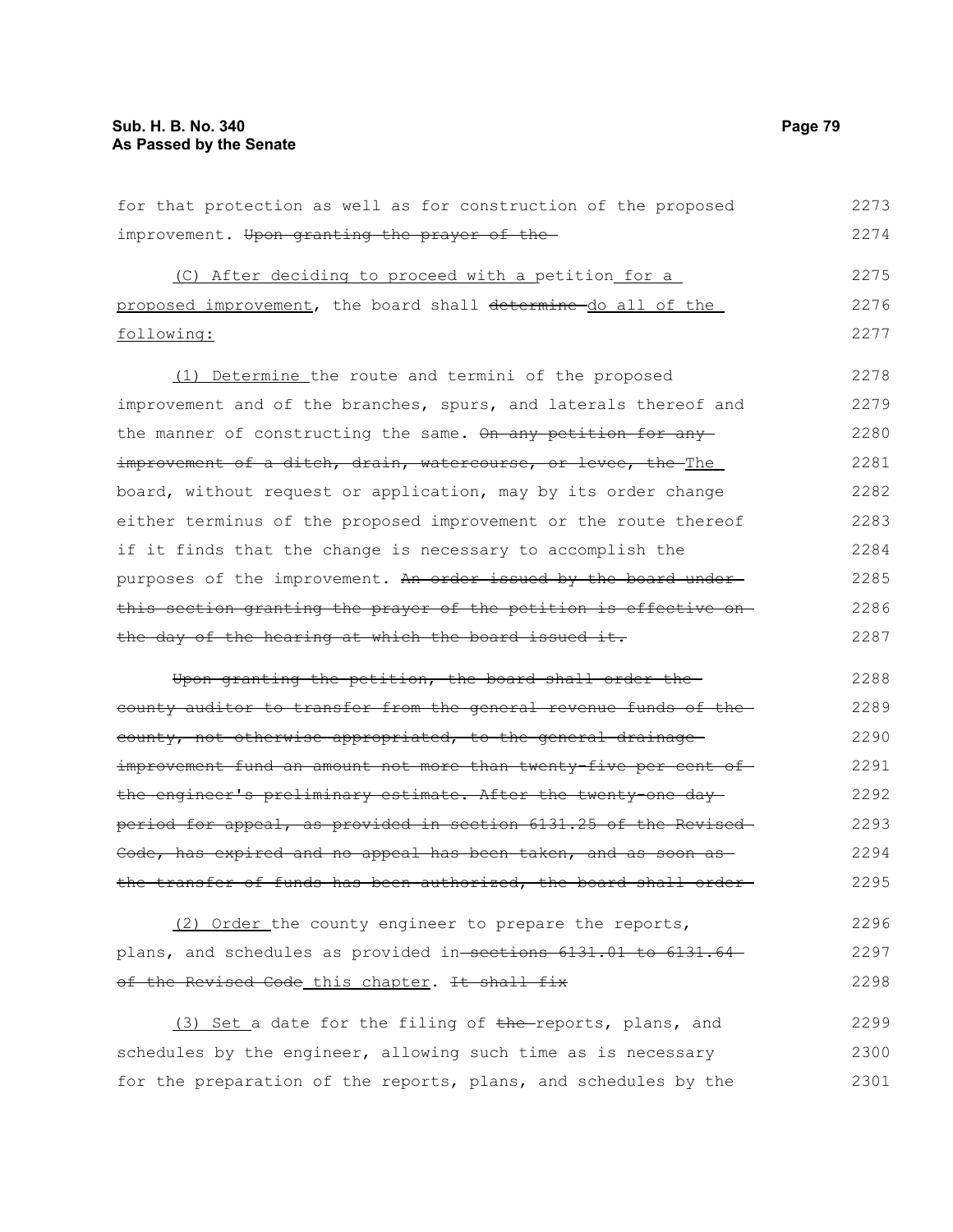for that protection as well as for construction of the proposed improvement. Upon granting the prayer of the (C) After deciding to proceed with a petition for a proposed improvement, the board shall determine do all of the following: (1) Determine the route and termini of the proposed improvement and of the branches, spurs, and laterals thereof and the manner of constructing the same. On any petition for any improvement of a ditch, drain, watercourse, or levee, the The board, without request or application, may by its order change either terminus of the proposed improvement or the route thereof if it finds that the change is necessary to accomplish the purposes of the improvement. An order issued by the board underthis section granting the prayer of the petition is effective on the day of the hearing at which the board issued it. Upon granting the petition, the board shall order the county auditor to transfer from the general revenue funds of the county, not otherwise appropriated, to the general drainage improvement fund an amount not more than twenty-five per cent of the engineer's preliminary estimate. After the twenty-one day period for appeal, as provided in section 6131.25 of the Revised Code, has expired and no appeal has been taken, and as soon as the transfer of funds has been authorized, the board shall order (2) Order the county engineer to prepare the reports, 2273 2274 2275 2276 2277 2278 2279 2280 2281 2282 2283 2284 2285 2286 2287 2288 2289 2290 2291 2292 2293 2294 2295 2296

plans, and schedules as provided in sections 6131.01 to 6131.64 of the Revised Code this chapter. It shall fix 2297 2298

(3) Set a date for the filing of the reports, plans, and schedules by the engineer, allowing such time as is necessary for the preparation of the reports, plans, and schedules by the 2299 2300 2301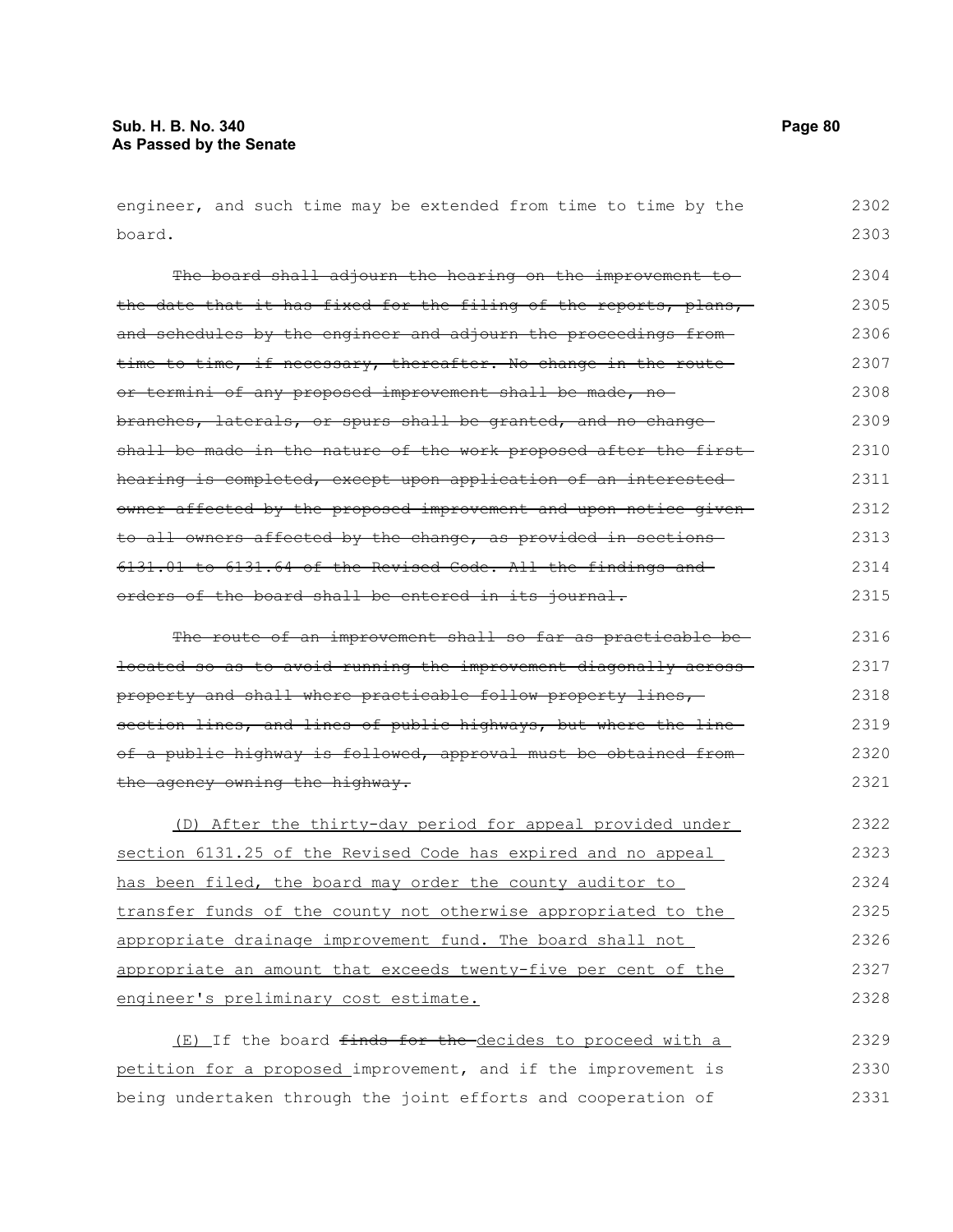engineer, and such time may be extended from time to time by the board. 2302 2303

The board shall adjourn the hearing on the improvement tothe date that it has fixed for the filing of the reports, plans, and schedules by the engineer and adjourn the proceedings fromtime to time, if necessary, thereafter. No change in the routeor termini of any proposed improvement shall be made, nobranches, laterals, or spurs shall be granted, and no change shall be made in the nature of the work proposed after the first hearing is completed, except upon application of an interested owner affected by the proposed improvement and upon notice given to all owners affected by the change, as provided in sections 6131.01 to 6131.64 of the Revised Code. All the findings and orders of the board shall be entered in its journal. The route of an improvement shall so far as practicable be-2304 2305 2306 2307 2308 2309 2310 2311 2312 2313 2314 2315 2316

located so as to avoid running the improvement diagonally across property and shall where practicable follow property lines, section lines, and lines of public highways, but where the lineof a public highway is followed, approval must be obtained from the agency owning the highway. 2317 2318 2319 2320 2321

(D) After the thirty-day period for appeal provided under section 6131.25 of the Revised Code has expired and no appeal has been filed, the board may order the county auditor to transfer funds of the county not otherwise appropriated to the appropriate drainage improvement fund. The board shall not appropriate an amount that exceeds twenty-five per cent of the engineer's preliminary cost estimate. 2322 2323 2324 2325 2326 2327 2328

(E) If the board <del>finds for the d</del>ecides to proceed with a petition for a proposed improvement, and if the improvement is being undertaken through the joint efforts and cooperation of 2329 2330 2331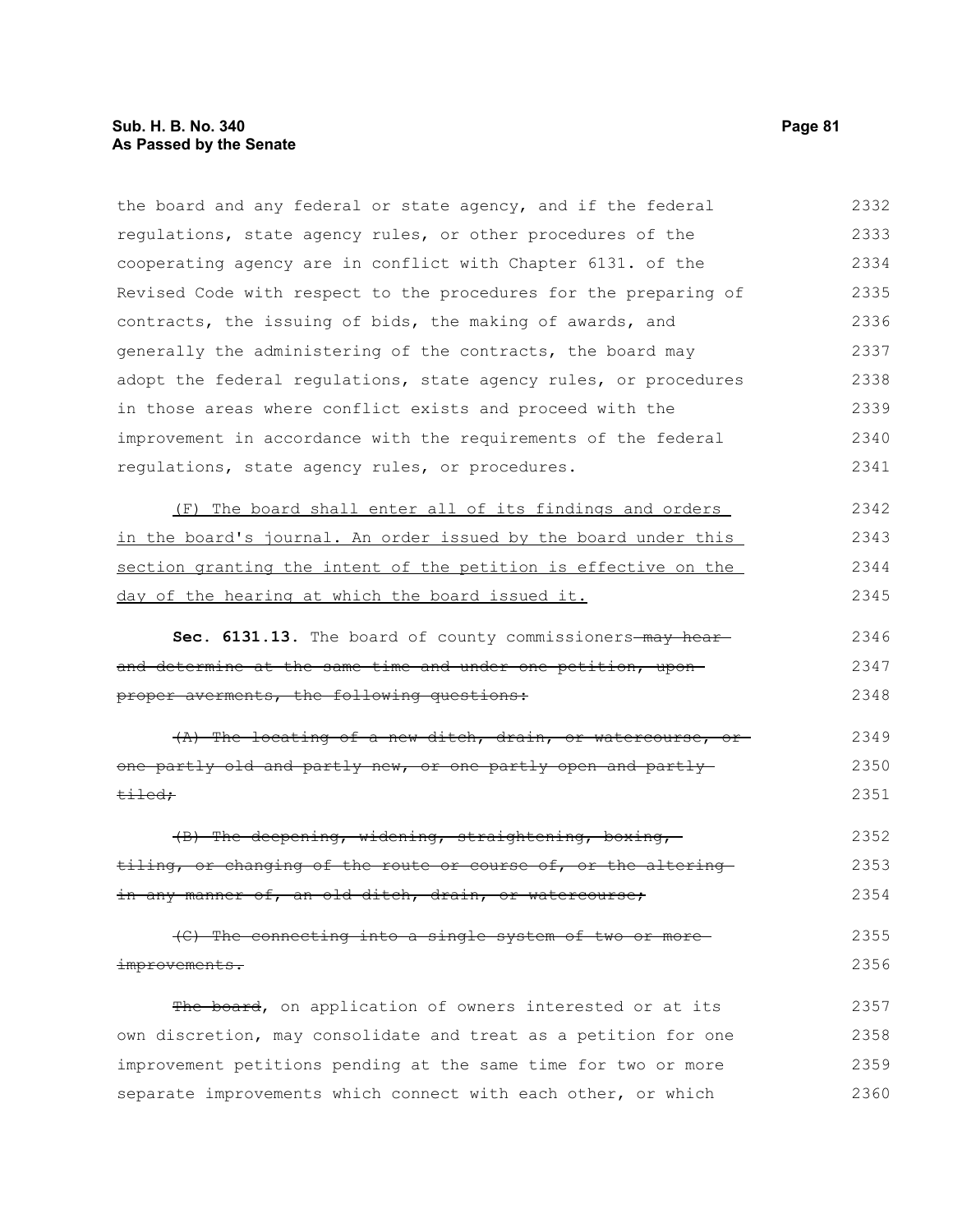the board and any federal or state agency, and if the federal regulations, state agency rules, or other procedures of the cooperating agency are in conflict with Chapter 6131. of the Revised Code with respect to the procedures for the preparing of contracts, the issuing of bids, the making of awards, and generally the administering of the contracts, the board may adopt the federal regulations, state agency rules, or procedures in those areas where conflict exists and proceed with the improvement in accordance with the requirements of the federal regulations, state agency rules, or procedures. 2332 2333 2334 2335 2336 2337 2338 2339 2340 2341

| (F) The board shall enter all of its findings and orders        | 2342 |
|-----------------------------------------------------------------|------|
| in the board's journal. An order issued by the board under this | 2343 |
| section granting the intent of the petition is effective on the | 2344 |
| day of the hearing at which the board issued it.                | 2345 |

Sec. 6131.13. The board of county commissioners-may hearand determine at the same time and under one petition, uponproper averments, the following questions: 2346 2347 2348

(A) The locating of a new ditch, drain, or watercourse, or one partly old and partly new, or one partly open and partly tiled; 2349 2350 2351

(B) The deepening, widening, straightening, boxing, tiling, or changing of the route or course of, or the altering in any manner of, an old ditch, drain, or watercourse; 2352 2353 2354

(C) The connecting into a single system of two or more improvements. 2355 2356

The board, on application of owners interested or at its own discretion, may consolidate and treat as a petition for one improvement petitions pending at the same time for two or more separate improvements which connect with each other, or which 2357 2358 2359 2360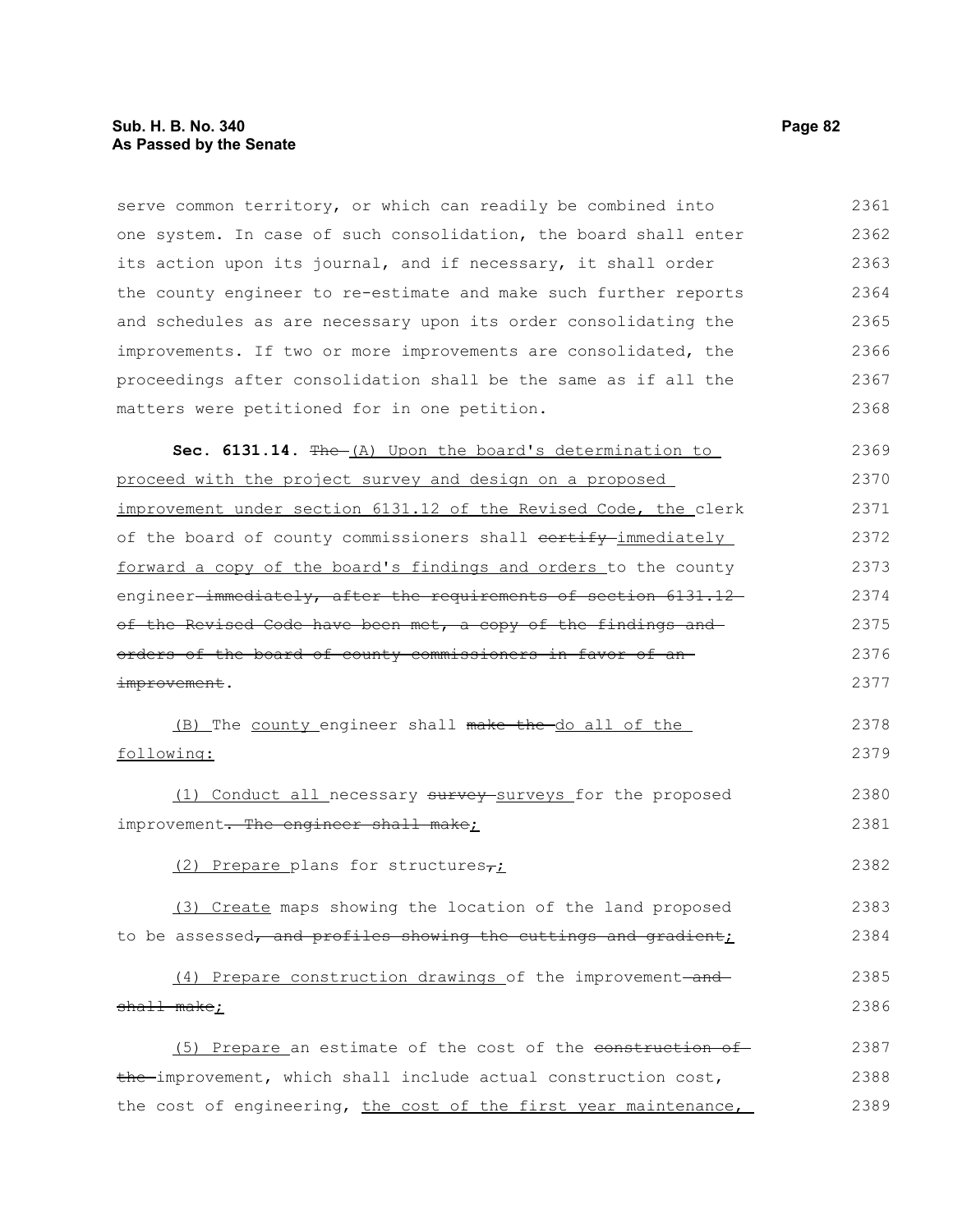serve common territory, or which can readily be combined into one system. In case of such consolidation, the board shall enter its action upon its journal, and if necessary, it shall order the county engineer to re-estimate and make such further reports and schedules as are necessary upon its order consolidating the improvements. If two or more improvements are consolidated, the proceedings after consolidation shall be the same as if all the matters were petitioned for in one petition. Sec. 6131.14. The (A) Upon the board's determination to proceed with the project survey and design on a proposed improvement under section 6131.12 of the Revised Code, the clerk of the board of county commissioners shall contify immediately forward a copy of the board's findings and orders to the county engineer-immediately, after the requirements of section 6131.12 of the Revised Code have been met, a copy of the findings and orders of the board of county commissioners in favor of an improvement. (B) The county engineer shall make the do all of the following: (1) Conduct all necessary survey surveys for the proposed improvement. The engineer shall make; (2) Prepare plans for structures $\tau_L$ (3) Create maps showing the location of the land proposed to be assessed, and profiles showing the cuttings and gradient;  $(4)$  Prepare construction drawings of the improvement-andshall make; (5) Prepare an estimate of the cost of the construction of the improvement, which shall include actual construction cost, 2361 2362 2363 2364 2365 2366 2367 2368 2369 2370 2371 2372 2373 2374 2375 2376 2377 2378 2379 2380 2381 2382 2383 2384 2385 2386 2387 2388

the cost of engineering, the cost of the first year maintenance, 2389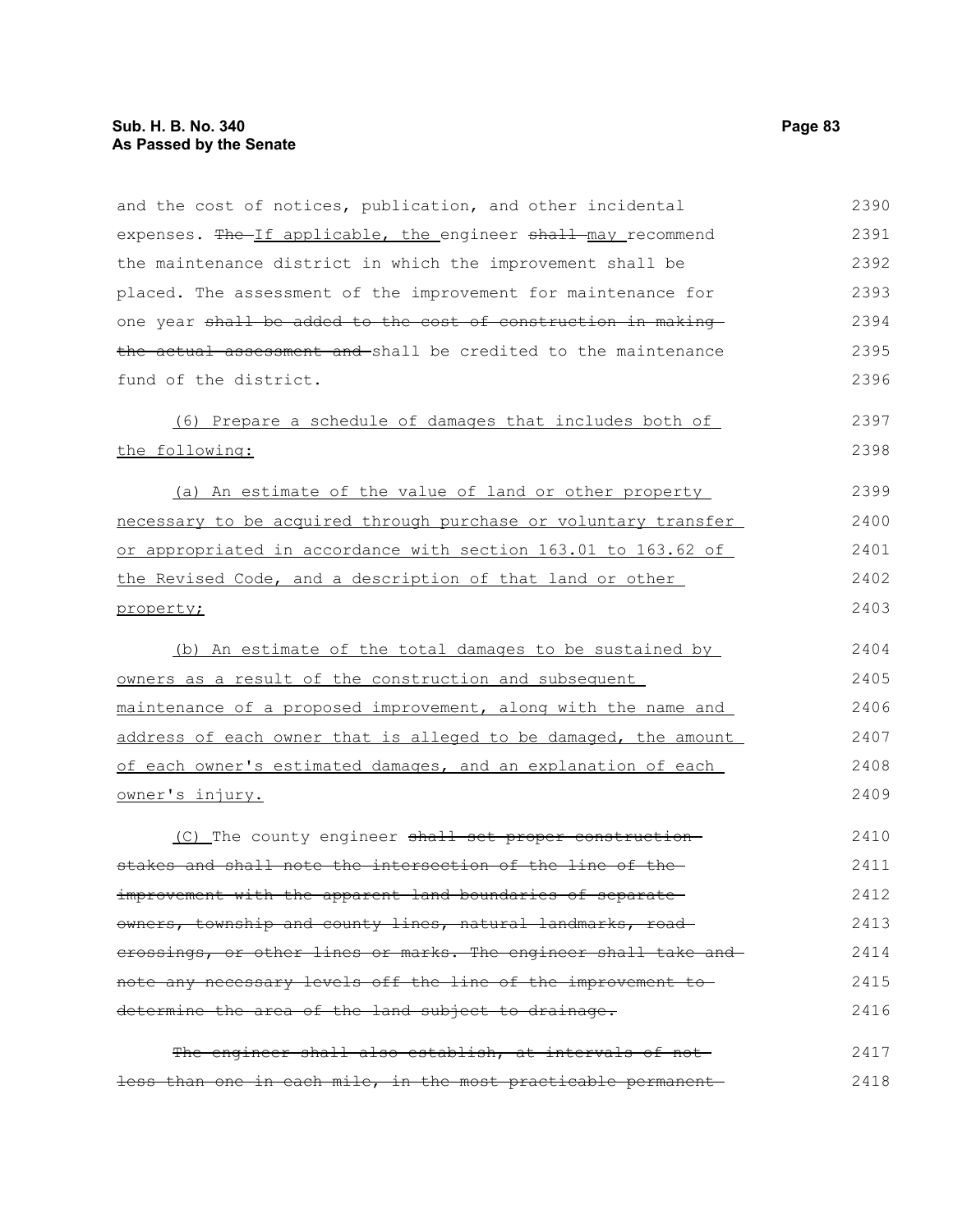| and the cost of notices, publication, and other incidental      | 2390 |
|-----------------------------------------------------------------|------|
| expenses. The If applicable, the engineer shall may recommend   | 2391 |
| the maintenance district in which the improvement shall be      | 2392 |
| placed. The assessment of the improvement for maintenance for   | 2393 |
| one year shall be added to the cost of construction in making   | 2394 |
| the actual assessment and-shall be credited to the maintenance  | 2395 |
| fund of the district.                                           | 2396 |
| (6) Prepare a schedule of damages that includes both of         | 2397 |
| the following:                                                  | 2398 |
| (a) An estimate of the value of land or other property          | 2399 |
| necessary to be acquired through purchase or voluntary transfer | 2400 |
| or appropriated in accordance with section 163.01 to 163.62 of  | 2401 |
| the Revised Code, and a description of that land or other       | 2402 |
| property;                                                       | 2403 |
| (b) An estimate of the total damages to be sustained by         | 2404 |
| owners as a result of the construction and subsequent           | 2405 |
| maintenance of a proposed improvement, along with the name and  | 2406 |
| address of each owner that is alleged to be damaged, the amount | 2407 |
| of each owner's estimated damages, and an explanation of each   | 2408 |
| owner's injury.                                                 | 2409 |
| (C) The county engineer shall set proper construction-          | 2410 |
| stakes and shall note the intersection of the line of the-      | 2411 |
| improvement with the apparent land boundaries of separate-      | 2412 |
| owners, township and county lines, natural landmarks, road-     | 2413 |
| erossings, or other lines or marks. The engineer shall take and | 2414 |
| note any necessary levels off the line of the improvement to    | 2415 |
| determine the area of the land subject to drainage.             | 2416 |
| The engineer shall also establish, at intervals of not-         | 2417 |
| less than one in each mile, in the most practicable permanent-  | 2418 |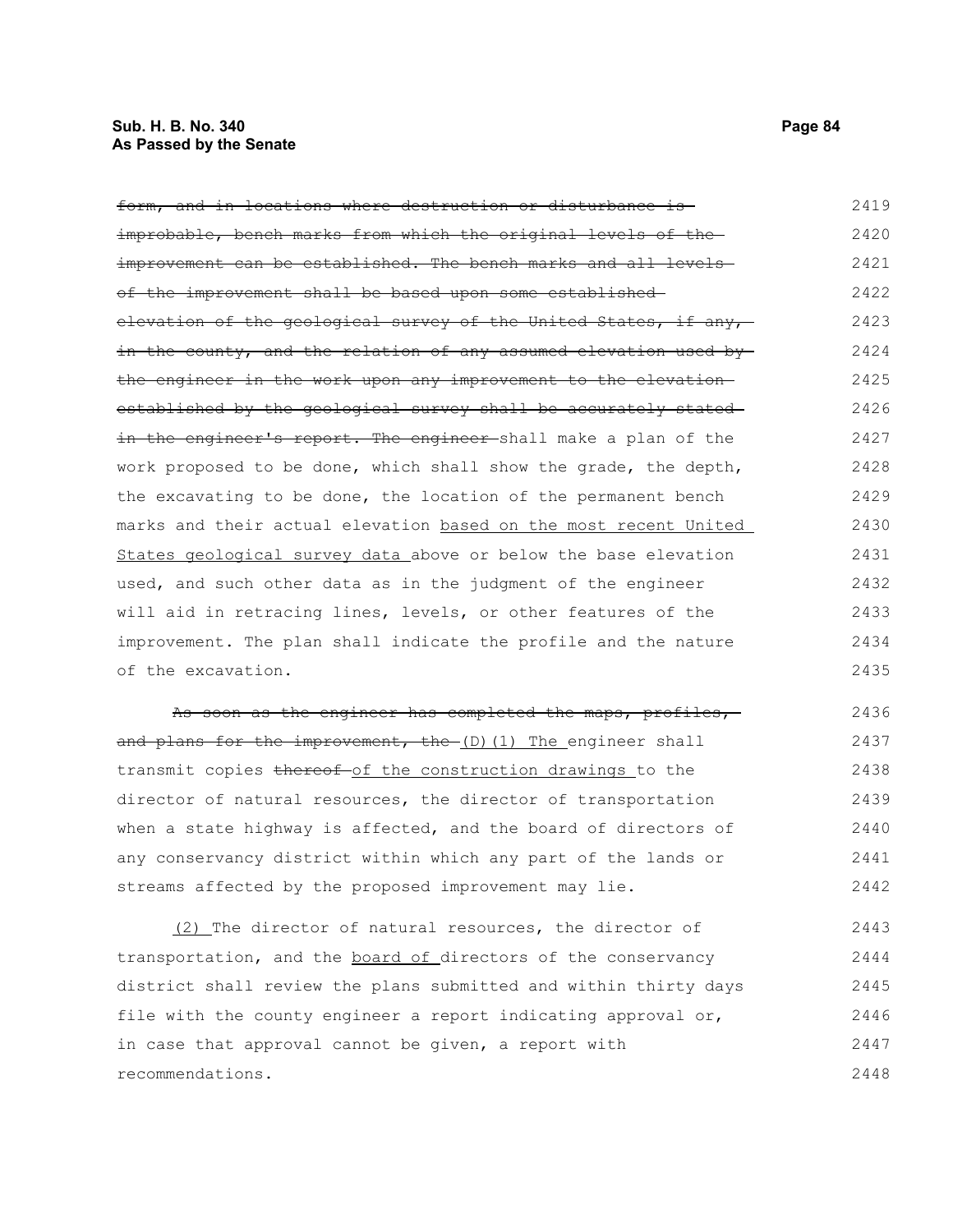#### **Sub. H. B. No. 340 Page 84 As Passed by the Senate**

form, and in locations where destruction or disturbance is improbable, bench marks from which the original levels of the improvement can be established. The bench marks and all levelsof the improvement shall be based upon some established elevation of the geological survey of the United States, if any, in the county, and the relation of any assumed elevation used by the engineer in the work upon any improvement to the elevation established by the geological survey shall be accurately stated in the engineer's report. The engineer shall make a plan of the work proposed to be done, which shall show the grade, the depth, the excavating to be done, the location of the permanent bench marks and their actual elevation based on the most recent United States geological survey data above or below the base elevation used, and such other data as in the judgment of the engineer will aid in retracing lines, levels, or other features of the improvement. The plan shall indicate the profile and the nature of the excavation. 2419 2420 2421 2422 2423 2424 2425 2426 2427 2428 2429 2430 2431 2432 2433 2434 2435

As soon as the engineer has completed the maps, profiles,and plans for the improvement, the (D)(1) The engineer shall transmit copies thereof of the construction drawings to the director of natural resources, the director of transportation when a state highway is affected, and the board of directors of any conservancy district within which any part of the lands or streams affected by the proposed improvement may lie. 2436 2437 2438 2439 2440 2441 2442

(2) The director of natural resources, the director of transportation, and the board of directors of the conservancy district shall review the plans submitted and within thirty days file with the county engineer a report indicating approval or, in case that approval cannot be given, a report with recommendations. 2443 2444 2445 2446 2447 2448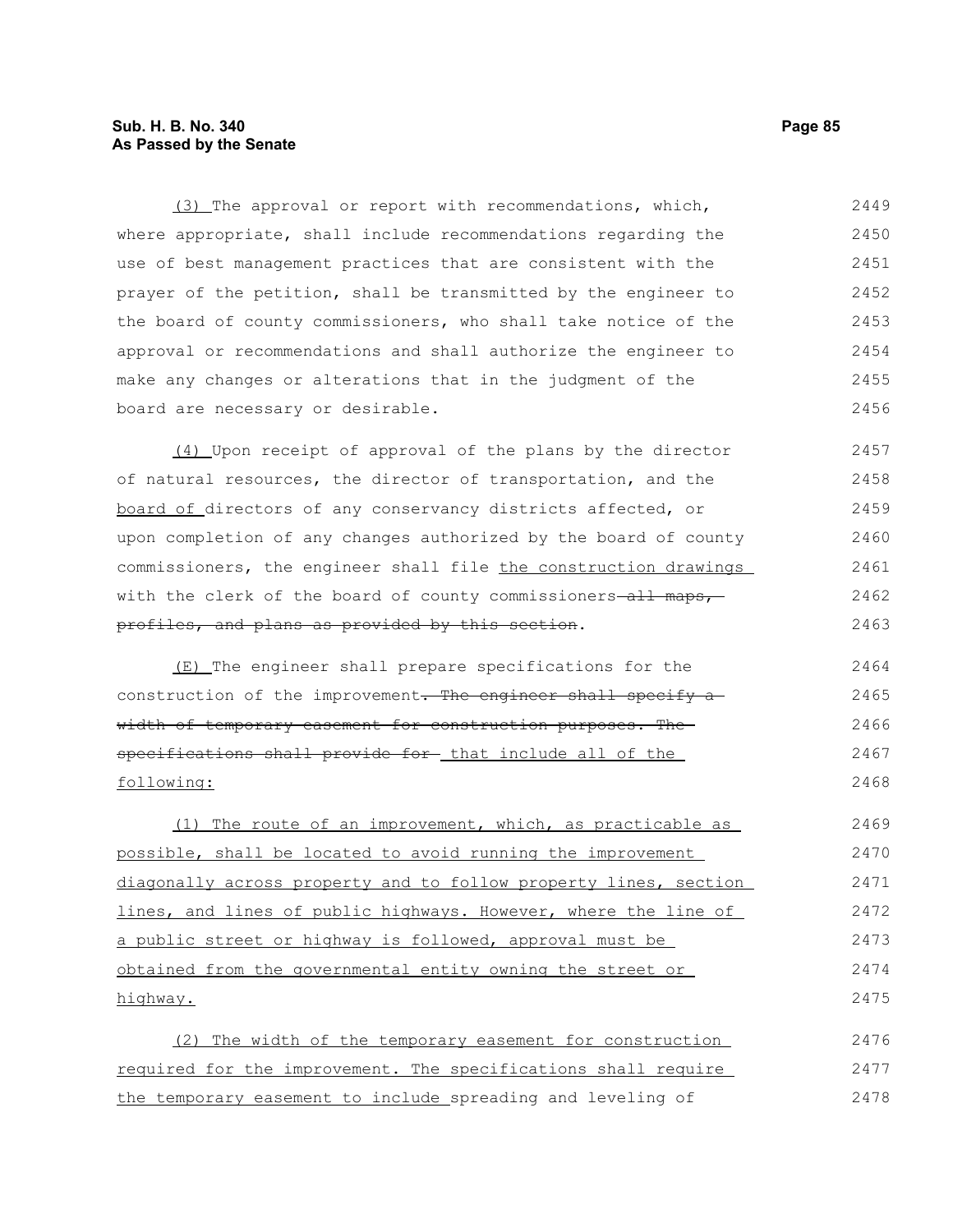### **Sub. H. B. No. 340 Page 85 As Passed by the Senate**

(3) The approval or report with recommendations, which, where appropriate, shall include recommendations regarding the use of best management practices that are consistent with the prayer of the petition, shall be transmitted by the engineer to the board of county commissioners, who shall take notice of the approval or recommendations and shall authorize the engineer to make any changes or alterations that in the judgment of the board are necessary or desirable. 2449 2450 2451 2452 2453 2454 2455 2456

(4) Upon receipt of approval of the plans by the director of natural resources, the director of transportation, and the board of directors of any conservancy districts affected, or upon completion of any changes authorized by the board of county commissioners, the engineer shall file the construction drawings with the clerk of the board of county commissioners-all maps, profiles, and plans as provided by this section. 2457 2458 2459 2460 2461 2462 2463

(E) The engineer shall prepare specifications for the construction of the improvement. The engineer shall specify awidth of temporary easement for construction purposes. The specifications shall provide for- that include all of the following:

(1) The route of an improvement, which, as practicable as possible, shall be located to avoid running the improvement diagonally across property and to follow property lines, section lines, and lines of public highways. However, where the line of a public street or highway is followed, approval must be obtained from the governmental entity owning the street or highway. 2469 2470 2471 2472 2473 2474 2475

(2) The width of the temporary easement for construction required for the improvement. The specifications shall require the temporary easement to include spreading and leveling of 2476 2477 2478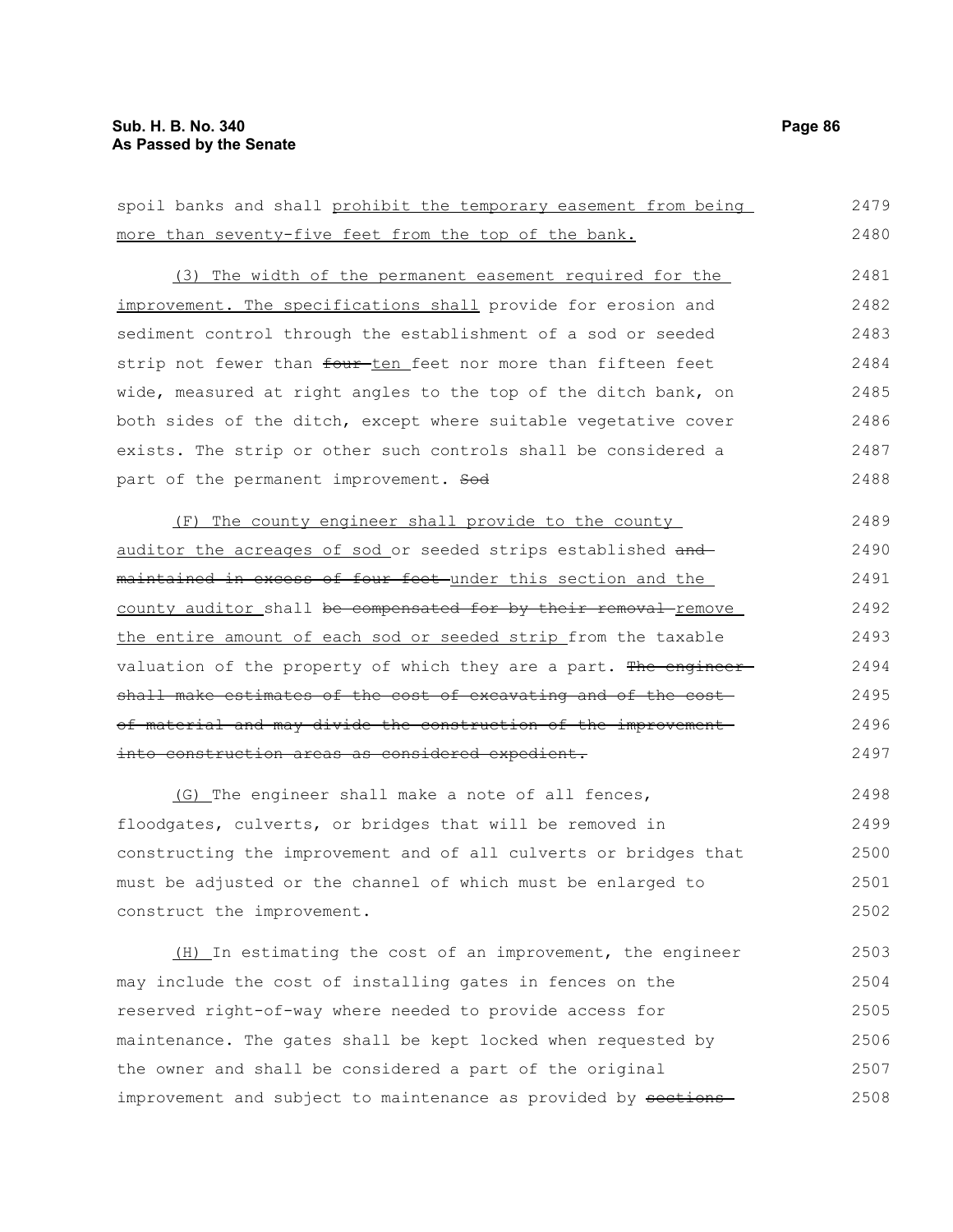| more than seventy-five feet from the top of the bank.            | 2480 |
|------------------------------------------------------------------|------|
| (3) The width of the permanent easement required for the         | 2481 |
| improvement. The specifications shall provide for erosion and    | 2482 |
| sediment control through the establishment of a sod or seeded    | 2483 |
| strip not fewer than four-ten feet nor more than fifteen feet    | 2484 |
| wide, measured at right angles to the top of the ditch bank, on  | 2485 |
| both sides of the ditch, except where suitable vegetative cover  | 2486 |
| exists. The strip or other such controls shall be considered a   | 2487 |
| part of the permanent improvement. Sod                           | 2488 |
| (F) The county engineer shall provide to the county              | 2489 |
| auditor the acreages of sod or seeded strips established and     | 2490 |
| maintained in excess of four feet under this section and the     | 2491 |
| county auditor shall be compensated for by their removal-remove  | 2492 |
| the entire amount of each sod or seeded strip from the taxable   | 2493 |
| valuation of the property of which they are a part. The engineer | 2494 |
| shall make estimates of the cost of excavating and of the cost-  | 2495 |
| of material and may divide the construction of the improvement   | 2496 |
| into construction areas as considered expedient.                 | 2497 |
| (G) The engineer shall make a note of all fences,                | 2498 |
| floodgates, culverts, or bridges that will be removed in         | 2499 |
| constructing the improvement and of all culverts or bridges that | 2500 |
| must be adjusted or the channel of which must be enlarged to     | 2501 |

spoil banks and shall prohibit the temporary easement from being

construct the improvement. (H) In estimating the cost of an improvement, the engineer may include the cost of installing gates in fences on the reserved right-of-way where needed to provide access for maintenance. The gates shall be kept locked when requested by the owner and shall be considered a part of the original 2502 2503 2504 2505 2506 2507

improvement and subject to maintenance as provided by sections 2508

2479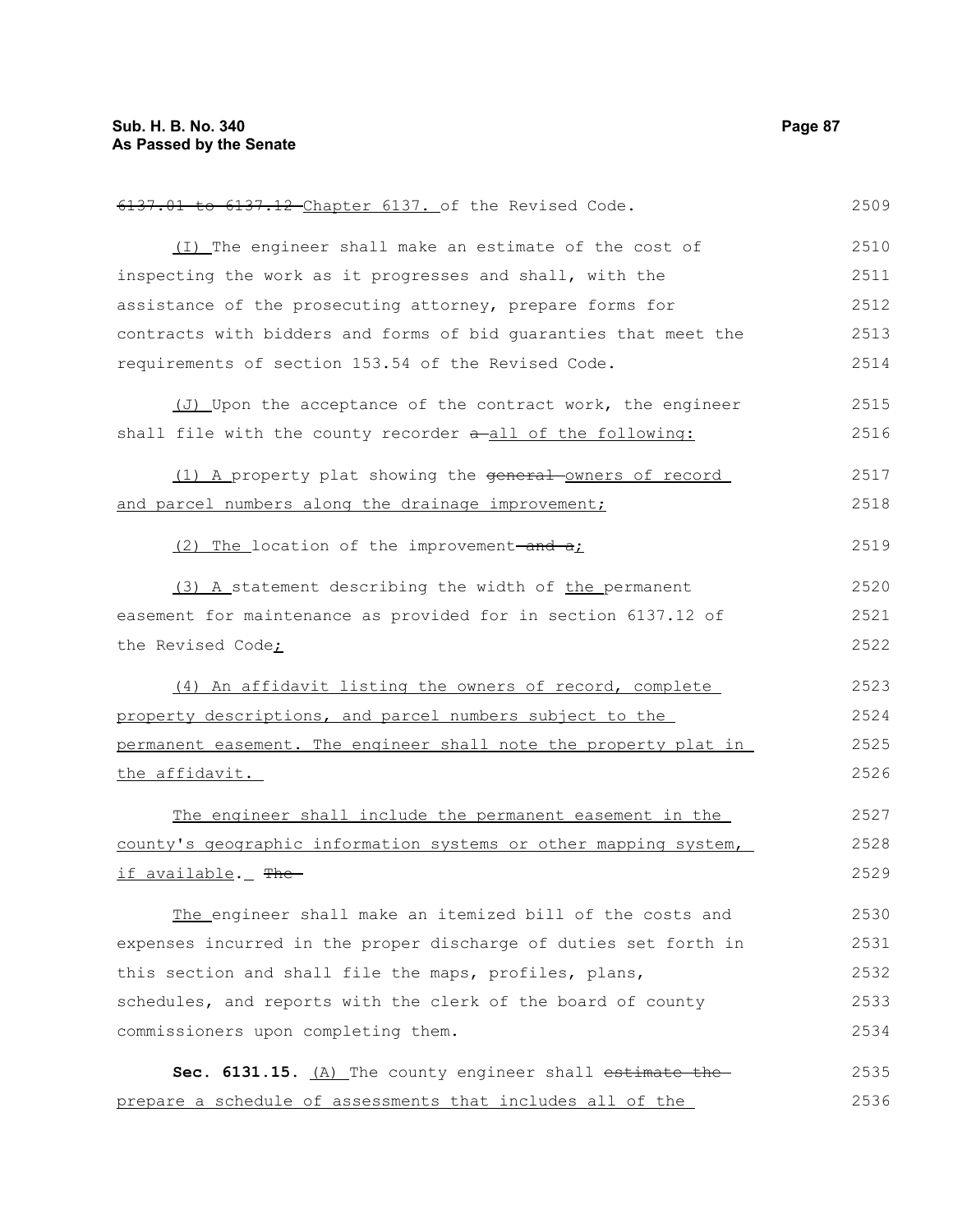6137.01 to 6137.12 Chapter 6137. of the Revised Code. (I) The engineer shall make an estimate of the cost of inspecting the work as it progresses and shall, with the assistance of the prosecuting attorney, prepare forms for contracts with bidders and forms of bid guaranties that meet the requirements of section 153.54 of the Revised Code. (J) Upon the acceptance of the contract work, the engineer shall file with the county recorder  $a$ -all of the following: (1) A property plat showing the general-owners of record and parcel numbers along the drainage improvement;  $(2)$  The location of the improvement-and  $a<sub>i</sub>$ (3) A statement describing the width of the permanent easement for maintenance as provided for in section 6137.12 of the Revised Code; (4) An affidavit listing the owners of record, complete property descriptions, and parcel numbers subject to the permanent easement. The engineer shall note the property plat in the affidavit. The engineer shall include the permanent easement in the county's geographic information systems or other mapping system, if available. The The engineer shall make an itemized bill of the costs and expenses incurred in the proper discharge of duties set forth in this section and shall file the maps, profiles, plans, schedules, and reports with the clerk of the board of county commissioners upon completing them. Sec. 6131.15. (A) The county engineer shall estimate the prepare a schedule of assessments that includes all of the 2509 2510 2511 2512 2513 2514 2515 2516 2517 2518 2519 2520 2521 2522 2523 2524 2525 2526 2527 2528 2529 2530 2531 2532 2533 2534 2535 2536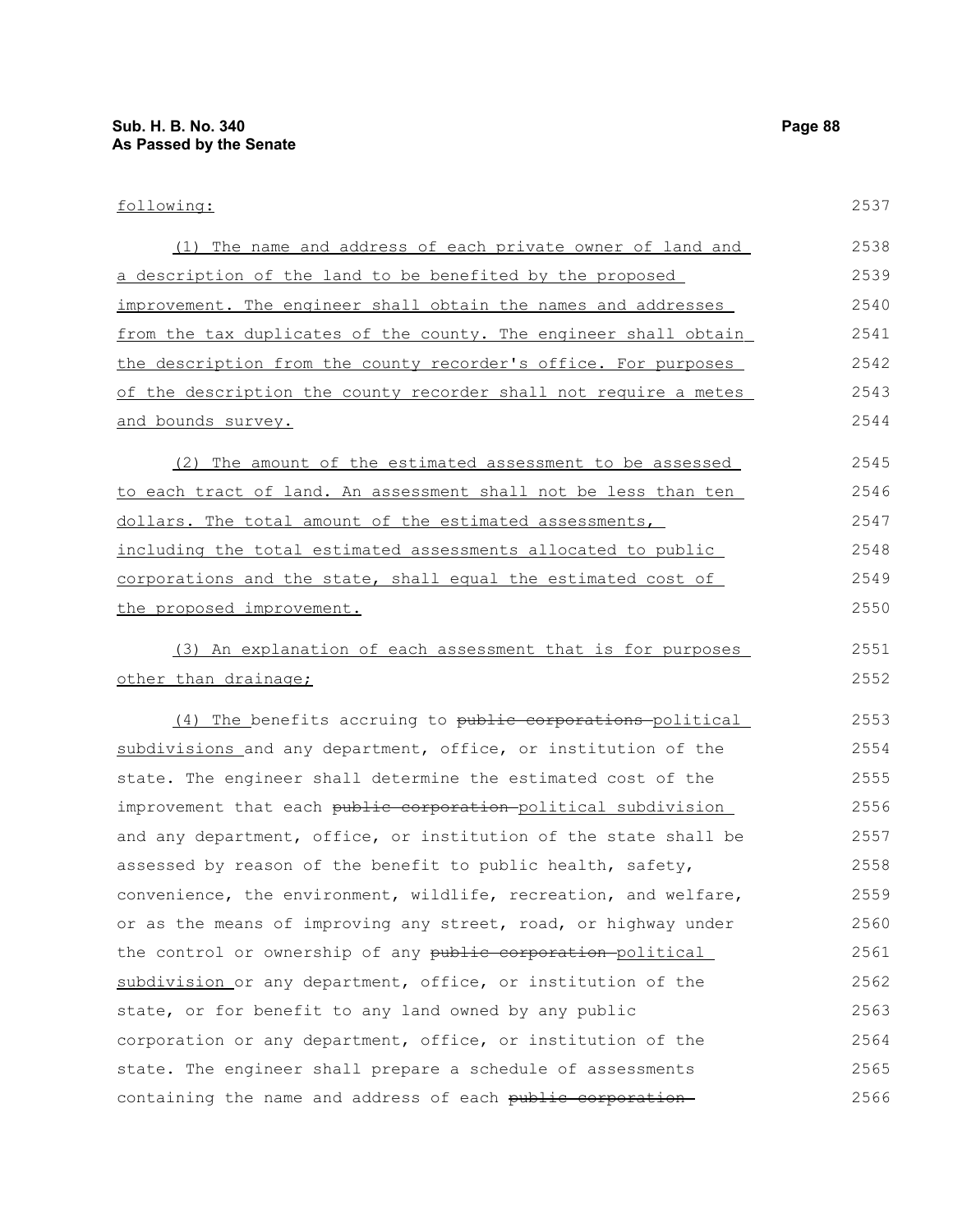| following:                                                       | 2537 |
|------------------------------------------------------------------|------|
| (1) The name and address of each private owner of land and       | 2538 |
| a description of the land to be benefited by the proposed        | 2539 |
| improvement. The engineer shall obtain the names and addresses   | 2540 |
| from the tax duplicates of the county. The engineer shall obtain | 2541 |
| the description from the county recorder's office. For purposes  | 2542 |
| of the description the county recorder shall not require a metes | 2543 |
| and bounds survey.                                               | 2544 |
| The amount of the estimated assessment to be assessed<br>(2)     | 2545 |
| to each tract of land. An assessment shall not be less than ten  | 2546 |
| dollars. The total amount of the estimated assessments,          | 2547 |
| including the total estimated assessments allocated to public    | 2548 |
| corporations and the state, shall equal the estimated cost of    | 2549 |
| the proposed improvement.                                        | 2550 |
| (3) An explanation of each assessment that is for purposes       | 2551 |
| other than drainage;                                             | 2552 |
| (4) The benefits accruing to public corporations political       | 2553 |
| subdivisions and any department, office, or institution of the   | 2554 |
| state. The engineer shall determine the estimated cost of the    | 2555 |
| improvement that each public corporation political subdivision   | 2556 |
| and any department, office, or institution of the state shall be | 2557 |
| assessed by reason of the benefit to public health, safety,      | 2558 |
| convenience, the environment, wildlife, recreation, and welfare, | 2559 |
| or as the means of improving any street, road, or highway under  | 2560 |
| the control or ownership of any public corporation-political     | 2561 |
| subdivision or any department, office, or institution of the     | 2562 |
| state, or for benefit to any land owned by any public            | 2563 |
| corporation or any department, office, or institution of the     | 2564 |
| state. The engineer shall prepare a schedule of assessments      | 2565 |
| containing the name and address of each public corporation-      | 2566 |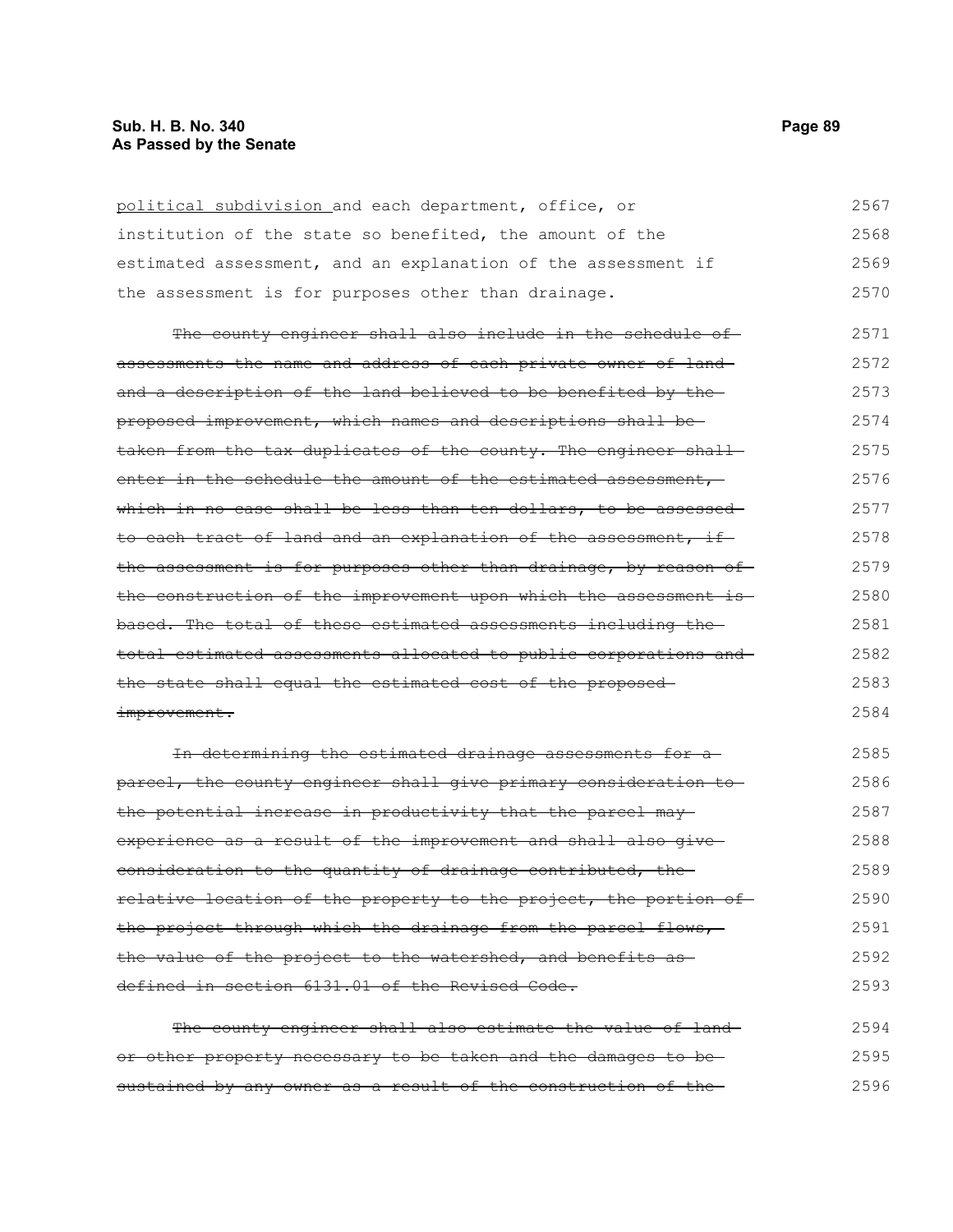| political subdivision and each department, office, or             | 2567 |
|-------------------------------------------------------------------|------|
| institution of the state so benefited, the amount of the          | 2568 |
| estimated assessment, and an explanation of the assessment if     | 2569 |
| the assessment is for purposes other than drainage.               | 2570 |
| The county engineer shall also include in the schedule of-        | 2571 |
| assessments the name and address of each private owner of land-   | 2572 |
| and a description of the land believed to be benefited by the     | 2573 |
| proposed improvement, which names and descriptions shall be-      | 2574 |
| taken from the tax duplicates of the county. The engineer shall-  | 2575 |
| enter in the schedule the amount of the estimated assessment,     | 2576 |
| which in no case shall be less than ten dollars, to be assessed-  | 2577 |
| to each tract of land and an explanation of the assessment, if-   | 2578 |
| the assessment is for purposes other than drainage, by reason of  | 2579 |
| the construction of the improvement upon which the assessment is- | 2580 |
| based. The total of these estimated assessments including the-    | 2581 |
| total estimated assessments allocated to public corporations and  | 2582 |
| the state shall equal the estimated cost of the proposed-         | 2583 |
| improvement.                                                      | 2584 |
| In determining the estimated drainage assessments for a           | 2585 |
| parcel, the county engineer shall give primary consideration to   | 2586 |
| the potential increase in productivity that the parcel may-       | 2587 |
| experience as a result of the improvement and shall also give-    | 2588 |
| consideration to the quantity of drainage contributed, the        | 2589 |
| relative location of the property to the project, the portion of  | 2590 |
| the project through which the drainage from the parcel flows,     | 2591 |
| the value of the project to the watershed, and benefits as        | 2592 |

The county engineer shall also estimate the value of landor other property necessary to be taken and the damages to be sustained by any owner as a result of the construction of the-2594 2595 2596

defined in section 6131.01 of the Revised Code.

2593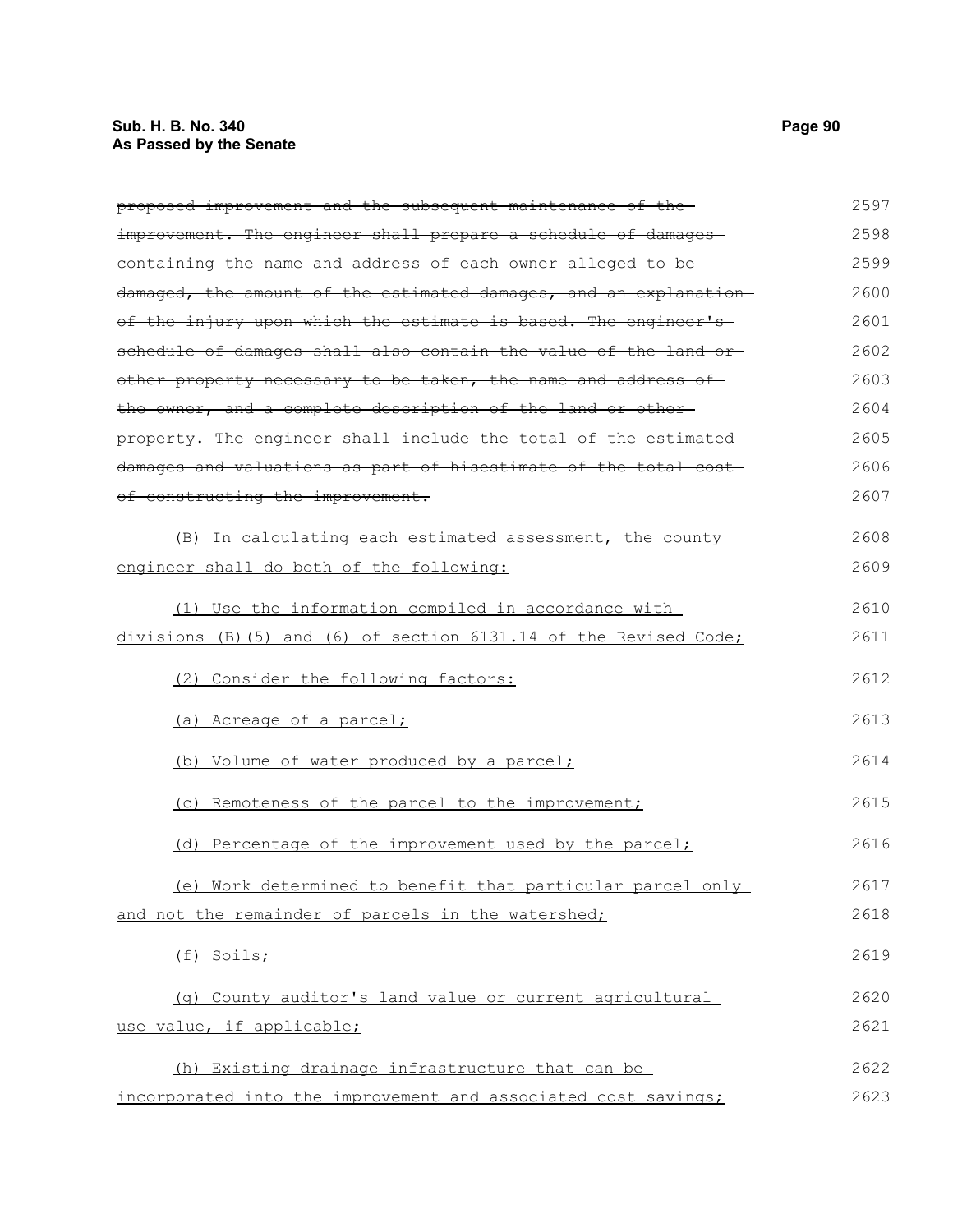### **Sub. H. B. No. 340 Page 90 As Passed by the Senate**

proposed improvement and the subsequent maintenance of the improvement. The engineer shall prepare a schedule of damagescontaining the name and address of each owner alleged to be damaged, the amount of the estimated damages, and an explanation of the injury upon which the estimate is based. The engineer's schedule of damages shall also contain the value of the land orother property necessary to be taken, the name and address of the owner, and a complete description of the land or other property. The engineer shall include the total of the estimated damages and valuations as part of hisestimate of the total cost of constructing the improvement. (B) In calculating each estimated assessment, the county 2597 2598 2599 2600 2601 2602 2603 2604 2605 2606 2607 2608

engineer shall do both of the following: (1) Use the information compiled in accordance with divisions (B)(5) and (6) of section 6131.14 of the Revised Code; (2) Consider the following factors: (a) Acreage of a parcel; (b) Volume of water produced by a parcel; (c) Remoteness of the parcel to the improvement; (d) Percentage of the improvement used by the parcel; (e) Work determined to benefit that particular parcel only and not the remainder of parcels in the watershed; (f) Soils; 2609 2610 2611 2612 2613 2614 2615 2616 2617 2618 2619

(g) County auditor's land value or current agricultural use value, if applicable; 2620 2621

(h) Existing drainage infrastructure that can be incorporated into the improvement and associated cost savings; 2622 2623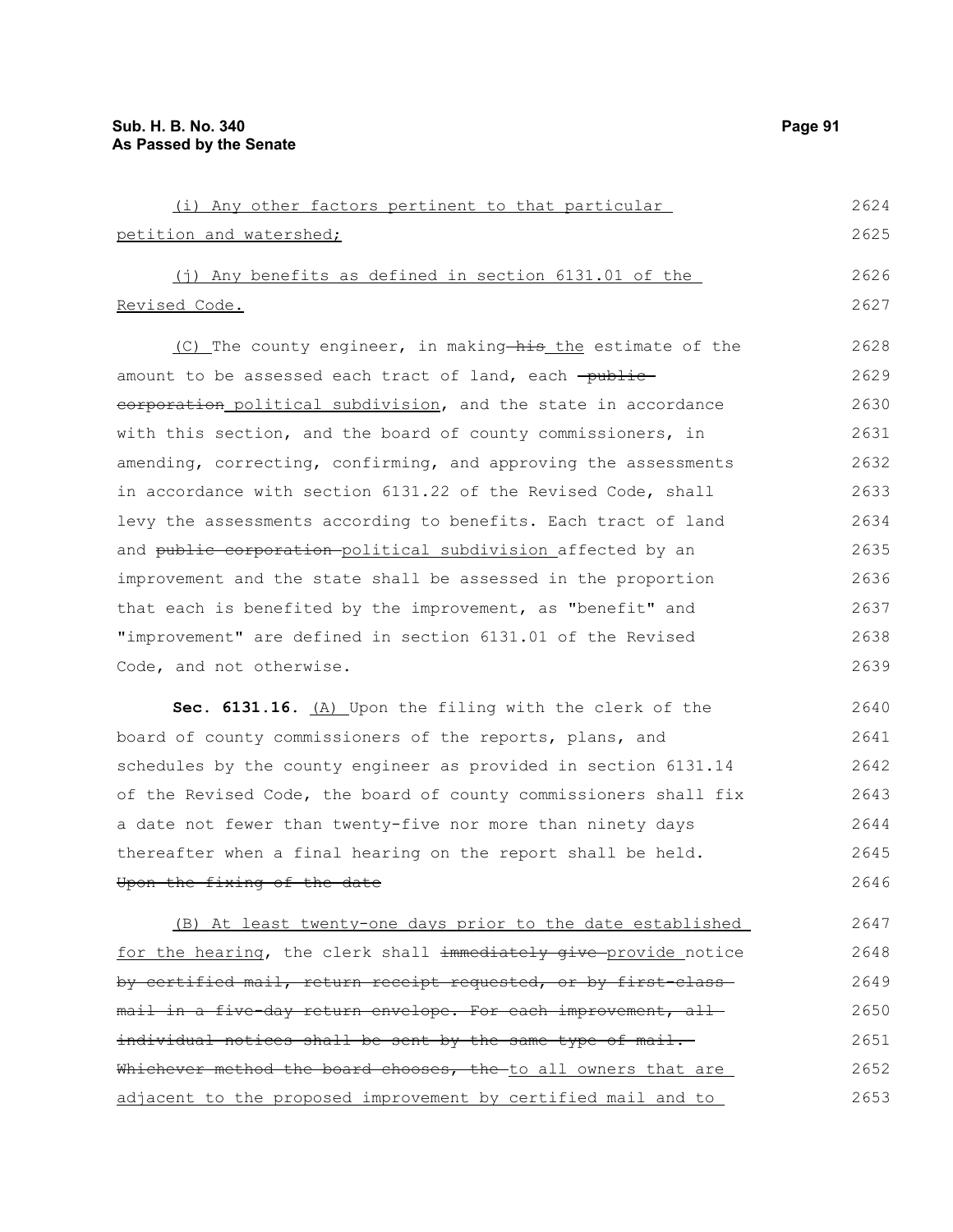| (i) Any other factors pertinent to that particular                 | 2624 |
|--------------------------------------------------------------------|------|
| petition and watershed;                                            | 2625 |
| $(i)$ Any benefits as defined in section 6131.01 of the            | 2626 |
| Revised Code.                                                      | 2627 |
| (C) The county engineer, in making—his the estimate of the         | 2628 |
| amount to be assessed each tract of land, each <del>-public-</del> | 2629 |
| corporation political subdivision, and the state in accordance     | 2630 |
| with this section, and the board of county commissioners, in       | 2631 |
| amending, correcting, confirming, and approving the assessments    | 2632 |
| in accordance with section 6131.22 of the Revised Code, shall      | 2633 |

levy the assessments according to benefits. Each tract of land and public corporation-political subdivision affected by an improvement and the state shall be assessed in the proportion that each is benefited by the improvement, as "benefit" and "improvement" are defined in section 6131.01 of the Revised Code, and not otherwise. 2634 2635 2636 2637 2638 2639

Sec. 6131.16. (A) Upon the filing with the clerk of the board of county commissioners of the reports, plans, and schedules by the county engineer as provided in section 6131.14 of the Revised Code, the board of county commissioners shall fix a date not fewer than twenty-five nor more than ninety days thereafter when a final hearing on the report shall be held. Upon the fixing of the date 2640 2641 2642 2643 2644 2645 2646

(B) At least twenty-one days prior to the date established for the hearing, the clerk shall immediately give provide notice by certified mail, return receipt requested, or by first-classmail in a five-day return envelope. For each improvement, all individual notices shall be sent by the same type of mail. Whichever method the board chooses, the to all owners that are adjacent to the proposed improvement by certified mail and to 2647 2648 2649 2650 2651 2652 2653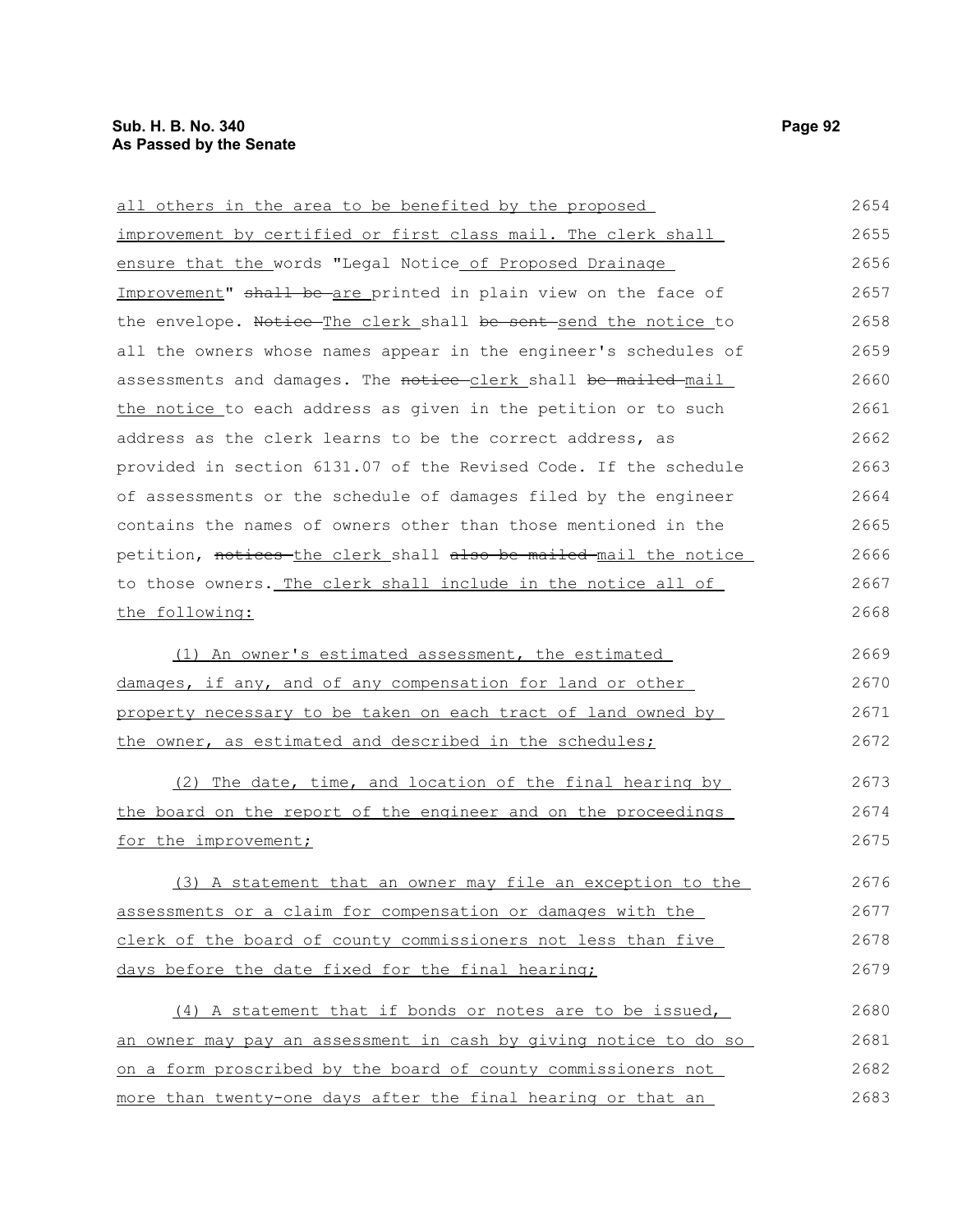| all others in the area to be benefited by the proposed           | 2654 |
|------------------------------------------------------------------|------|
| improvement by certified or first class mail. The clerk shall    | 2655 |
| ensure that the words "Legal Notice_of Proposed Drainage_        | 2656 |
| Improvement" shall be are printed in plain view on the face of   | 2657 |
| the envelope. Notice The clerk shall be sent-send the notice to  | 2658 |
| all the owners whose names appear in the engineer's schedules of | 2659 |
| assessments and damages. The notice-clerk shall be mailed mail   | 2660 |
| the notice to each address as given in the petition or to such   | 2661 |
| address as the clerk learns to be the correct address, as        | 2662 |
| provided in section 6131.07 of the Revised Code. If the schedule | 2663 |
| of assessments or the schedule of damages filed by the engineer  | 2664 |
| contains the names of owners other than those mentioned in the   | 2665 |
| petition, notices the clerk shall also be mailed mail the notice | 2666 |
| to those owners. The clerk shall include in the notice all of    | 2667 |
| the following:                                                   | 2668 |
| (1) An owner's estimated assessment, the estimated               | 2669 |
| damages, if any, and of any compensation for land or other       | 2670 |
| property necessary to be taken on each tract of land owned by    | 2671 |
| the owner, as estimated and described in the schedules;          | 2672 |
| (2) The date, time, and location of the final hearing by         | 2673 |
| the board on the report of the engineer and on the proceedings   | 2674 |
| for the improvement;                                             | 2675 |
| (3) A statement that an owner may file an exception to the       | 2676 |
| assessments or a claim for compensation or damages with the      | 2677 |
| clerk of the board of county commissioners not less than five    | 2678 |
| days before the date fixed for the final hearing;                | 2679 |
| (4) A statement that if bonds or notes are to be issued,         | 2680 |
| an owner may pay an assessment in cash by giving notice to do so | 2681 |
| on a form proscribed by the board of county commissioners not    | 2682 |
| more than twenty-one days after the final hearing or that an     | 2683 |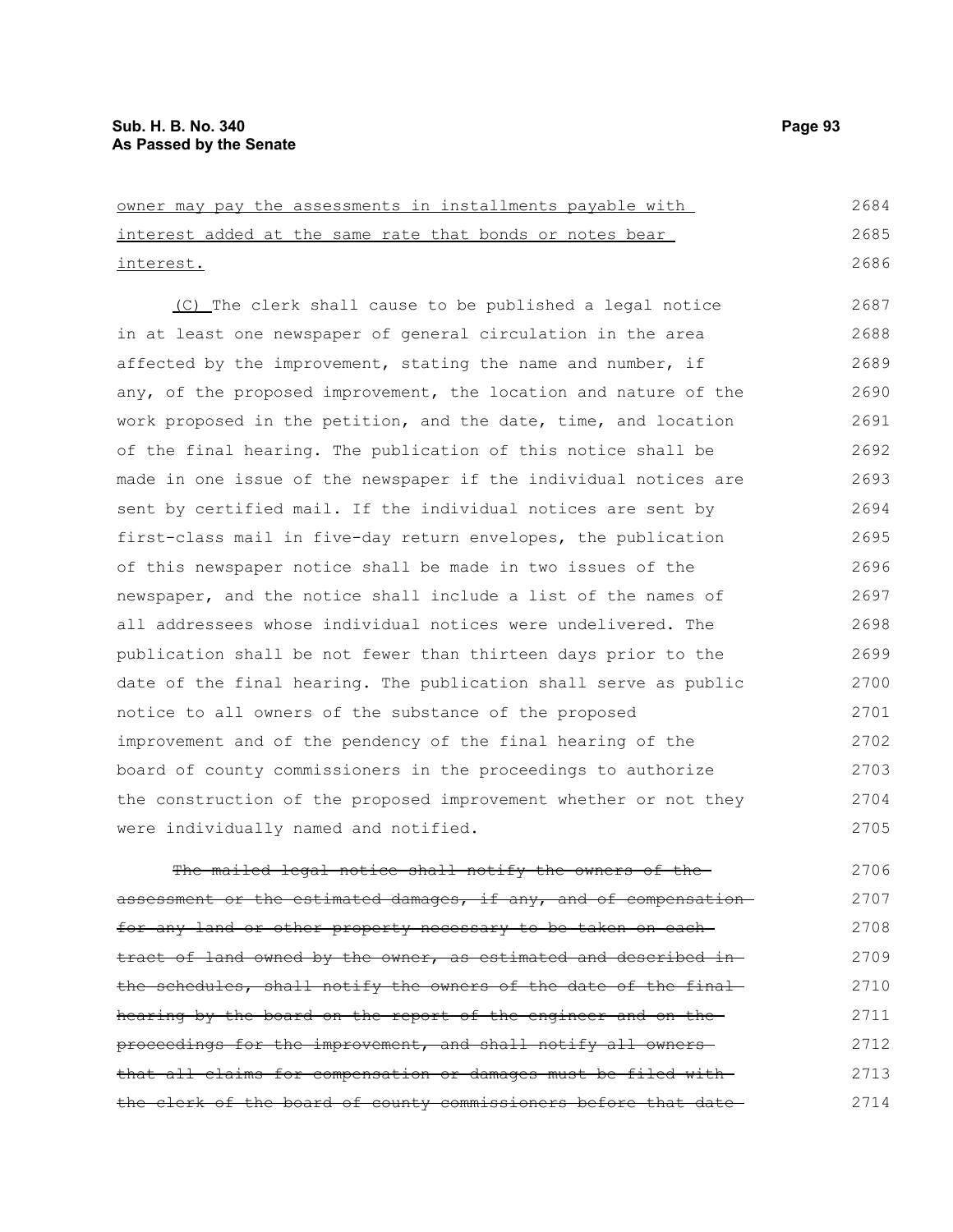owner may pay the assessments in installments payable with interest added at the same rate that bonds or notes bear interest. (C) The clerk shall cause to be published a legal notice in at least one newspaper of general circulation in the area affected by the improvement, stating the name and number, if any, of the proposed improvement, the location and nature of the work proposed in the petition, and the date, time, and location of the final hearing. The publication of this notice shall be made in one issue of the newspaper if the individual notices are sent by certified mail. If the individual notices are sent by first-class mail in five-day return envelopes, the publication of this newspaper notice shall be made in two issues of the newspaper, and the notice shall include a list of the names of all addressees whose individual notices were undelivered. The publication shall be not fewer than thirteen days prior to the date of the final hearing. The publication shall serve as public notice to all owners of the substance of the proposed improvement and of the pendency of the final hearing of the board of county commissioners in the proceedings to authorize the construction of the proposed improvement whether or not they were individually named and notified. 2684 2685 2686 2687 2688 2689 2690 2691 2692 2693 2694 2695 2696 2697 2698 2699 2700 2701 2702 2703 2704 2705

The mailed legal notice shall notify the owners of theassessment or the estimated damages, if any, and of compensation for any land or other property necessary to be taken on eachtract of land owned by the owner, as estimated and described inthe schedules, shall notify the owners of the date of the final hearing by the board on the report of the engineer and on the proceedings for the improvement, and shall notify all owners that all claims for compensation or damages must be filed with the clerk of the board of county commissioners before that date 2706 2707 2708 2709 2710 2711 2712 2713 2714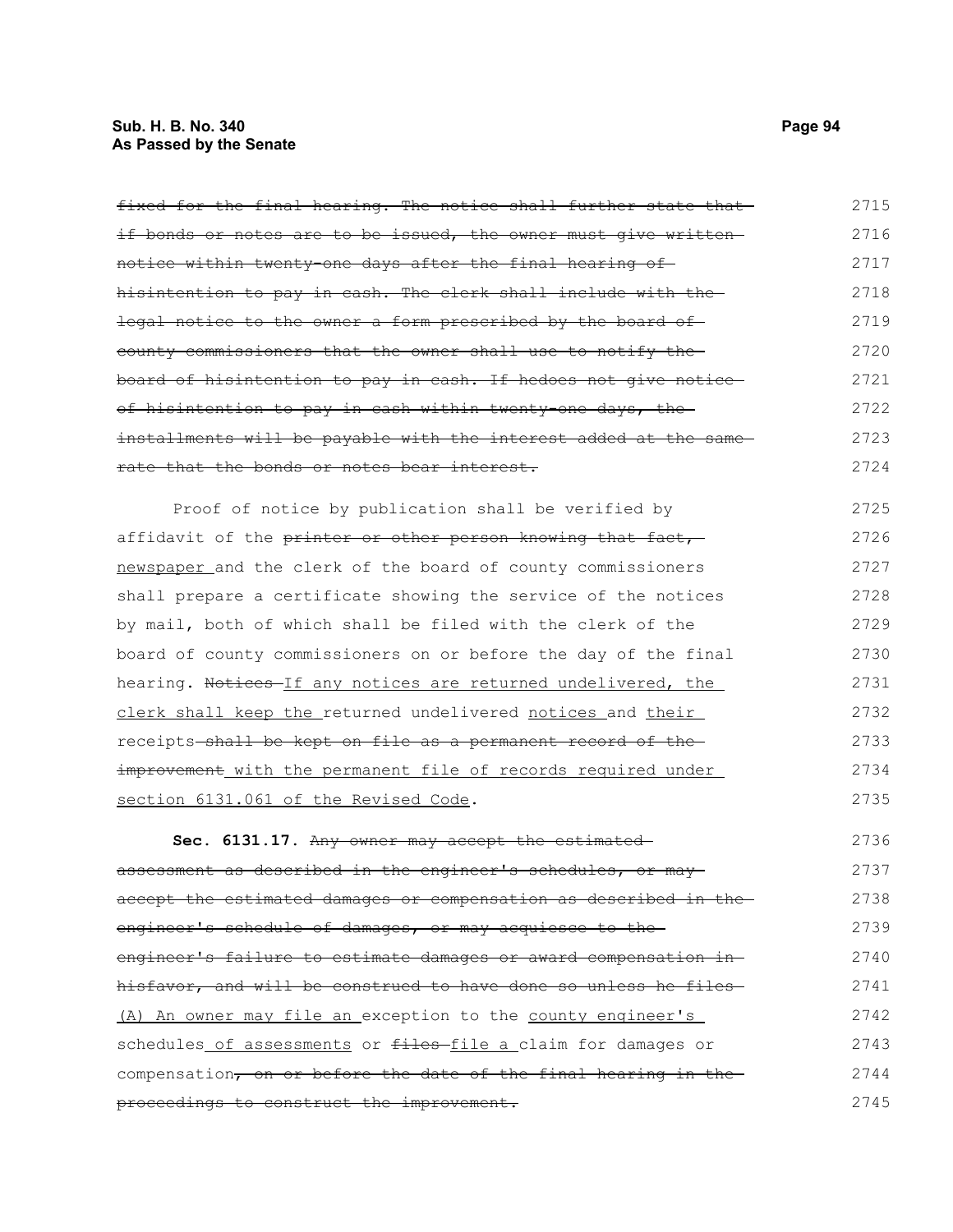# **Sub. H. B. No. 340 Page 94 As Passed by the Senate**

| fixed for the final hearing. The notice shall further state that  | 2715 |
|-------------------------------------------------------------------|------|
| if bonds or notes are to be issued, the owner must give written   | 2716 |
| notice within twenty-one days after the final hearing of-         | 2717 |
| hisintention to pay in cash. The clerk shall include with the     | 2718 |
| legal notice to the owner a form prescribed by the board of       | 2719 |
| county commissioners that the owner shall use to notify the       | 2720 |
| board of hisintention to pay in cash. If hedoes not give notice-  | 2721 |
| of hisintention to pay in cash within twenty one days, the        | 2722 |
| installments will be payable with the interest added at the same- | 2723 |
| rate that the bonds or notes bear interest.                       | 2724 |
| Proof of notice by publication shall be verified by               | 2725 |
| affidavit of the printer or other person knowing that fact,       | 2726 |
| newspaper and the clerk of the board of county commissioners      | 2727 |
| shall prepare a certificate showing the service of the notices    | 2728 |
| by mail, both of which shall be filed with the clerk of the       | 2729 |
| board of county commissioners on or before the day of the final   | 2730 |
| hearing. Notices If any notices are returned undelivered, the     | 2731 |
| clerk shall keep the returned undelivered notices and their       | 2732 |
| receipts shall be kept on file as a permanent record of the       | 2733 |
| improvement with the permanent file of records required under     | 2734 |
| section 6131.061 of the Revised Code.                             | 2735 |
| Sec. 6131.17. Any owner may accept the estimated                  | 2736 |
| assessment as described in the engineer's schedules, or may-      | 2737 |
| accept the estimated damages or compensation as described in the- | 2738 |
| engineer's schedule of damages, or may acquiesce to the           | 2739 |
| engineer's failure to estimate damages or award compensation in-  | 2740 |
| hisfavor, and will be construed to have done so unless he files-  | 2741 |
| (A) An owner may file an exception to the county engineer's       | 2742 |
| schedules of assessments or files-file a claim for damages or     | 2743 |
| compensation, on or before the date of the final hearing in the   | 2744 |
| proceedings to construct the improvement.                         | 2745 |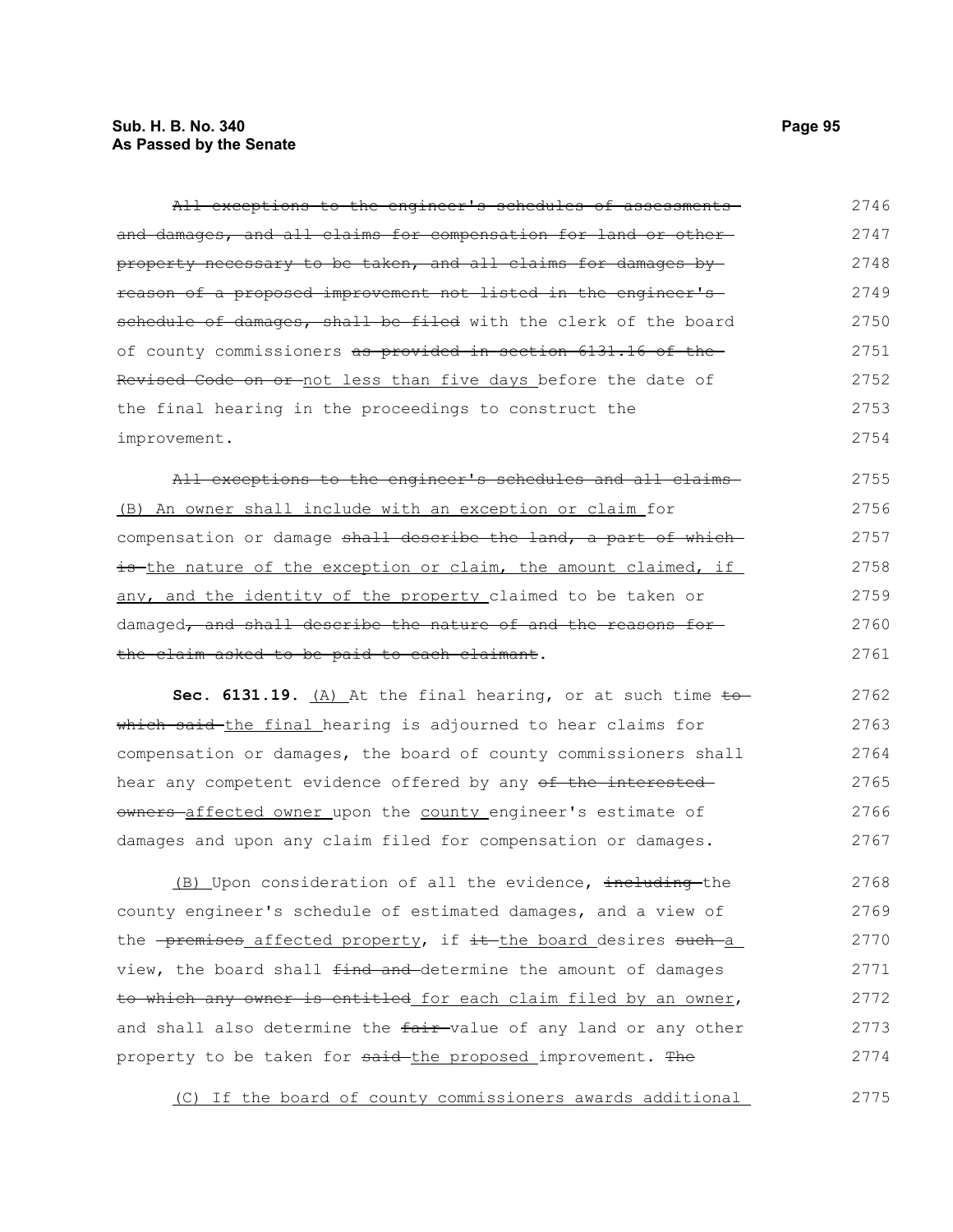### **Sub. H. B. No. 340 Page 95 As Passed by the Senate**

| All exceptions to the engineer's schedules of assessments                    | 2746 |
|------------------------------------------------------------------------------|------|
| and damages, and all claims for compensation for land or other-              | 2747 |
| property necessary to be taken, and all claims for damages by-               | 2748 |
| <del>reason of a proposed improvement not listed in the engineer's -</del>   | 2749 |
| schedule of damages, shall be filed with the clerk of the board              | 2750 |
| of county commissioners <del>as provided in section 6131.16 of the</del>     | 2751 |
| <del>Revised Code on or not less than five days before the date of</del>     | 2752 |
| the final hearing in the proceedings to construct the                        | 2753 |
| improvement.                                                                 | 2754 |
| All exceptions to the engineer's schedules and all claims-                   | 2755 |
| (B) An owner shall include with an exception or claim for                    | 2756 |
| compensation or damage shall describe the land, a part of which              | 2757 |
| is the nature of the exception or claim, the amount claimed, if              | 2758 |
| any, and the identity of the property claimed to be taken or                 | 2759 |
| damaged <del>, and shall describe the nature of and the reasons for-</del>   | 2760 |
| <del>the claim asked to be paid to each claimant</del> .                     | 2761 |
| Sec. 6131.19. $(A)$ At the final hearing, or at such time to                 | 2762 |
| <del>which said t</del> he final hearing is adjourned to hear claims for     | 2763 |
| compensation or damages, the board of county commissioners shall             | 2764 |
| hear any competent evidence offered by any <del>of the interested</del>      | 2765 |
| owners-affected owner upon the county engineer's estimate of                 | 2766 |
| damages and upon any claim filed for compensation or damages.                | 2767 |
| (B) Upon consideration of all the evidence, including-the                    | 2768 |
| county engineer's schedule of estimated damages, and a view of               | 2769 |
| the <del>-premises</del> affected property, if it the board desires such a   | 2770 |
| view, the board shall <del>find and </del> determine the amount of damages   | 2771 |
| to which any owner is entitled for each claim filed by an owner,             | 2772 |
| and shall also determine the <del>fair </del> value of any land or any other | 2773 |
| property to be taken for <del>said the proposed</del> improvement. The       | 2774 |
|                                                                              |      |

(C) If the board of county commissioners awards additional 2775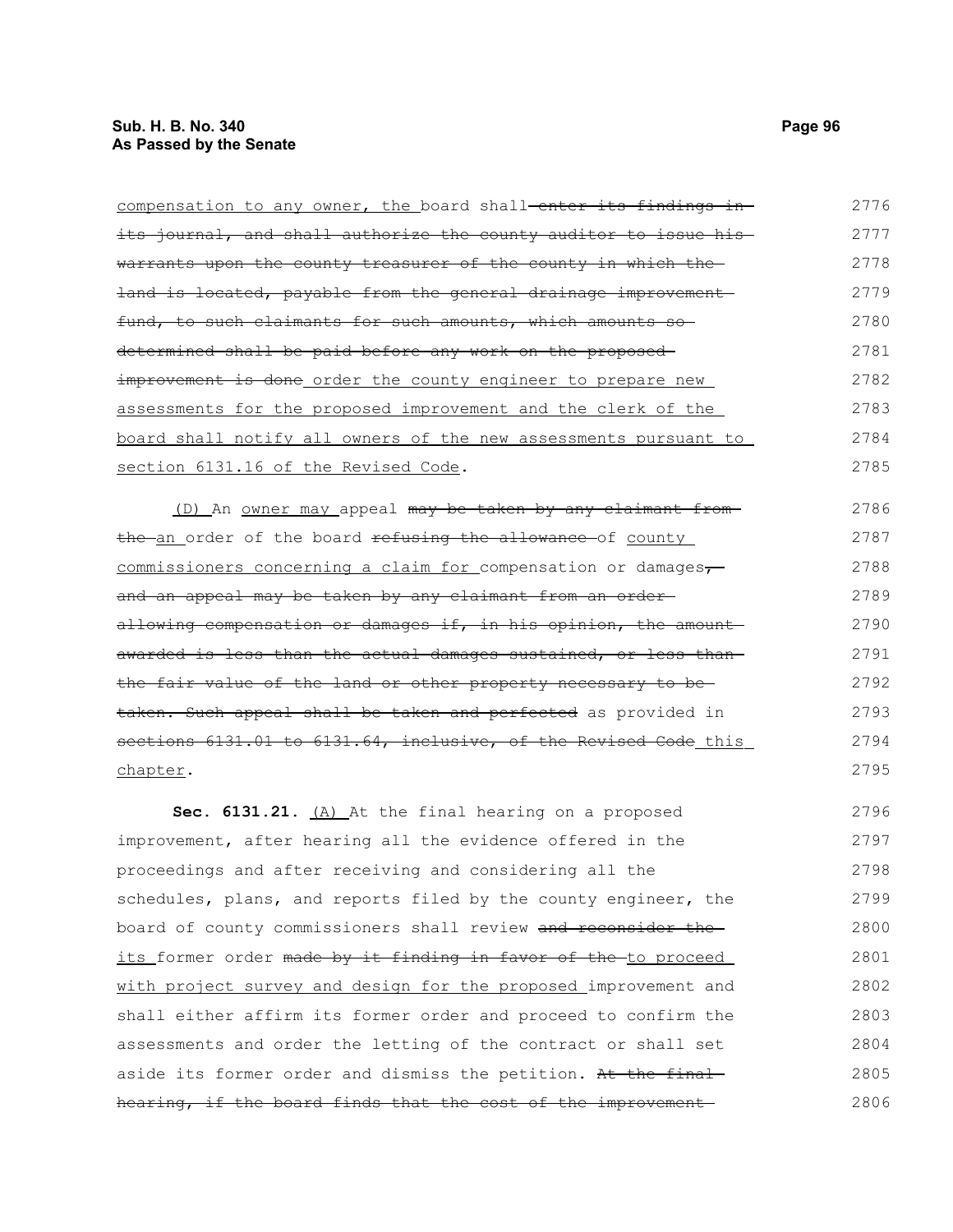| compensation to any owner, the board shall-enter its findings in-                 | 2776 |
|-----------------------------------------------------------------------------------|------|
| its journal, and shall authorize the county auditor to issue his-                 | 2777 |
| warrants upon the county treasurer of the county in which the                     | 2778 |
| land is located, payable from the general drainage improvement                    | 2779 |
| fund, to such claimants for such amounts, which amounts so                        | 2780 |
| determined shall be paid before any work on the proposed-                         | 2781 |
| improvement is done order the county engineer to prepare new                      | 2782 |
| assessments for the proposed improvement and the clerk of the                     | 2783 |
| board shall notify all owners of the new assessments pursuant to                  | 2784 |
| section 6131.16 of the Revised Code.                                              | 2785 |
| (D) An <u>owner may</u> appeal may be taken by any claimant from-                 | 2786 |
| the an order of the board refusing the allowance of county                        | 2787 |
| commissioners concerning a claim for compensation or damages,                     | 2788 |
| and an appeal may be taken by any claimant from an order-                         | 2789 |
| allowing compensation or damages if, in his opinion, the amount-                  | 2790 |
| awarded is less than the actual damages sustained, or less than-                  | 2791 |
| the fair value of the land or other property necessary to be-                     | 2792 |
| taken. Such appeal shall be taken and perfected as provided in                    | 2793 |
| sections 6131.01 to 6131.64, inclusive, of the Revised Code this                  | 2794 |
| chapter.                                                                          | 2795 |
| Sec. 6131.21. (A) At the final hearing on a proposed                              | 2796 |
| improvement, after hearing all the evidence offered in the                        | 2797 |
| proceedings and after receiving and considering all the                           | 2798 |
| schedules, plans, and reports filed by the county engineer, the                   | 2799 |
| board of county commissioners shall review and reconsider the                     | 2800 |
| <u>its former order <del>made by it finding in favor of the </del>to proceed </u> | 2801 |
| with project survey and design for the proposed improvement and                   | 2802 |
| shall either affirm its former order and proceed to confirm the                   | 2803 |
| assessments and order the letting of the contract or shall set                    | 2804 |
| aside its former order and dismiss the petition. At the final                     | 2805 |
| hearing, if the board finds that the cost of the improvement                      | 2806 |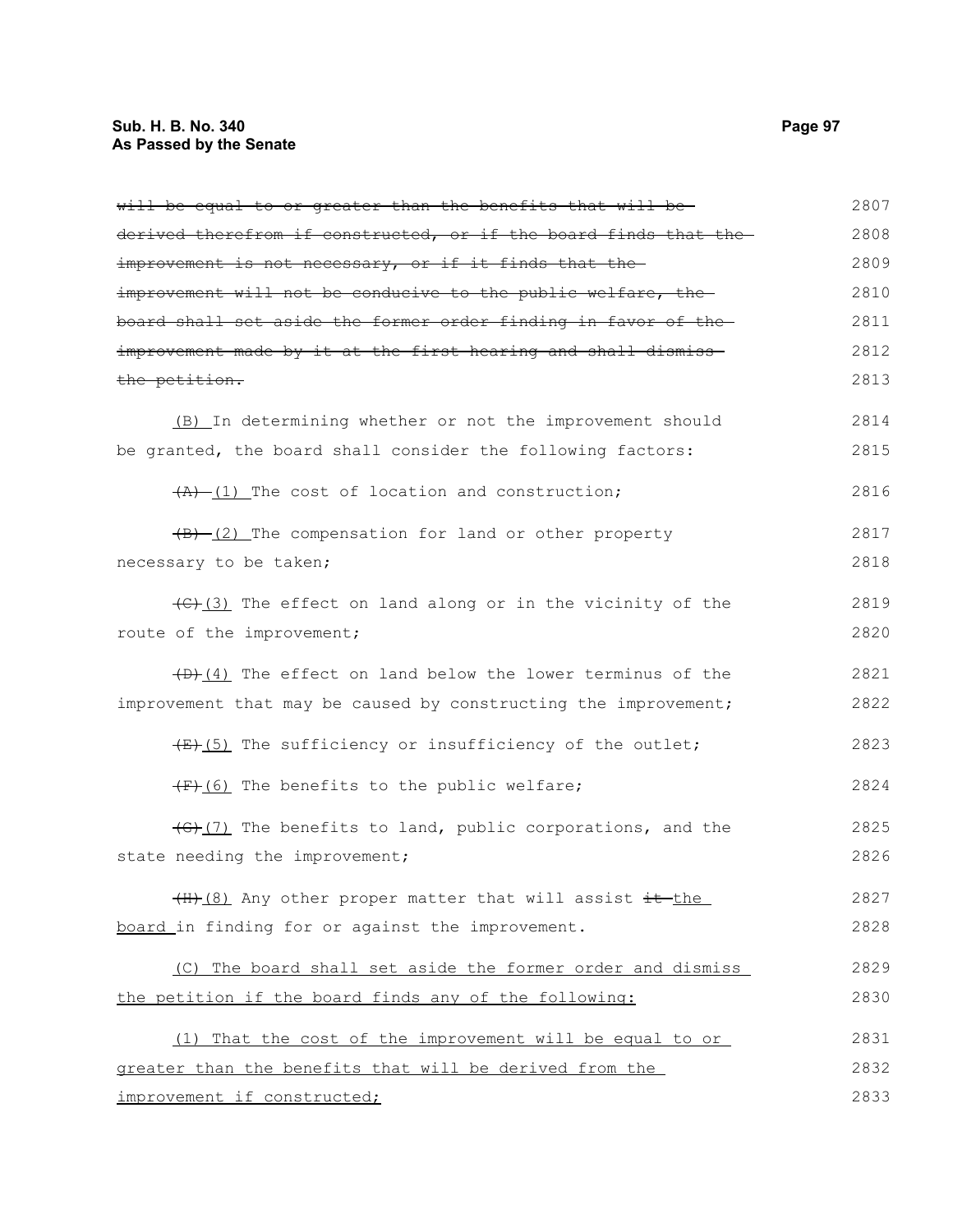# **Sub. H. B. No. 340 Page 97 As Passed by the Senate**

| will be equal to or greater than the benefits that will be-                         | 2807 |
|-------------------------------------------------------------------------------------|------|
| derived therefrom if constructed, or if the board finds that the                    | 2808 |
| improvement is not necessary, or if it finds that the-                              | 2809 |
| improvement will not be conducive to the public welfare, the                        | 2810 |
| board shall set aside the former order finding in favor of the-                     | 2811 |
| improvement made by it at the first hearing and shall dismiss-                      | 2812 |
| the petition.                                                                       | 2813 |
| (B) In determining whether or not the improvement should                            | 2814 |
| be granted, the board shall consider the following factors:                         | 2815 |
| $(A)$ (1) The cost of location and construction;                                    | 2816 |
| $(B)$ (2) The compensation for land or other property                               | 2817 |
| necessary to be taken;                                                              | 2818 |
| $\left(\frac{f(x)}{f(x)}\right)$ The effect on land along or in the vicinity of the | 2819 |
| route of the improvement;                                                           | 2820 |
| $(D)$ (4) The effect on land below the lower terminus of the                        | 2821 |
| improvement that may be caused by constructing the improvement;                     | 2822 |
| $\overline{f(x)}$ The sufficiency or insufficiency of the outlet;                   | 2823 |
| (F) (6) The benefits to the public welfare;                                         | 2824 |
| $\left(\frac{1}{2}\right)$ The benefits to land, public corporations, and the       | 2825 |
| state needing the improvement;                                                      | 2826 |
| (H) (8) Any other proper matter that will assist it the                             | 2827 |
| board in finding for or against the improvement.                                    | 2828 |
| (C) The board shall set aside the former order and dismiss                          | 2829 |
| the petition if the board finds any of the following:                               | 2830 |
| (1) That the cost of the improvement will be equal to or                            | 2831 |
| greater than the benefits that will be derived from the                             | 2832 |
| improvement if constructed;                                                         | 2833 |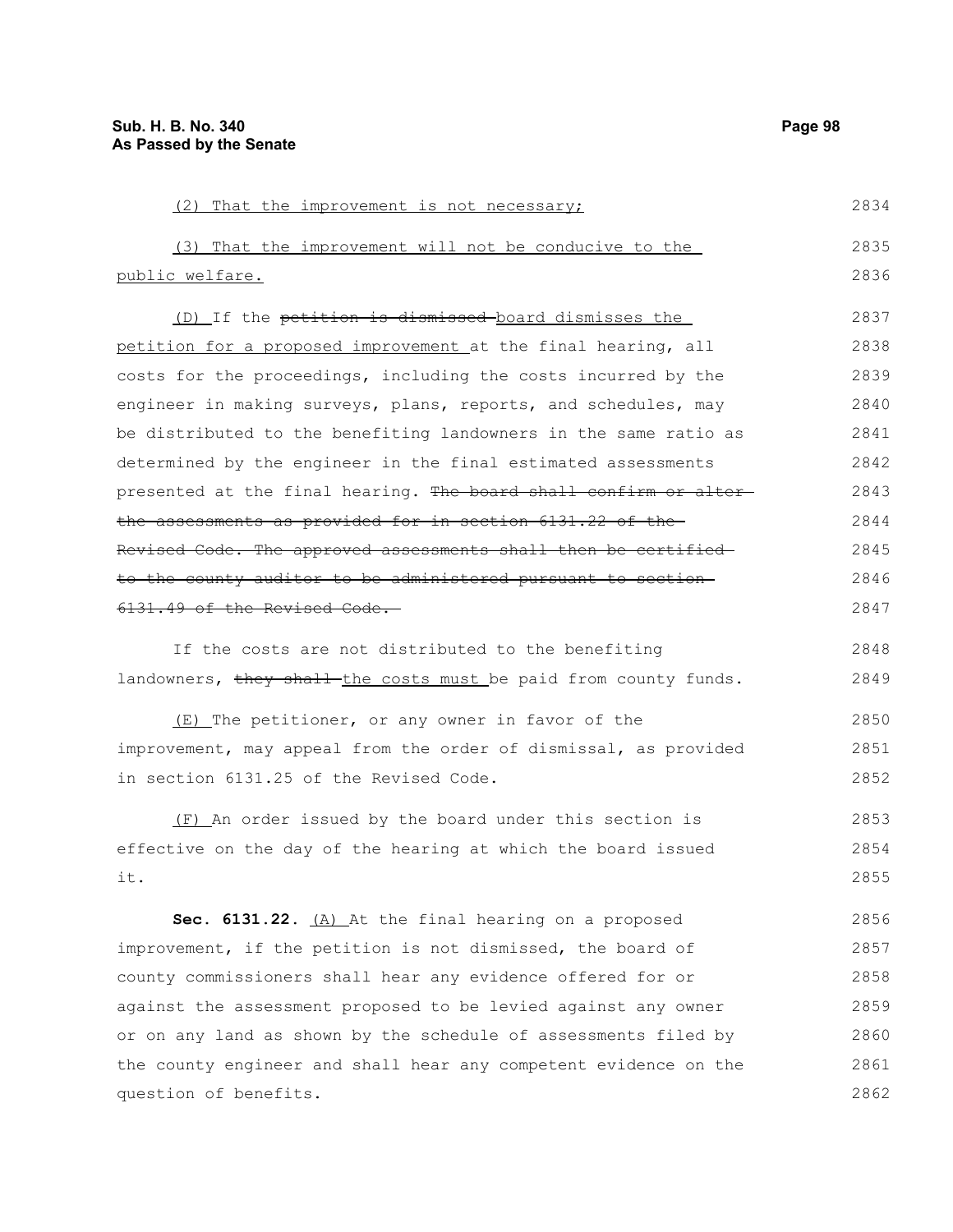question of benefits.

(2) That the improvement is not necessary; (3) That the improvement will not be conducive to the public welfare. (D) If the petition is dismissed board dismisses the petition for a proposed improvement at the final hearing, all costs for the proceedings, including the costs incurred by the engineer in making surveys, plans, reports, and schedules, may be distributed to the benefiting landowners in the same ratio as determined by the engineer in the final estimated assessments presented at the final hearing. The board shall confirm or alterthe assessments as provided for in section 6131.22 of the Revised Code. The approved assessments shall then be certified to the county auditor to be administered pursuant to section 6131.49 of the Revised Code. If the costs are not distributed to the benefiting landowners, they shall the costs must be paid from county funds. (E) The petitioner, or any owner in favor of the improvement, may appeal from the order of dismissal, as provided in section 6131.25 of the Revised Code. (F) An order issued by the board under this section is effective on the day of the hearing at which the board issued it. **Sec. 6131.22.** (A) At the final hearing on a proposed improvement, if the petition is not dismissed, the board of county commissioners shall hear any evidence offered for or against the assessment proposed to be levied against any owner or on any land as shown by the schedule of assessments filed by the county engineer and shall hear any competent evidence on the 2834 2835 2836 2837 2838 2839 2840 2841 2842 2843 2844 2845 2846 2847 2848 2849 2850 2851 2852 2853 2854 2855 2856 2857 2858 2859 2860 2861

2862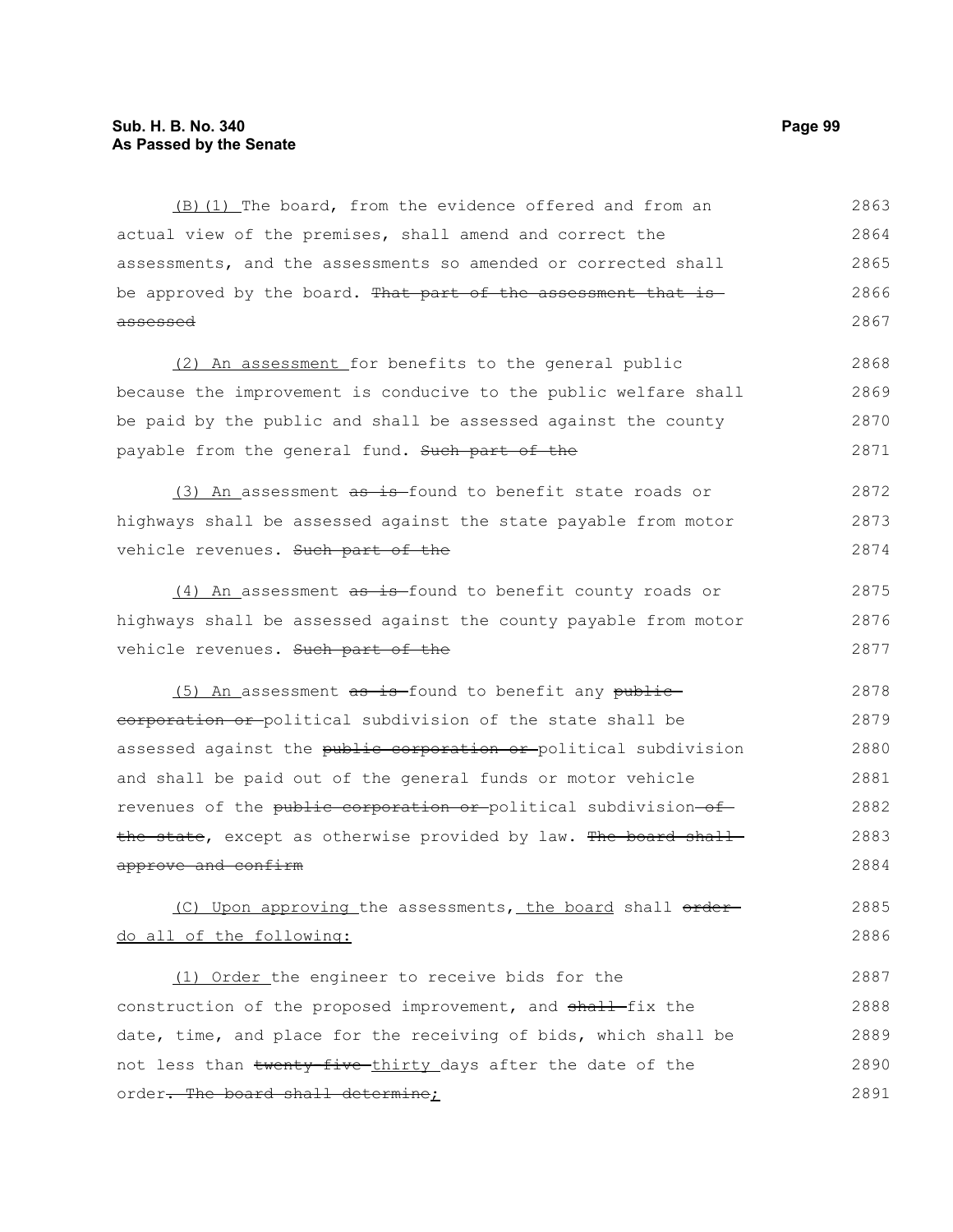(B)(1) The board, from the evidence offered and from an actual view of the premises, shall amend and correct the assessments, and the assessments so amended or corrected shall be approved by the board. That part of the assessment that is assessed 2863 2864 2865 2866 2867

(2) An assessment for benefits to the general public because the improvement is conducive to the public welfare shall be paid by the public and shall be assessed against the county payable from the general fund. Such part of the 2868 2869 2870 2871

(3) An assessment  $a\overline{b}$  is found to benefit state roads or highways shall be assessed against the state payable from motor vehicle revenues. Such part of the 2872 2873 2874

(4) An assessment as is found to benefit county roads or highways shall be assessed against the county payable from motor vehicle revenues. Such part of the 2875 2876 2877

(5) An assessment as is found to benefit any publiccorporation or political subdivision of the state shall be assessed against the public corporation or political subdivision and shall be paid out of the general funds or motor vehicle revenues of the public corporation or political subdivision of the state, except as otherwise provided by law. The board shall approve and confirm 2878 2879 2880 2881 2882 2883 2884

(C) Upon approving the assessments, the board shall orderdo all of the following: 2885 2886

(1) Order the engineer to receive bids for the construction of the proposed improvement, and shall-fix the date, time, and place for the receiving of bids, which shall be not less than twenty-five-thirty days after the date of the order. The board shall determine; 2887 2888 2889 2890 2891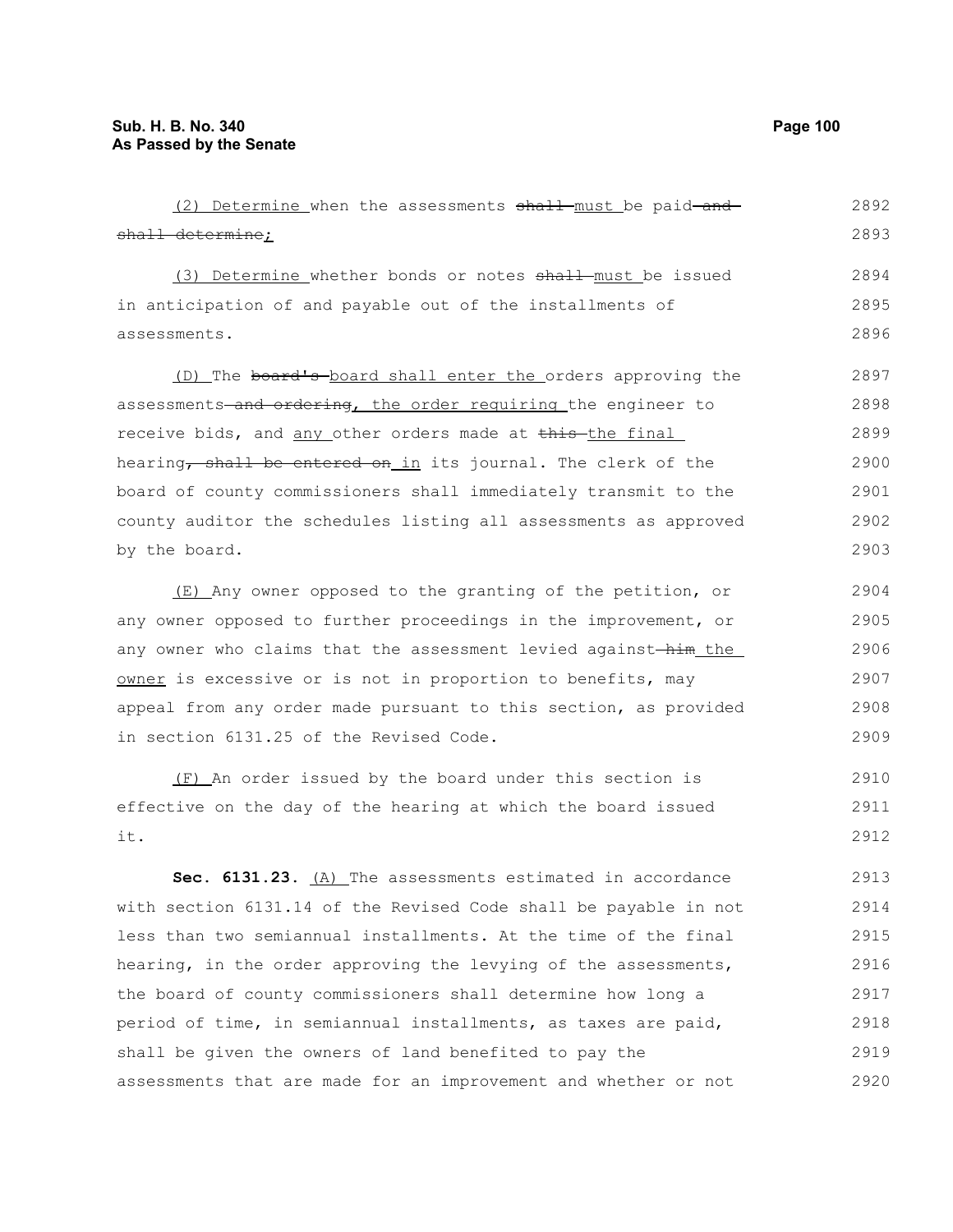(2) Determine when the assessments shall must be paid-andshall determine; (3) Determine whether bonds or notes shall must be issued in anticipation of and payable out of the installments of assessments. (D) The board's board shall enter the orders approving the assessments-and ordering, the order requiring the engineer to receive bids, and any other orders made at this the final hearing, shall be entered on in its journal. The clerk of the board of county commissioners shall immediately transmit to the county auditor the schedules listing all assessments as approved by the board. (E) Any owner opposed to the granting of the petition, or any owner opposed to further proceedings in the improvement, or any owner who claims that the assessment levied against-him\_the\_ owner is excessive or is not in proportion to benefits, may appeal from any order made pursuant to this section, as provided 2892 2893 2894 2895 2896 2897 2898 2899 2900 2901 2902 2903 2904 2905 2906 2907 2908

(F) An order issued by the board under this section is effective on the day of the hearing at which the board issued

in section 6131.25 of the Revised Code.

it.

**Sec. 6131.23.** (A) The assessments estimated in accordance with section 6131.14 of the Revised Code shall be payable in not less than two semiannual installments. At the time of the final hearing, in the order approving the levying of the assessments, the board of county commissioners shall determine how long a period of time, in semiannual installments, as taxes are paid, shall be given the owners of land benefited to pay the assessments that are made for an improvement and whether or not 2913 2914 2915 2916 2917 2918 2919 2920

2909

2910 2911 2912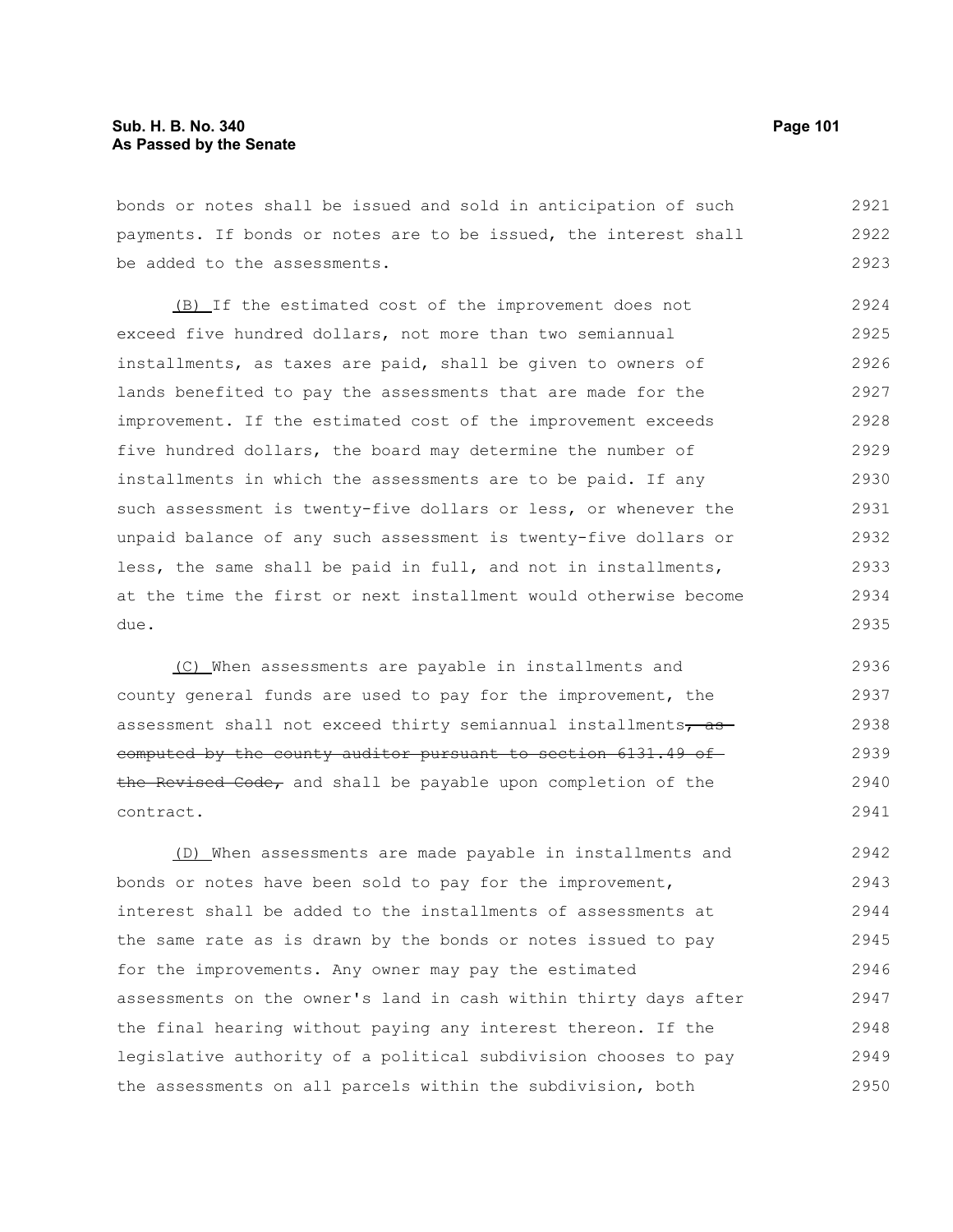bonds or notes shall be issued and sold in anticipation of such payments. If bonds or notes are to be issued, the interest shall be added to the assessments. 2921 2922 2923

(B) If the estimated cost of the improvement does not exceed five hundred dollars, not more than two semiannual installments, as taxes are paid, shall be given to owners of lands benefited to pay the assessments that are made for the improvement. If the estimated cost of the improvement exceeds five hundred dollars, the board may determine the number of installments in which the assessments are to be paid. If any such assessment is twenty-five dollars or less, or whenever the unpaid balance of any such assessment is twenty-five dollars or less, the same shall be paid in full, and not in installments, at the time the first or next installment would otherwise become due. 2924 2925 2926 2927 2928 2929 2930 2931 2932 2933 2934 2935

(C) When assessments are payable in installments and county general funds are used to pay for the improvement, the assessment shall not exceed thirty semiannual installments $\tau$  as computed by the county auditor pursuant to section 6131.49 of the Revised Code, and shall be payable upon completion of the contract. 2936 2937 2938 2939 2940 2941

(D) When assessments are made payable in installments and bonds or notes have been sold to pay for the improvement, interest shall be added to the installments of assessments at the same rate as is drawn by the bonds or notes issued to pay for the improvements. Any owner may pay the estimated assessments on the owner's land in cash within thirty days after the final hearing without paying any interest thereon. If the legislative authority of a political subdivision chooses to pay the assessments on all parcels within the subdivision, both 2942 2943 2944 2945 2946 2947 2948 2949 2950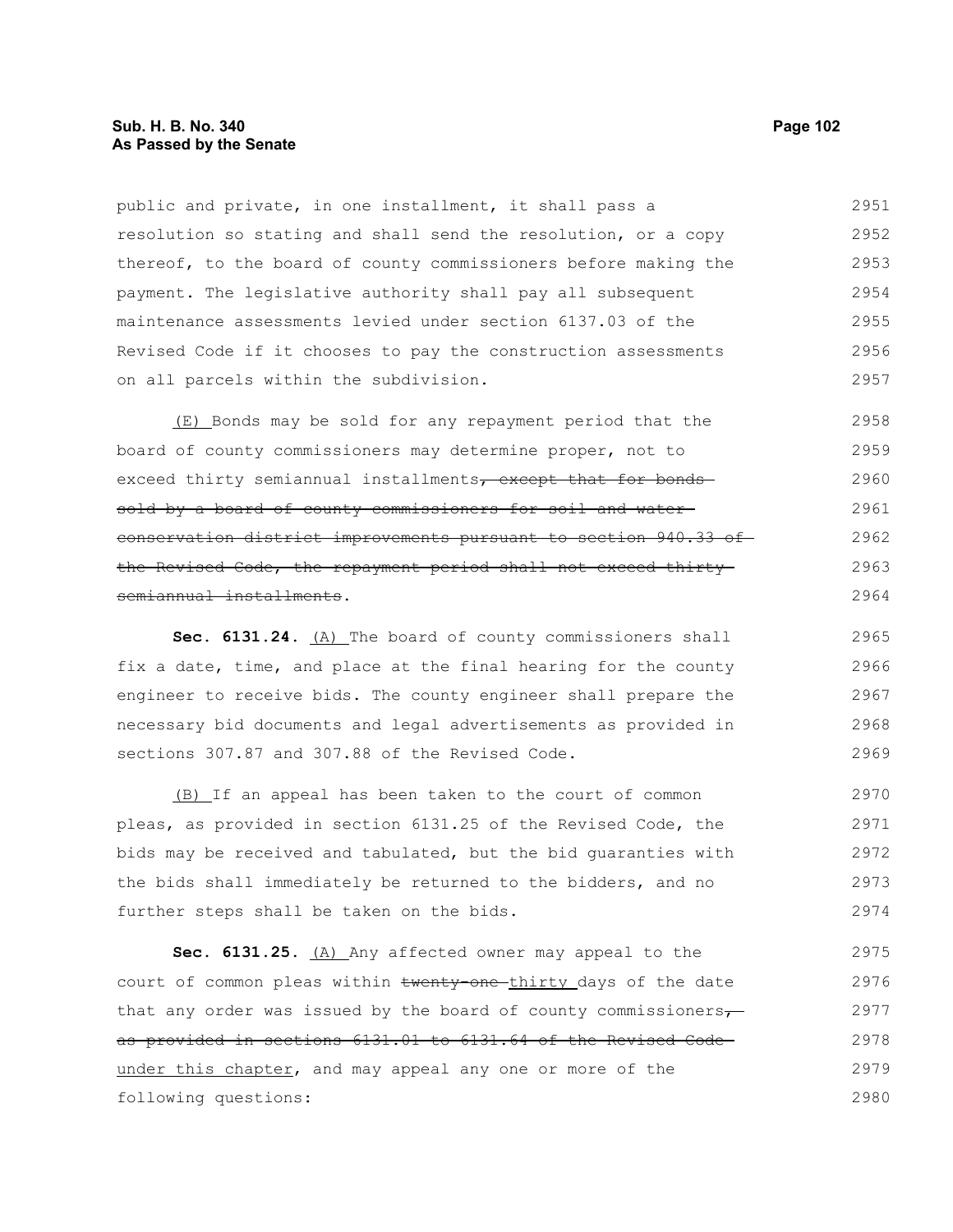### **Sub. H. B. No. 340 Page 102 As Passed by the Senate**

public and private, in one installment, it shall pass a resolution so stating and shall send the resolution, or a copy thereof, to the board of county commissioners before making the payment. The legislative authority shall pay all subsequent maintenance assessments levied under section 6137.03 of the Revised Code if it chooses to pay the construction assessments on all parcels within the subdivision. 2951 2952 2953 2954 2955 2956 2957

(E) Bonds may be sold for any repayment period that the board of county commissioners may determine proper, not to exceed thirty semiannual installments, except that for bonds sold by a board of county commissioners for soil and water conservation district improvements pursuant to section 940.33 of the Revised Code, the repayment period shall not exceed thirty semiannual installments. 2958 2959 2960 2961 2962 2963 2964

Sec. 6131.24. (A) The board of county commissioners shall fix a date, time, and place at the final hearing for the county engineer to receive bids. The county engineer shall prepare the necessary bid documents and legal advertisements as provided in sections 307.87 and 307.88 of the Revised Code. 2965 2966 2967 2968 2969

(B) If an appeal has been taken to the court of common pleas, as provided in section 6131.25 of the Revised Code, the bids may be received and tabulated, but the bid guaranties with the bids shall immediately be returned to the bidders, and no further steps shall be taken on the bids. 2970 2971 2972 2973 2974

Sec. 6131.25. (A) Any affected owner may appeal to the court of common pleas within twenty-one-thirty days of the date that any order was issued by the board of county commissioners $\tau$ as provided in sections 6131.01 to 6131.64 of the Revised Code under this chapter, and may appeal any one or more of the following questions: 2975 2976 2977 2978 2979 2980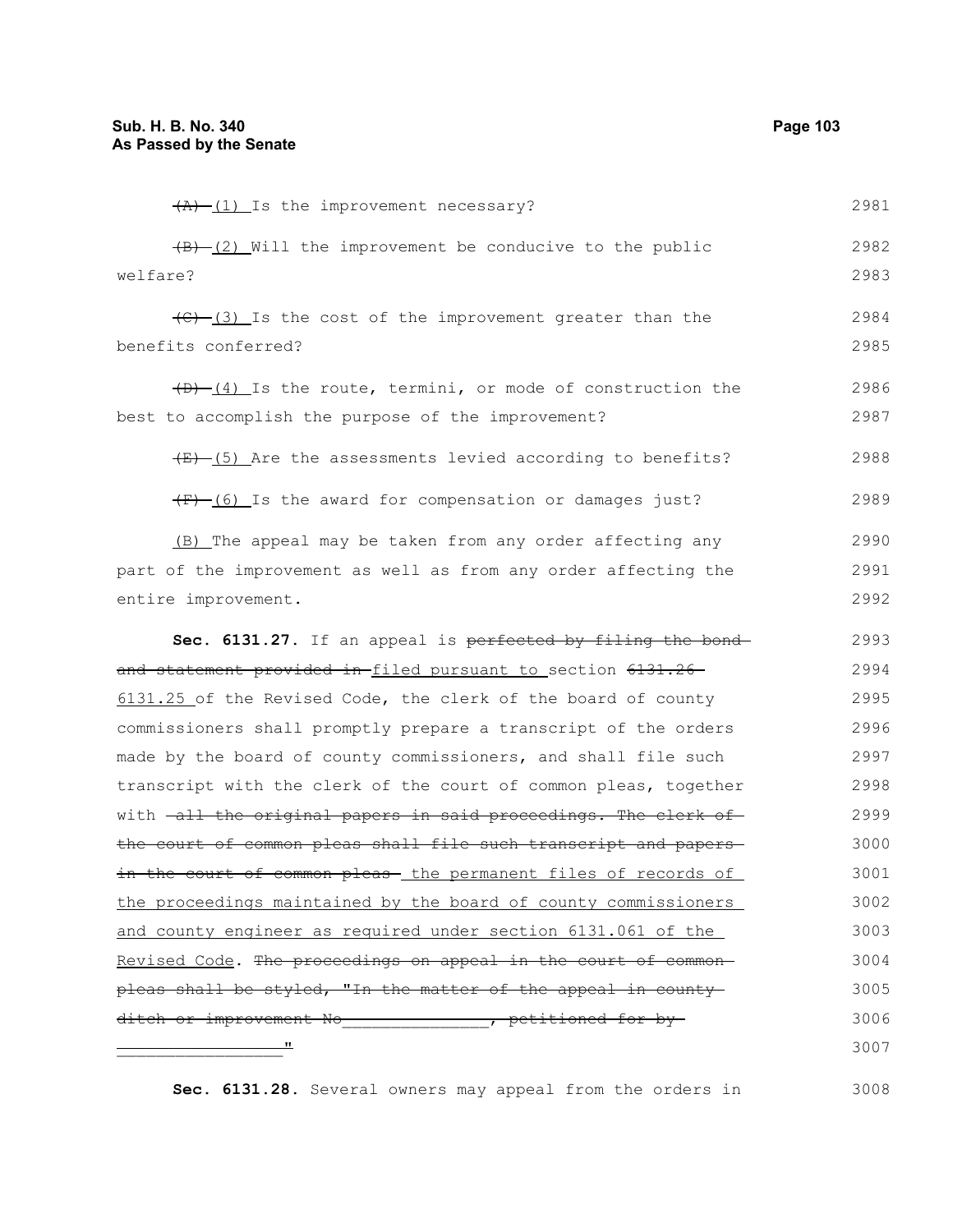| 2982<br>$\frac{1}{2}$ [2] Will the improvement be conducive to the public                  |  |
|--------------------------------------------------------------------------------------------|--|
| welfare?<br>2983                                                                           |  |
| (C) (3) Is the cost of the improvement greater than the<br>2984                            |  |
| benefits conferred?<br>2985                                                                |  |
| 2986<br>$(D)$ $(4)$ Is the route, termini, or mode of construction the                     |  |
| 2987<br>best to accomplish the purpose of the improvement?                                 |  |
|                                                                                            |  |
| $\overline{(E)}$ (5) Are the assessments levied according to benefits?<br>2988             |  |
| $(F)$ (6) Is the award for compensation or damages just?<br>2989                           |  |
| (B) The appeal may be taken from any order affecting any<br>2990                           |  |
| part of the improvement as well as from any order affecting the<br>2991                    |  |
| entire improvement.<br>2992                                                                |  |
| 2993<br>Sec. 6131.27. If an appeal is perfected by filing the bond-                        |  |
| 2994<br><del>and statement provided in f</del> iled pursuant to_section <del>6131.26</del> |  |
| 2995<br>6131.25 of the Revised Code, the clerk of the board of county                      |  |
| 2996<br>commissioners shall promptly prepare a transcript of the orders                    |  |
| made by the board of county commissioners, and shall file such<br>2997                     |  |
| transcript with the clerk of the court of common pleas, together<br>2998                   |  |
| 2999<br>with <del>-all the original papers in said proceedings. The clerk of -</del>       |  |
| 3000<br>the court of common pleas shall file such transcript and papers-                   |  |
| 3001<br>in the court of common pleas- the permanent files of records of                    |  |
| 3002<br>the proceedings maintained by the board of county commissioners                    |  |
| and county engineer as required under section 6131.061 of the<br>3003                      |  |
| Revised Code. The proceedings on appeal in the court of common-<br>3004                    |  |
| pleas shall be styled, "In the matter of the appeal in county-<br>3005                     |  |
| ditch or improvement No and the petitioned for by-<br>3006                                 |  |
| 3007                                                                                       |  |

**Sec. 6131.28.** Several owners may appeal from the orders in 3008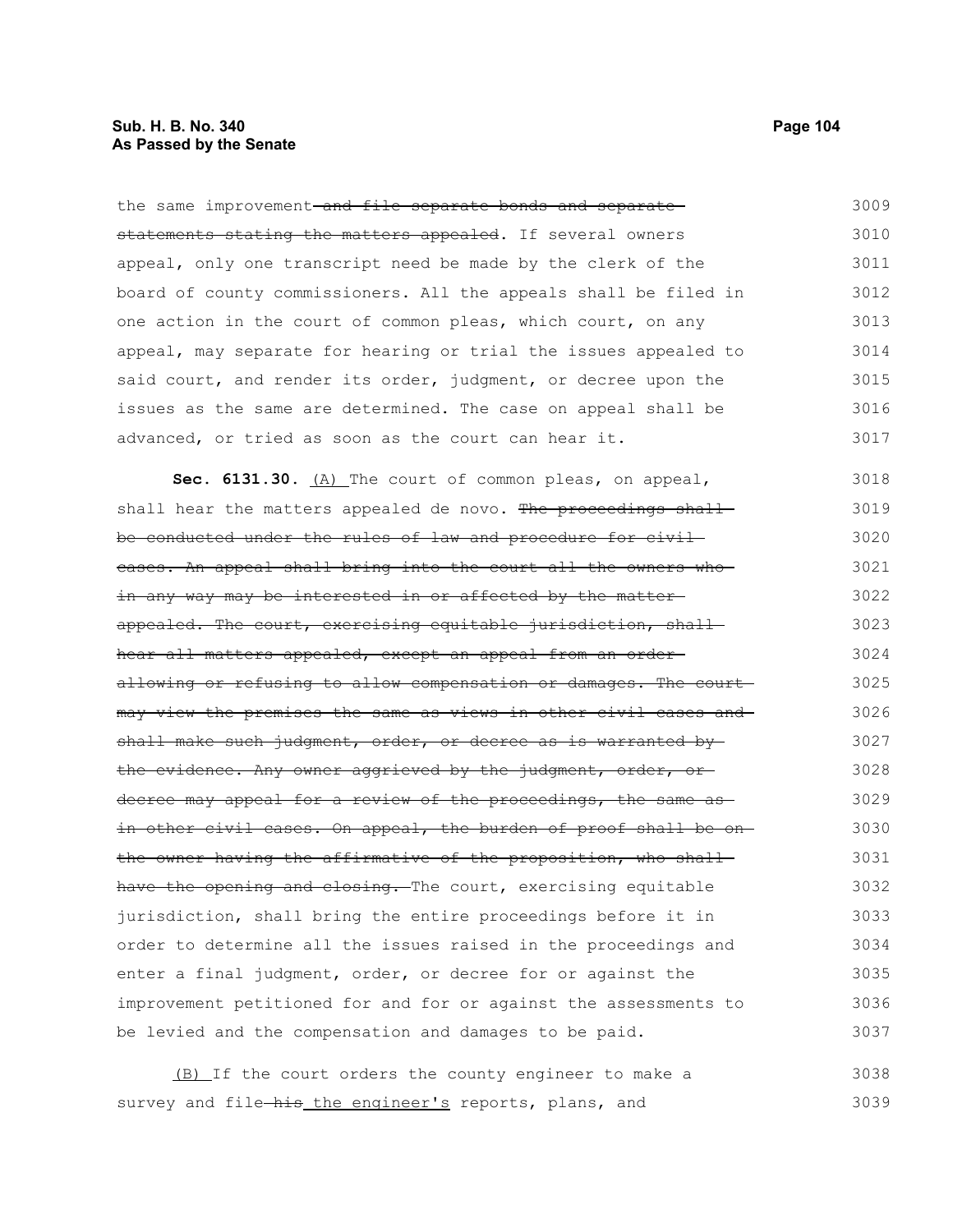#### **Sub. H. B. No. 340 Page 104 As Passed by the Senate**

the same improvement-and file separate bonds and separatestatements stating the matters appealed. If several owners appeal, only one transcript need be made by the clerk of the board of county commissioners. All the appeals shall be filed in one action in the court of common pleas, which court, on any appeal, may separate for hearing or trial the issues appealed to said court, and render its order, judgment, or decree upon the issues as the same are determined. The case on appeal shall be advanced, or tried as soon as the court can hear it. 3009 3010 3011 3012 3013 3014 3015 3016 3017

Sec. 6131.30. (A) The court of common pleas, on appeal, shall hear the matters appealed de novo. The proceedings shall be conducted under the rules of law and procedure for civil cases. An appeal shall bring into the court all the owners who in any way may be interested in or affected by the matter appealed. The court, exercising equitable jurisdiction, shallhear all matters appealed, except an appeal from an orderallowing or refusing to allow compensation or damages. The court may view the premises the same as views in other civil cases and shall make such judgment, order, or decree as is warranted bythe evidence. Any owner aggrieved by the judgment, order, or decree may appeal for a review of the proceedings, the same as in other civil cases. On appeal, the burden of proof shall be on the owner having the affirmative of the proposition, who shall have the opening and closing. The court, exercising equitable jurisdiction, shall bring the entire proceedings before it in order to determine all the issues raised in the proceedings and enter a final judgment, order, or decree for or against the improvement petitioned for and for or against the assessments to be levied and the compensation and damages to be paid. 3018 3019 3020 3021 3022 3023 3024 3025 3026 3027 3028 3029 3030 3031 3032 3033 3034 3035 3036 3037

(B) If the court orders the county engineer to make a survey and file-his the engineer's reports, plans, and 3038 3039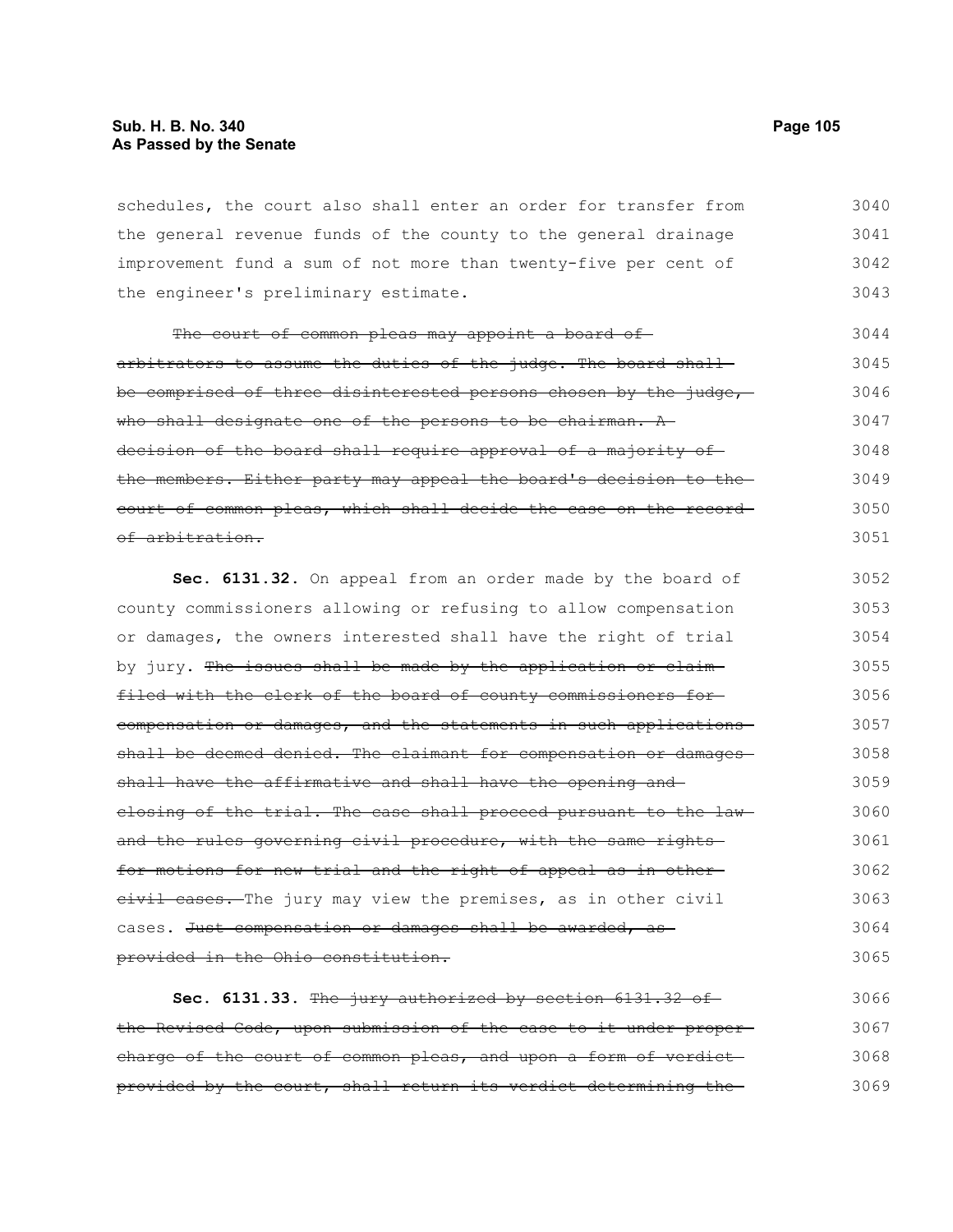schedules, the court also shall enter an order for transfer from the general revenue funds of the county to the general drainage improvement fund a sum of not more than twenty-five per cent of the engineer's preliminary estimate. 3040 3041 3042 3043

The court of common pleas may appoint a board ofarbitrators to assume the duties of the judge. The board shallbe comprised of three disinterested persons chosen by the judge, who shall designate one of the persons to be chairman. A decision of the board shall require approval of a majority of the members. Either party may appeal the board's decision to the court of common pleas, which shall decide the case on the record of arbitration. 3044 3045 3046 3047 3048 3049 3050 3051

**Sec. 6131.32.** On appeal from an order made by the board of county commissioners allowing or refusing to allow compensation or damages, the owners interested shall have the right of trial by jury. The issues shall be made by the application or claimfiled with the clerk of the board of county commissioners for compensation or damages, and the statements in such applications shall be deemed denied. The claimant for compensation or damagesshall have the affirmative and shall have the opening and closing of the trial. The case shall proceed pursuant to the lawand the rules governing civil procedure, with the same rightsfor motions for new trial and the right of appeal as in other eivil cases. The jury may view the premises, as in other civil cases. Just compensation or damages shall be awarded, as provided in the Ohio constitution. 3052 3053 3054 3055 3056 3057 3058 3059 3060 3061 3062 3063 3064 3065

**Sec. 6131.33.** The jury authorized by section 6131.32 of the Revised Code, upon submission of the case to it under proper charge of the court of common pleas, and upon a form of verdictprovided by the court, shall return its verdict determining the 3066 3067 3068 3069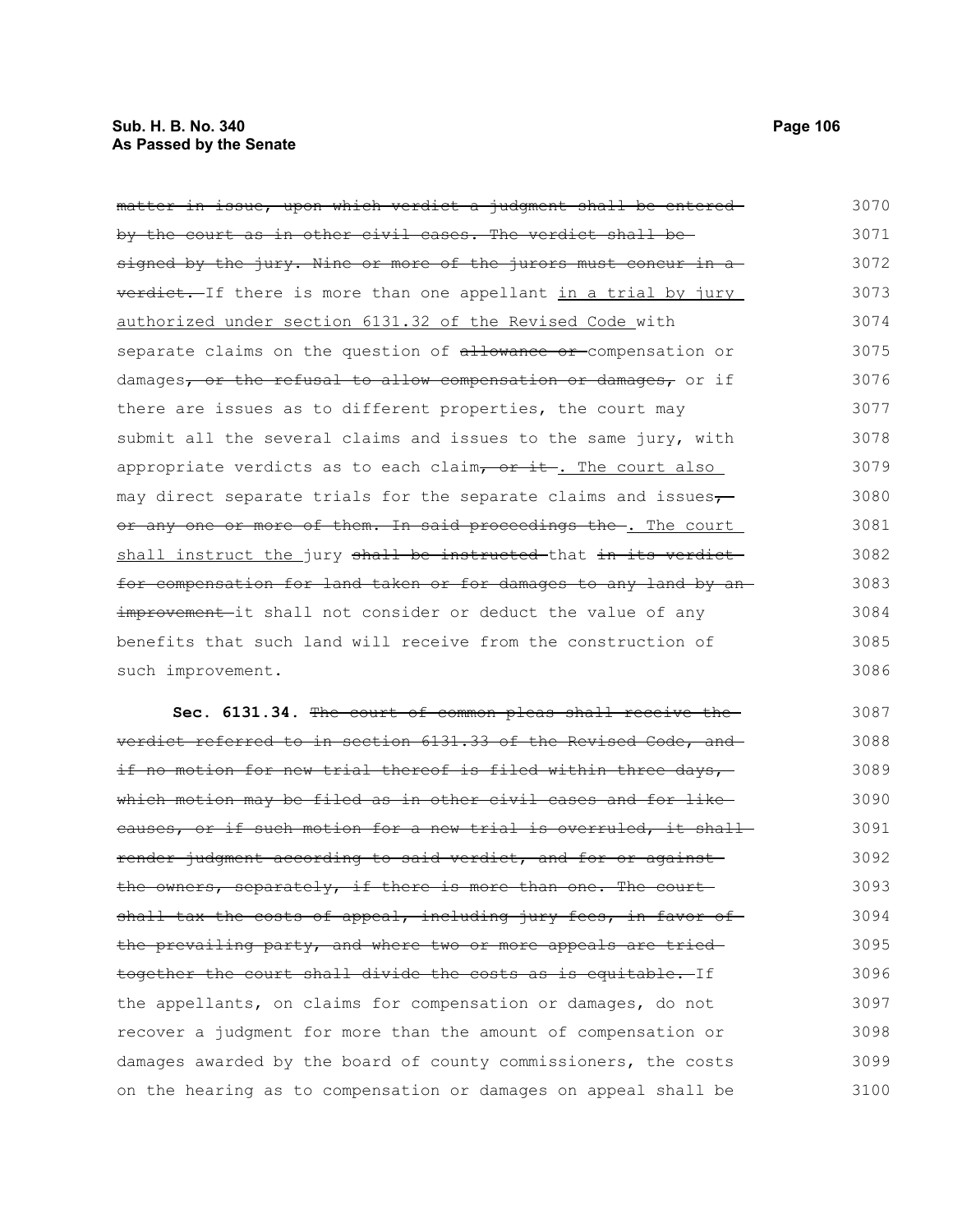| matter in issue, upon which verdict a judgment shall be entered- | 3070 |
|------------------------------------------------------------------|------|
| by the court as in other civil cases. The verdict shall be-      | 3071 |
| signed by the jury. Nine or more of the jurors must concur in a  | 3072 |
| verdict. If there is more than one appellant in a trial by jury  | 3073 |
| authorized under section 6131.32 of the Revised Code with        | 3074 |

authorized under sect separate claims on the question of allowance or compensation or damages, or the refusal to allow compensation or damages, or if there are issues as to different properties, the court may submit all the several claims and issues to the same jury, with appropriate verdicts as to each claim,  $or$  it. The court also may direct separate trials for the separate claims and issues $\tau$ or any one or more of them. In said proceedings the . The court shall instruct the jury shall be instructed that in its verdict for compensation for land taken or for damages to any land by an improvement-it shall not consider or deduct the value of any benefits that such land will receive from the construction of such improvement. 3074 3075 3076 3077 3078 3079 3080 3081 3082 3083 3084 3085 3086

**Sec. 6131.34.** The court of common pleas shall receive the verdict referred to in section 6131.33 of the Revised Code, and if no motion for new trial thereof is filed within three days, which motion may be filed as in other civil cases and for like causes, or if such motion for a new trial is overruled, it shall render judgment according to said verdict, and for or against the owners, separately, if there is more than one. The court shall tax the costs of appeal, including jury fees, in favor of the prevailing party, and where two or more appeals are tried together the court shall divide the costs as is equitable. If the appellants, on claims for compensation or damages, do not recover a judgment for more than the amount of compensation or damages awarded by the board of county commissioners, the costs on the hearing as to compensation or damages on appeal shall be 3087 3088 3089 3090 3091 3092 3093 3094 3095 3096 3097 3098 3099 3100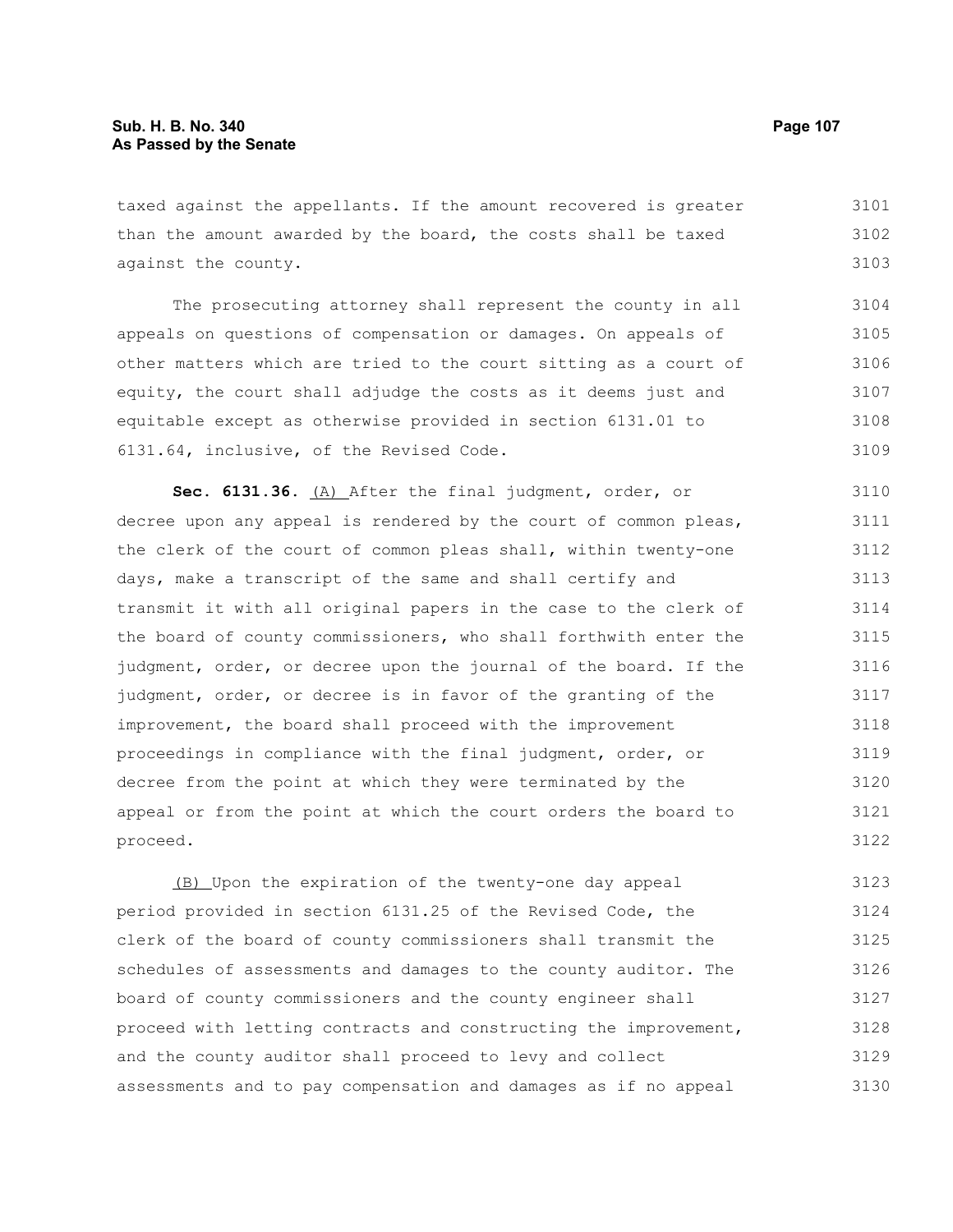taxed against the appellants. If the amount recovered is greater than the amount awarded by the board, the costs shall be taxed against the county. 3101 3102 3103

The prosecuting attorney shall represent the county in all appeals on questions of compensation or damages. On appeals of other matters which are tried to the court sitting as a court of equity, the court shall adjudge the costs as it deems just and equitable except as otherwise provided in section 6131.01 to 6131.64, inclusive, of the Revised Code. 3104 3105 3106 3107 3108 3109

**Sec. 6131.36.** (A) After the final judgment, order, or decree upon any appeal is rendered by the court of common pleas, the clerk of the court of common pleas shall, within twenty-one days, make a transcript of the same and shall certify and transmit it with all original papers in the case to the clerk of the board of county commissioners, who shall forthwith enter the judgment, order, or decree upon the journal of the board. If the judgment, order, or decree is in favor of the granting of the improvement, the board shall proceed with the improvement proceedings in compliance with the final judgment, order, or decree from the point at which they were terminated by the appeal or from the point at which the court orders the board to proceed. 3110 3111 3112 3113 3114 3115 3116 3117 3118 3119 3120 3121 3122

(B) Upon the expiration of the twenty-one day appeal period provided in section 6131.25 of the Revised Code, the clerk of the board of county commissioners shall transmit the schedules of assessments and damages to the county auditor. The board of county commissioners and the county engineer shall proceed with letting contracts and constructing the improvement, and the county auditor shall proceed to levy and collect assessments and to pay compensation and damages as if no appeal 3123 3124 3125 3126 3127 3128 3129 3130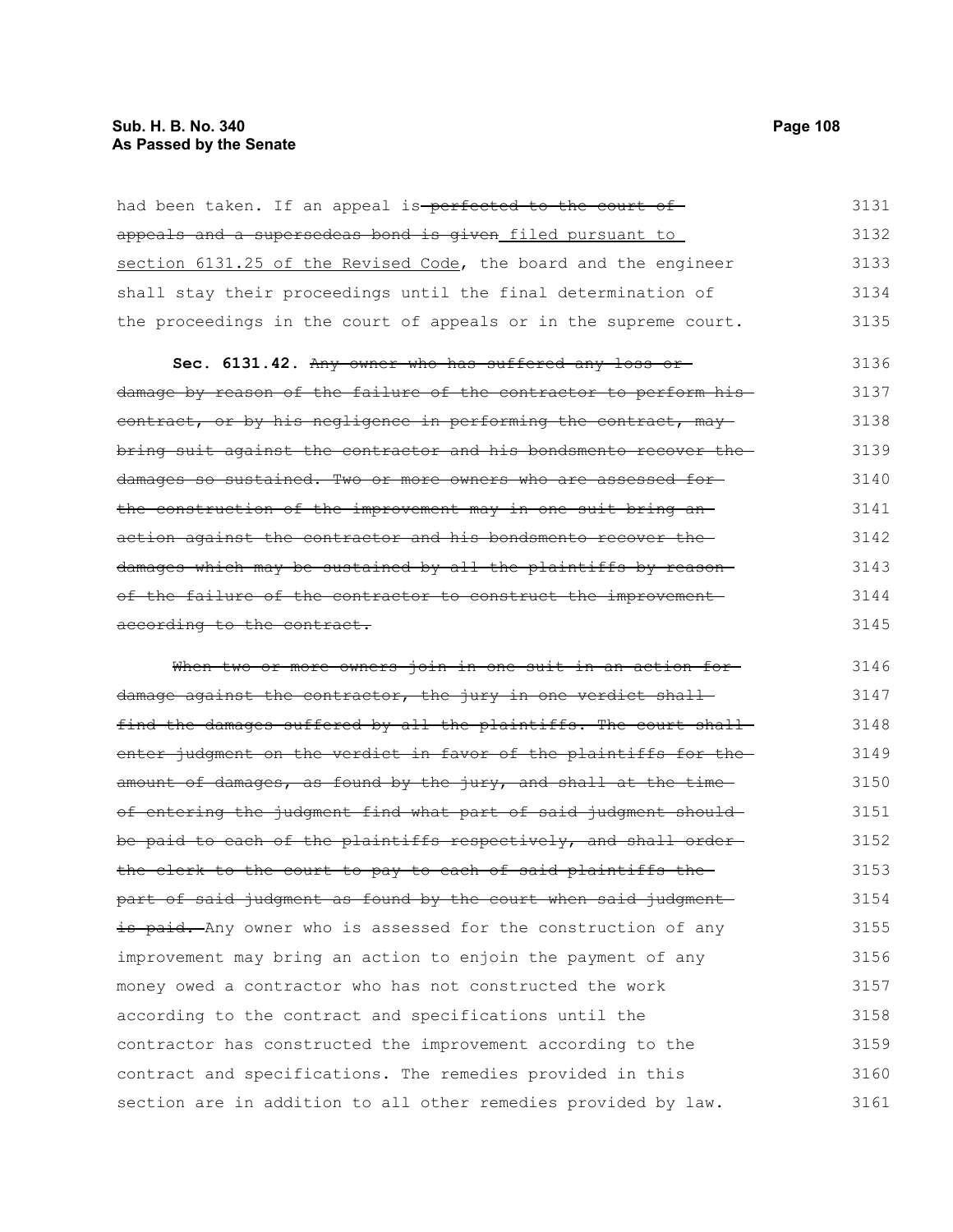had been taken. If an appeal is-perfected to the court ofappeals and a supersedeas bond is given filed pursuant to section 6131.25 of the Revised Code, the board and the engineer shall stay their proceedings until the final determination of the proceedings in the court of appeals or in the supreme court. 3131 3132 3133 3134 3135

**Sec. 6131.42.** Any owner who has suffered any loss or damage by reason of the failure of the contractor to perform his contract, or by his negligence in performing the contract, maybring suit against the contractor and his bondsmento recover the damages so sustained. Two or more owners who are assessed for the construction of the improvement may in one suit bring an action against the contractor and his bondsmento recover the damages which may be sustained by all the plaintiffs by reason of the failure of the contractor to construct the improvement according to the contract. 3136 3137 3138 3139 3140 3141 3142 3143 3144 3145

When two or more owners join in one suit in an action fordamage against the contractor, the jury in one verdict shallfind the damages suffered by all the plaintiffs. The court shall enter judgment on the verdict in favor of the plaintiffs for theamount of damages, as found by the jury, and shall at the timeof entering the judgment find what part of said judgment shouldbe paid to each of the plaintiffs respectively, and shall orderthe clerk to the court to pay to each of said plaintiffs the part of said judgment as found by the court when said judgment is paid. Any owner who is assessed for the construction of any improvement may bring an action to enjoin the payment of any money owed a contractor who has not constructed the work according to the contract and specifications until the contractor has constructed the improvement according to the contract and specifications. The remedies provided in this section are in addition to all other remedies provided by law. 3146 3147 3148 3149 3150 3151 3152 3153 3154 3155 3156 3157 3158 3159 3160 3161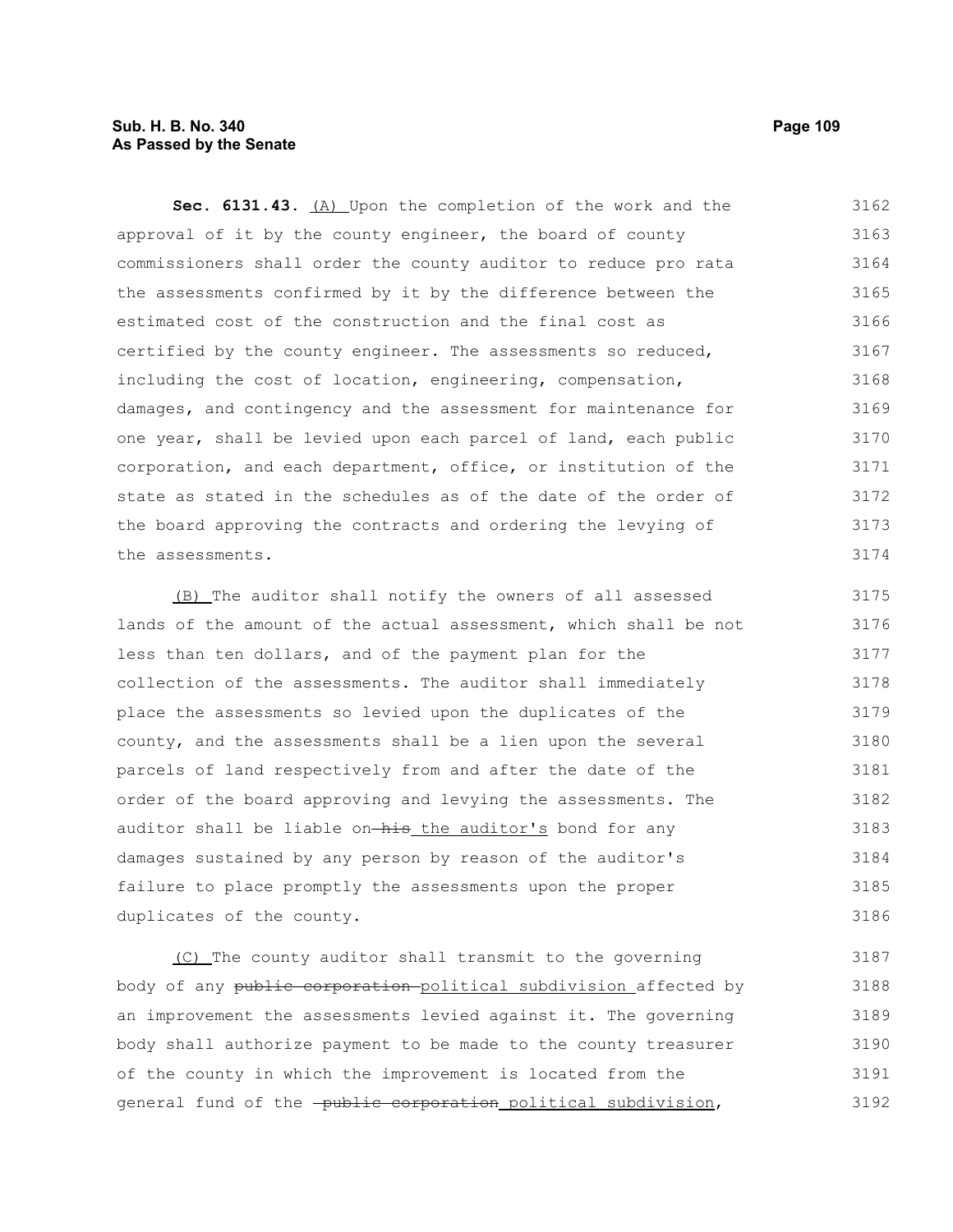# **Sub. H. B. No. 340 Page 109 As Passed by the Senate**

**Sec. 6131.43.** (A) Upon the completion of the work and the approval of it by the county engineer, the board of county commissioners shall order the county auditor to reduce pro rata the assessments confirmed by it by the difference between the estimated cost of the construction and the final cost as certified by the county engineer. The assessments so reduced, including the cost of location, engineering, compensation, damages, and contingency and the assessment for maintenance for one year, shall be levied upon each parcel of land, each public corporation, and each department, office, or institution of the state as stated in the schedules as of the date of the order of the board approving the contracts and ordering the levying of the assessments. 3162 3163 3164 3165 3166 3167 3168 3169 3170 3171 3172 3173 3174

(B) The auditor shall notify the owners of all assessed lands of the amount of the actual assessment, which shall be not less than ten dollars, and of the payment plan for the collection of the assessments. The auditor shall immediately place the assessments so levied upon the duplicates of the county, and the assessments shall be a lien upon the several parcels of land respectively from and after the date of the order of the board approving and levying the assessments. The auditor shall be liable on-his the auditor's bond for any damages sustained by any person by reason of the auditor's failure to place promptly the assessments upon the proper duplicates of the county. 3175 3176 3177 3178 3179 3180 3181 3182 3183 3184 3185 3186

(C) The county auditor shall transmit to the governing body of any public corporation political subdivision affected by an improvement the assessments levied against it. The governing body shall authorize payment to be made to the county treasurer of the county in which the improvement is located from the general fund of the -public corporation political subdivision, 3187 3188 3189 3190 3191 3192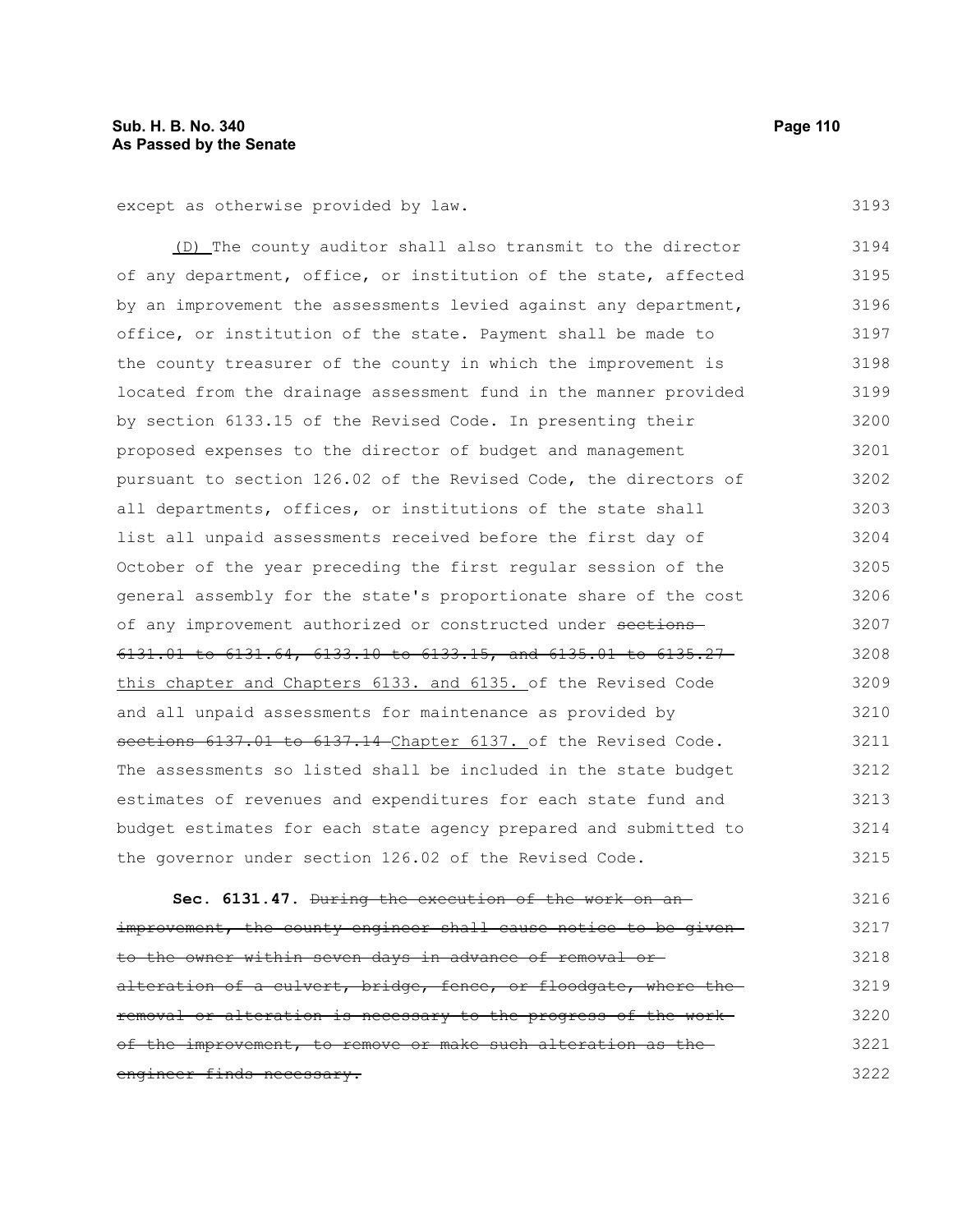except as otherwise provided by law.

(D) The county auditor shall also transmit to the director of any department, office, or institution of the state, affected by an improvement the assessments levied against any department, office, or institution of the state. Payment shall be made to the county treasurer of the county in which the improvement is located from the drainage assessment fund in the manner provided by section 6133.15 of the Revised Code. In presenting their proposed expenses to the director of budget and management pursuant to section 126.02 of the Revised Code, the directors of all departments, offices, or institutions of the state shall list all unpaid assessments received before the first day of October of the year preceding the first regular session of the general assembly for the state's proportionate share of the cost of any improvement authorized or constructed under sections 6131.01 to 6131.64, 6133.10 to 6133.15, and 6135.01 to 6135.27 this chapter and Chapters 6133. and 6135. of the Revised Code and all unpaid assessments for maintenance as provided by sections 6137.01 to 6137.14 Chapter 6137. of the Revised Code. The assessments so listed shall be included in the state budget estimates of revenues and expenditures for each state fund and budget estimates for each state agency prepared and submitted to the governor under section 126.02 of the Revised Code. 3194 3195 3196 3197 3198 3199 3200 3201 3202 3203 3204 3205 3206 3207 3208 3209 3210 3211 3212 3213 3214 3215

**Sec. 6131.47.** During the execution of the work on an improvement, the county engineer shall cause notice to be givento the owner within seven days in advance of removal or alteration of a culvert, bridge, fence, or floodgate, where theremoval or alteration is necessary to the progress of the work of the improvement, to remove or make such alteration as the engineer finds necessary. 3216 3217 3218 3219 3220 3221 3222

3193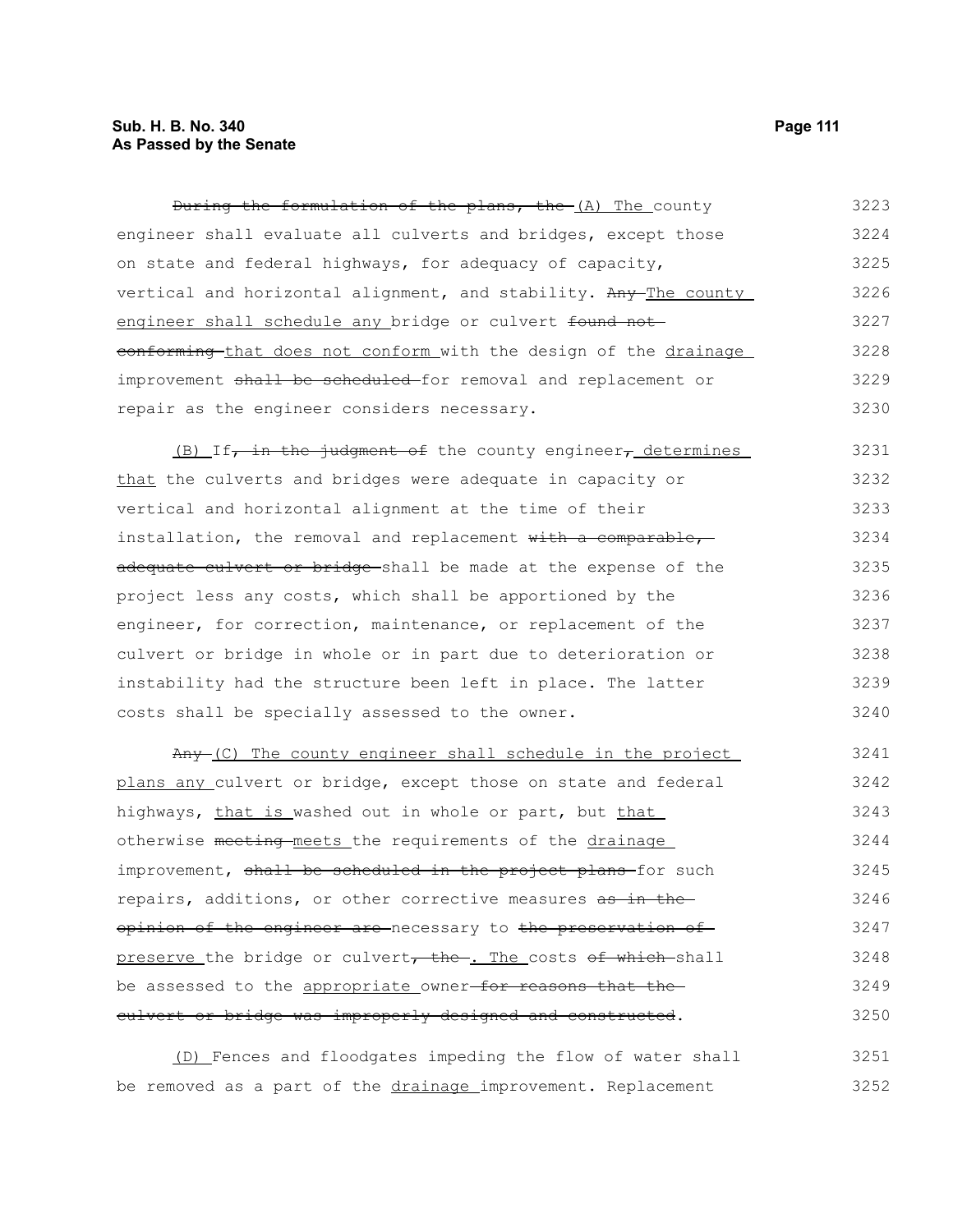## **Sub. H. B. No. 340 Page 111 As Passed by the Senate**

During the formulation of the plans, the (A) The county engineer shall evaluate all culverts and bridges, except those on state and federal highways, for adequacy of capacity, vertical and horizontal alignment, and stability. Any The county engineer shall schedule any bridge or culvert found not eonforming that does not conform with the design of the drainage improvement shall be scheduled for removal and replacement or repair as the engineer considers necessary. 3223 3224 3225 3226 3227 3228 3229 3230

(B) If, in the judgment of the county engineer, determines that the culverts and bridges were adequate in capacity or vertical and horizontal alignment at the time of their installation, the removal and replacement with a comparable, adequate culvert or bridge shall be made at the expense of the project less any costs, which shall be apportioned by the engineer, for correction, maintenance, or replacement of the culvert or bridge in whole or in part due to deterioration or instability had the structure been left in place. The latter costs shall be specially assessed to the owner. 3231 3232 3233 3234 3235 3236 3237 3238 3239 3240

Any (C) The county engineer shall schedule in the project plans any culvert or bridge, except those on state and federal highways, that is washed out in whole or part, but that otherwise meeting meets the requirements of the drainage improvement, shall be scheduled in the project plans-for such repairs, additions, or other corrective measures as in theopinion of the engineer are necessary to the preservation of preserve the bridge or culvert, the . The costs of which shall be assessed to the appropriate owner-for reasons that the culvert or bridge was improperly designed and constructed. 3241 3242 3243 3244 3245 3246 3247 3248 3249 3250

(D) Fences and floodgates impeding the flow of water shall be removed as a part of the drainage improvement. Replacement 3251 3252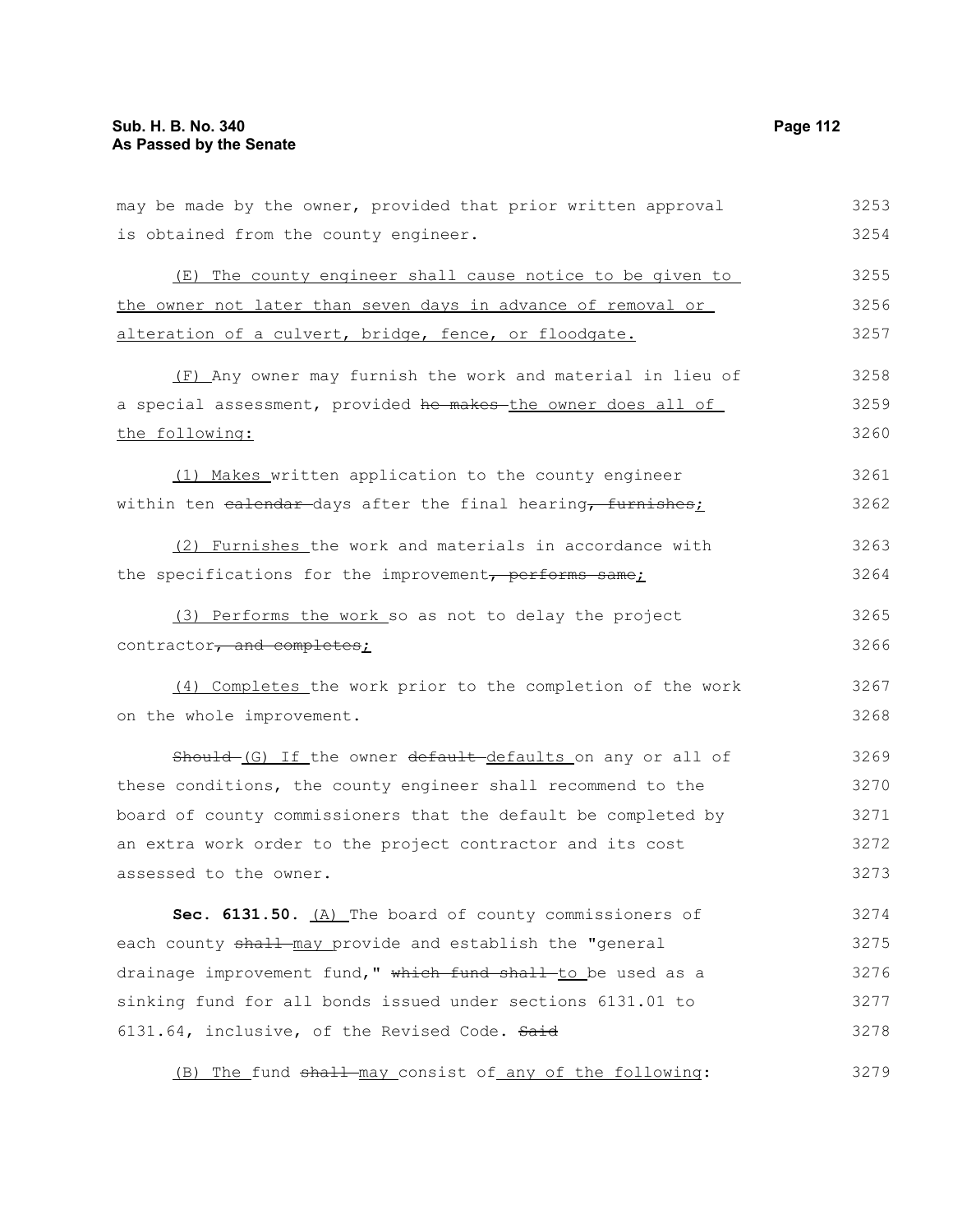| may be made by the owner, provided that prior written approval | 3253 |
|----------------------------------------------------------------|------|
| is obtained from the county engineer.                          | 3254 |
| (E) The county engineer shall cause notice to be given to      | 3255 |
| the owner not later than seven days in advance of removal or   | 3256 |
| alteration of a culvert, bridge, fence, or floodgate.          | 3257 |
| (F) Any owner may furnish the work and material in lieu of     | 3258 |
| a special assessment, provided he makes the owner does all of  | 3259 |
| the following:                                                 | 3260 |
| (1) Makes written application to the county engineer           | 3261 |
| within ten ealendar-days after the final hearing, furnishes;   | 3262 |
| (2) Furnishes the work and materials in accordance with        | 3263 |
| the specifications for the improvement, performs same;         | 3264 |
| (3) Performs the work so as not to delay the project           | 3265 |
| contractor, and completes;                                     | 3266 |
| (4) Completes the work prior to the completion of the work     | 3267 |
| on the whole improvement.                                      | 3268 |
| Should (G) If the owner default defaults on any or all of      | 3269 |
| these conditions, the county engineer shall recommend to the   | 3270 |
| board of county commissioners that the default be completed by | 3271 |
| an extra work order to the project contractor and its cost     | 3272 |
| assessed to the owner.                                         | 3273 |
| Sec. 6131.50. (A) The board of county commissioners of         | 3274 |
| each county shall may provide and establish the "general       | 3275 |
| drainage improvement fund," which fund shall to be used as a   | 3276 |
| sinking fund for all bonds issued under sections 6131.01 to    | 3277 |
| 6131.64, inclusive, of the Revised Code. Said                  | 3278 |
| (B) The fund shall-may consist of any of the following:        | 3279 |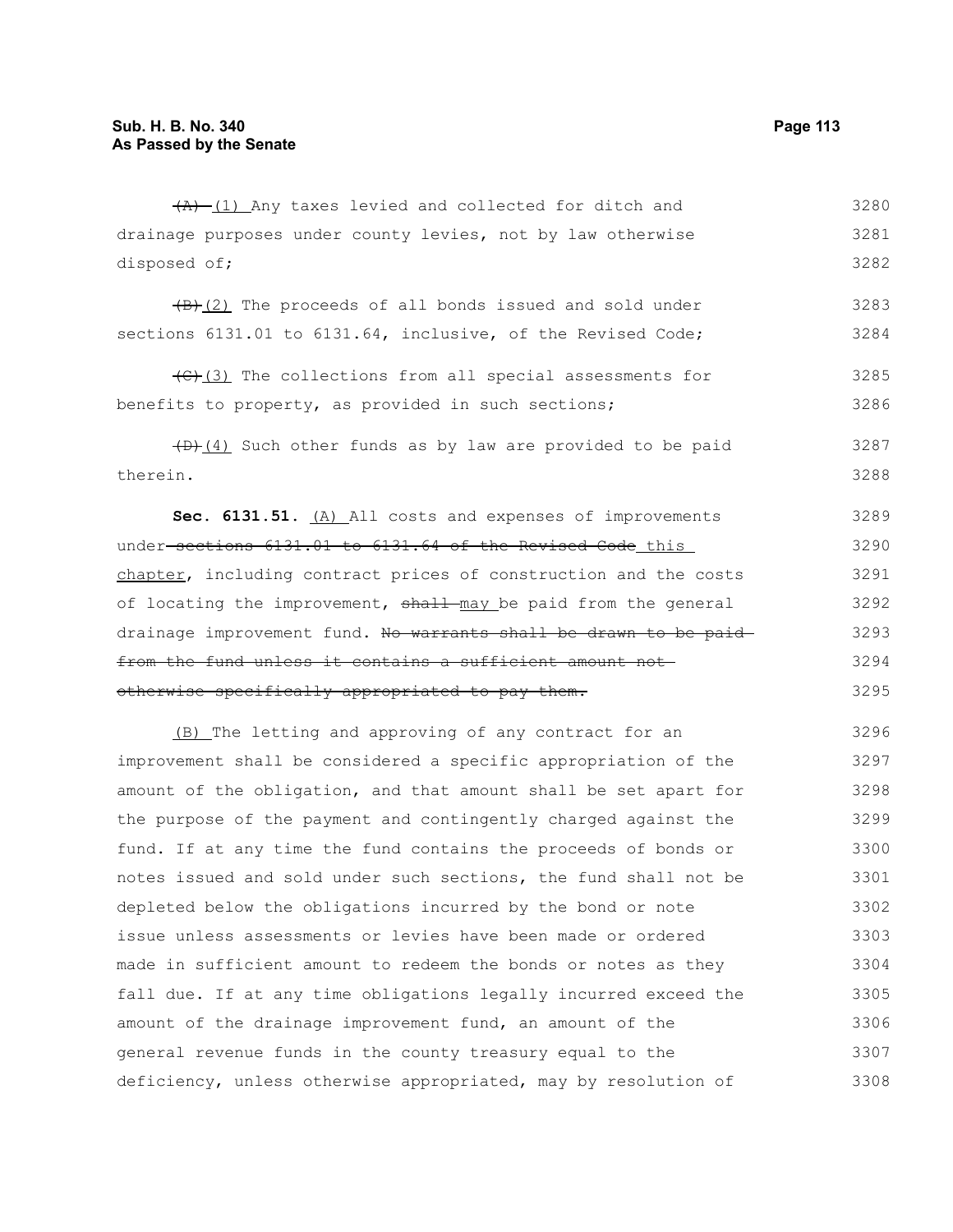$(A)$  (1) Any taxes levied and collected for ditch and 3280

|              |  |  |  | drainage purposes under county levies, not by law otherwise | 3281 |
|--------------|--|--|--|-------------------------------------------------------------|------|
| disposed of; |  |  |  |                                                             | 3282 |

 $\frac{1}{B}(2)$  The proceeds of all bonds issued and sold under sections 6131.01 to 6131.64, inclusive, of the Revised Code; 3283 3284

(C)(3) The collections from all special assessments for benefits to property, as provided in such sections; 3285 3286

 $(D)$  (4) Such other funds as by law are provided to be paid therein. 3287 3288

**Sec. 6131.51.** (A) All costs and expenses of improvements under sections 6131.01 to 6131.64 of the Revised Code this chapter, including contract prices of construction and the costs of locating the improvement, shall may be paid from the general drainage improvement fund. No warrants shall be drawn to be paid from the fund unless it contains a sufficient amount not otherwise specifically appropriated to pay them. 3289 3290 3291 3292 3293 3294 3295

(B) The letting and approving of any contract for an improvement shall be considered a specific appropriation of the amount of the obligation, and that amount shall be set apart for the purpose of the payment and contingently charged against the fund. If at any time the fund contains the proceeds of bonds or notes issued and sold under such sections, the fund shall not be depleted below the obligations incurred by the bond or note issue unless assessments or levies have been made or ordered made in sufficient amount to redeem the bonds or notes as they fall due. If at any time obligations legally incurred exceed the amount of the drainage improvement fund, an amount of the general revenue funds in the county treasury equal to the deficiency, unless otherwise appropriated, may by resolution of 3296 3297 3298 3299 3300 3301 3302 3303 3304 3305 3306 3307 3308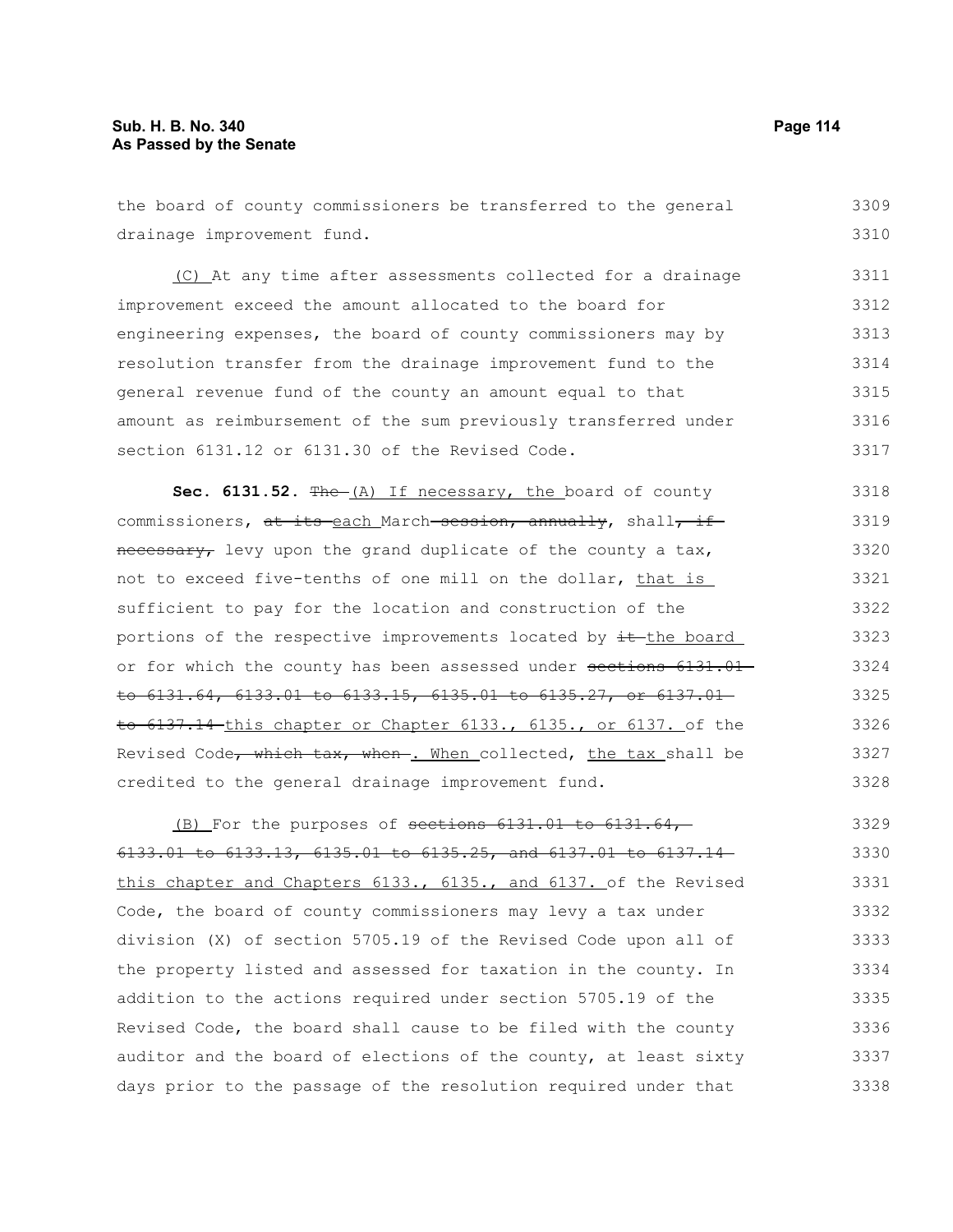the board of county commissioners be transferred to the general drainage improvement fund. 3309 3310

(C) At any time after assessments collected for a drainage improvement exceed the amount allocated to the board for engineering expenses, the board of county commissioners may by resolution transfer from the drainage improvement fund to the general revenue fund of the county an amount equal to that amount as reimbursement of the sum previously transferred under section 6131.12 or 6131.30 of the Revised Code. 3311 3312 3313 3314 3315 3316 3317

Sec. 6131.52. The (A) If necessary, the board of county commissioners, at its each March session, annually, shall, if necessary, levy upon the grand duplicate of the county a tax, not to exceed five-tenths of one mill on the dollar, that is sufficient to pay for the location and construction of the portions of the respective improvements located by  $\pm\text{the board}$ or for which the county has been assessed under sections 6131.01 to 6131.64, 6133.01 to 6133.15, 6135.01 to 6135.27, or 6137.01 to 6137.14 this chapter or Chapter 6133., 6135., or 6137. of the Revised Code, which tax, when . When collected, the tax shall be credited to the general drainage improvement fund. 3318 3319 3320 3321 3322 3323 3324 3325 3326 3327 3328

(B) For the purposes of sections  $6131.01$  to  $6131.64$ , 6133.01 to 6133.13, 6135.01 to 6135.25, and 6137.01 to 6137.14 this chapter and Chapters 6133., 6135., and 6137. of the Revised Code, the board of county commissioners may levy a tax under division (X) of section 5705.19 of the Revised Code upon all of the property listed and assessed for taxation in the county. In addition to the actions required under section 5705.19 of the Revised Code, the board shall cause to be filed with the county auditor and the board of elections of the county, at least sixty days prior to the passage of the resolution required under that 3329 3330 3331 3332 3333 3334 3335 3336 3337 3338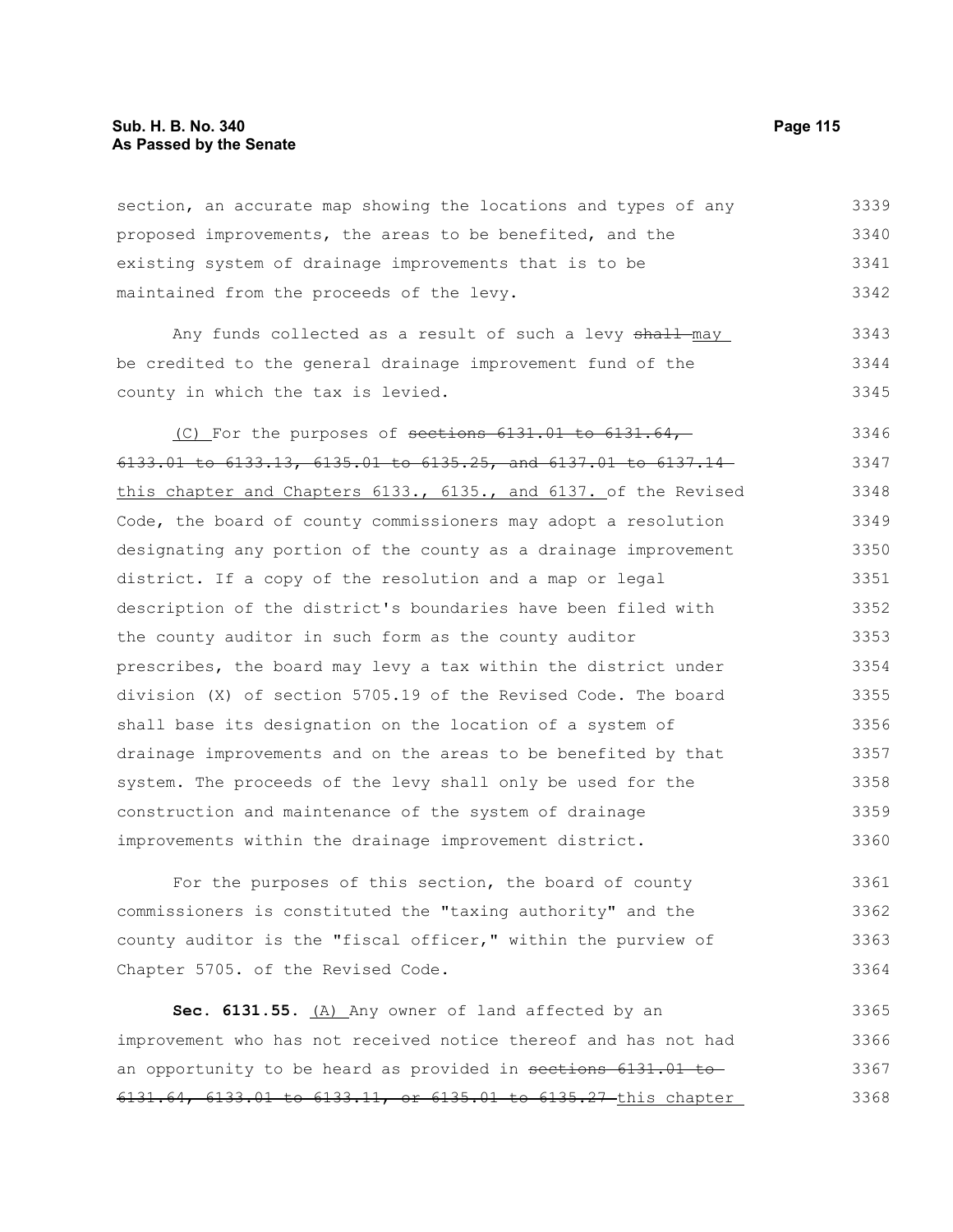section, an accurate map showing the locations and types of any proposed improvements, the areas to be benefited, and the existing system of drainage improvements that is to be maintained from the proceeds of the levy. 3339 3340 3341 3342

Any funds collected as a result of such a levy shall-may be credited to the general drainage improvement fund of the county in which the tax is levied. 3343 3344 3345

(C) For the purposes of sections 6131.01 to 6131.64, 6133.01 to 6133.13, 6135.01 to 6135.25, and 6137.01 to 6137.14 this chapter and Chapters 6133., 6135., and 6137. of the Revised Code, the board of county commissioners may adopt a resolution designating any portion of the county as a drainage improvement district. If a copy of the resolution and a map or legal description of the district's boundaries have been filed with the county auditor in such form as the county auditor prescribes, the board may levy a tax within the district under division (X) of section 5705.19 of the Revised Code. The board shall base its designation on the location of a system of drainage improvements and on the areas to be benefited by that system. The proceeds of the levy shall only be used for the construction and maintenance of the system of drainage improvements within the drainage improvement district. 3346 3347 3348 3349 3350 3351 3352 3353 3354 3355 3356 3357 3358 3359 3360

For the purposes of this section, the board of county commissioners is constituted the "taxing authority" and the county auditor is the "fiscal officer," within the purview of Chapter 5705. of the Revised Code. 3361 3362 3363 3364

Sec. 6131.55. (A) Any owner of land affected by an improvement who has not received notice thereof and has not had an opportunity to be heard as provided in sections 6131.01 to 6131.64, 6133.01 to 6133.11, or 6135.01 to 6135.27 this chapter 3365 3366 3367 3368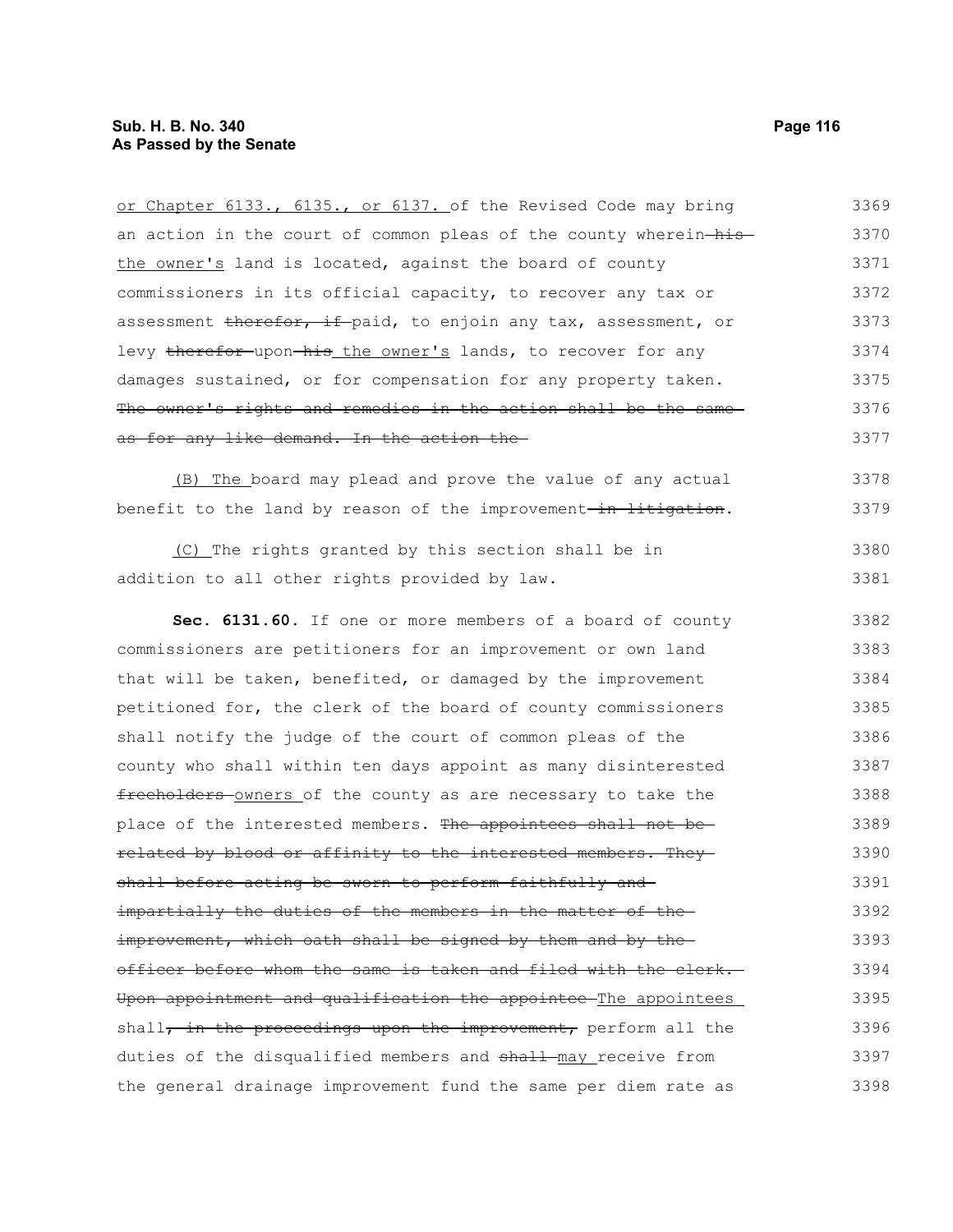| or Chapter 6133., 6135., or 6137. of the Revised Code may bring              | 3369 |
|------------------------------------------------------------------------------|------|
| an action in the court of common pleas of the county wherein-his-            | 3370 |
| the owner's land is located, against the board of county                     | 3371 |
| commissioners in its official capacity, to recover any tax or                | 3372 |
| assessment therefor, if paid, to enjoin any tax, assessment, or              | 3373 |
| levy therefor upon his the owner's lands, to recover for any                 | 3374 |
| damages sustained, or for compensation for any property taken.               | 3375 |
| The owner's rights and remedies in the action shall be the same-             | 3376 |
| as for any like demand. In the action the                                    | 3377 |
| (B) The board may plead and prove the value of any actual                    | 3378 |
| benefit to the land by reason of the improvement <del>-in-litigation</del> . | 3379 |
| (C) The rights granted by this section shall be in                           | 3380 |
| addition to all other rights provided by law.                                | 3381 |
| Sec. 6131.60. If one or more members of a board of county                    | 3382 |
| commissioners are petitioners for an improvement or own land                 | 3383 |
| that will be taken, benefited, or damaged by the improvement                 | 3384 |
| petitioned for, the clerk of the board of county commissioners               | 3385 |
| shall notify the judge of the court of common pleas of the                   | 3386 |
| county who shall within ten days appoint as many disinterested               | 3387 |
| freeholders owners of the county as are necessary to take the                | 3388 |
| place of the interested members. The appointees shall not be-                | 3389 |
| <u>related by blood or affinity to the interested members. They-</u>         | 3390 |
| shall before acting be sworn to perform faithfully and                       | 3391 |
| impartially the duties of the members in the matter of the-                  | 3392 |
| improvement, which oath shall be signed by them and by the-                  | 3393 |
| officer before whom the same is taken and filed with the clerk.              | 3394 |
| Upon appointment and qualification the appointee The appointees              | 3395 |
| shall, in the proceedings upon the improvement, perform all the              | 3396 |
| duties of the disqualified members and shall may receive from                | 3397 |
| the general drainage improvement fund the same per diem rate as              | 3398 |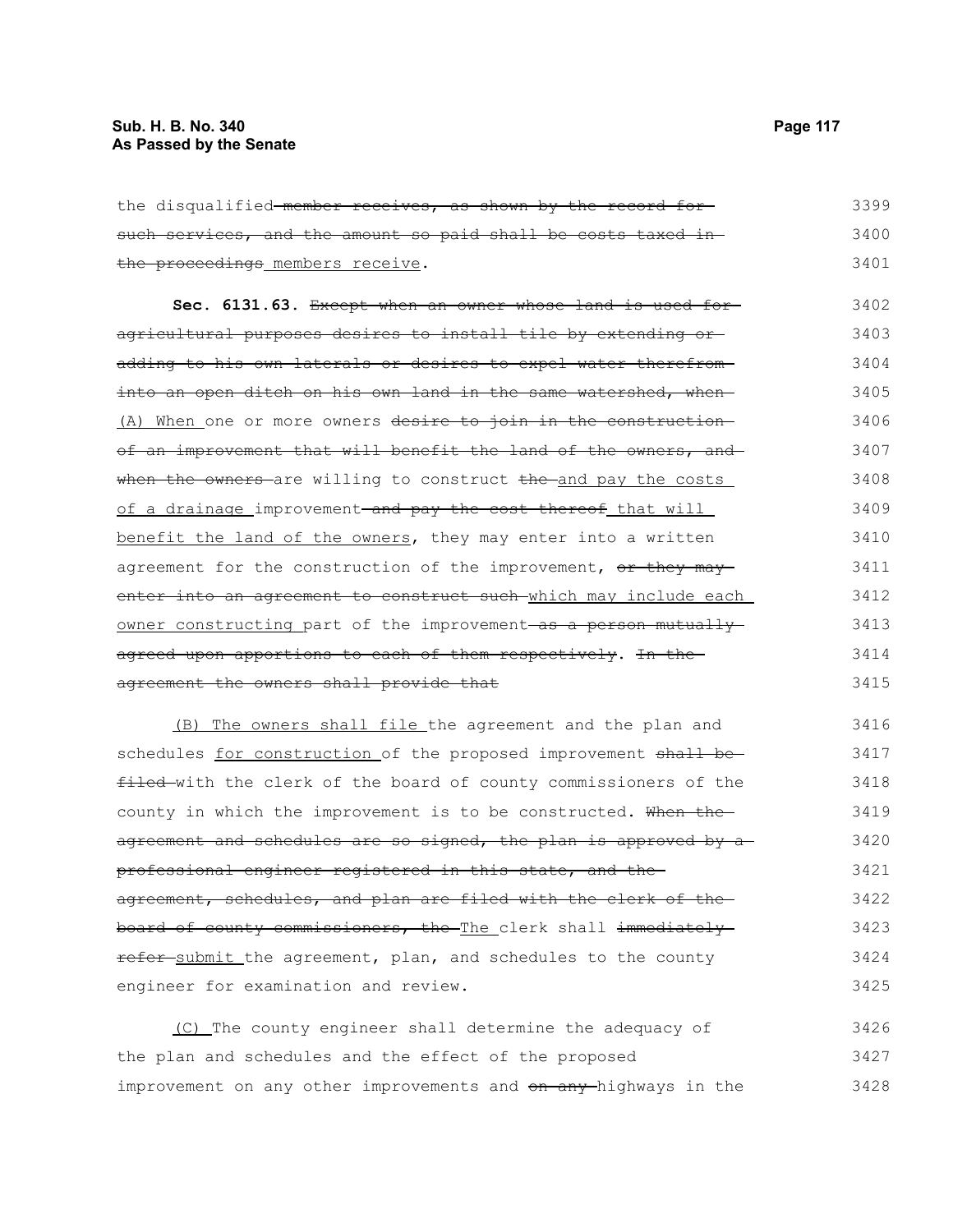the disqualified-member receives, as shown by the record for such services, and the amount so paid shall be costs taxed inthe proceedings members receive. 3399 3400 3401

**Sec. 6131.63.** Except when an owner whose land is used for agricultural purposes desires to install tile by extending or adding to his own laterals or desires to expel water therefrom into an open ditch on his own land in the same watershed, when-(A) When one or more owners desire to join in the constructionof an improvement that will benefit the land of the owners, and when the owners-are willing to construct the and pay the costs of a drainage improvement–and pay the cost thereof that will benefit the land of the owners, they may enter into a written agreement for the construction of the improvement, or they may enter into an agreement to construct such which may include each owner constructing part of the improvement as a person mutually agreed upon apportions to each of them respectively. In the agreement the owners shall provide that 3402 3403 3404 3405 3406 3407 3408 3409 3410 3411 3412 3413 3414 3415

(B) The owners shall file the agreement and the plan and schedules for construction of the proposed improvement shall befiled with the clerk of the board of county commissioners of the county in which the improvement is to be constructed. When the agreement and schedules are so signed, the plan is approved by a professional engineer registered in this state, and the agreement, schedules, and plan are filed with the clerk of the board of county commissioners, the The clerk shall immediately refer submit the agreement, plan, and schedules to the county engineer for examination and review. 3416 3417 3418 3419 3420 3421 3422 3423 3424 3425

(C) The county engineer shall determine the adequacy of the plan and schedules and the effect of the proposed improvement on any other improvements and on any highways in the 3426 3427 3428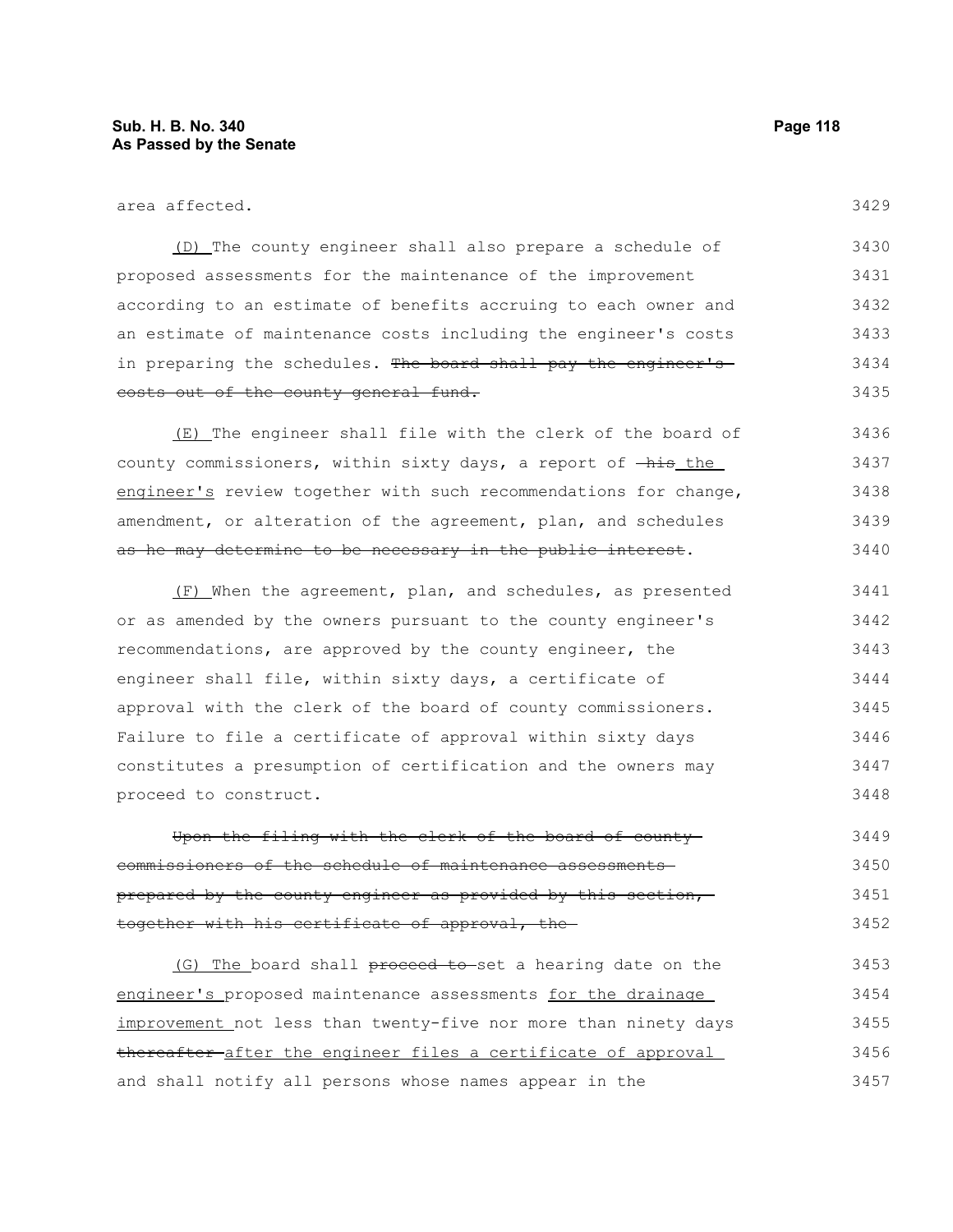| area affected.                                                                | 3429 |
|-------------------------------------------------------------------------------|------|
| (D) The county engineer shall also prepare a schedule of                      | 3430 |
| proposed assessments for the maintenance of the improvement                   | 3431 |
| according to an estimate of benefits accruing to each owner and               | 3432 |
| an estimate of maintenance costs including the engineer's costs               | 3433 |
| in preparing the schedules. The board shall pay the engineer's                | 3434 |
| costs out of the county general fund.                                         | 3435 |
| (E) The engineer shall file with the clerk of the board of                    | 3436 |
| county commissioners, within sixty days, a report of $-\text{his}\text{ the}$ | 3437 |
| engineer's review together with such recommendations for change,              | 3438 |
| amendment, or alteration of the agreement, plan, and schedules                | 3439 |
| as he may determine to be necessary in the public interest.                   | 3440 |
| (F) When the agreement, plan, and schedules, as presented                     | 3441 |
| or as amended by the owners pursuant to the county engineer's                 | 3442 |
| recommendations, are approved by the county engineer, the                     | 3443 |
| engineer shall file, within sixty days, a certificate of                      | 3444 |
| approval with the clerk of the board of county commissioners.                 | 3445 |
| Failure to file a certificate of approval within sixty days                   | 3446 |
| constitutes a presumption of certification and the owners may                 | 3447 |
| proceed to construct.                                                         | 3448 |

Upon the filing with the clerk of the board of county commissioners of the schedule of maintenance assessments prepared by the county engineer as provided by this section, together with his certificate of approval, the 3449 3450 3451 3452

(G) The board shall proceed to set a hearing date on the engineer's proposed maintenance assessments for the drainage improvement not less than twenty-five nor more than ninety days thereafter after the engineer files a certificate of approval and shall notify all persons whose names appear in the 3453 3454 3455 3456 3457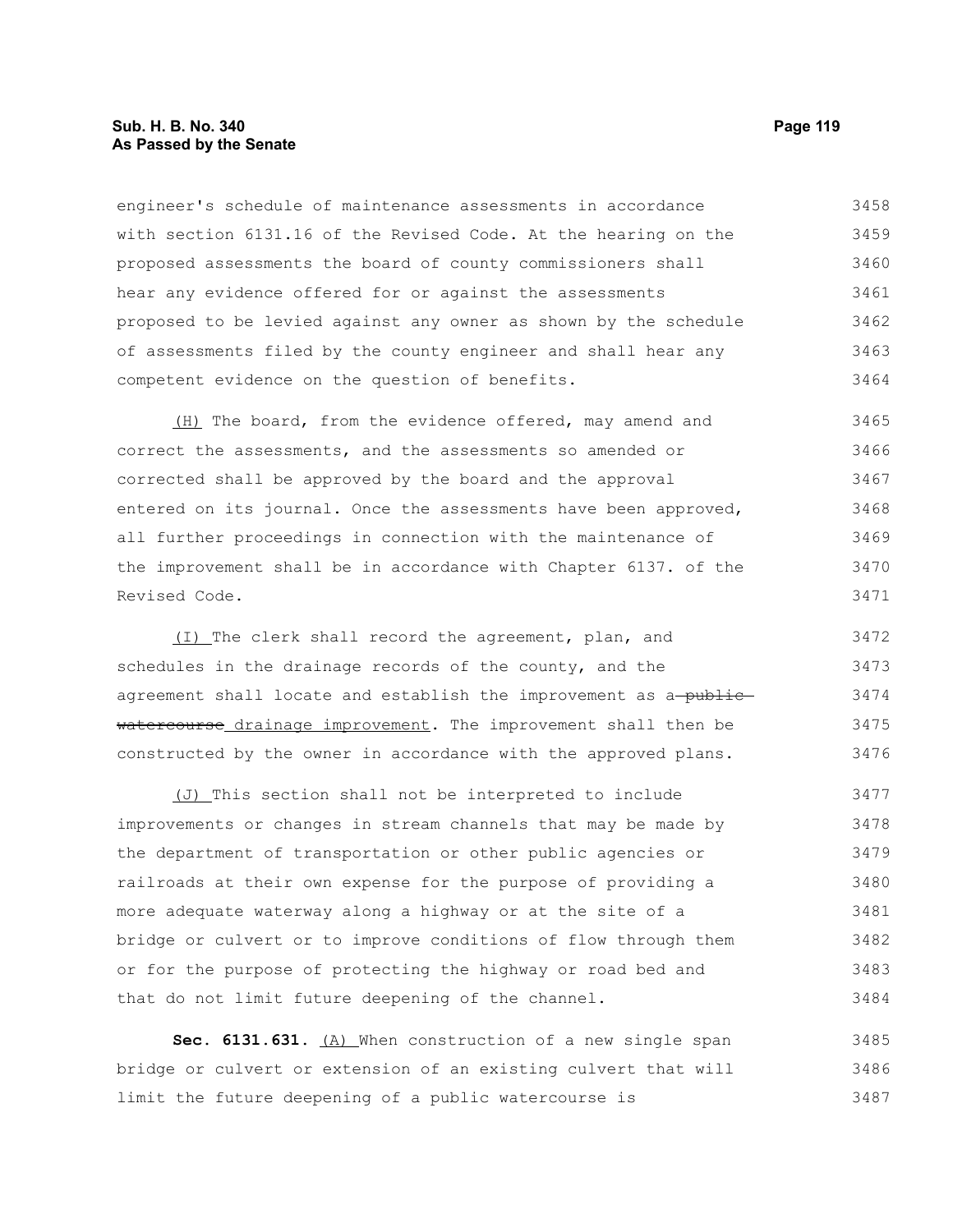# **Sub. H. B. No. 340 Page 119 As Passed by the Senate**

engineer's schedule of maintenance assessments in accordance with section 6131.16 of the Revised Code. At the hearing on the proposed assessments the board of county commissioners shall hear any evidence offered for or against the assessments proposed to be levied against any owner as shown by the schedule of assessments filed by the county engineer and shall hear any competent evidence on the question of benefits. 3458 3459 3460 3461 3462 3463 3464

(H) The board, from the evidence offered, may amend and correct the assessments, and the assessments so amended or corrected shall be approved by the board and the approval entered on its journal. Once the assessments have been approved, all further proceedings in connection with the maintenance of the improvement shall be in accordance with Chapter 6137. of the Revised Code. 3465 3466 3467 3468 3469 3470 3471

(I) The clerk shall record the agreement, plan, and schedules in the drainage records of the county, and the agreement shall locate and establish the improvement as a-publicwatercourse drainage improvement. The improvement shall then be constructed by the owner in accordance with the approved plans. 3472 3473 3474 3475 3476

(J) This section shall not be interpreted to include improvements or changes in stream channels that may be made by the department of transportation or other public agencies or railroads at their own expense for the purpose of providing a more adequate waterway along a highway or at the site of a bridge or culvert or to improve conditions of flow through them or for the purpose of protecting the highway or road bed and that do not limit future deepening of the channel. 3477 3478 3479 3480 3481 3482 3483 3484

Sec. 6131.631. (A) When construction of a new single span bridge or culvert or extension of an existing culvert that will limit the future deepening of a public watercourse is 3485 3486 3487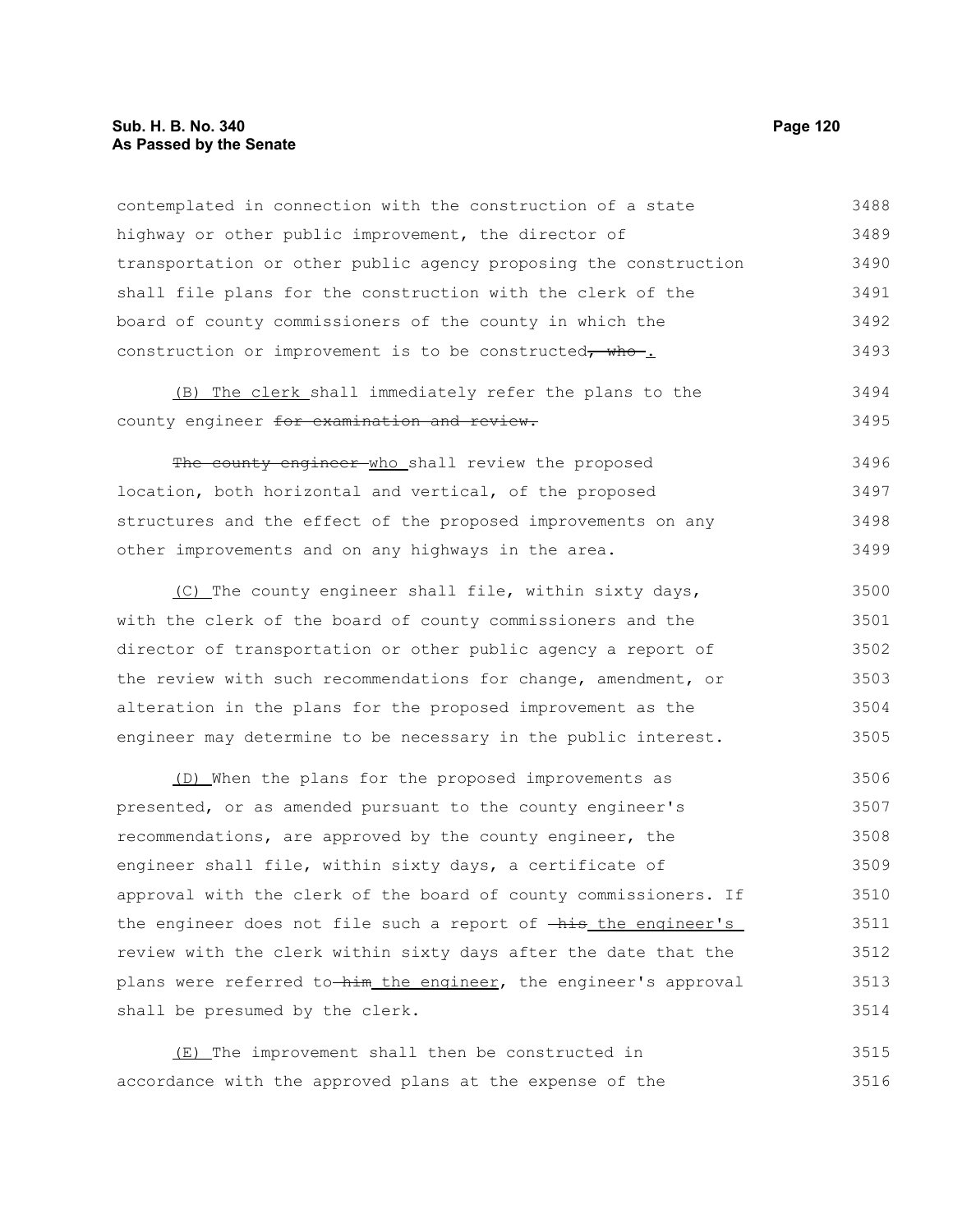# **Sub. H. B. No. 340 Page 120 As Passed by the Senate**

contemplated in connection with the construction of a state highway or other public improvement, the director of transportation or other public agency proposing the construction shall file plans for the construction with the clerk of the board of county commissioners of the county in which the construction or improvement is to be constructed, who-. 3488 3489 3490 3491 3492 3493

#### (B) The clerk shall immediately refer the plans to the county engineer for examination and review. 3494 3495

The county engineer who shall review the proposed location, both horizontal and vertical, of the proposed structures and the effect of the proposed improvements on any other improvements and on any highways in the area. 3496 3497 3498 3499

(C) The county engineer shall file, within sixty days, with the clerk of the board of county commissioners and the director of transportation or other public agency a report of the review with such recommendations for change, amendment, or alteration in the plans for the proposed improvement as the engineer may determine to be necessary in the public interest. 3500 3501 3502 3503 3504 3505

(D) When the plans for the proposed improvements as presented, or as amended pursuant to the county engineer's recommendations, are approved by the county engineer, the engineer shall file, within sixty days, a certificate of approval with the clerk of the board of county commissioners. If the engineer does not file such a report of  $-\frac{h}{h}$  the engineer's review with the clerk within sixty days after the date that the plans were referred to him the engineer, the engineer's approval shall be presumed by the clerk. 3506 3507 3508 3509 3510 3511 3512 3513 3514

(E) The improvement shall then be constructed in accordance with the approved plans at the expense of the 3515 3516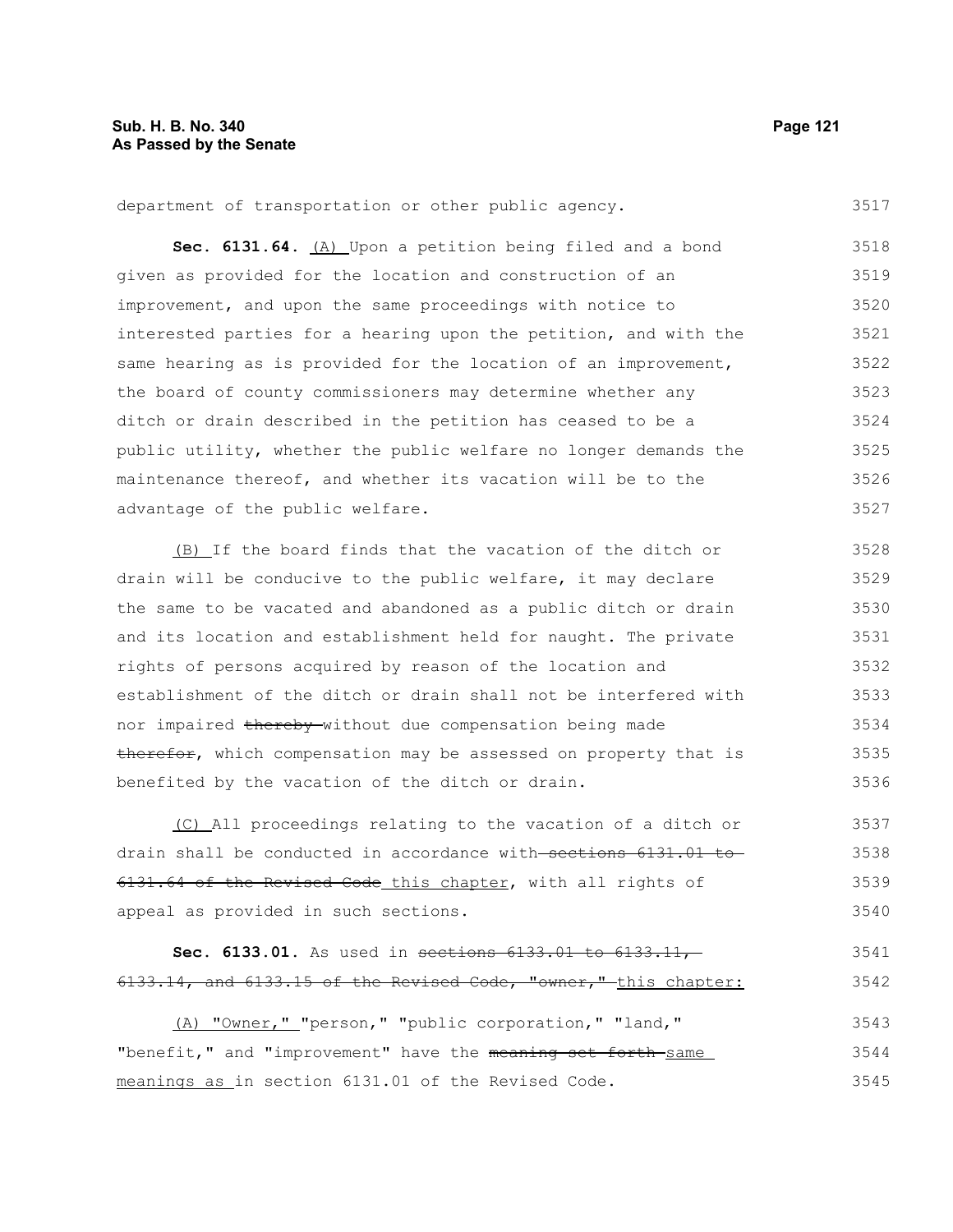department of transportation or other public agency. 3517

Sec. 6131.64. **(A)** Upon a petition being filed and a bond given as provided for the location and construction of an improvement, and upon the same proceedings with notice to interested parties for a hearing upon the petition, and with the same hearing as is provided for the location of an improvement, the board of county commissioners may determine whether any ditch or drain described in the petition has ceased to be a public utility, whether the public welfare no longer demands the maintenance thereof, and whether its vacation will be to the advantage of the public welfare. 3518 3519 3520 3521 3522 3523 3524 3525 3526 3527

(B) If the board finds that the vacation of the ditch or drain will be conducive to the public welfare, it may declare the same to be vacated and abandoned as a public ditch or drain and its location and establishment held for naught. The private rights of persons acquired by reason of the location and establishment of the ditch or drain shall not be interfered with nor impaired thereby without due compensation being made therefor, which compensation may be assessed on property that is benefited by the vacation of the ditch or drain. 3528 3529 3530 3531 3532 3533 3534 3535 3536

(C) All proceedings relating to the vacation of a ditch or drain shall be conducted in accordance with sections 6131.01 to 6131.64 of the Revised Code this chapter, with all rights of appeal as provided in such sections. 3537 3538 3539 3540

```
Sec. 6133.01. As used in sections 6133.01 to 6133.11,
6133.14, and 6133.15 of the Revised Code, "owner," this chapter:
                                                                          3541
                                                                          3542
```
(A) "Owner," "person," "public corporation," "land," "benefit," and "improvement" have the meaning set forth same meanings as in section 6131.01 of the Revised Code. 3543 3544 3545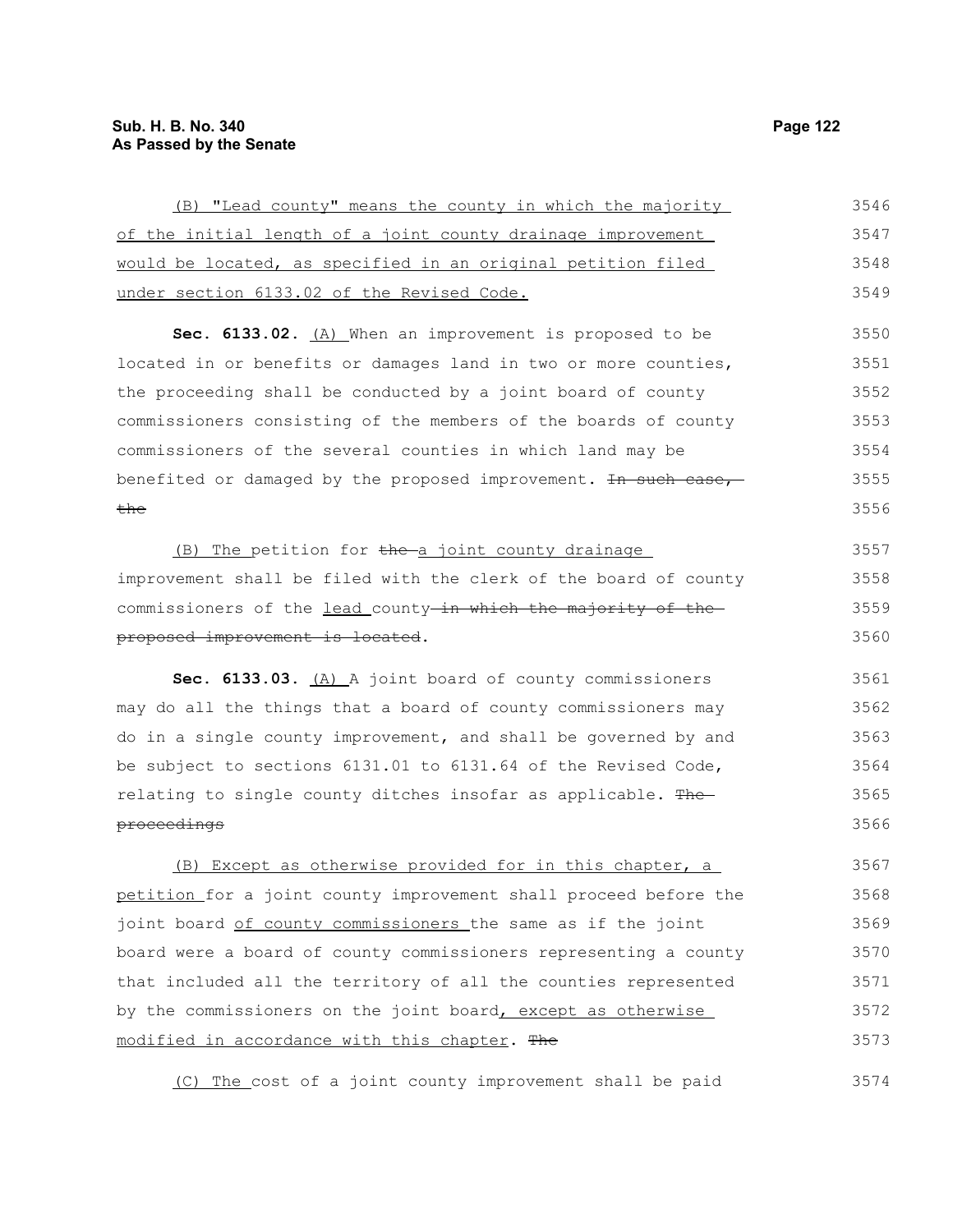| (B) "Lead county" means the county in which the majority         | 3546 |
|------------------------------------------------------------------|------|
| of the initial length of a joint county drainage improvement     | 3547 |
| would be located, as specified in an original petition filed     | 3548 |
| under section 6133.02 of the Revised Code.                       | 3549 |
| Sec. 6133.02. (A) When an improvement is proposed to be          | 3550 |
| located in or benefits or damages land in two or more counties,  | 3551 |
| the proceeding shall be conducted by a joint board of county     | 3552 |
| commissioners consisting of the members of the boards of county  | 3553 |
| commissioners of the several counties in which land may be       | 3554 |
| benefited or damaged by the proposed improvement. In such case,  | 3555 |
| <del>the</del>                                                   | 3556 |
| (B) The petition for the a joint county drainage                 | 3557 |
| improvement shall be filed with the clerk of the board of county | 3558 |
| commissioners of the lead county-in which the majority of the    | 3559 |
| proposed improvement is located.                                 | 3560 |
| Sec. 6133.03. (A) A joint board of county commissioners          | 3561 |
| may do all the things that a board of county commissioners may   | 3562 |
| do in a single county improvement, and shall be governed by and  | 3563 |
| be subject to sections 6131.01 to 6131.64 of the Revised Code,   | 3564 |
| relating to single county ditches insofar as applicable. The     | 3565 |
| proceedings                                                      | 3566 |
| (B) Except as otherwise provided for in this chapter, a          | 3567 |
| petition for a joint county improvement shall proceed before the | 3568 |
| joint board of county commissioners the same as if the joint     | 3569 |
| board were a board of county commissioners representing a county | 3570 |
| that included all the territory of all the counties represented  | 3571 |
| by the commissioners on the joint board, except as otherwise     | 3572 |
| modified in accordance with this chapter. The                    | 3573 |

(C) The cost of a joint county improvement shall be paid 3574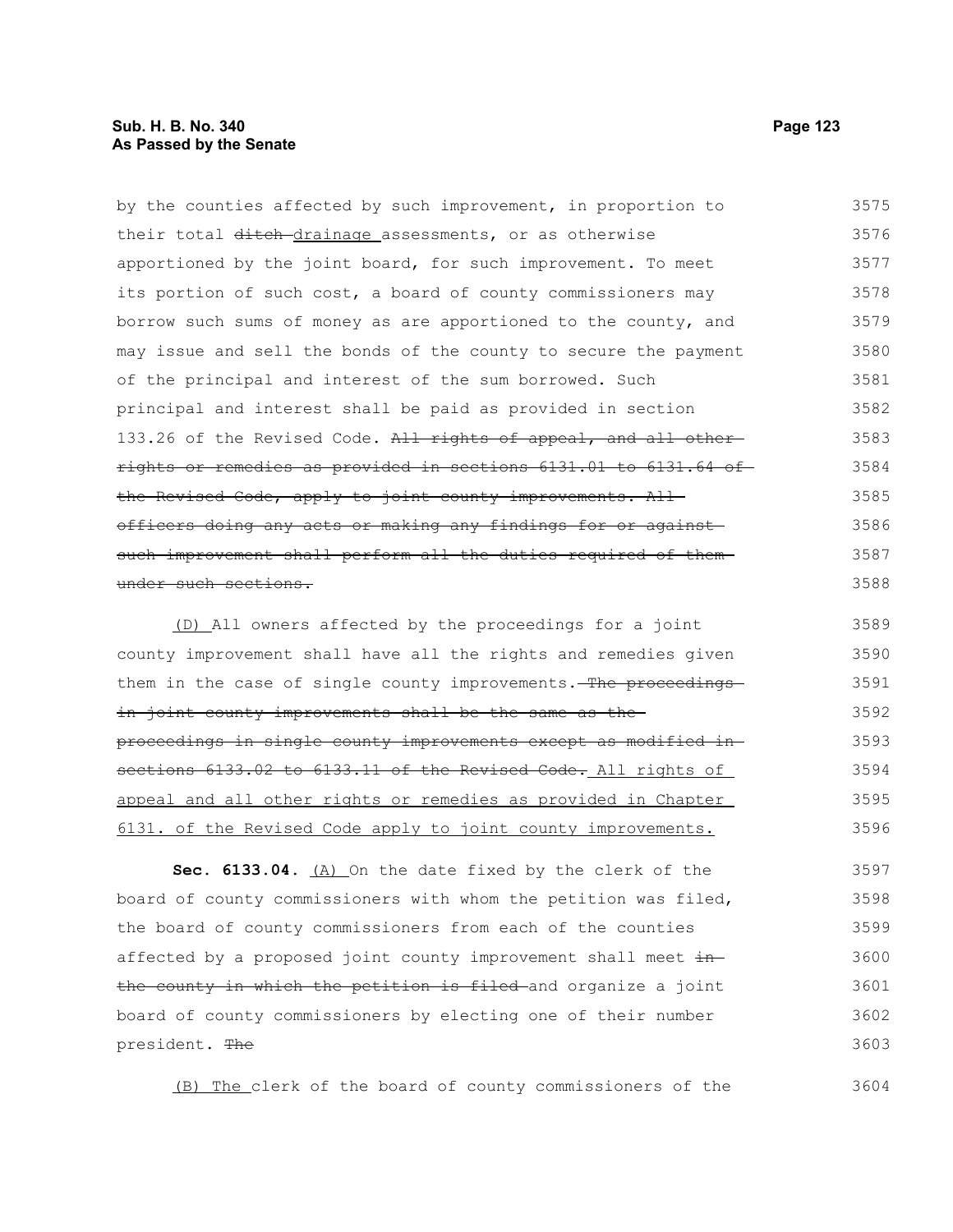# **Sub. H. B. No. 340 Page 123 As Passed by the Senate**

by the counties affected by such improvement, in proportion to their total ditch-drainage assessments, or as otherwise apportioned by the joint board, for such improvement. To meet its portion of such cost, a board of county commissioners may borrow such sums of money as are apportioned to the county, and may issue and sell the bonds of the county to secure the payment of the principal and interest of the sum borrowed. Such principal and interest shall be paid as provided in section 133.26 of the Revised Code. All rights of appeal, and all otherrights or remedies as provided in sections 6131.01 to 6131.64 of the Revised Code, apply to joint county improvements. Allofficers doing any acts or making any findings for or against such improvement shall perform all the duties required of them under such sections. (D) All owners affected by the proceedings for a joint 3575 3576 3577 3578 3579 3580 3581 3582 3583 3584 3585 3586 3587 3588 3589

county improvement shall have all the rights and remedies given them in the case of single county improvements. The proceedingsin joint county improvements shall be the same as theproceedings in single county improvements except as modified in sections 6133.02 to 6133.11 of the Revised Code. All rights of appeal and all other rights or remedies as provided in Chapter 6131. of the Revised Code apply to joint county improvements. 3590 3591 3592 3593 3594 3595 3596

**Sec. 6133.04.** (A) On the date fixed by the clerk of the board of county commissioners with whom the petition was filed, the board of county commissioners from each of the counties affected by a proposed joint county improvement shall meet inthe county in which the petition is filed and organize a joint board of county commissioners by electing one of their number president. The 3597 3598 3599 3600 3601 3602 3603

(B) The clerk of the board of county commissioners of the

3604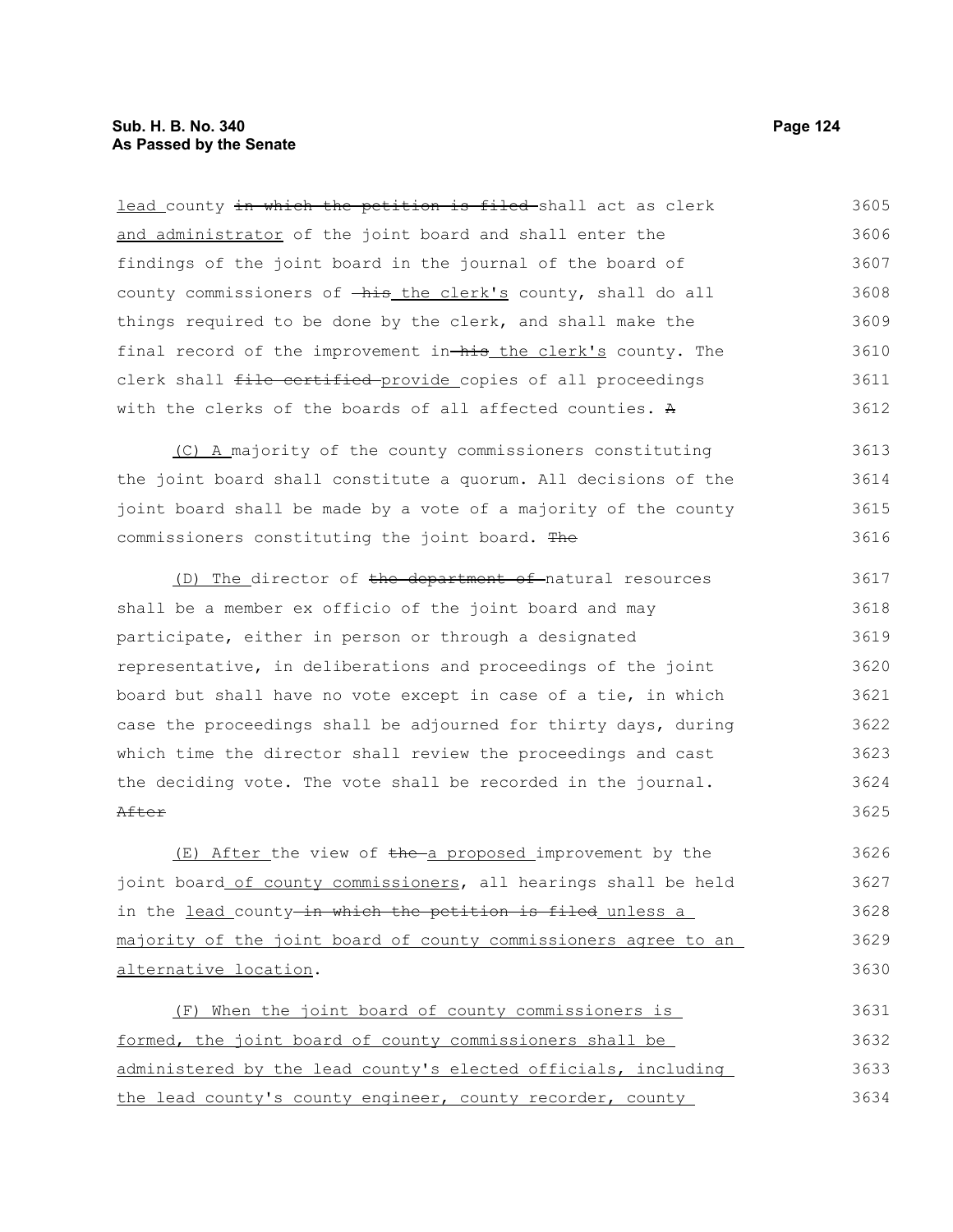lead county in which the petition is filed-shall act as clerk and administrator of the joint board and shall enter the findings of the joint board in the journal of the board of county commissioners of  $-\hbox{his}$  the clerk's county, shall do all things required to be done by the clerk, and shall make the final record of the improvement in-his the clerk's county. The clerk shall file certified provide copies of all proceedings with the clerks of the boards of all affected counties. A 3605 3606 3607 3608 3609 3610 3611 3612

(C) A majority of the county commissioners constituting the joint board shall constitute a quorum. All decisions of the joint board shall be made by a vote of a majority of the county commissioners constituting the joint board. The 3613 3614 3615 3616

(D) The director of the department of natural resources shall be a member ex officio of the joint board and may participate, either in person or through a designated representative, in deliberations and proceedings of the joint board but shall have no vote except in case of a tie, in which case the proceedings shall be adjourned for thirty days, during which time the director shall review the proceedings and cast the deciding vote. The vote shall be recorded in the journal. After 3617 3618 3619 3620 3621 3622 3623 3624 3625

 $(E)$  After the view of the a proposed improvement by the joint board of county commissioners, all hearings shall be held in the lead county-in which the petition is filed unless a majority of the joint board of county commissioners agree to an alternative location. 3626 3627 3628 3629 3630

(F) When the joint board of county commissioners is formed, the joint board of county commissioners shall be administered by the lead county's elected officials, including the lead county's county engineer, county recorder, county 3631 3632 3633 3634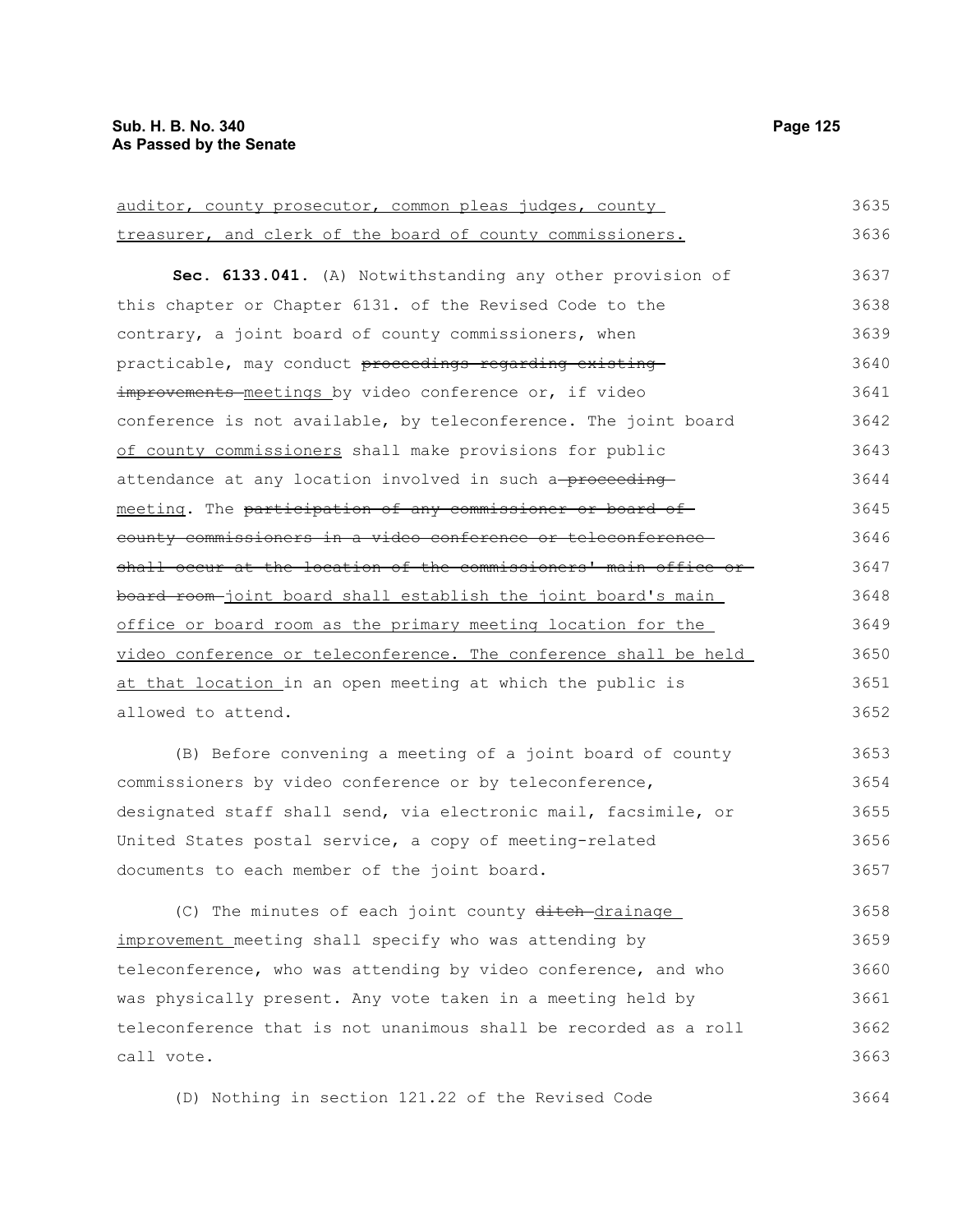| auditor, county prosecutor, common pleas judges, county           | 3635 |
|-------------------------------------------------------------------|------|
| treasurer, and clerk of the board of county commissioners.        | 3636 |
| Sec. 6133.041. (A) Notwithstanding any other provision of         | 3637 |
| this chapter or Chapter 6131. of the Revised Code to the          | 3638 |
| contrary, a joint board of county commissioners, when             | 3639 |
| practicable, may conduct proceedings regarding existing           | 3640 |
| improvements meetings by video conference or, if video            | 3641 |
| conference is not available, by teleconference. The joint board   | 3642 |
| of county commissioners shall make provisions for public          | 3643 |
| attendance at any location involved in such a-proceeding-         | 3644 |
| meeting. The participation of any commissioner or board of        | 3645 |
| county commissioners in a video conference or teleconference      | 3646 |
| shall occur at the location of the commissioners' main office or- | 3647 |
| board room-joint board shall establish the joint board's main     | 3648 |
| office or board room as the primary meeting location for the      | 3649 |
| video conference or teleconference. The conference shall be held  | 3650 |
| at that location in an open meeting at which the public is        | 3651 |
| allowed to attend.                                                | 3652 |
| (B) Before convening a meeting of a joint board of county         | 3653 |
| commissioners by video conference or by teleconference,           | 3654 |
| designated staff shall send, via electronic mail, facsimile, or   | 3655 |
| United States postal service, a copy of meeting-related           | 3656 |
| documents to each member of the joint board.                      | 3657 |

(C) The minutes of each joint county ditch-drainage improvement meeting shall specify who was attending by teleconference, who was attending by video conference, and who was physically present. Any vote taken in a meeting held by teleconference that is not unanimous shall be recorded as a roll call vote. 3658 3659 3660 3661 3662 3663

(D) Nothing in section 121.22 of the Revised Code 3664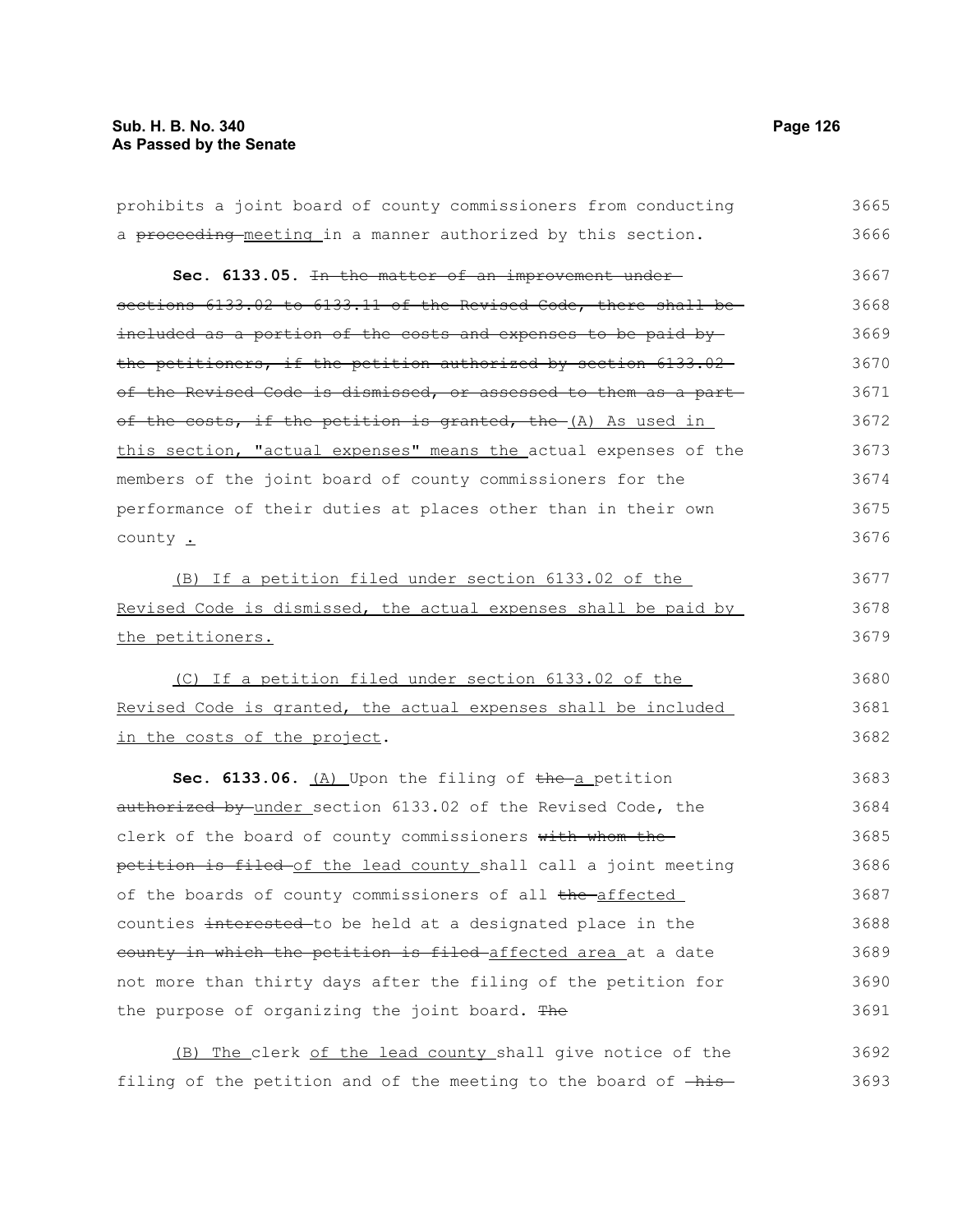| prohibits a joint board of county commissioners from conducting  | 3665 |
|------------------------------------------------------------------|------|
| a proceeding-meeting in a manner authorized by this section.     | 3666 |
| Sec. 6133.05. In the matter of an improvement under-             | 3667 |
| sections 6133.02 to 6133.11 of the Revised Code, there shall be- | 3668 |
| included as a portion of the costs and expenses to be paid by-   | 3669 |
| the petitioners, if the petition authorized by section 6133.02   | 3670 |
| of the Revised Code is dismissed, or assessed to them as a part- | 3671 |
| of the costs, if the petition is granted, the (A) As used in     | 3672 |
| this section, "actual expenses" means the actual expenses of the | 3673 |
| members of the joint board of county commissioners for the       | 3674 |
| performance of their duties at places other than in their own    | 3675 |
| county .                                                         | 3676 |
| (B) If a petition filed under section 6133.02 of the             | 3677 |
| Revised Code is dismissed, the actual expenses shall be paid by  | 3678 |
| the petitioners.                                                 | 3679 |
| (C) If a petition filed under section 6133.02 of the             | 3680 |
| Revised Code is granted, the actual expenses shall be included   | 3681 |
| in the costs of the project.                                     | 3682 |
| Sec. 6133.06. (A) Upon the filing of the a petition              | 3683 |
| authorized by under section 6133.02 of the Revised Code, the     | 3684 |
| clerk of the board of county commissioners with whom the         | 3685 |
| petition is filed of the lead county shall call a joint meeting  | 3686 |
| of the boards of county commissioners of all the affected        | 3687 |
| counties interested to be held at a designated place in the      | 3688 |
| county in which the petition is filed-affected area at a date    | 3689 |
| not more than thirty days after the filing of the petition for   | 3690 |
| the purpose of organizing the joint board. The                   | 3691 |
| The clerk of the lead county shall give notice of the<br>(B)     | 3692 |

filing of the petition and of the meeting to the board of  $-\text{his}-$  3693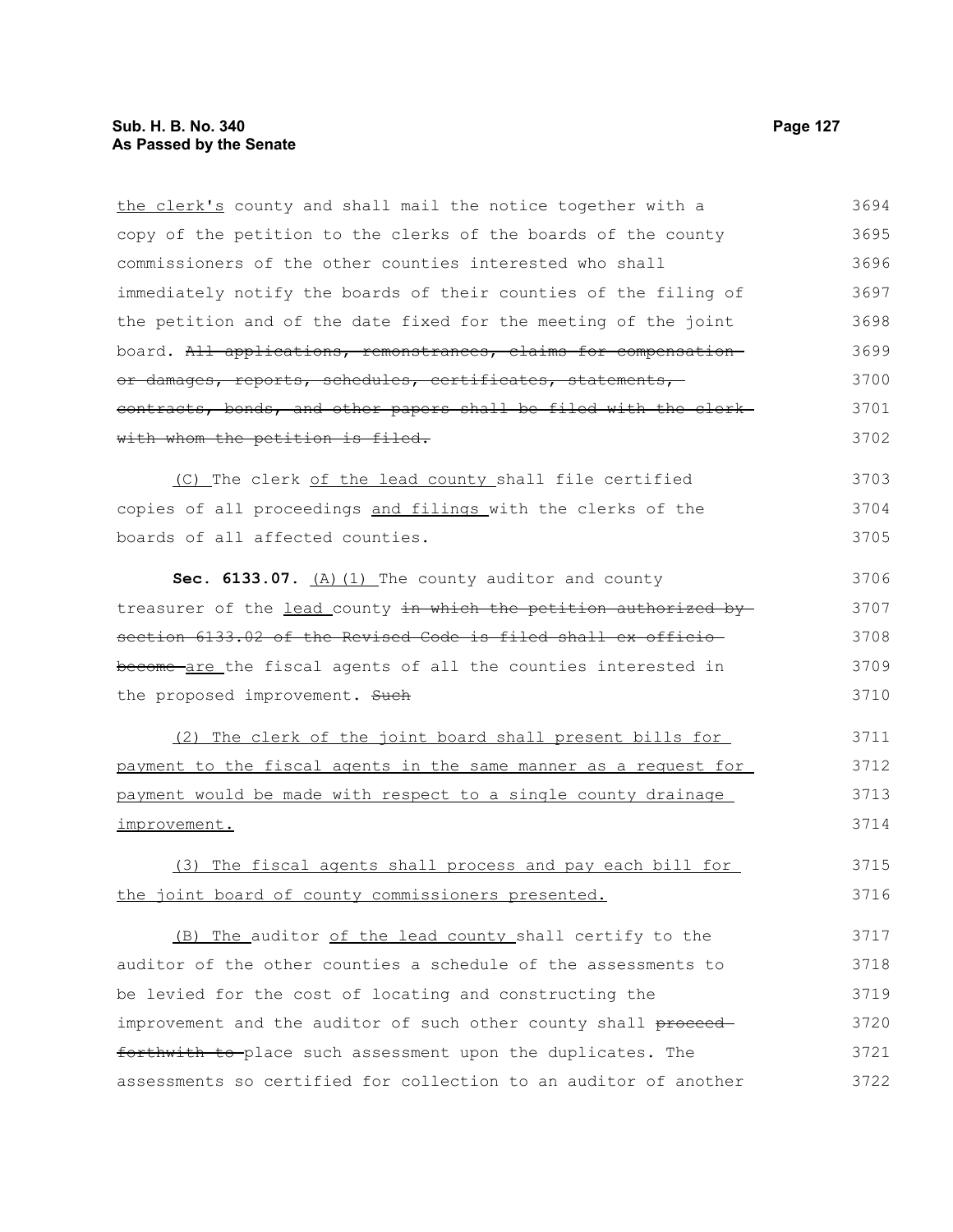the clerk's county and shall mail the notice together with a copy of the petition to the clerks of the boards of the county commissioners of the other counties interested who shall immediately notify the boards of their counties of the filing of the petition and of the date fixed for the meeting of the joint board. All applications, remonstrances, claims for compensation or damages, reports, schedules, certificates, statements, contracts, bonds, and other papers shall be filed with the clerk with whom the petition is filed. (C) The clerk of the lead county shall file certified copies of all proceedings and filings with the clerks of the boards of all affected counties. Sec. 6133.07. (A) (1) The county auditor and county treasurer of the lead county in which the petition authorized bysection 6133.02 of the Revised Code is filed shall ex officio become are the fiscal agents of all the counties interested in the proposed improvement. Such (2) The clerk of the joint board shall present bills for payment to the fiscal agents in the same manner as a request for payment would be made with respect to a single county drainage improvement. (3) The fiscal agents shall process and pay each bill for the joint board of county commissioners presented. (B) The auditor of the lead county shall certify to the auditor of the other counties a schedule of the assessments to be levied for the cost of locating and constructing the improvement and the auditor of such other county shall proceedforthwith to place such assessment upon the duplicates. The assessments so certified for collection to an auditor of another 3694 3695 3696 3697 3698 3699 3700 3701 3702 3703 3704 3705 3706 3707 3708 3709 3710 3711 3712 3713 3714 3715 3716 3717 3718 3719 3720 3721 3722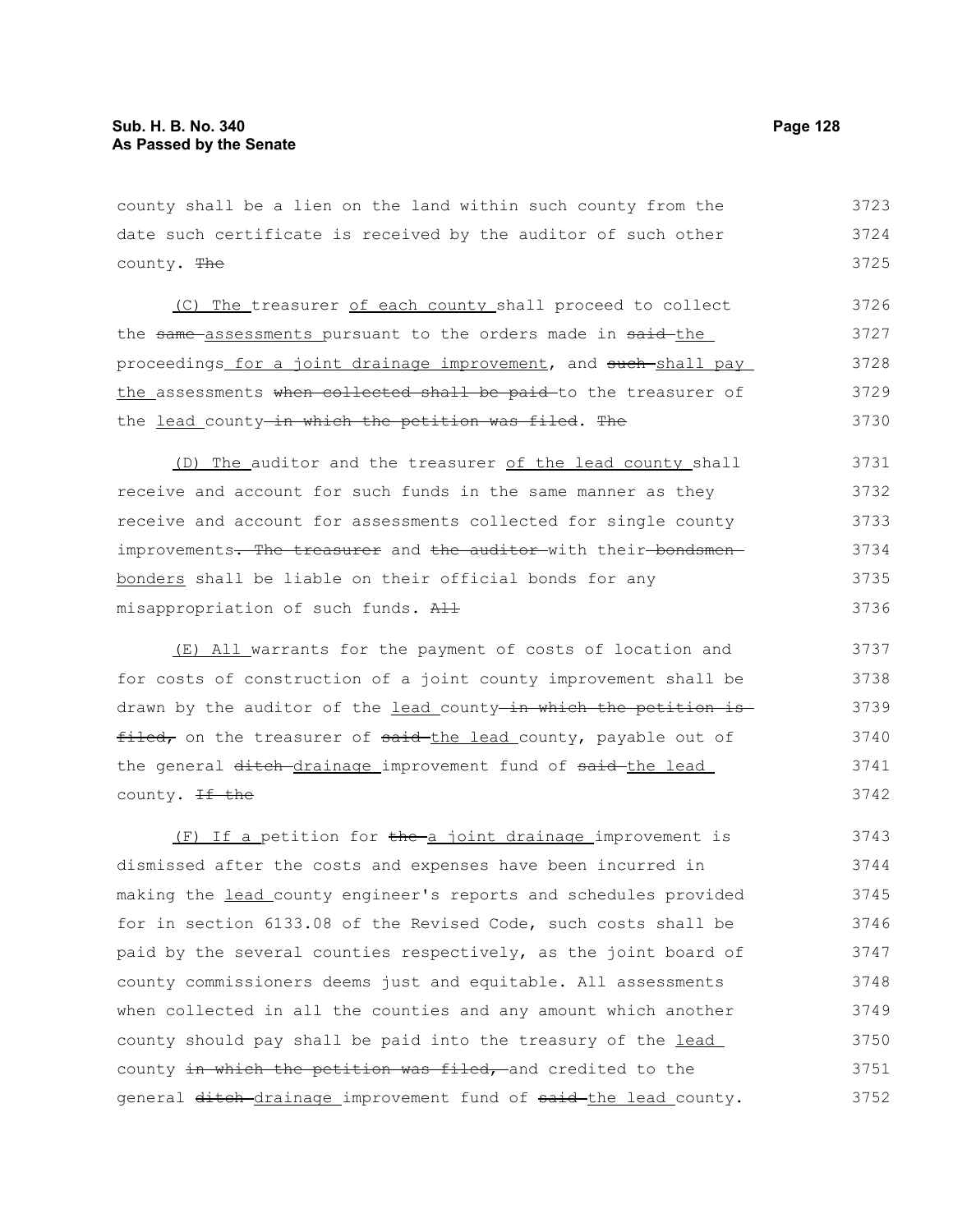county shall be a lien on the land within such county from the date such certificate is received by the auditor of such other county. The 3723 3724 3725

(C) The treasurer of each county shall proceed to collect the same assessments pursuant to the orders made in said-the proceedings for a joint drainage improvement, and such shall pay the assessments when collected shall be paid to the treasurer of the lead county-in which the petition was filed. The 3726 3727 3728 3729 3730

(D) The auditor and the treasurer of the lead county shall receive and account for such funds in the same manner as they receive and account for assessments collected for single county improvements. The treasurer and the auditor with their bondsmenbonders shall be liable on their official bonds for any misappropriation of such funds. All 3731 3732 3733 3734 3735 3736

(E) All warrants for the payment of costs of location and for costs of construction of a joint county improvement shall be drawn by the auditor of the lead county in which the petition is filed, on the treasurer of said the lead county, payable out of the general ditch drainage improvement fund of said the lead county. <del>If the</del> 3737 3738 3739 3740 3741 3742

(F) If a petition for the a joint drainage improvement is dismissed after the costs and expenses have been incurred in making the lead county engineer's reports and schedules provided for in section 6133.08 of the Revised Code, such costs shall be paid by the several counties respectively, as the joint board of county commissioners deems just and equitable. All assessments when collected in all the counties and any amount which another county should pay shall be paid into the treasury of the lead county in which the petition was filed, and credited to the general ditch-drainage improvement fund of said-the lead county. 3743 3744 3745 3746 3747 3748 3749 3750 3751 3752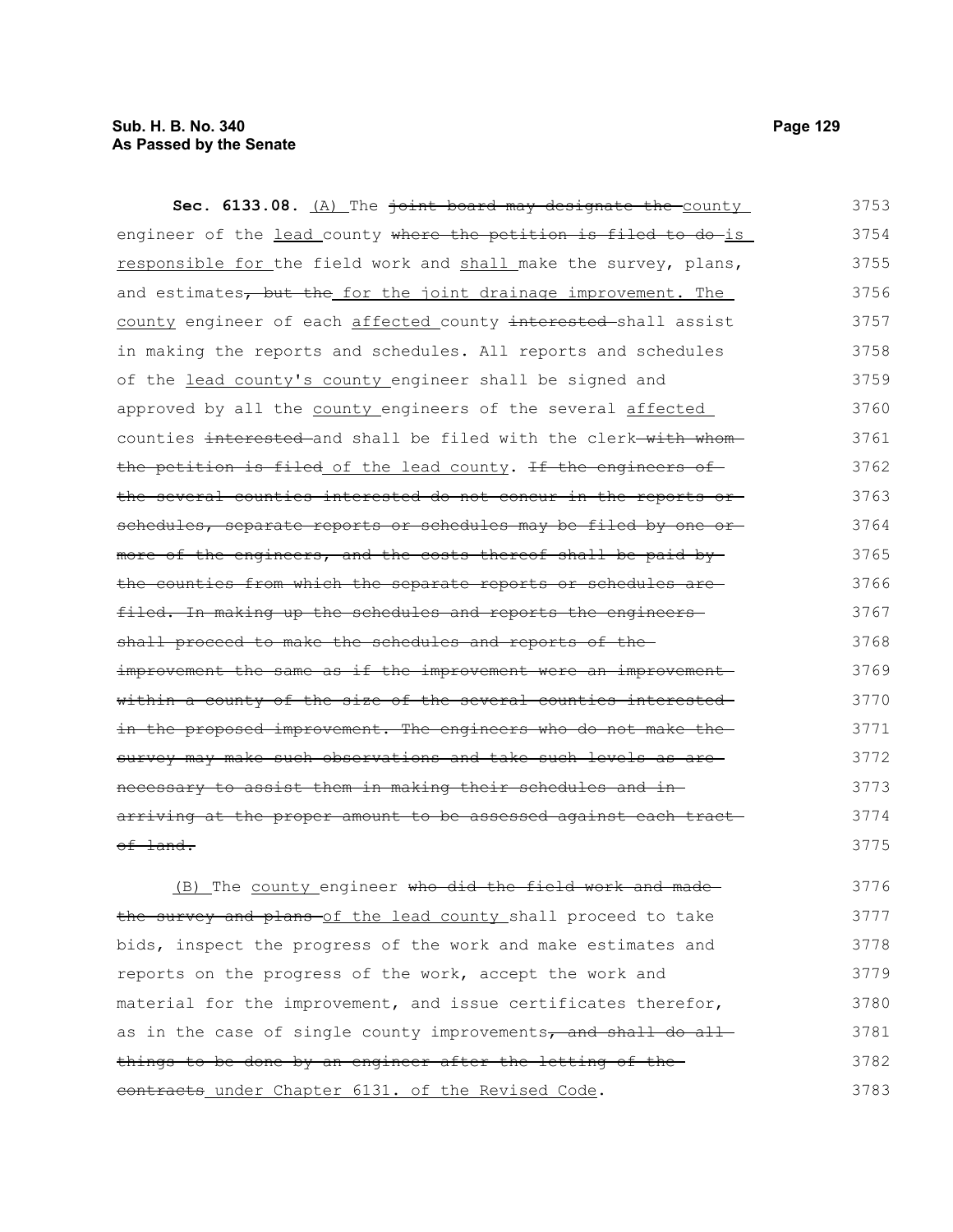# **Sub. H. B. No. 340 Page 129 As Passed by the Senate**

Sec. 6133.08. (A) The joint board may designate the county engineer of the lead county where the petition is filed to do-is responsible for the field work and shall make the survey, plans, and estimates, but the for the joint drainage improvement. The county engineer of each affected county interested shall assist in making the reports and schedules. All reports and schedules of the lead county's county engineer shall be signed and approved by all the county engineers of the several affected counties interested and shall be filed with the clerk with whomthe petition is filed of the lead county. If the engineers of the several counties interested do not concur in the reports or schedules, separate reports or schedules may be filed by one ormore of the engineers, and the costs thereof shall be paid by the counties from which the separate reports or schedules are filed. In making up the schedules and reports the engineersshall proceed to make the schedules and reports of theimprovement the same as if the improvement were an improvement within a county of the size of the several counties interested in the proposed improvement. The engineers who do not make thesurvey may make such observations and take such levels as arenecessary to assist them in making their schedules and in arriving at the proper amount to be assessed against each tract of land. 3753 3754 3755 3756 3757 3758 3759 3760 3761 3762 3763 3764 3765 3766 3767 3768 3769 3770 3771 3772 3773 3774 3775

(B) The county engineer who did the field work and made the survey and plans of the lead county shall proceed to take bids, inspect the progress of the work and make estimates and reports on the progress of the work, accept the work and material for the improvement, and issue certificates therefor, as in the case of single county improvements, and shall do all things to be done by an engineer after the letting of the contracts under Chapter 6131. of the Revised Code. 3776 3777 3778 3779 3780 3781 3782 3783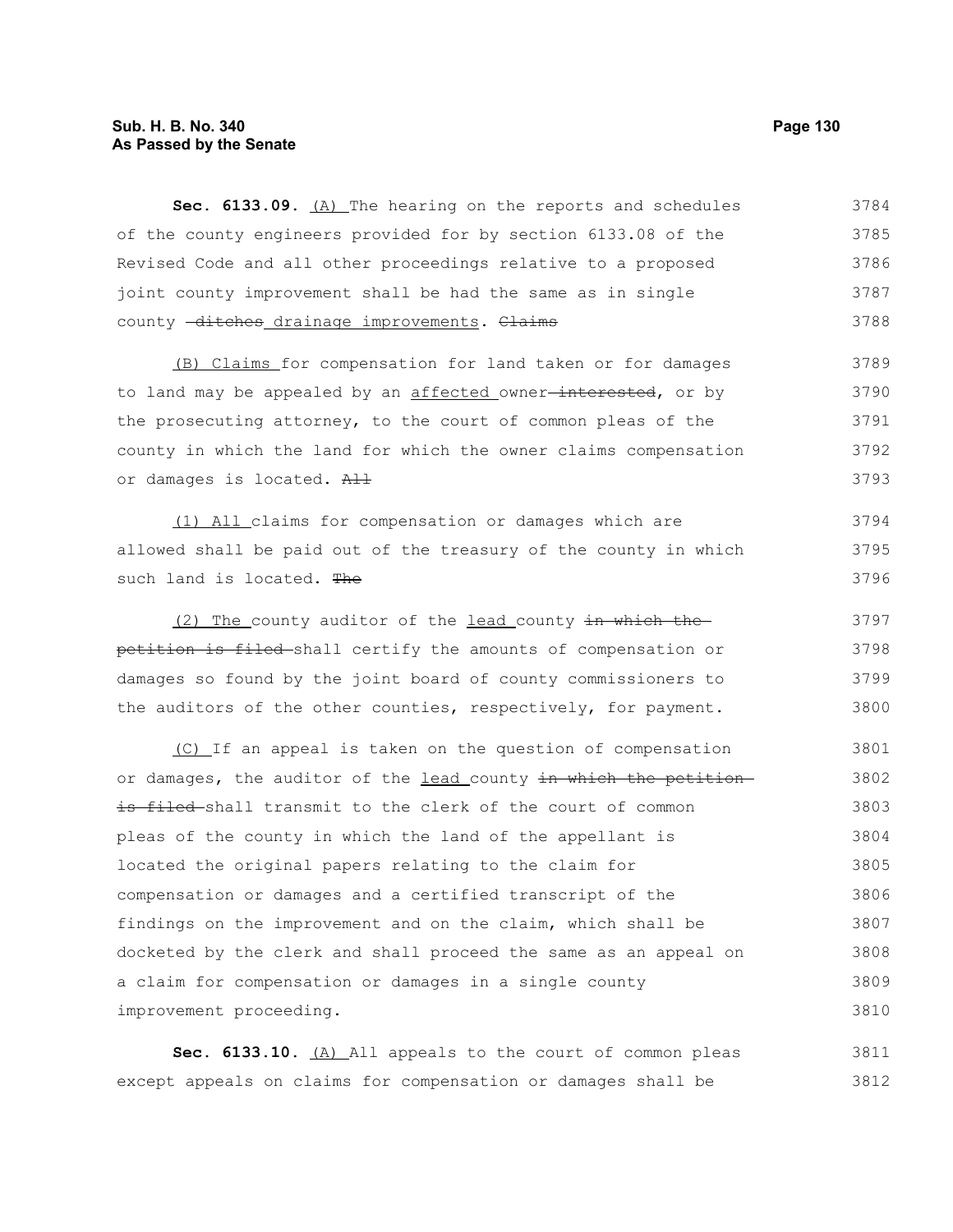# **Sub. H. B. No. 340 Page 130 As Passed by the Senate**

Sec. 6133.09. (A) The hearing on the reports and schedules of the county engineers provided for by section 6133.08 of the Revised Code and all other proceedings relative to a proposed joint county improvement shall be had the same as in single county -ditches drainage improvements. Claims 3784 3785 3786 3787 3788

(B) Claims for compensation for land taken or for damages to land may be appealed by an affected owner<del>-interested</del>, or by the prosecuting attorney, to the court of common pleas of the county in which the land for which the owner claims compensation or damages is located. All 3789 3790 3791 3792 3793

(1) All claims for compensation or damages which are allowed shall be paid out of the treasury of the county in which such land is located. The 3794 3795 3796

(2) The county auditor of the lead county in which the petition is filed shall certify the amounts of compensation or damages so found by the joint board of county commissioners to the auditors of the other counties, respectively, for payment. 3797 3798 3799 3800

(C) If an appeal is taken on the question of compensation or damages, the auditor of the lead county in which the petitionis filed shall transmit to the clerk of the court of common pleas of the county in which the land of the appellant is located the original papers relating to the claim for compensation or damages and a certified transcript of the findings on the improvement and on the claim, which shall be docketed by the clerk and shall proceed the same as an appeal on a claim for compensation or damages in a single county improvement proceeding. 3801 3802 3803 3804 3805 3806 3807 3808 3809 3810

Sec. 6133.10. (A) All appeals to the court of common pleas except appeals on claims for compensation or damages shall be 3811 3812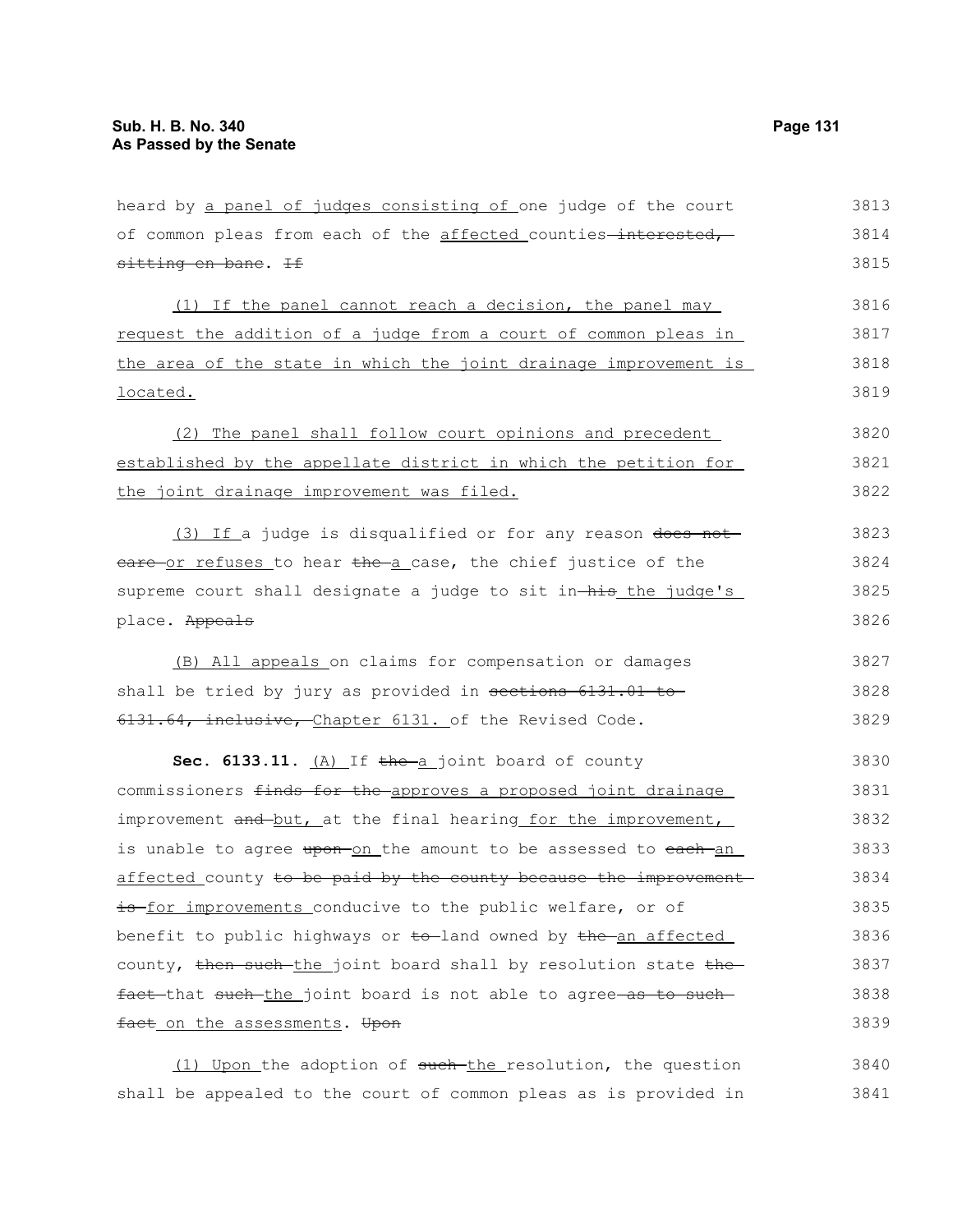| heard by a panel of judges consisting of one judge of the court<br>of common pleas from each of the affected counties-interested,<br>sitting en bane. If<br>(1) If the panel cannot reach a decision, the panel may<br>request the addition of a judge from a court of common pleas in<br>the area of the state in which the joint drainage improvement is<br>located.<br>(2) The panel shall follow court opinions and precedent<br>established by the appellate district in which the petition for<br>the joint drainage improvement was filed.<br>(3) If a judge is disqualified or for any reason does not<br>eare or refuses to hear the a case, the chief justice of the<br>supreme court shall designate a judge to sit in-his the judge's<br>(B) All appeals on claims for compensation or damages<br>shall be tried by jury as provided in sections 6131.01 to<br>6131.64, inclusive, Chapter 6131. of the Revised Code.<br>Sec. 6133.11. $(A)$ If the a joint board of county<br>commissioners finds for the approves a proposed joint drainage<br>improvement and but, at the final hearing for the improvement,<br>is unable to agree upon-on the amount to be assessed to each-an<br>is for improvements conducive to the public welfare, or of<br>county, then such the joint board shall by resolution state the<br>fact that such the joint board is not able to agree as to such<br>fact on the assessments. Upon |      |
|------------------------------------------------------------------------------------------------------------------------------------------------------------------------------------------------------------------------------------------------------------------------------------------------------------------------------------------------------------------------------------------------------------------------------------------------------------------------------------------------------------------------------------------------------------------------------------------------------------------------------------------------------------------------------------------------------------------------------------------------------------------------------------------------------------------------------------------------------------------------------------------------------------------------------------------------------------------------------------------------------------------------------------------------------------------------------------------------------------------------------------------------------------------------------------------------------------------------------------------------------------------------------------------------------------------------------------------------------------------------------------------------------------------------------------|------|
| place. Appeals<br>affected county to be paid by the county because the improvement<br>benefit to public highways or to-land owned by the an affected                                                                                                                                                                                                                                                                                                                                                                                                                                                                                                                                                                                                                                                                                                                                                                                                                                                                                                                                                                                                                                                                                                                                                                                                                                                                               | 3813 |
|                                                                                                                                                                                                                                                                                                                                                                                                                                                                                                                                                                                                                                                                                                                                                                                                                                                                                                                                                                                                                                                                                                                                                                                                                                                                                                                                                                                                                                    | 3814 |
|                                                                                                                                                                                                                                                                                                                                                                                                                                                                                                                                                                                                                                                                                                                                                                                                                                                                                                                                                                                                                                                                                                                                                                                                                                                                                                                                                                                                                                    | 3815 |
|                                                                                                                                                                                                                                                                                                                                                                                                                                                                                                                                                                                                                                                                                                                                                                                                                                                                                                                                                                                                                                                                                                                                                                                                                                                                                                                                                                                                                                    | 3816 |
|                                                                                                                                                                                                                                                                                                                                                                                                                                                                                                                                                                                                                                                                                                                                                                                                                                                                                                                                                                                                                                                                                                                                                                                                                                                                                                                                                                                                                                    | 3817 |
|                                                                                                                                                                                                                                                                                                                                                                                                                                                                                                                                                                                                                                                                                                                                                                                                                                                                                                                                                                                                                                                                                                                                                                                                                                                                                                                                                                                                                                    | 3818 |
|                                                                                                                                                                                                                                                                                                                                                                                                                                                                                                                                                                                                                                                                                                                                                                                                                                                                                                                                                                                                                                                                                                                                                                                                                                                                                                                                                                                                                                    | 3819 |
|                                                                                                                                                                                                                                                                                                                                                                                                                                                                                                                                                                                                                                                                                                                                                                                                                                                                                                                                                                                                                                                                                                                                                                                                                                                                                                                                                                                                                                    | 3820 |
|                                                                                                                                                                                                                                                                                                                                                                                                                                                                                                                                                                                                                                                                                                                                                                                                                                                                                                                                                                                                                                                                                                                                                                                                                                                                                                                                                                                                                                    | 3821 |
|                                                                                                                                                                                                                                                                                                                                                                                                                                                                                                                                                                                                                                                                                                                                                                                                                                                                                                                                                                                                                                                                                                                                                                                                                                                                                                                                                                                                                                    | 3822 |
|                                                                                                                                                                                                                                                                                                                                                                                                                                                                                                                                                                                                                                                                                                                                                                                                                                                                                                                                                                                                                                                                                                                                                                                                                                                                                                                                                                                                                                    | 3823 |
|                                                                                                                                                                                                                                                                                                                                                                                                                                                                                                                                                                                                                                                                                                                                                                                                                                                                                                                                                                                                                                                                                                                                                                                                                                                                                                                                                                                                                                    | 3824 |
|                                                                                                                                                                                                                                                                                                                                                                                                                                                                                                                                                                                                                                                                                                                                                                                                                                                                                                                                                                                                                                                                                                                                                                                                                                                                                                                                                                                                                                    | 3825 |
|                                                                                                                                                                                                                                                                                                                                                                                                                                                                                                                                                                                                                                                                                                                                                                                                                                                                                                                                                                                                                                                                                                                                                                                                                                                                                                                                                                                                                                    | 3826 |
|                                                                                                                                                                                                                                                                                                                                                                                                                                                                                                                                                                                                                                                                                                                                                                                                                                                                                                                                                                                                                                                                                                                                                                                                                                                                                                                                                                                                                                    | 3827 |
|                                                                                                                                                                                                                                                                                                                                                                                                                                                                                                                                                                                                                                                                                                                                                                                                                                                                                                                                                                                                                                                                                                                                                                                                                                                                                                                                                                                                                                    | 3828 |
|                                                                                                                                                                                                                                                                                                                                                                                                                                                                                                                                                                                                                                                                                                                                                                                                                                                                                                                                                                                                                                                                                                                                                                                                                                                                                                                                                                                                                                    | 3829 |
|                                                                                                                                                                                                                                                                                                                                                                                                                                                                                                                                                                                                                                                                                                                                                                                                                                                                                                                                                                                                                                                                                                                                                                                                                                                                                                                                                                                                                                    | 3830 |
|                                                                                                                                                                                                                                                                                                                                                                                                                                                                                                                                                                                                                                                                                                                                                                                                                                                                                                                                                                                                                                                                                                                                                                                                                                                                                                                                                                                                                                    | 3831 |
|                                                                                                                                                                                                                                                                                                                                                                                                                                                                                                                                                                                                                                                                                                                                                                                                                                                                                                                                                                                                                                                                                                                                                                                                                                                                                                                                                                                                                                    | 3832 |
|                                                                                                                                                                                                                                                                                                                                                                                                                                                                                                                                                                                                                                                                                                                                                                                                                                                                                                                                                                                                                                                                                                                                                                                                                                                                                                                                                                                                                                    | 3833 |
|                                                                                                                                                                                                                                                                                                                                                                                                                                                                                                                                                                                                                                                                                                                                                                                                                                                                                                                                                                                                                                                                                                                                                                                                                                                                                                                                                                                                                                    | 3834 |
|                                                                                                                                                                                                                                                                                                                                                                                                                                                                                                                                                                                                                                                                                                                                                                                                                                                                                                                                                                                                                                                                                                                                                                                                                                                                                                                                                                                                                                    | 3835 |
|                                                                                                                                                                                                                                                                                                                                                                                                                                                                                                                                                                                                                                                                                                                                                                                                                                                                                                                                                                                                                                                                                                                                                                                                                                                                                                                                                                                                                                    | 3836 |
|                                                                                                                                                                                                                                                                                                                                                                                                                                                                                                                                                                                                                                                                                                                                                                                                                                                                                                                                                                                                                                                                                                                                                                                                                                                                                                                                                                                                                                    | 3837 |
|                                                                                                                                                                                                                                                                                                                                                                                                                                                                                                                                                                                                                                                                                                                                                                                                                                                                                                                                                                                                                                                                                                                                                                                                                                                                                                                                                                                                                                    | 3838 |
|                                                                                                                                                                                                                                                                                                                                                                                                                                                                                                                                                                                                                                                                                                                                                                                                                                                                                                                                                                                                                                                                                                                                                                                                                                                                                                                                                                                                                                    | 3839 |

(1) Upon the adoption of such the resolution, the question shall be appealed to the court of common pleas as is provided in 3840 3841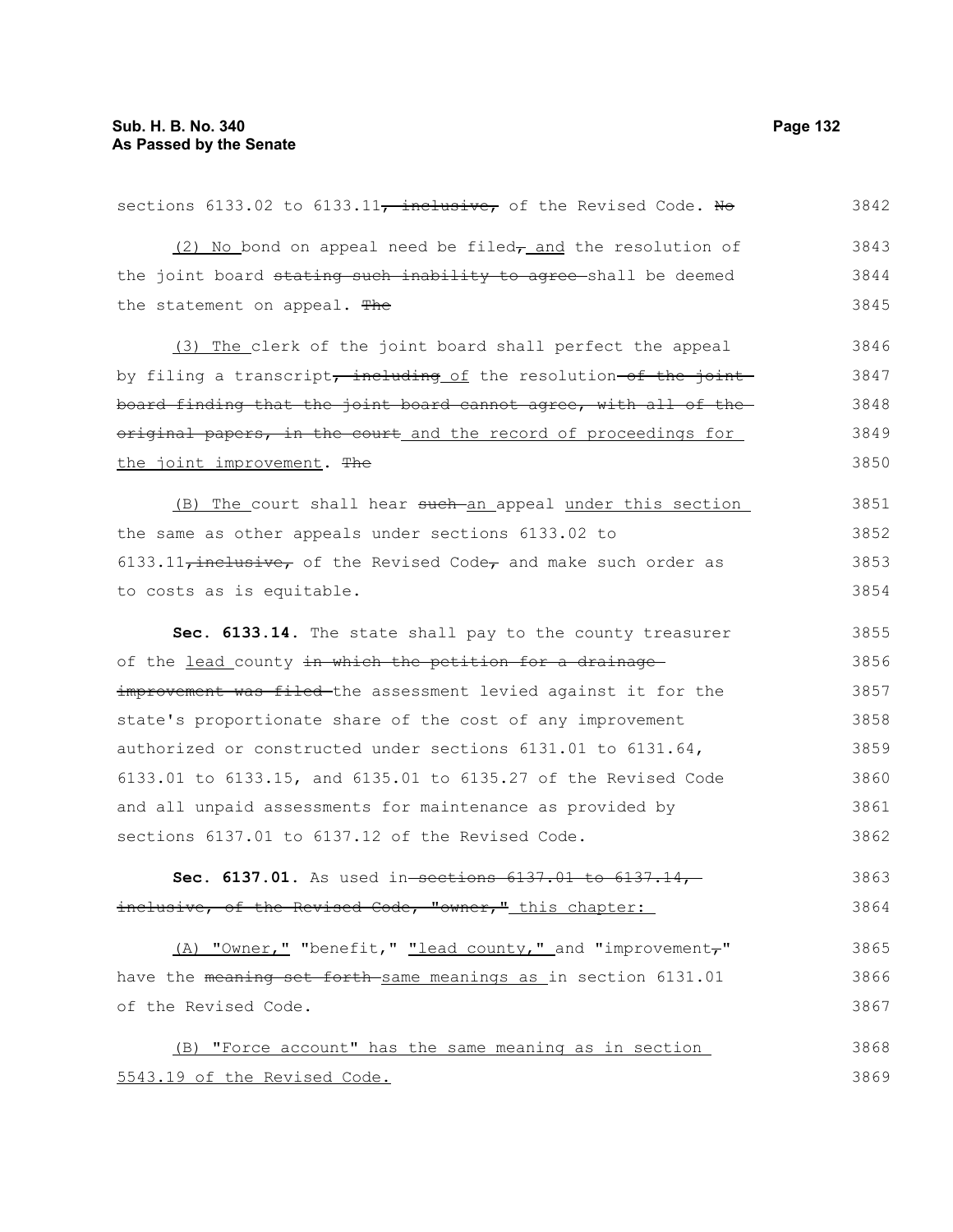| sections 6133.02 to 6133.11, inclusive, of the Revised Code. No          | 3842 |
|--------------------------------------------------------------------------|------|
| $(2)$ No bond on appeal need be filed <sub>7</sub> and the resolution of | 3843 |
| the joint board stating such inability to agree-shall be deemed          | 3844 |
| the statement on appeal. The                                             | 3845 |
| (3) The clerk of the joint board shall perfect the appeal                | 3846 |
| by filing a transcript, including of the resolution-of the joint         | 3847 |
| board finding that the joint board cannot agree, with all of the         | 3848 |
| original papers, in the court and the record of proceedings for          | 3849 |
| the joint improvement. The                                               | 3850 |
| (B) The court shall hear such an appeal under this section               | 3851 |
| the same as other appeals under sections 6133.02 to                      | 3852 |
| $6133.11$ , inclusive, of the Revised Code, and make such order as       | 3853 |
| to costs as is equitable.                                                | 3854 |
| Sec. 6133.14. The state shall pay to the county treasurer                | 3855 |
| of the lead county in which the petition for a drainage                  | 3856 |
| improvement was filed the assessment levied against it for the           | 3857 |
| state's proportionate share of the cost of any improvement               | 3858 |
| authorized or constructed under sections 6131.01 to 6131.64,             | 3859 |
| 6133.01 to 6133.15, and 6135.01 to 6135.27 of the Revised Code           | 3860 |
| and all unpaid assessments for maintenance as provided by                | 3861 |
| sections 6137.01 to 6137.12 of the Revised Code.                         | 3862 |
| Sec. 6137.01. As used in-sections $6137.01$ to $6137.14$ ,               | 3863 |
| inclusive, of the Revised Code, "owner," this chapter:                   | 3864 |
| (A) "Owner," "benefit," "lead county," and "improvement,"                | 3865 |
| have the meaning set forth same meanings as in section 6131.01           | 3866 |
| of the Revised Code.                                                     | 3867 |
| (B) "Force account" has the same meaning as in section                   | 3868 |
| 5543.19 of the Revised Code.                                             | 3869 |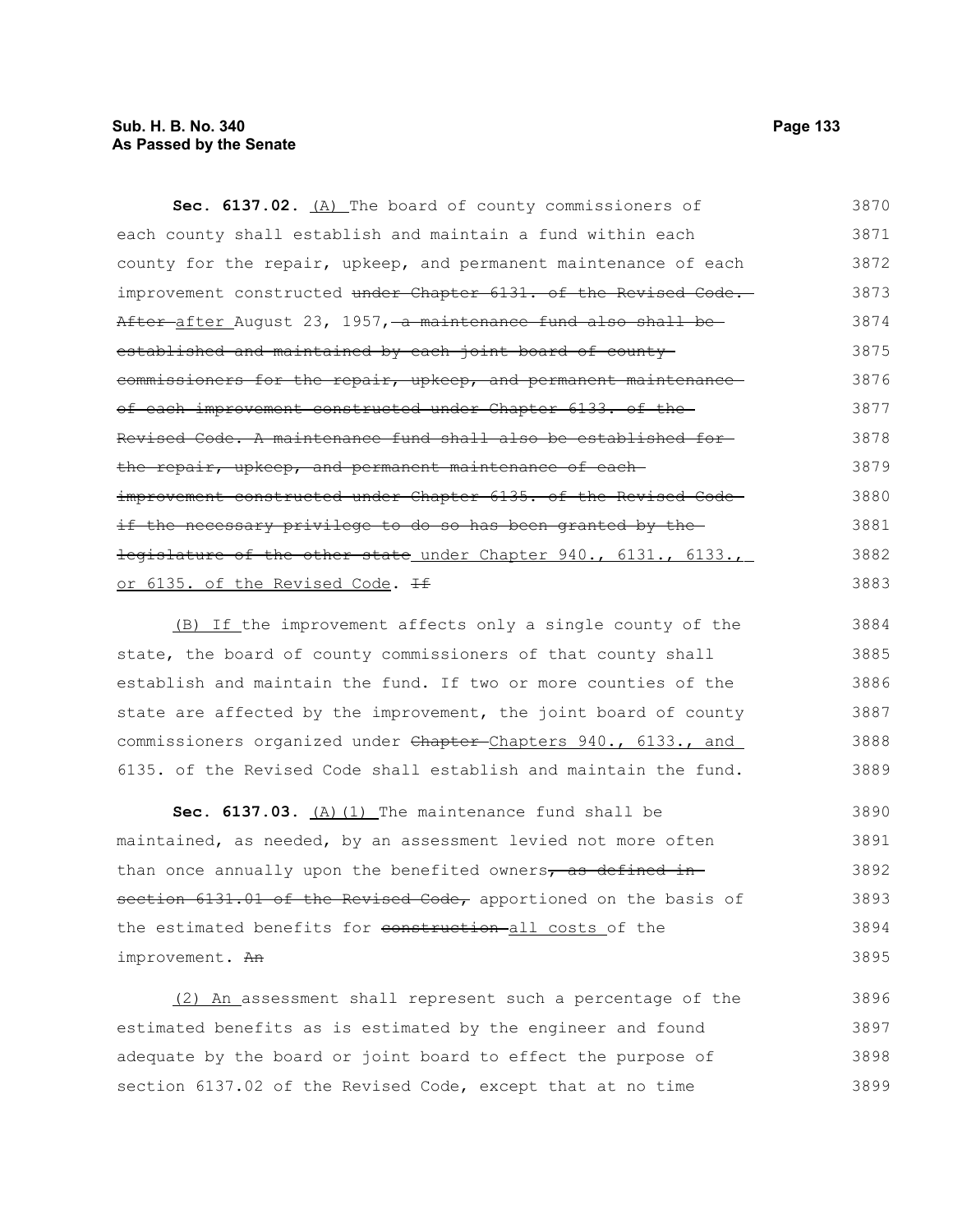# **Sub. H. B. No. 340 Page 133 As Passed by the Senate**

Sec. 6137.02. (A) The board of county commissioners of each county shall establish and maintain a fund within each county for the repair, upkeep, and permanent maintenance of each improvement constructed under Chapter 6131. of the Revised Code. After after August 23, 1957, a maintenance fund also shall be established and maintained by each joint board of countycommissioners for the repair, upkeep, and permanent maintenance of each improvement constructed under Chapter 6133. of the Revised Code. A maintenance fund shall also be established for the repair, upkeep, and permanent maintenance of eachimprovement constructed under Chapter 6135. of the Revised Codeif the necessary privilege to do so has been granted by the legislature of the other state under Chapter 940., 6131., 6133., or 6135. of the Revised Code. If 3870 3871 3872 3873 3874 3875 3876 3877 3878 3879 3880 3881 3882 3883

(B) If the improvement affects only a single county of the state, the board of county commissioners of that county shall establish and maintain the fund. If two or more counties of the state are affected by the improvement, the joint board of county commissioners organized under Chapter-Chapters 940., 6133., and 6135. of the Revised Code shall establish and maintain the fund. 3884 3885 3886 3887 3888 3889

Sec. 6137.03. (A) (1) The maintenance fund shall be maintained, as needed, by an assessment levied not more often than once annually upon the benefited owners, as defined insection 6131.01 of the Revised Code, apportioned on the basis of the estimated benefits for construction all costs of the improvement. An 3890 3891 3892 3893 3894 3895

(2) An assessment shall represent such a percentage of the estimated benefits as is estimated by the engineer and found adequate by the board or joint board to effect the purpose of section 6137.02 of the Revised Code, except that at no time 3896 3897 3898 3899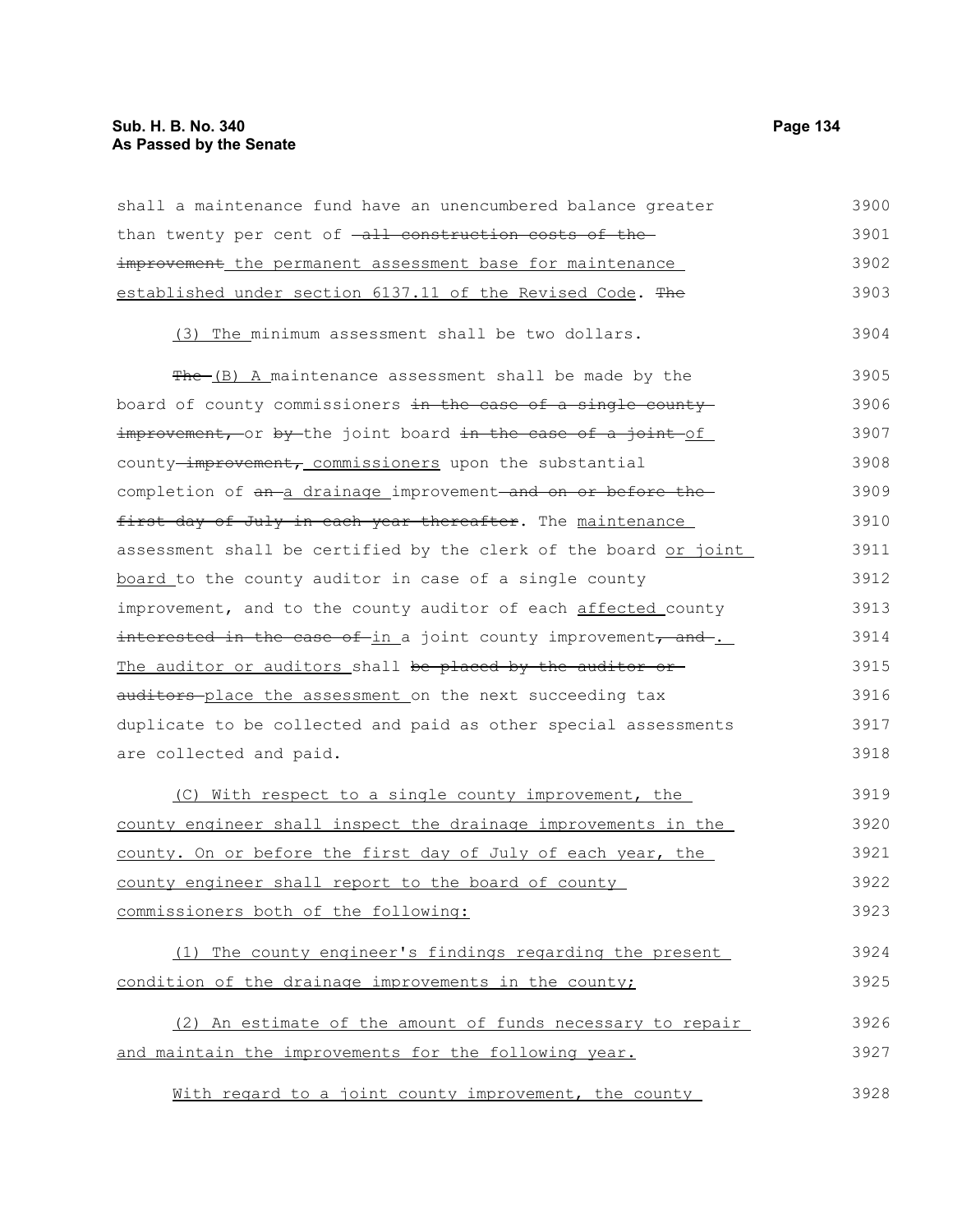# **Sub. H. B. No. 340 Page 134 As Passed by the Senate**

| shall a maintenance fund have an unencumbered balance greater    | 3900 |
|------------------------------------------------------------------|------|
| than twenty per cent of -all construction costs of the-          | 3901 |
| improvement_the permanent assessment base for maintenance        | 3902 |
| established under section 6137.11 of the Revised Code. The       | 3903 |
| (3) The minimum assessment shall be two dollars.                 | 3904 |
| The (B) A maintenance assessment shall be made by the            | 3905 |
| board of county commissioners in the case of a single county     | 3906 |
| improvement, or by the joint board in the case of a joint of     | 3907 |
| county-improvement, commissioners upon the substantial           | 3908 |
| completion of an a drainage improvement and on or before the     | 3909 |
| first day of July in each year thereafter. The maintenance       | 3910 |
| assessment shall be certified by the clerk of the board or joint | 3911 |
| board to the county auditor in case of a single county           | 3912 |
| improvement, and to the county auditor of each affected county   | 3913 |
| interested in the case of-in a joint county improvement, and     | 3914 |
| The auditor or auditors shall be placed by the auditor or-       | 3915 |
| auditors place the assessment on the next succeeding tax         | 3916 |
| duplicate to be collected and paid as other special assessments  | 3917 |
| are collected and paid.                                          | 3918 |
| (C) With respect to a single county improvement, the             | 3919 |
| county engineer shall inspect the drainage improvements in the   | 3920 |
| county. On or before the first day of July of each year, the     | 3921 |
| county engineer shall report to the board of county              | 3922 |
| commissioners both of the following:                             | 3923 |
| (1) The county engineer's findings regarding the present         | 3924 |
| condition of the drainage improvements in the county;            | 3925 |
| (2) An estimate of the amount of funds necessary to repair       | 3926 |
| and maintain the improvements for the following year.            | 3927 |
| With regard to a joint county improvement, the county            | 3928 |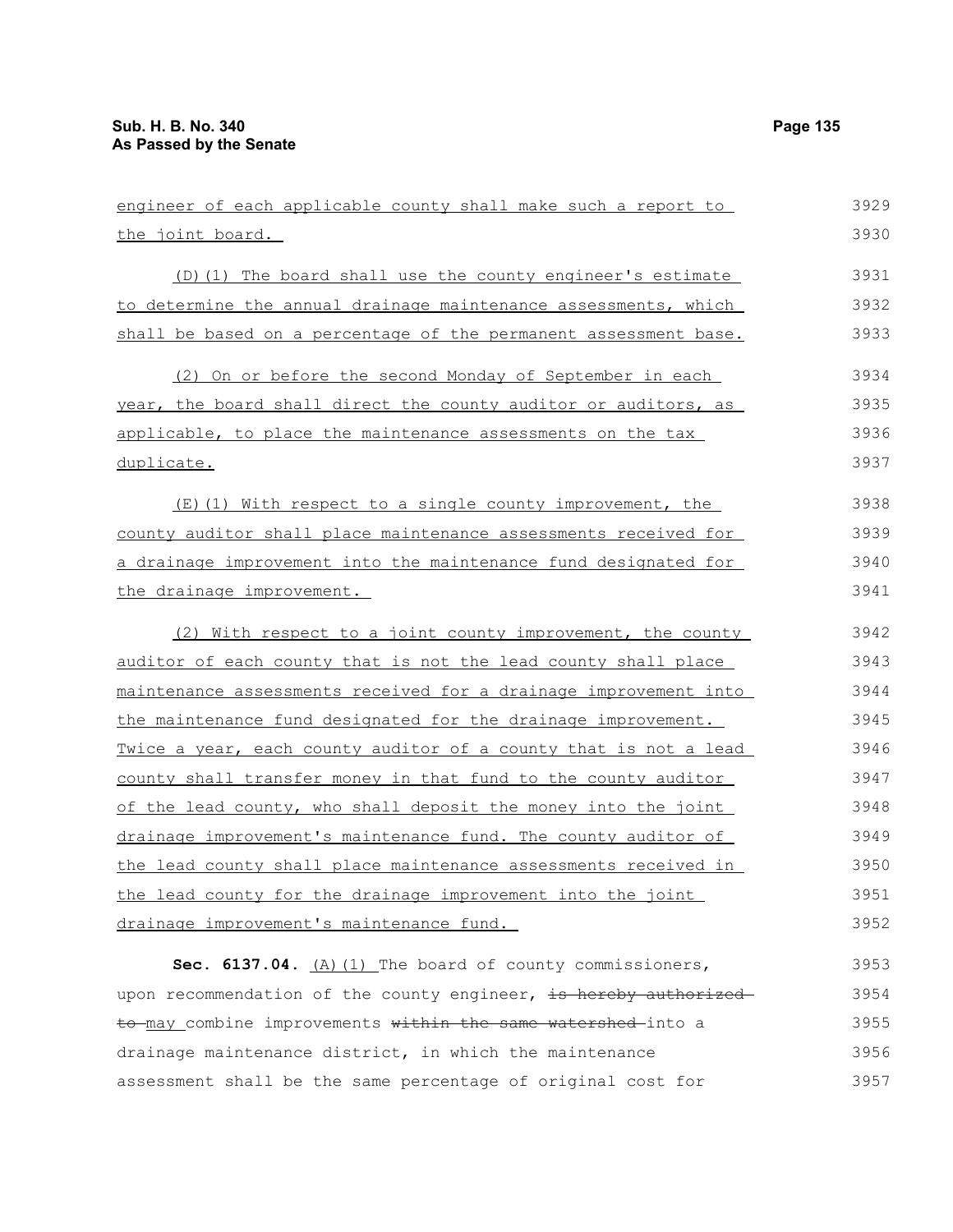| engineer of each applicable county shall make such a report to   | 3929 |
|------------------------------------------------------------------|------|
| the joint board.                                                 | 3930 |
| (D) (1) The board shall use the county engineer's estimate       | 3931 |
| to determine the annual drainage maintenance assessments, which  | 3932 |
| shall be based on a percentage of the permanent assessment base. | 3933 |
| (2) On or before the second Monday of September in each          | 3934 |
| year, the board shall direct the county auditor or auditors, as  | 3935 |
| applicable, to place the maintenance assessments on the tax      | 3936 |
| duplicate.                                                       | 3937 |
| (E)(1) With respect to a single county improvement, the          | 3938 |
| county auditor shall place maintenance assessments received for  | 3939 |
| a drainage improvement into the maintenance fund designated for  | 3940 |
| the drainage improvement.                                        | 3941 |
| (2) With respect to a joint county improvement, the county       | 3942 |
| auditor of each county that is not the lead county shall place   | 3943 |
| maintenance assessments received for a drainage improvement into | 3944 |
| the maintenance fund designated for the drainage improvement.    | 3945 |
| Twice a year, each county auditor of a county that is not a lead | 3946 |
| county shall transfer money in that fund to the county auditor   | 3947 |
| of the lead county, who shall deposit the money into the joint   | 3948 |
| drainage improvement's maintenance fund. The county auditor of   | 3949 |
| the lead county shall place maintenance assessments received in  | 3950 |
| the lead county for the drainage improvement into the joint      | 3951 |
| drainage improvement's maintenance fund.                         | 3952 |
| Sec. 6137.04. $(A)$ (1) The board of county commissioners,       | 3953 |
| upon recommendation of the county engineer, is hereby authorized | 3954 |
| to may combine improvements within the same watershed into a     | 3955 |
| drainage maintenance district, in which the maintenance          | 3956 |

assessment shall be the same percentage of original cost for 3957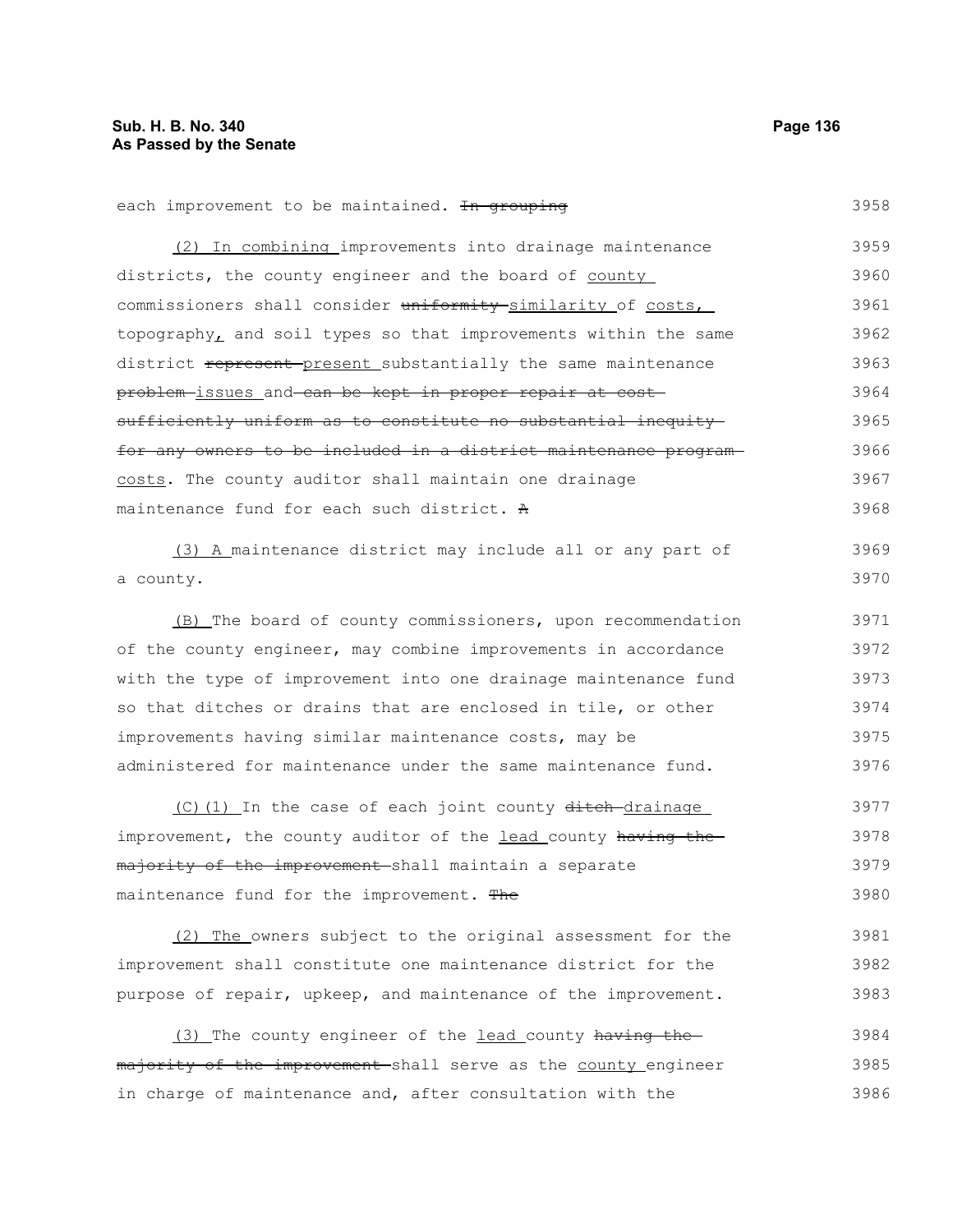each improvement to be maintained. In grouping (2) In combining improvements into drainage maintenance districts, the county engineer and the board of county commissioners shall consider uniformity similarity of costs, topography, and soil types so that improvements within the same district represent present substantially the same maintenance problem issues and can be kept in proper repair at cost sufficiently uniform as to constitute no substantial inequity for any owners to be included in a district maintenance program costs. The county auditor shall maintain one drainage maintenance fund for each such district. A 3958 3959 3960 3961 3962 3963 3964 3965 3966 3967 3968

(3) A maintenance district may include all or any part of a county. 3969 3970

(B) The board of county commissioners, upon recommendation of the county engineer, may combine improvements in accordance with the type of improvement into one drainage maintenance fund so that ditches or drains that are enclosed in tile, or other improvements having similar maintenance costs, may be administered for maintenance under the same maintenance fund. 3971 3972 3973 3974 3975 3976

(C)(1) In the case of each joint county ditch-drainage improvement, the county auditor of the lead county having the majority of the improvement shall maintain a separate maintenance fund for the improvement. The 3977 3978 3979 3980

(2) The owners subject to the original assessment for the improvement shall constitute one maintenance district for the purpose of repair, upkeep, and maintenance of the improvement. 3981 3982 3983

(3) The county engineer of the lead county having themajority of the improvement shall serve as the county engineer in charge of maintenance and, after consultation with the 3984 3985 3986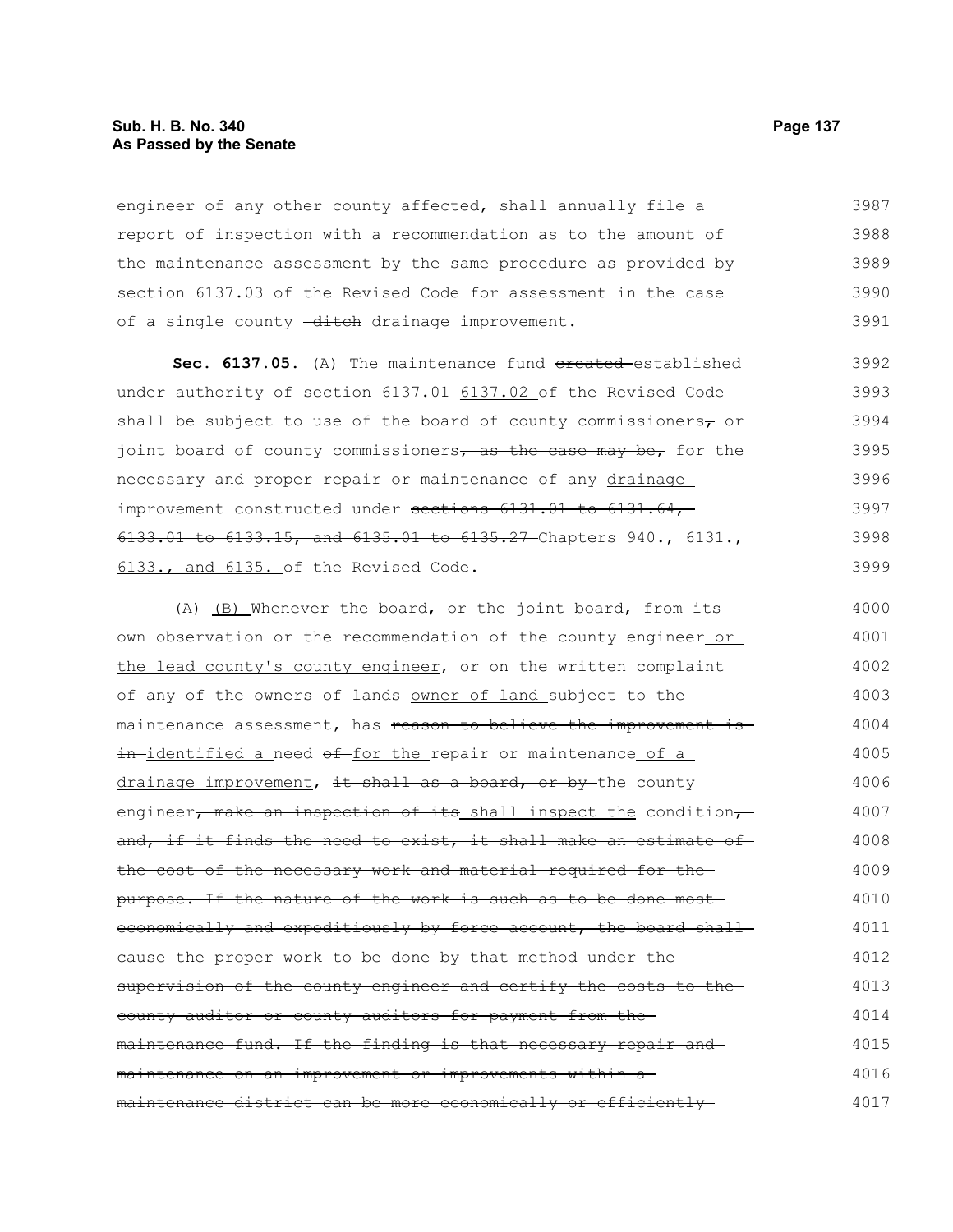# **Sub. H. B. No. 340 Page 137 As Passed by the Senate**

engineer of any other county affected, shall annually file a report of inspection with a recommendation as to the amount of the maintenance assessment by the same procedure as provided by section 6137.03 of the Revised Code for assessment in the case of a single county -ditch drainage improvement. 3987 3988 3989 3990 3991

Sec. 6137.05. (A) The maintenance fund ereated-established under authority of section 6137.01 6137.02 of the Revised Code shall be subject to use of the board of county commissioners $\tau$  or joint board of county commissioners, as the case may be, for the necessary and proper repair or maintenance of any drainage improvement constructed under sections 6131.01 to 6131.64, 6133.01 to 6133.15, and 6135.01 to 6135.27 Chapters 940., 6131., 6133., and 6135. of the Revised Code. 3992 3993 3994 3995 3996 3997 3998 3999

 $(A)$  (B) Whenever the board, or the joint board, from its own observation or the recommendation of the county engineer or the lead county's county engineer, or on the written complaint of any of the owners of lands owner of land subject to the maintenance assessment, has reason to believe the improvement isin-identified a need of for the repair or maintenance of a drainage improvement, it shall as a board, or by the county engineer, make an inspection of its shall inspect the condition, and, if it finds the need to exist, it shall make an estimate of the cost of the necessary work and material required for the purpose. If the nature of the work is such as to be done most economically and expeditiously by force account, the board shallcause the proper work to be done by that method under the supervision of the county engineer and certify the costs to thecounty auditor or county auditors for payment from the maintenance fund. If the finding is that necessary repair and maintenance on an improvement or improvements within a maintenance district can be more economically or efficiently 4000 4001 4002 4003 4004 4005 4006 4007 4008 4009 4010 4011 4012 4013 4014 4015 4016 4017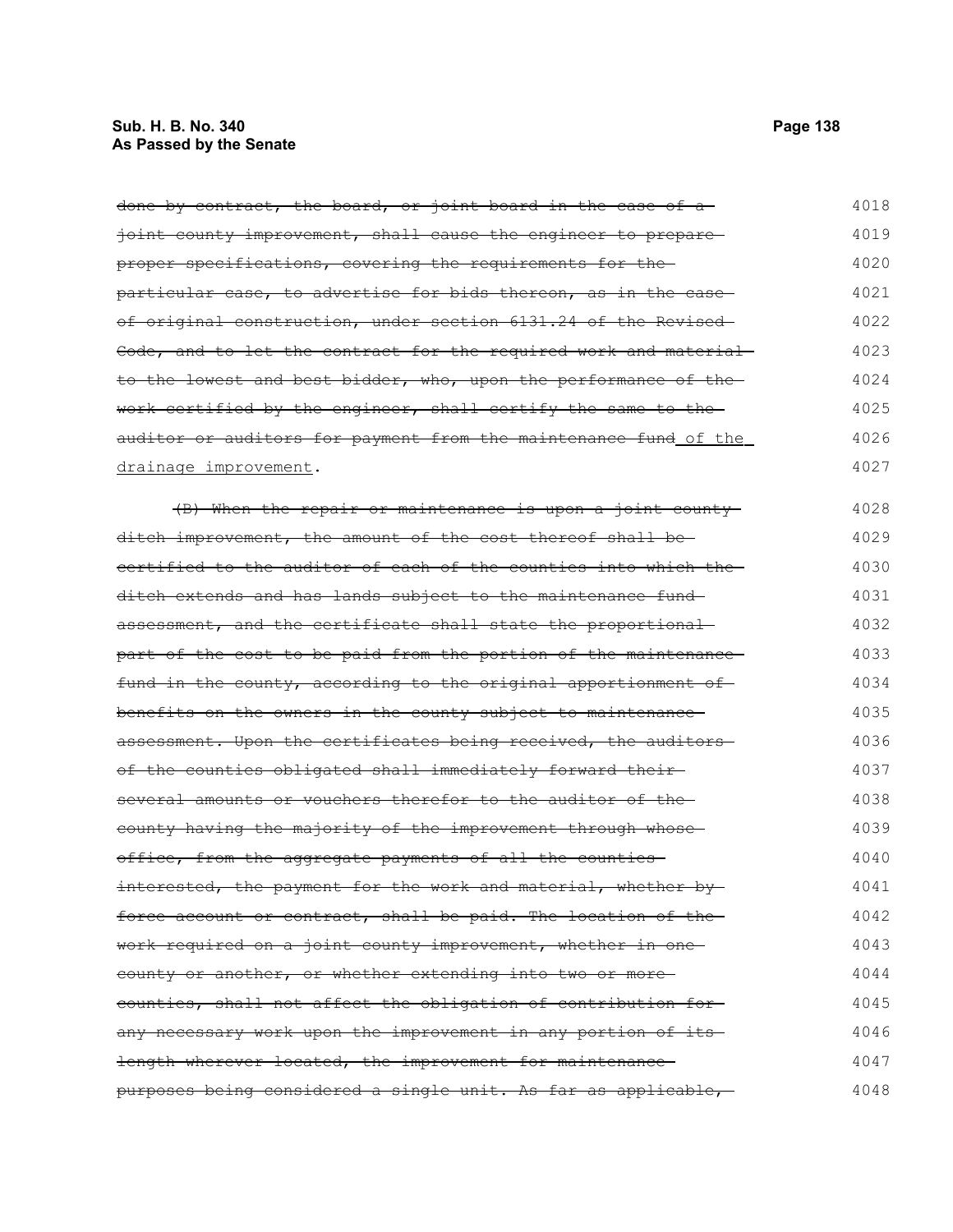# **Sub. H. B. No. 340 Page 138 As Passed by the Senate**

done by contract, the board, or joint board in the case of a ioint county improvement, shall cause the engineer to prepare proper specifications, covering the requirements for the particular case, to advertise for bids thereon, as in the caseof original construction, under section 6131.24 of the Revised Code, and to let the contract for the required work and material to the lowest and best bidder, who, upon the performance of the work certified by the engineer, shall certify the same to the auditor or auditors for payment from the maintenance fund of the drainage improvement. (B) When the repair or maintenance is upon a joint county ditch improvement, the amount of the cost thereof shall be certified to the auditor of each of the counties into which the ditch extends and has lands subject to the maintenance fund assessment, and the certificate shall state the proportional part of the cost to be paid from the portion of the maintenance fund in the county, according to the original apportionment of benefits on the owners in the county subject to maintenance assessment. Upon the certificates being received, the auditorsof the counties obligated shall immediately forward their several amounts or vouchers therefor to the auditor of the county having the majority of the improvement through whose office, from the aggregate payments of all the counties interested, the payment for the work and material, whether byforce account or contract, shall be paid. The location of the work required on a joint county improvement, whether in one county or another, or whether extending into two or more counties, shall not affect the obligation of contribution for any necessary work upon the improvement in any portion of its 4018 4019 4020 4021 4022 4023 4024 4025 4026 4027 4028 4029 4030 4031 4032 4033 4034 4035 4036 4037 4038 4039 4040 4041 4042 4043 4044 4045 4046

length wherever located, the improvement for maintenancepurposes being considered a single unit. As far as applicable, 4047 4048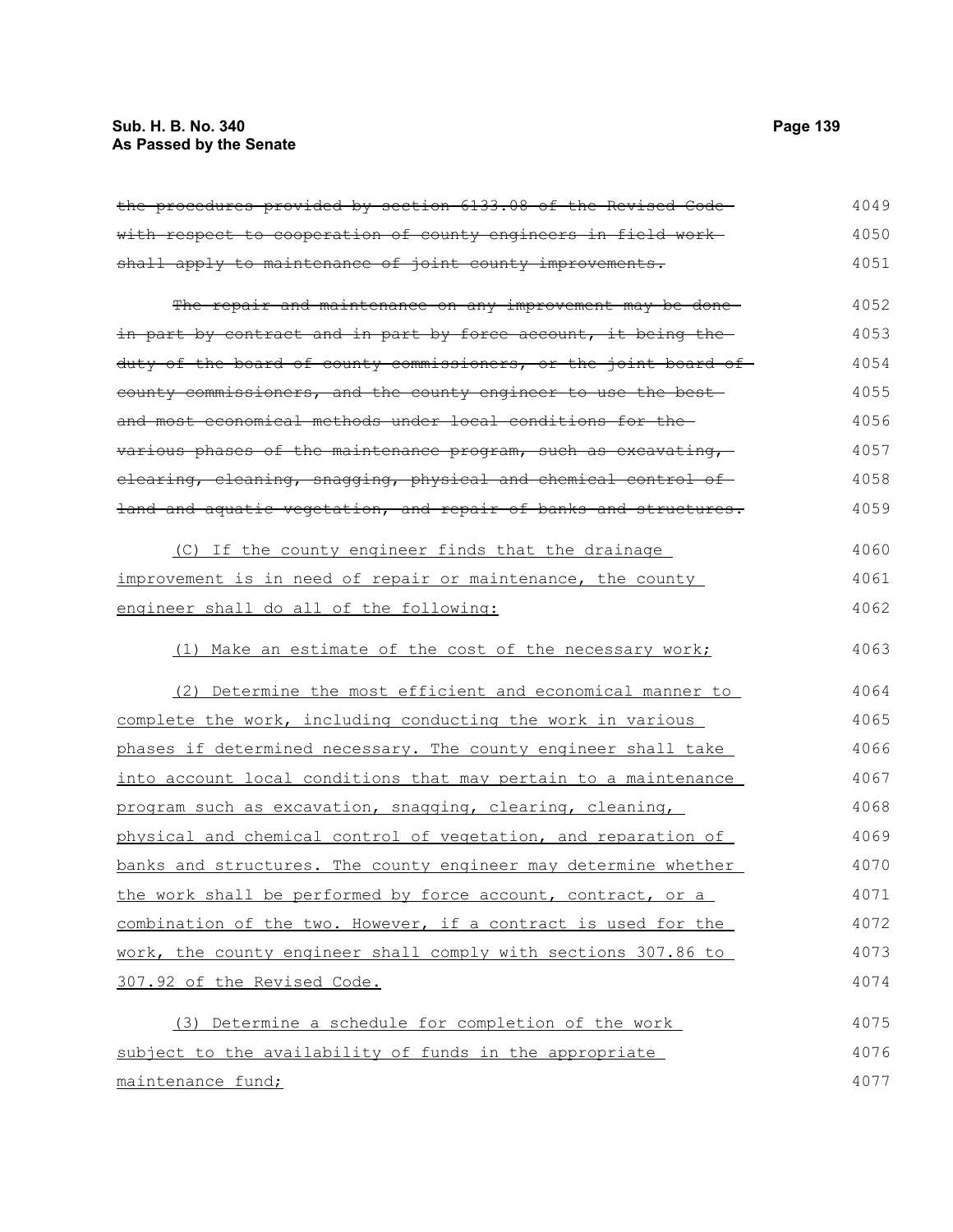# **Sub. H. B. No. 340 Page 139 As Passed by the Senate**

| the procedures provided by section 6133.08 of the Revised Code-  | 4049 |
|------------------------------------------------------------------|------|
| with respect to cooperation of county engineers in field work-   | 4050 |
| shall apply to maintenance of joint county improvements.         | 4051 |
| The repair and maintenance on any improvement may be done-       | 4052 |
| in part by contract and in part by force account, it being the-  | 4053 |
| duty of the board of county commissioners, or the joint board of | 4054 |
| eounty commissioners, and the county engineer to use the best    | 4055 |
| and most economical methods under local conditions for the-      | 4056 |
| various phases of the maintenance program, such as excavating,   | 4057 |
| elearing, eleaning, snagging, physical and chemical control of   | 4058 |
| land and aquatic vegetation, and repair of banks and structures. | 4059 |
| (C) If the county engineer finds that the drainage               | 4060 |
| improvement is in need of repair or maintenance, the county      | 4061 |
| engineer shall do all of the following:                          | 4062 |
| (1) Make an estimate of the cost of the necessary work;          | 4063 |
| (2) Determine the most efficient and economical manner to        | 4064 |
| complete the work, including conducting the work in various      | 4065 |
| phases if determined necessary. The county engineer shall take   | 4066 |
| into account local conditions that may pertain to a maintenance  | 4067 |
| program such as excavation, snagging, clearing, cleaning,        | 4068 |
| physical and chemical control of vegetation, and reparation of   | 4069 |
| banks and structures. The county engineer may determine whether  | 4070 |
| the work shall be performed by force account, contract, or a     | 4071 |
| combination of the two. However, if a contract is used for the   | 4072 |
| work, the county engineer shall comply with sections 307.86 to   | 4073 |
| 307.92 of the Revised Code.                                      | 4074 |
| (3) Determine a schedule for completion of the work              | 4075 |
| subject to the availability of funds in the appropriate          | 4076 |
| maintenance fund;                                                | 4077 |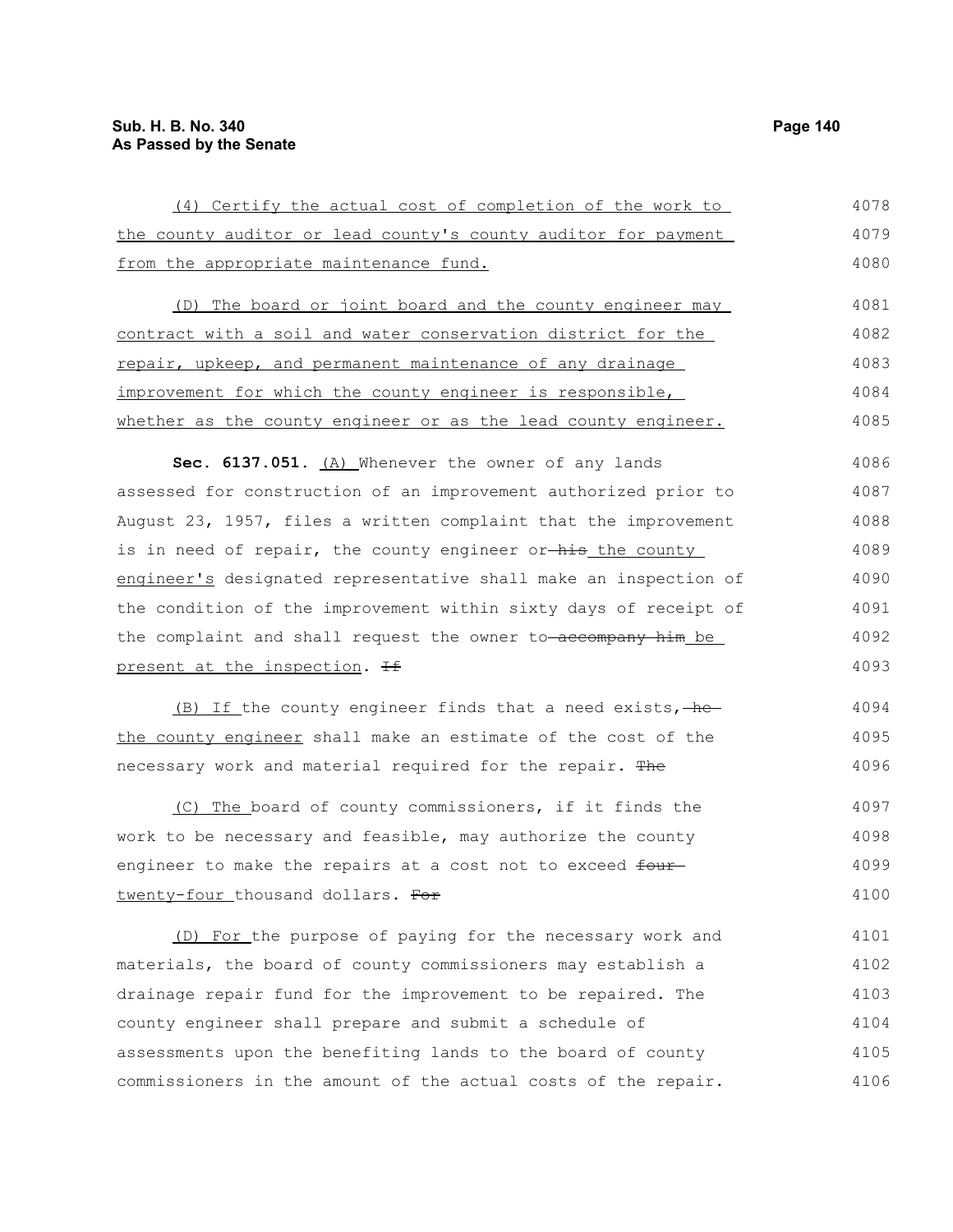| (4) Certify the actual cost of completion of the work to         | 4078 |
|------------------------------------------------------------------|------|
| the county auditor or lead county's county auditor for payment   | 4079 |
| from the appropriate maintenance fund.                           | 4080 |
| (D) The board or joint board and the county engineer may         | 4081 |
| contract with a soil and water conservation district for the     | 4082 |
| repair, upkeep, and permanent maintenance of any drainage        | 4083 |
| improvement for which the county engineer is responsible,        | 4084 |
| whether as the county engineer or as the lead county engineer.   | 4085 |
| Sec. 6137.051. (A) Whenever the owner of any lands               | 4086 |
| assessed for construction of an improvement authorized prior to  | 4087 |
| August 23, 1957, files a written complaint that the improvement  | 4088 |
| is in need of repair, the county engineer or his the county      | 4089 |
| engineer's designated representative shall make an inspection of | 4090 |
| the condition of the improvement within sixty days of receipt of | 4091 |
| the complaint and shall request the owner to-accompany him be    | 4092 |
| present at the inspection. <del>If</del>                         | 4093 |
| (B) If the county engineer finds that a need exists, -he         | 4094 |
| the county engineer shall make an estimate of the cost of the    | 4095 |
| necessary work and material required for the repair. The         | 4096 |
| (C) The board of county commissioners, if it finds the           | 4097 |
| work to be necessary and feasible, may authorize the county      | 4098 |
| engineer to make the repairs at a cost not to exceed four        | 4099 |
| twenty-four thousand dollars. For                                | 4100 |
| (D) For the purpose of paying for the necessary work and         | 4101 |
| materials, the board of county commissioners may establish a     | 4102 |

drainage repair fund for the improvement to be repaired. The county engineer shall prepare and submit a schedule of assessments upon the benefiting lands to the board of county commissioners in the amount of the actual costs of the repair. 4103 4104 4105 4106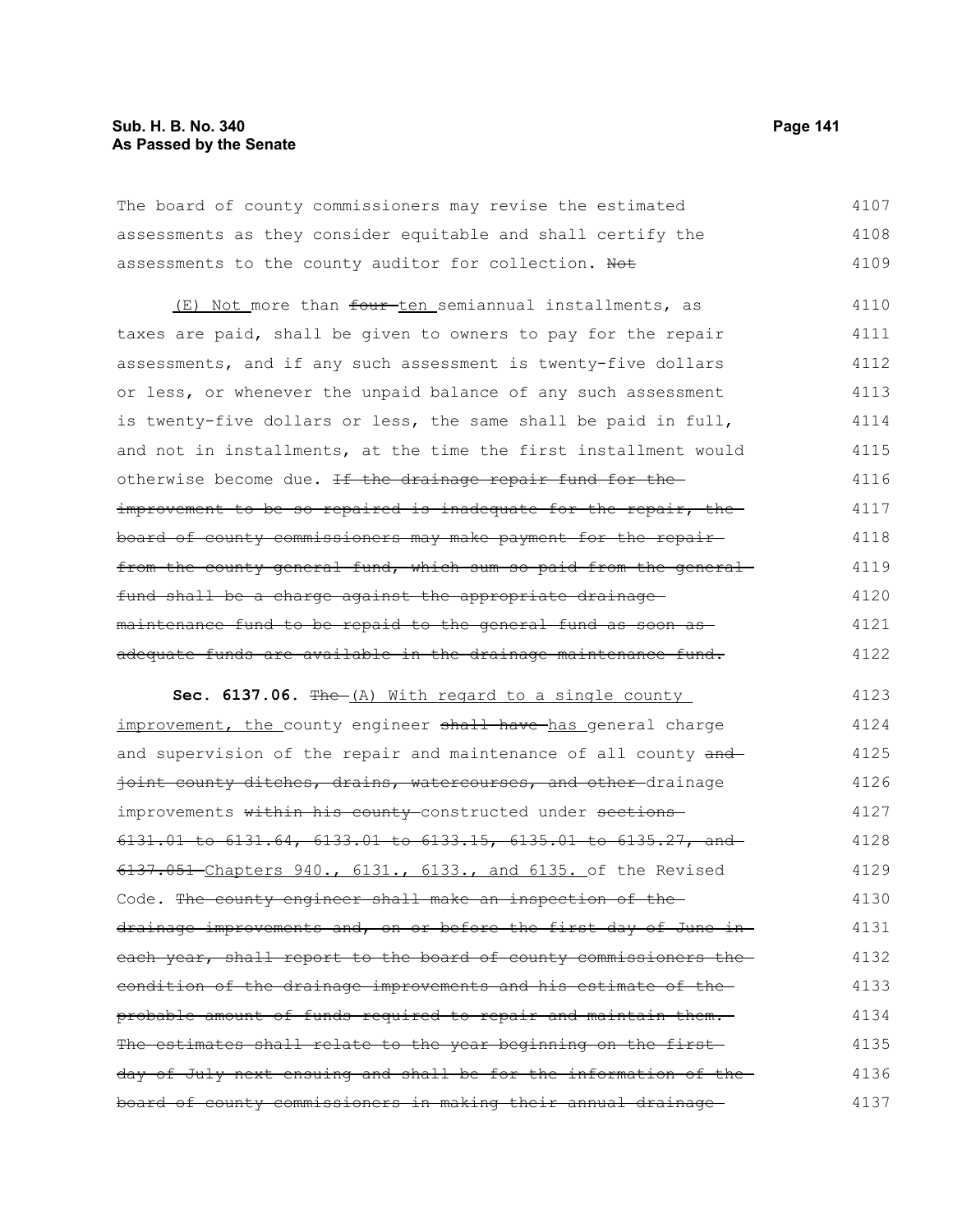# **Sub. H. B. No. 340 Page 141 As Passed by the Senate**

The board of county commissioners may revise the estimated assessments as they consider equitable and shall certify the assessments to the county auditor for collection. Not 4107 4108 4109

(E) Not more than four ten semiannual installments, as taxes are paid, shall be given to owners to pay for the repair assessments, and if any such assessment is twenty-five dollars or less, or whenever the unpaid balance of any such assessment is twenty-five dollars or less, the same shall be paid in full, and not in installments, at the time the first installment would otherwise become due. If the drainage repair fund for theimprovement to be so repaired is inadequate for the repair, the board of county commissioners may make payment for the repair from the county general fund, which sum so paid from the generalfund shall be a charge against the appropriate drainage maintenance fund to be repaid to the general fund as soon as adequate funds are available in the drainage maintenance fund. 4110 4111 4112 4113 4114 4115 4116 4117 4118 4119 4120 4121 4122

**Sec. 6137.06.** The (A) With regard to a single county improvement, the county engineer shall have has general charge and supervision of the repair and maintenance of all county and joint county ditches, drains, watercourses, and other-drainage improvements within his county-constructed under sections-6131.01 to 6131.64, 6133.01 to 6133.15, 6135.01 to 6135.27, and 6137.051 Chapters 940., 6131., 6133., and 6135. of the Revised Code. The county engineer shall make an inspection of thedrainage improvements and, on or before the first day of June in each year, shall report to the board of county commissioners the condition of the drainage improvements and his estimate of the probable amount of funds required to repair and maintain them. The estimates shall relate to the year beginning on the first day of July next ensuing and shall be for the information of the board of county commissioners in making their annual drainage 4123 4124 4125 4126 4127 4128 4129 4130 4131 4132 4133 4134 4135 4136 4137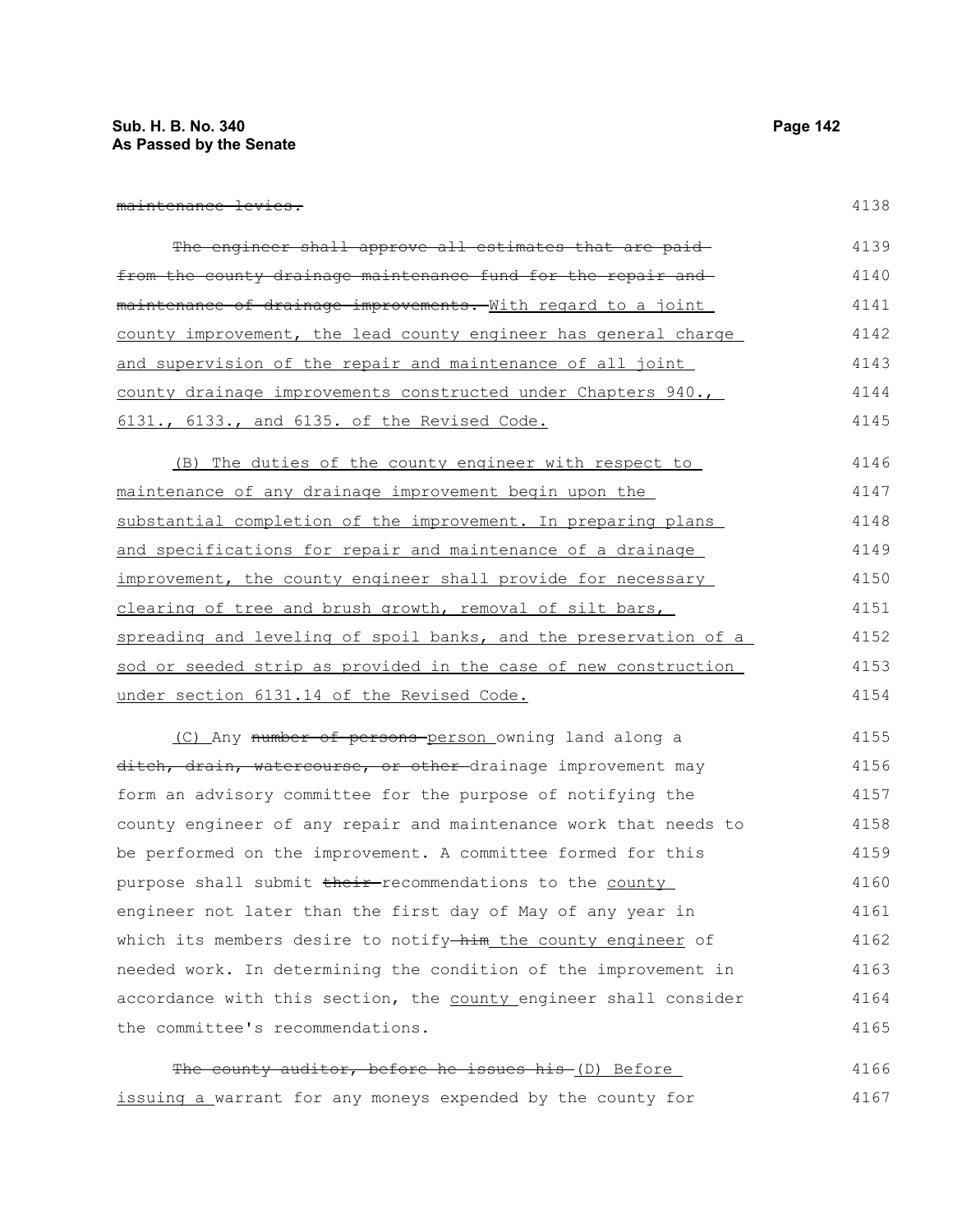| maintananga lawiga              |  |
|---------------------------------|--|
| m <del>aintenance levies.</del> |  |

| The engineer shall approve all estimates that are paid-              | 4139 |
|----------------------------------------------------------------------|------|
| from the county drainage maintenance fund for the repair and         | 4140 |
| <u>maintenance of drainage improvements. With regard to a joint </u> | 4141 |
| county improvement, the lead county engineer has general charge      | 4142 |
| and supervision of the repair and maintenance of all joint           | 4143 |
| county drainage improvements constructed under Chapters 940.,        | 4144 |
| 6131., 6133., and 6135. of the Revised Code.                         | 4145 |
| (B) The duties of the county engineer with respect to                | 4146 |
| maintenance of any drainage improvement begin upon the               | 4147 |
| substantial completion of the improvement. In preparing plans        | 4148 |
| and specifications for repair and maintenance of a drainage          | 4149 |
| improvement, the county engineer shall provide for necessary         | 4150 |
| clearing of tree and brush growth, removal of silt bars,             | 4151 |
| spreading and leveling of spoil banks, and the preservation of a     | 4152 |
| sod or seeded strip as provided in the case of new construction      | 4153 |
| under section 6131.14 of the Revised Code.                           | 4154 |
| (C) Any number of persons-person owning land along a                 | 4155 |
| ditch, drain, watercourse, or other-drainage improvement may         | 4156 |
| form an advisory committee for the purpose of notifying the          | 4157 |
| county engineer of any repair and maintenance work that needs to     | 4158 |
| be performed on the improvement. A committee formed for this         | 4159 |
| purpose shall submit their-recommendations to the county             | 4160 |
| engineer not later than the first day of May of any year in          | 4161 |
| which its members desire to notify-him the county engineer of        | 4162 |
| needed work. In determining the condition of the improvement in      | 4163 |
| accordance with this section, the county engineer shall consider     | 4164 |
| the committee's recommendations.                                     | 4165 |
| The county auditor, before he issues his (D) Before                  | 4166 |

issuing a warrant for any moneys expended by the county for 4167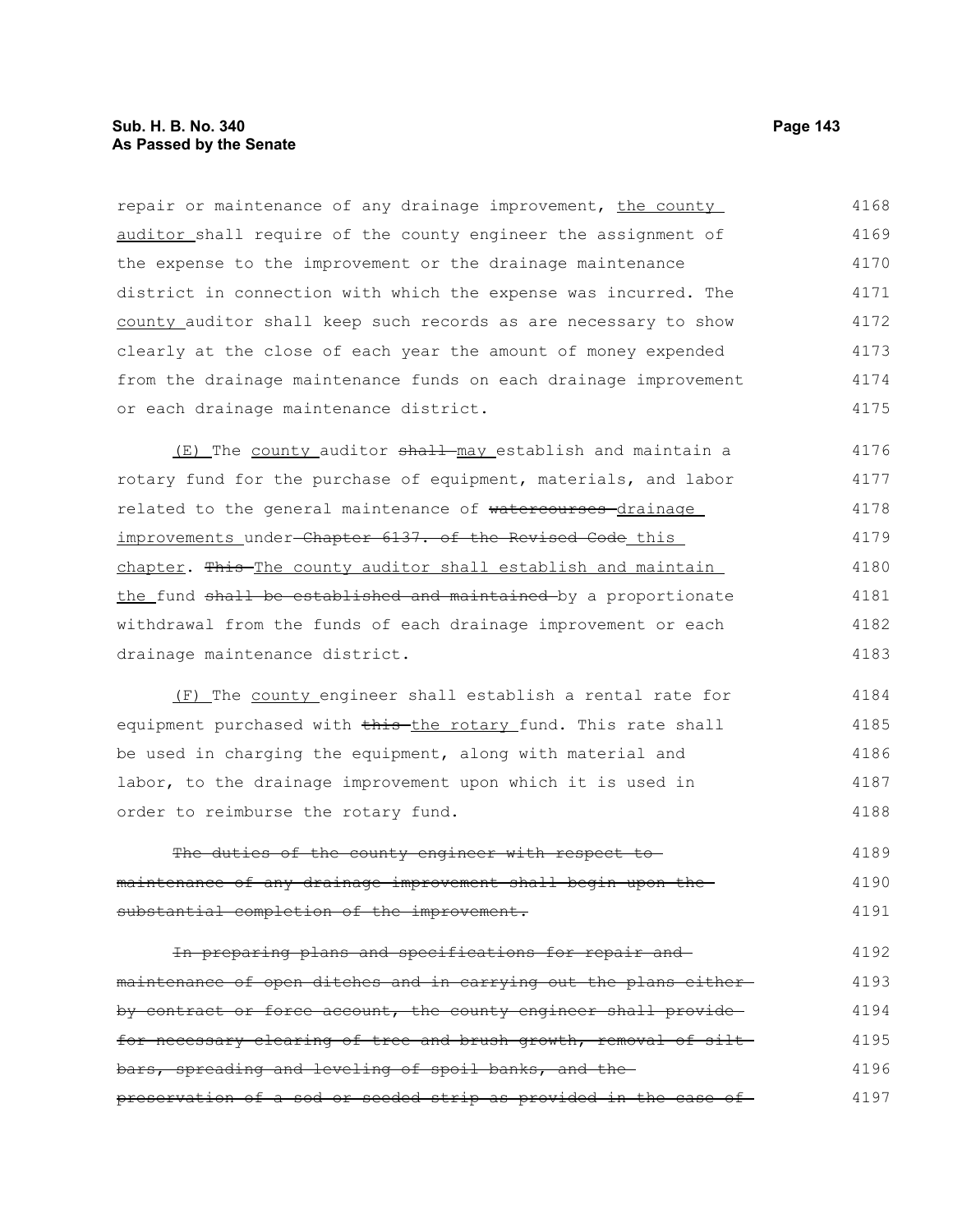# **Sub. H. B. No. 340 Page 143 As Passed by the Senate**

repair or maintenance of any drainage improvement, the county auditor shall require of the county engineer the assignment of the expense to the improvement or the drainage maintenance district in connection with which the expense was incurred. The county auditor shall keep such records as are necessary to show clearly at the close of each year the amount of money expended from the drainage maintenance funds on each drainage improvement or each drainage maintenance district. 4168 4169 4170 4171 4172 4173 4174 4175

(E) The county auditor shall may establish and maintain a rotary fund for the purchase of equipment, materials, and labor related to the general maintenance of watercourses drainage improvements under-Chapter 6137. of the Revised Code this chapter. This The county auditor shall establish and maintain the fund shall be established and maintained by a proportionate withdrawal from the funds of each drainage improvement or each drainage maintenance district. 4176 4177 4178 4179 4180 4181 4182 4183

(F) The county engineer shall establish a rental rate for equipment purchased with this the rotary fund. This rate shall be used in charging the equipment, along with material and labor, to the drainage improvement upon which it is used in order to reimburse the rotary fund. 4184 4185 4186 4187 4188

The duties of the county engineer with respect tomaintenance of any drainage improvement shall begin upon the substantial completion of the improvement. 4189 4190 4191

In preparing plans and specifications for repair and maintenance of open ditches and in carrying out the plans either by contract or force account, the county engineer shall providefor necessary clearing of tree and brush growth, removal of siltbars, spreading and leveling of spoil banks, and the preservation of a sod or seeded strip as provided in the case of 4192 4193 4194 4195 4196 4197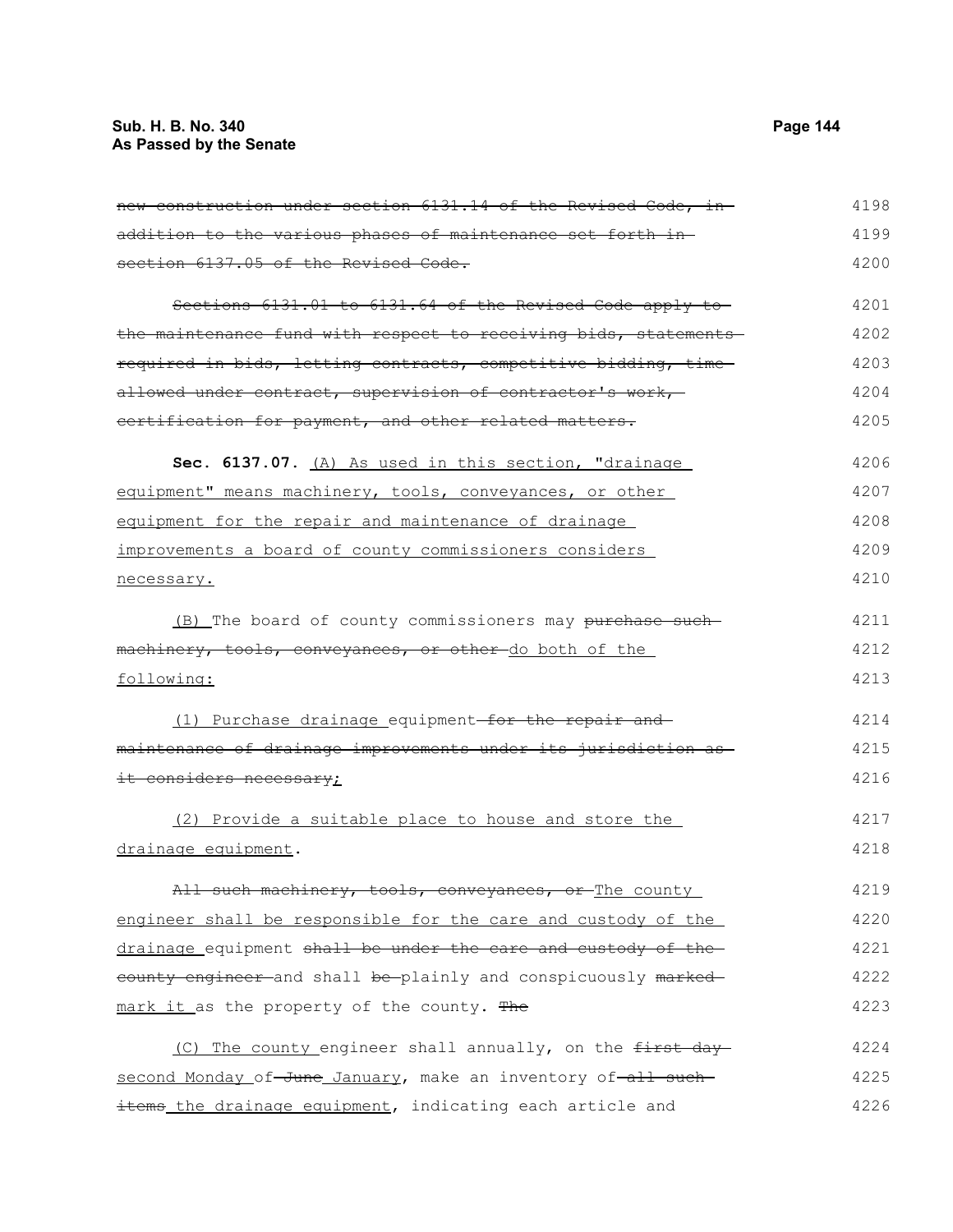# **Sub. H. B. No. 340 Page 144 As Passed by the Senate**

| addition to the various phases of maintenance set forth in-      | 4199 |
|------------------------------------------------------------------|------|
| section 6137.05 of the Revised Code.                             | 4200 |
| Sections 6131.01 to 6131.64 of the Revised Code apply to         | 4201 |
| the maintenance fund with respect to receiving bids, statements- | 4202 |
| required in bids, letting contracts, competitive bidding, time   | 4203 |
| allowed under contract, supervision of contractor's work,-       | 4204 |
| certification for payment, and other related matters.            | 4205 |
| Sec. 6137.07. (A) As used in this section, "drainage             | 4206 |
| equipment" means machinery, tools, conveyances, or other         | 4207 |
| equipment for the repair and maintenance of drainage             | 4208 |
| improvements a board of county commissioners considers           | 4209 |
| necessary.                                                       | 4210 |
| (B) The board of county commissioners may purchase such-         | 4211 |
| machinery, tools, conveyances, or other do both of the           | 4212 |
| following:                                                       | 4213 |
| (1) Purchase drainage equipment-for the repair and               | 4214 |
| maintenance of drainage improvements under its jurisdiction as   | 4215 |
| it considers necessary;                                          | 4216 |
| (2) Provide a suitable place to house and store the              | 4217 |
| drainage equipment.                                              | 4218 |
| All such machinery, tools, conveyances, or The county            | 4219 |
| engineer shall be responsible for the care and custody of the    | 4220 |
| drainage equipment shall be under the care and custody of the    | 4221 |
| eounty engineer and shall be plainly and conspicuously marked    | 4222 |
| mark it as the property of the county. The                       | 4223 |
| (C) The county engineer shall annually, on the first day         | 4224 |
| second Monday of-June January, make an inventory of-all such-    | 4225 |

items the drainage equipment, indicating each article and

4198

4226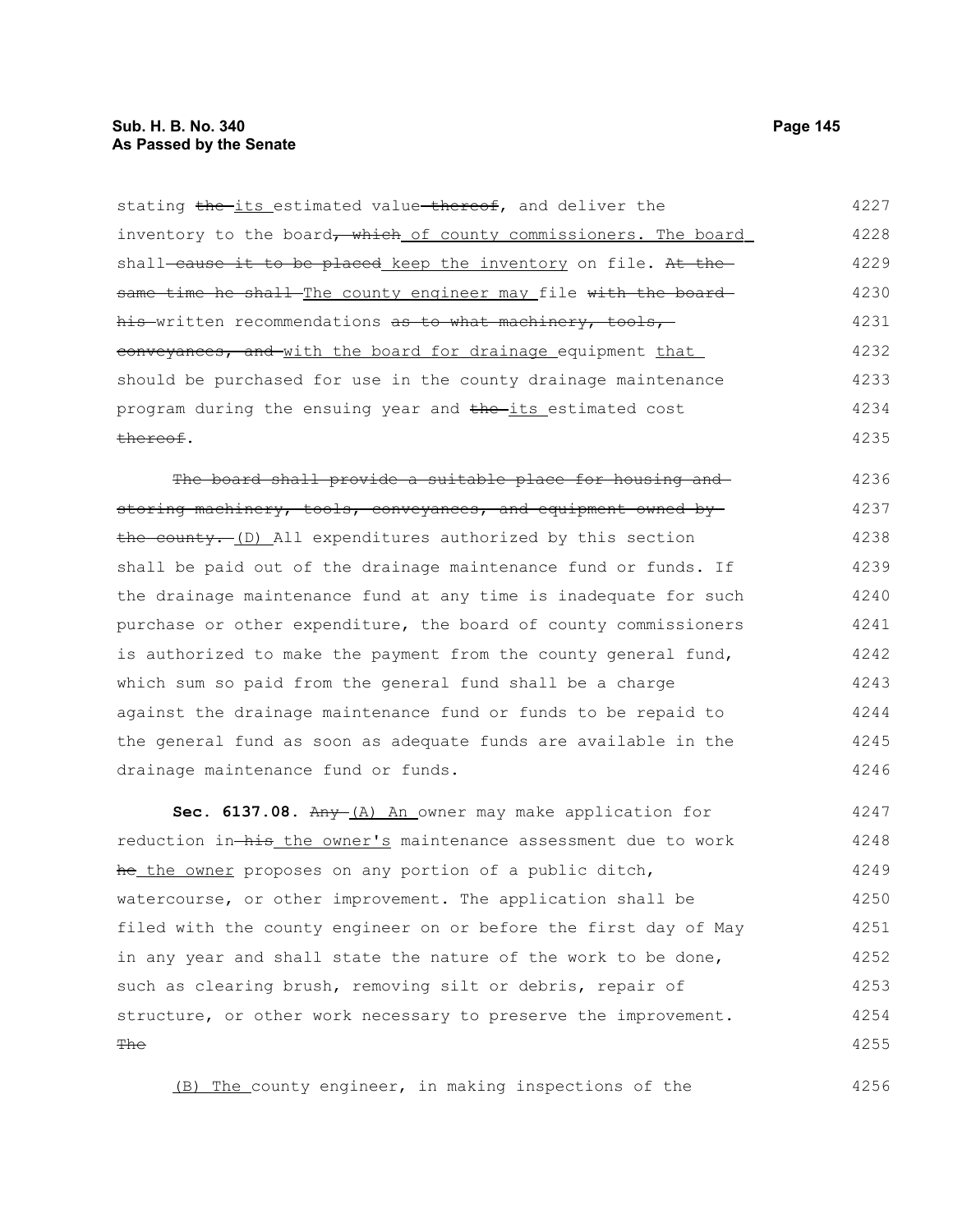#### **Sub. H. B. No. 340 Page 145 As Passed by the Senate**

stating the its estimated value thereof, and deliver the inventory to the board, which of county commissioners. The board shall-cause it to be placed keep the inventory on file. At thesame time he shall The county engineer may file with the board his written recommendations as to what machinery, tools, conveyances, and with the board for drainage equipment that should be purchased for use in the county drainage maintenance program during the ensuing year and the its estimated cost thereof. The board shall provide a suitable place for housing and storing machinery, tools, conveyances, and equipment owned by 4227 4228 4229 4230 4231 4232 4233 4234 4235 4236 4237 4238

the county. (D) All expenditures authorized by this section shall be paid out of the drainage maintenance fund or funds. If the drainage maintenance fund at any time is inadequate for such purchase or other expenditure, the board of county commissioners is authorized to make the payment from the county general fund, which sum so paid from the general fund shall be a charge against the drainage maintenance fund or funds to be repaid to the general fund as soon as adequate funds are available in the drainage maintenance fund or funds. 4239 4240 4241 4242 4243 4244 4245 4246

Sec. 6137.08. Any (A) An owner may make application for reduction in-his the owner's maintenance assessment due to work he the owner proposes on any portion of a public ditch, watercourse, or other improvement. The application shall be filed with the county engineer on or before the first day of May in any year and shall state the nature of the work to be done, such as clearing brush, removing silt or debris, repair of structure, or other work necessary to preserve the improvement. **The** 4247 4248 4249 4250 4251 4252 4253 4254 4255

(B) The county engineer, in making inspections of the

4256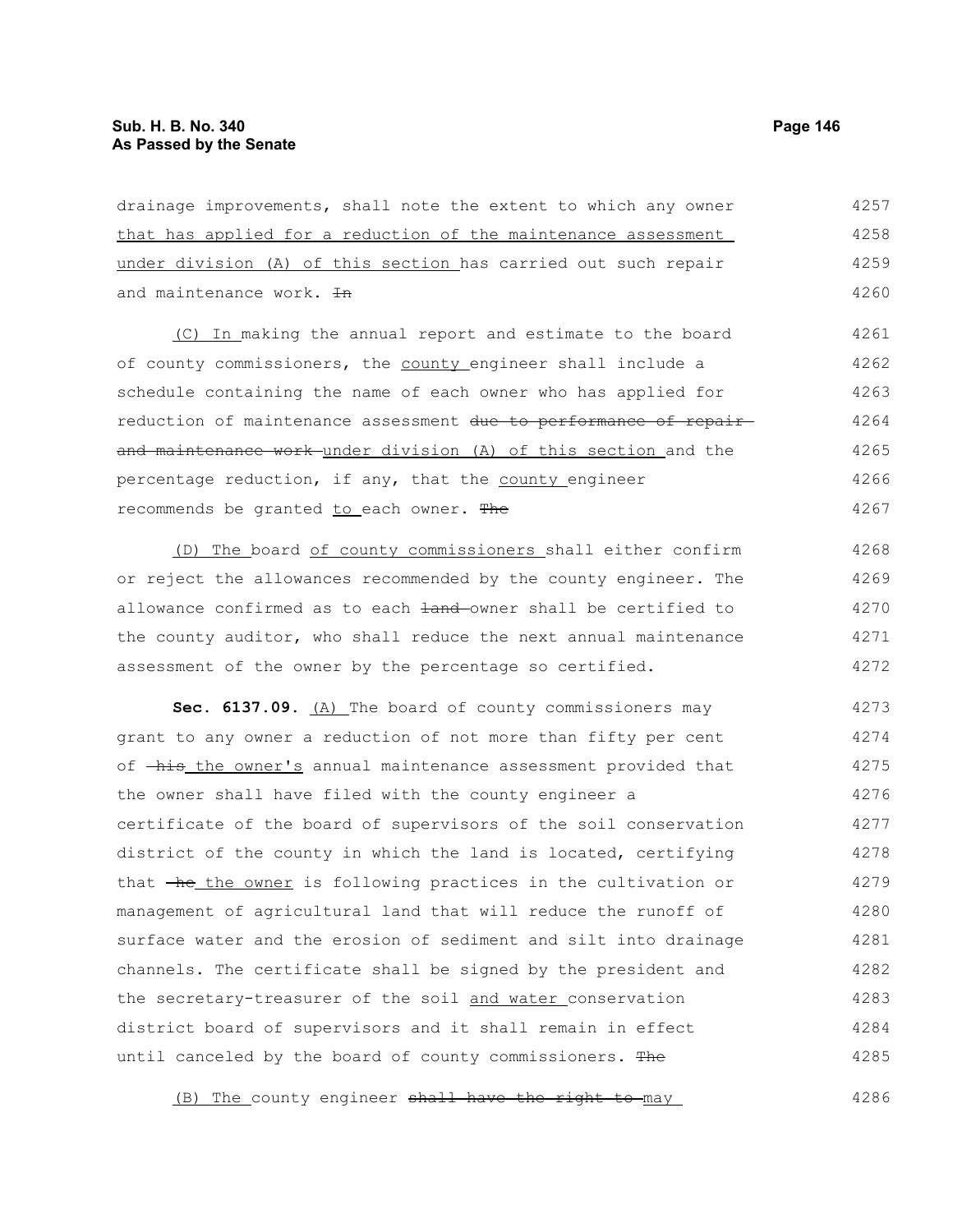drainage improvements, shall note the extent to which any owner that has applied for a reduction of the maintenance assessment under division (A) of this section has carried out such repair and maintenance work.  $H$ (C) In making the annual report and estimate to the board of county commissioners, the county engineer shall include a schedule containing the name of each owner who has applied for reduction of maintenance assessment due to performance of repairand maintenance work under division (A) of this section and the percentage reduction, if any, that the county engineer recommends be granted to each owner. The 4257 4258 4259 4260 4261 4262 4263 4264 4265 4266 4267

(D) The board of county commissioners shall either confirm or reject the allowances recommended by the county engineer. The allowance confirmed as to each  $\frac{1}{2}$  and owner shall be certified to the county auditor, who shall reduce the next annual maintenance assessment of the owner by the percentage so certified. 4268 4269 4270 4271 4272

Sec. 6137.09. (A) The board of county commissioners may grant to any owner a reduction of not more than fifty per cent of  $-\text{his the owner's annual maintenance assessment provided that}$ the owner shall have filed with the county engineer a certificate of the board of supervisors of the soil conservation district of the county in which the land is located, certifying that  $\overline{h}$  the owner is following practices in the cultivation or management of agricultural land that will reduce the runoff of surface water and the erosion of sediment and silt into drainage channels. The certificate shall be signed by the president and the secretary-treasurer of the soil and water conservation district board of supervisors and it shall remain in effect until canceled by the board of county commissioners. The 4273 4274 4275 4276 4277 4278 4279 4280 4281 4282 4283 4284 4285

(B) The county engineer shall have the right to may 4286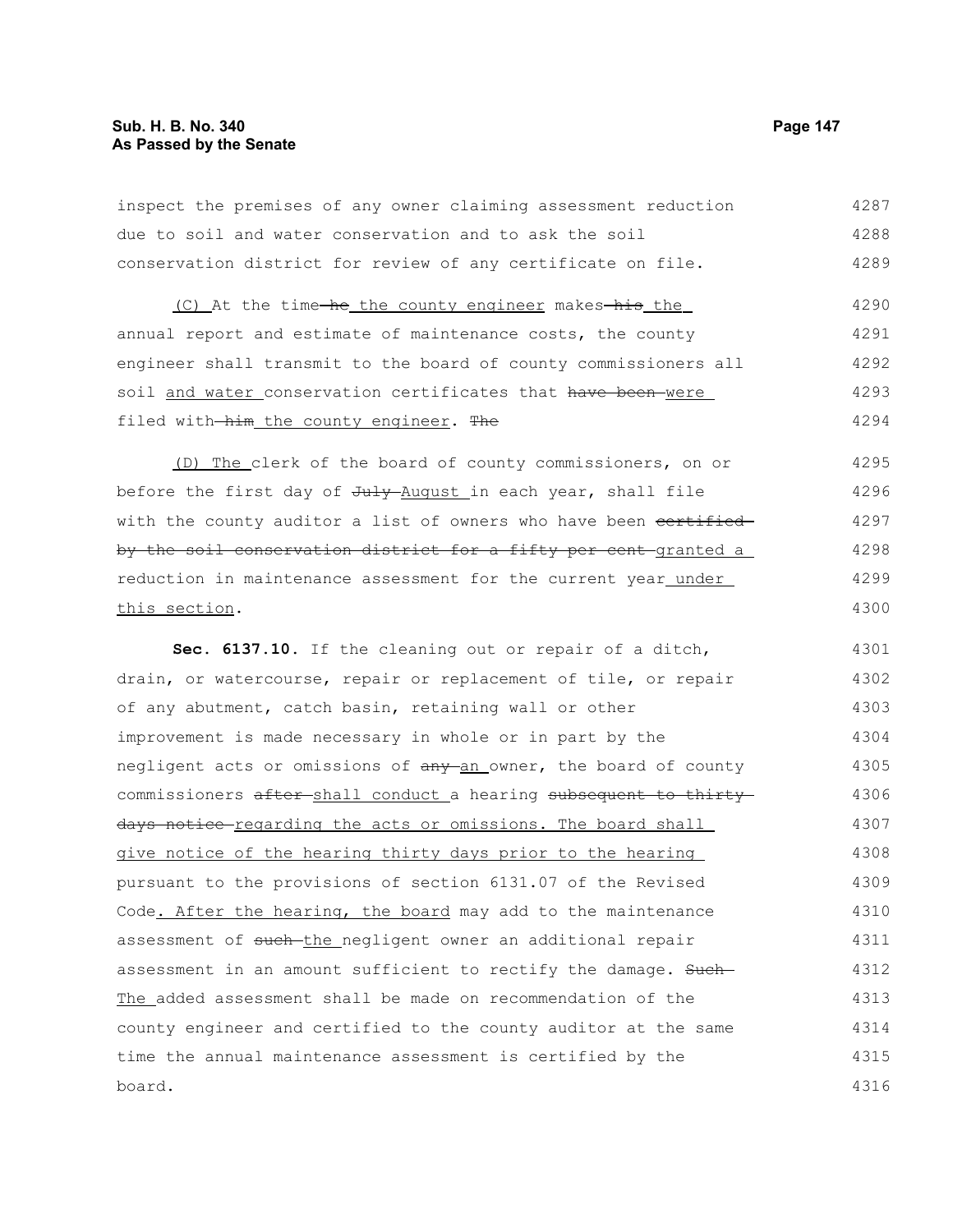# **Sub. H. B. No. 340 Page 147 As Passed by the Senate**

inspect the premises of any owner claiming assessment reduction due to soil and water conservation and to ask the soil conservation district for review of any certificate on file. (C) At the time-he the county engineer makes-his the annual report and estimate of maintenance costs, the county engineer shall transmit to the board of county commissioners all soil and water conservation certificates that have been were filed with-him the county engineer. The (D) The clerk of the board of county commissioners, on or before the first day of July August in each year, shall file with the county auditor a list of owners who have been certified by the soil conservation district for a fifty per cent-granted a reduction in maintenance assessment for the current year\_under\_ this section. **Sec. 6137.10.** If the cleaning out or repair of a ditch, drain, or watercourse, repair or replacement of tile, or repair of any abutment, catch basin, retaining wall or other improvement is made necessary in whole or in part by the negligent acts or omissions of any an owner, the board of county commissioners after shall conduct a hearing subsequent to thirty days notice regarding the acts or omissions. The board shall give notice of the hearing thirty days prior to the hearing pursuant to the provisions of section 6131.07 of the Revised Code. After the hearing, the board may add to the maintenance assessment of such-the negligent owner an additional repair assessment in an amount sufficient to rectify the damage. Such-The added assessment shall be made on recommendation of the county engineer and certified to the county auditor at the same time the annual maintenance assessment is certified by the board. 4287 4288 4289 4290 4291 4292 4293 4294 4295 4296 4297 4298 4299 4300 4301 4302 4303 4304 4305 4306 4307 4308 4309 4310 4311 4312 4313 4314 4315 4316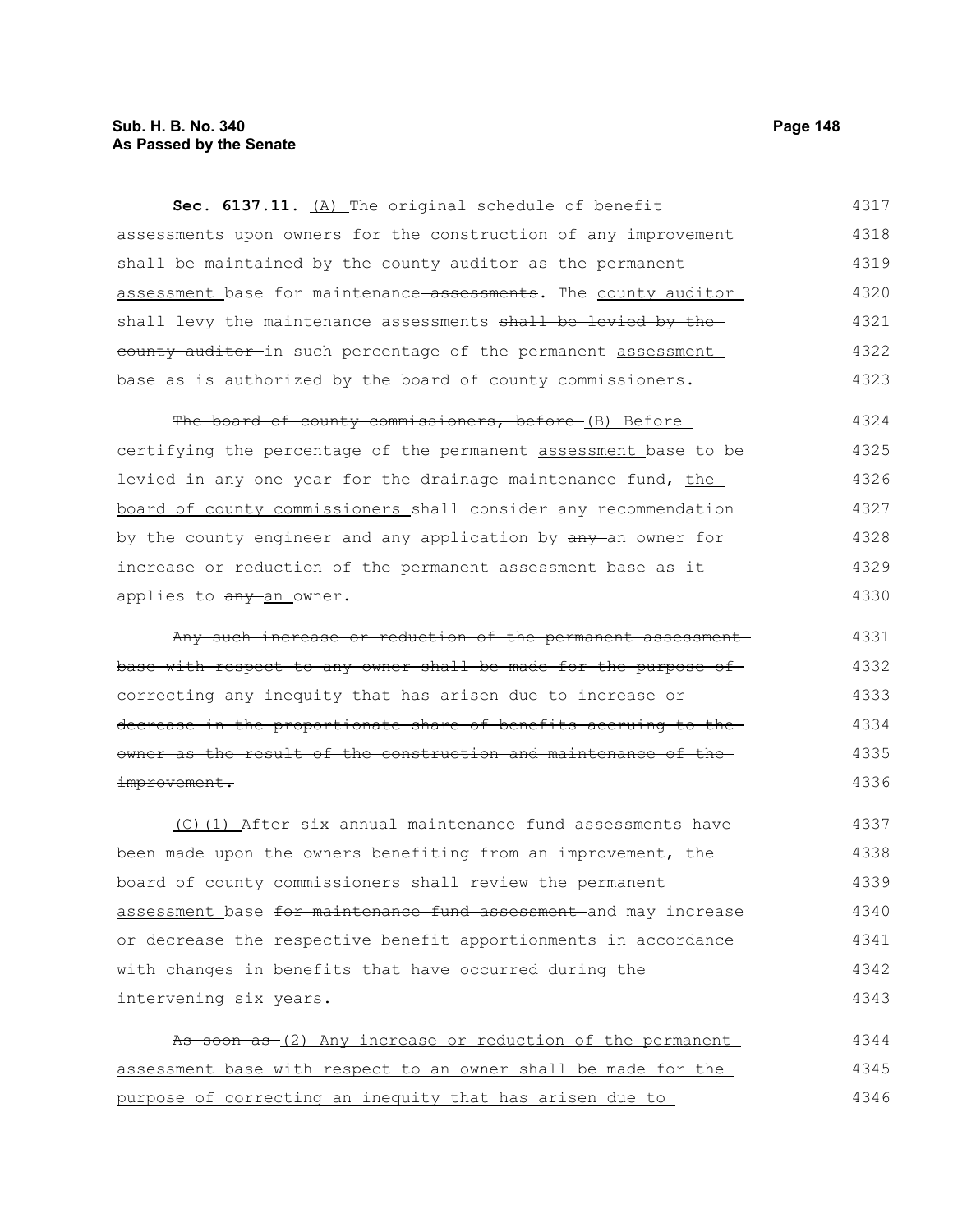# **Sub. H. B. No. 340 Page 148 As Passed by the Senate**

**Sec. 6137.11.** (A) The original schedule of benefit assessments upon owners for the construction of any improvement shall be maintained by the county auditor as the permanent assessment base for maintenance assessments. The county auditor shall levy the maintenance assessments shall be levied by the eounty auditor in such percentage of the permanent assessment base as is authorized by the board of county commissioners. 4317 4318 4319 4320 4321 4322 4323

The board of county commissioners, before (B) Before certifying the percentage of the permanent assessment base to be levied in any one year for the drainage-maintenance fund, the board of county commissioners shall consider any recommendation by the county engineer and any application by  $\frac{any - an}{bm}$  owner for increase or reduction of the permanent assessment base as it applies to any an owner. 4324 4325 4326 4327 4328 4329 4330

Any such increase or reduction of the permanent assessment base with respect to any owner shall be made for the purpose of correcting any inequity that has arisen due to increase or decrease in the proportionate share of benefits accruing to the owner as the result of the construction and maintenance of the improvement. 4331 4332 4333 4334 4335 4336

(C)(1) After six annual maintenance fund assessments have been made upon the owners benefiting from an improvement, the board of county commissioners shall review the permanent assessment base for maintenance fund assessment and may increase or decrease the respective benefit apportionments in accordance with changes in benefits that have occurred during the intervening six years. 4337 4338 4339 4340 4341 4342 4343

As soon as (2) Any increase or reduction of the permanent assessment base with respect to an owner shall be made for the purpose of correcting an inequity that has arisen due to 4344 4345 4346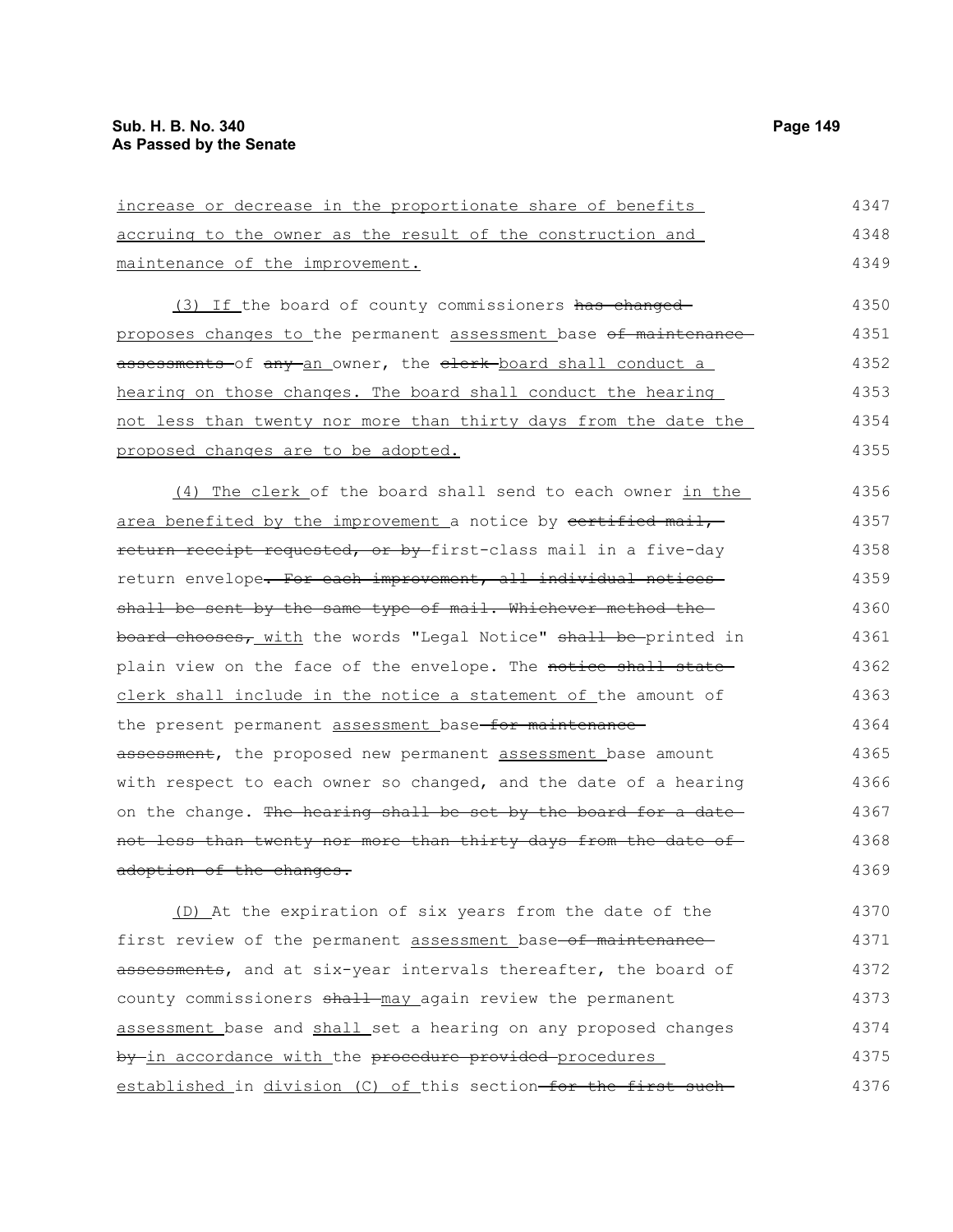4375

| increase or decrease in the proportionate share of benefits      | 4347 |
|------------------------------------------------------------------|------|
| accruing to the owner as the result of the construction and      | 4348 |
| maintenance of the improvement.                                  | 4349 |
| (3) If the board of county commissioners has changed-            | 4350 |
| proposes changes to the permanent assessment base of maintenance | 4351 |
| assessments-of any-an owner, the elerk-board shall conduct a     | 4352 |
| hearing on those changes. The board shall conduct the hearing    | 4353 |
| not less than twenty nor more than thirty days from the date the | 4354 |
| proposed changes are to be adopted.                              | 4355 |
| (4) The clerk of the board shall send to each owner in the       | 4356 |
| area benefited by the improvement a notice by certified mail,    | 4357 |
| return receipt requested, or by first-class mail in a five-day   | 4358 |
| return envelope. For each improvement, all individual notices-   | 4359 |
| shall be sent by the same type of mail. Whichever method the     | 4360 |
| board chooses, with the words "Legal Notice" shall be printed in | 4361 |
| plain view on the face of the envelope. The notice shall state-  | 4362 |
| clerk shall include in the notice a statement of the amount of   | 4363 |
| the present permanent assessment base for maintenance            | 4364 |
| assessment, the proposed new permanent assessment base amount    | 4365 |
| with respect to each owner so changed, and the date of a hearing | 4366 |
| on the change. The hearing shall be set by the board for a date  | 4367 |
| not less than twenty nor more than thirty days from the date of  | 4368 |
| adoption of the changes.                                         | 4369 |
| (D) At the expiration of six years from the date of the          | 4370 |
| first review of the permanent assessment base-of maintenance-    | 4371 |
| assessments, and at six-year intervals thereafter, the board of  | 4372 |
| county commissioners shall may again review the permanent        | 4373 |
| assessment base and shall set a hearing on any proposed changes  | 4374 |

established in division (C) of this section-for the first such-4376

by in accordance with the procedure provided procedures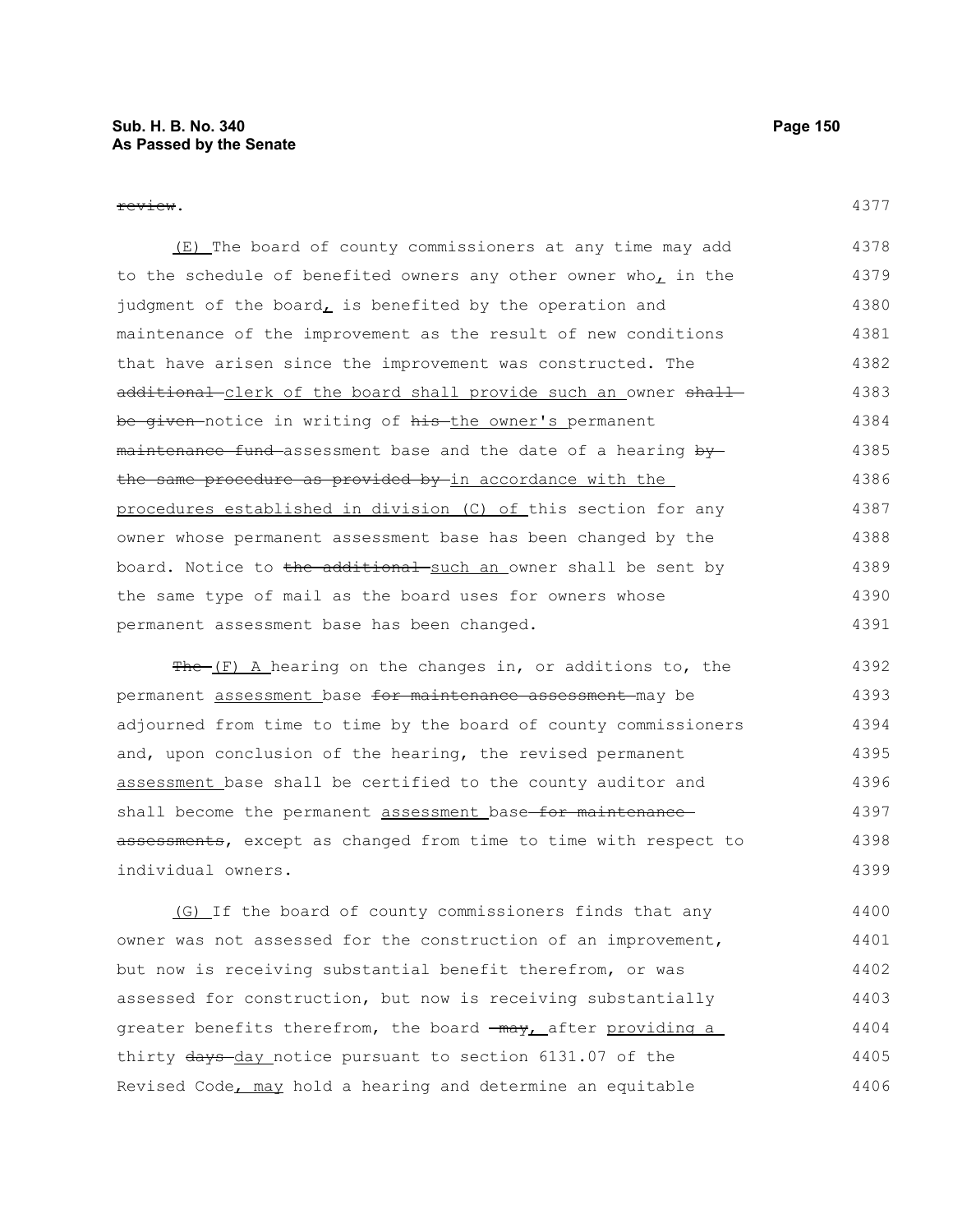review.

(E) The board of county commissioners at any time may add to the schedule of benefited owners any other owner who, in the judgment of the board $<sub>L</sub>$  is benefited by the operation and</sub> maintenance of the improvement as the result of new conditions that have arisen since the improvement was constructed. The additional clerk of the board shall provide such an owner shall be given-notice in writing of his-the owner's permanent maintenance fund assessment base and the date of a hearing by the same procedure as provided by in accordance with the procedures established in division (C) of this section for any owner whose permanent assessment base has been changed by the board. Notice to the additional such an owner shall be sent by the same type of mail as the board uses for owners whose permanent assessment base has been changed. 4378 4379 4380 4381 4382 4383 4384 4385 4386 4387 4388 4389 4390 4391

 $Fhe-(F)$  A hearing on the changes in, or additions to, the permanent assessment base for maintenance assessment may be adjourned from time to time by the board of county commissioners and, upon conclusion of the hearing, the revised permanent assessment base shall be certified to the county auditor and shall become the permanent assessment base-for maintenanceassessments, except as changed from time to time with respect to individual owners. 4392 4393 4394 4395 4396 4397 4398 4399

(G) If the board of county commissioners finds that any owner was not assessed for the construction of an improvement, but now is receiving substantial benefit therefrom, or was assessed for construction, but now is receiving substantially greater benefits therefrom, the board  $\frac{m}{x}$  after providing a thirty days-day notice pursuant to section 6131.07 of the Revised Code, may hold a hearing and determine an equitable 4400 4401 4402 4403 4404 4405 4406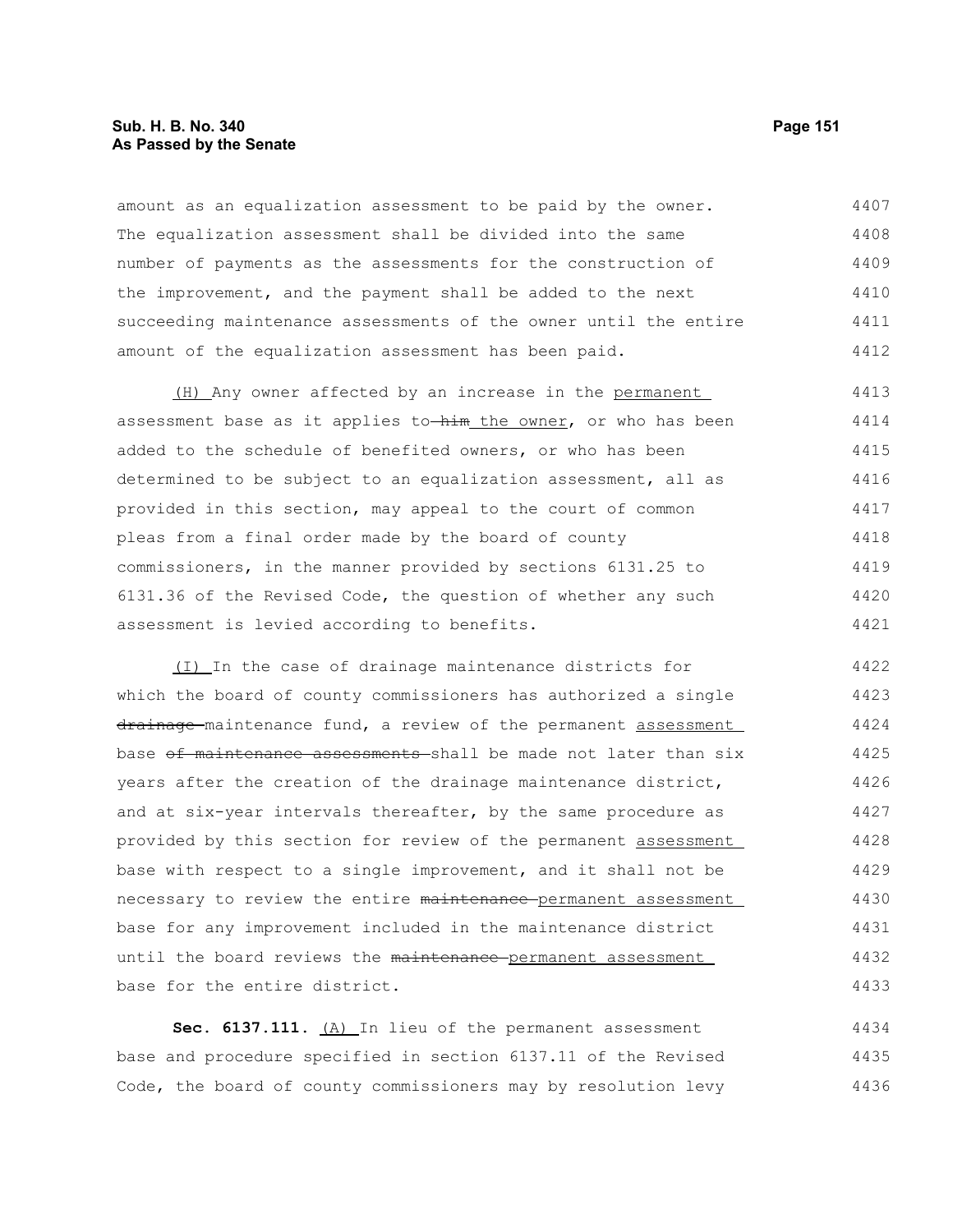## **Sub. H. B. No. 340 Page 151 As Passed by the Senate**

amount as an equalization assessment to be paid by the owner. The equalization assessment shall be divided into the same number of payments as the assessments for the construction of the improvement, and the payment shall be added to the next succeeding maintenance assessments of the owner until the entire amount of the equalization assessment has been paid. 4407 4408 4409 4410 4411 4412

(H) Any owner affected by an increase in the permanent assessment base as it applies to-him the owner, or who has been added to the schedule of benefited owners, or who has been determined to be subject to an equalization assessment, all as provided in this section, may appeal to the court of common pleas from a final order made by the board of county commissioners, in the manner provided by sections 6131.25 to 6131.36 of the Revised Code, the question of whether any such assessment is levied according to benefits. 4413 4414 4415 4416 4417 4418 4419 4420 4421

(I) In the case of drainage maintenance districts for which the board of county commissioners has authorized a single drainage maintenance fund, a review of the permanent assessment base of maintenance assessments shall be made not later than six years after the creation of the drainage maintenance district, and at six-year intervals thereafter, by the same procedure as provided by this section for review of the permanent assessment base with respect to a single improvement, and it shall not be necessary to review the entire maintenance permanent assessment base for any improvement included in the maintenance district until the board reviews the maintenance-permanent assessment base for the entire district. 4422 4423 4424 4425 4426 4427 4428 4429 4430 4431 4432 4433

Sec. 6137.111. (A) In lieu of the permanent assessment base and procedure specified in section 6137.11 of the Revised Code, the board of county commissioners may by resolution levy 4434 4435 4436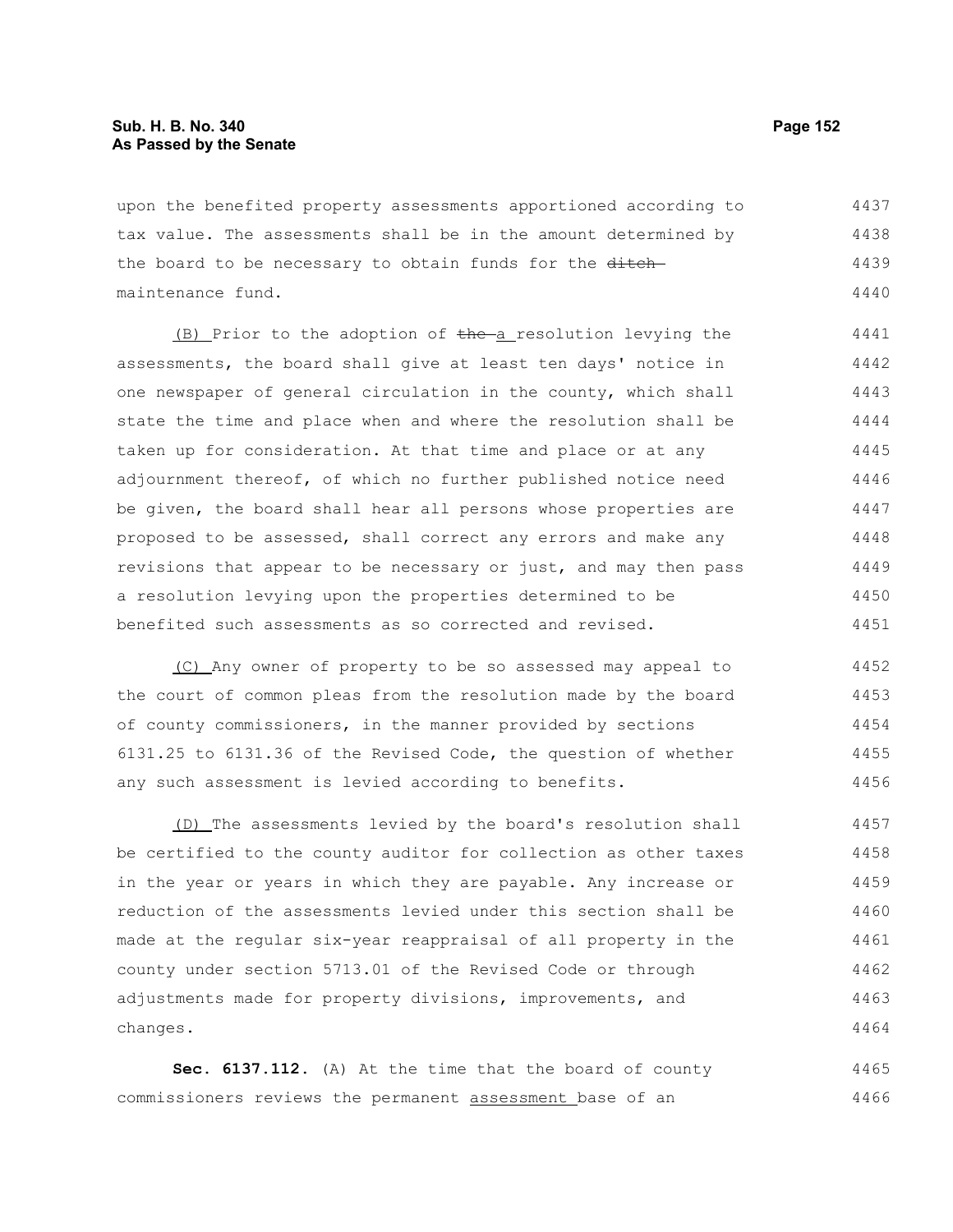## **Sub. H. B. No. 340 Page 152 As Passed by the Senate**

upon the benefited property assessments apportioned according to tax value. The assessments shall be in the amount determined by the board to be necessary to obtain funds for the ditchmaintenance fund. 4437 4438 4439 4440

(B) Prior to the adoption of the a resolution levying the assessments, the board shall give at least ten days' notice in one newspaper of general circulation in the county, which shall state the time and place when and where the resolution shall be taken up for consideration. At that time and place or at any adjournment thereof, of which no further published notice need be given, the board shall hear all persons whose properties are proposed to be assessed, shall correct any errors and make any revisions that appear to be necessary or just, and may then pass a resolution levying upon the properties determined to be benefited such assessments as so corrected and revised. 4441 4442 4443 4444 4445 4446 4447 4448 4449 4450 4451

(C) Any owner of property to be so assessed may appeal to the court of common pleas from the resolution made by the board of county commissioners, in the manner provided by sections 6131.25 to 6131.36 of the Revised Code, the question of whether any such assessment is levied according to benefits. 4452 4453 4454 4455 4456

(D) The assessments levied by the board's resolution shall be certified to the county auditor for collection as other taxes in the year or years in which they are payable. Any increase or reduction of the assessments levied under this section shall be made at the regular six-year reappraisal of all property in the county under section 5713.01 of the Revised Code or through adjustments made for property divisions, improvements, and changes. 4457 4458 4459 4460 4461 4462 4463 4464

**Sec. 6137.112.** (A) At the time that the board of county commissioners reviews the permanent assessment base of an 4465 4466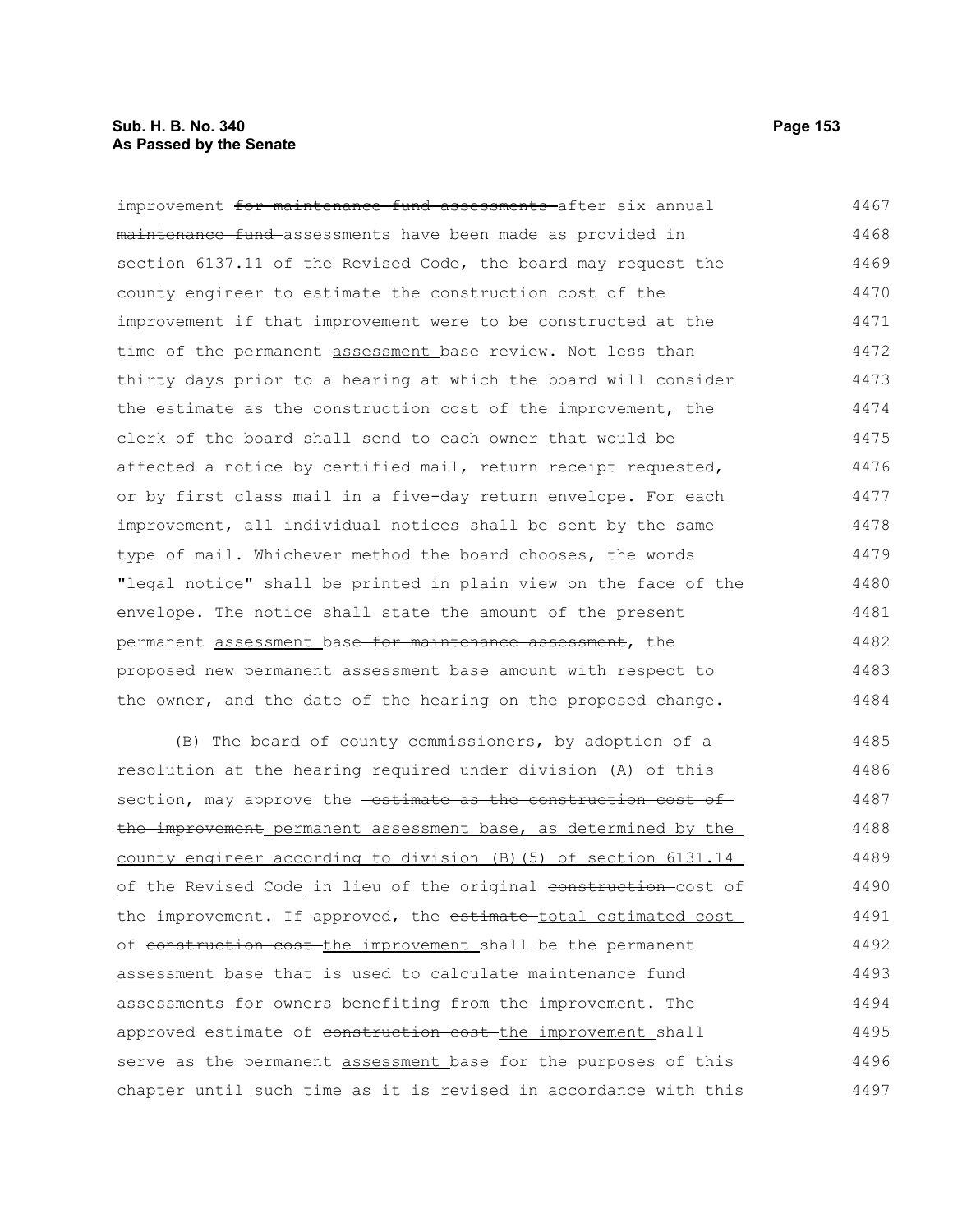### **Sub. H. B. No. 340 Page 153 As Passed by the Senate**

improvement for maintenance fund assessments after six annual maintenance fund assessments have been made as provided in section 6137.11 of the Revised Code, the board may request the county engineer to estimate the construction cost of the improvement if that improvement were to be constructed at the time of the permanent assessment base review. Not less than thirty days prior to a hearing at which the board will consider the estimate as the construction cost of the improvement, the clerk of the board shall send to each owner that would be affected a notice by certified mail, return receipt requested, or by first class mail in a five-day return envelope. For each improvement, all individual notices shall be sent by the same type of mail. Whichever method the board chooses, the words "legal notice" shall be printed in plain view on the face of the envelope. The notice shall state the amount of the present permanent assessment base for maintenance assessment, the proposed new permanent assessment base amount with respect to the owner, and the date of the hearing on the proposed change. 4467 4468 4469 4470 4471 4472 4473 4474 4475 4476 4477 4478 4479 4480 4481 4482 4483 4484

(B) The board of county commissioners, by adoption of a resolution at the hearing required under division (A) of this section, may approve the **estimate as the construction cost of** the improvement permanent assessment base, as determined by the county engineer according to division (B)(5) of section 6131.14 of the Revised Code in lieu of the original construction-cost of the improvement. If approved, the estimate-total estimated cost of construction cost the improvement shall be the permanent assessment base that is used to calculate maintenance fund assessments for owners benefiting from the improvement. The approved estimate of construction cost-the improvement shall serve as the permanent assessment base for the purposes of this chapter until such time as it is revised in accordance with this 4485 4486 4487 4488 4489 4490 4491 4492 4493 4494 4495 4496 4497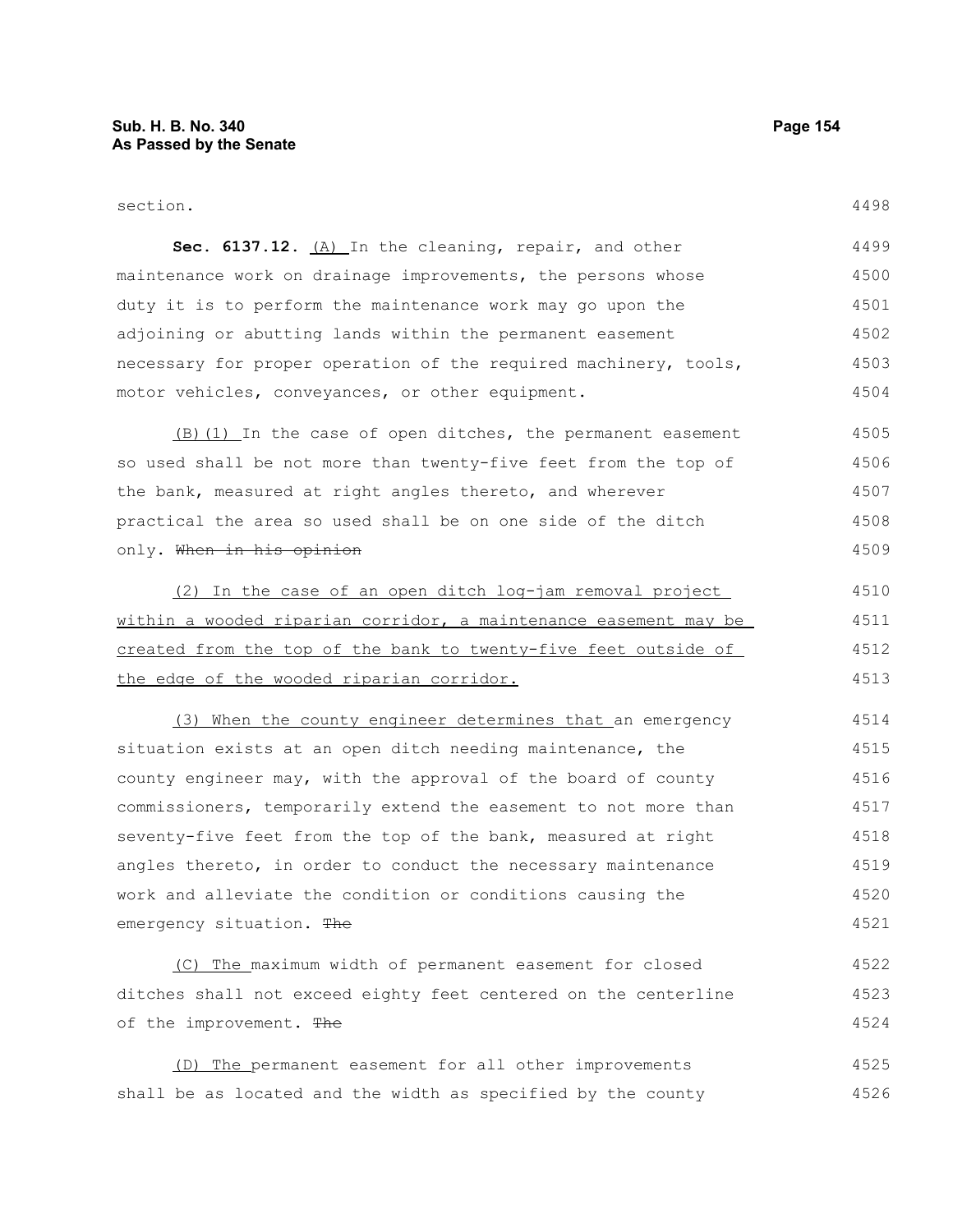#### section.

| Sec. 6137.12. (A) In the cleaning, repair, and other             | 4499 |
|------------------------------------------------------------------|------|
| maintenance work on drainage improvements, the persons whose     | 4500 |
| duty it is to perform the maintenance work may go upon the       | 4501 |
| adjoining or abutting lands within the permanent easement        | 4502 |
| necessary for proper operation of the required machinery, tools, | 4503 |
| motor vehicles, conveyances, or other equipment.                 | 4504 |

(B)(1) In the case of open ditches, the permanent easement so used shall be not more than twenty-five feet from the top of the bank, measured at right angles thereto, and wherever practical the area so used shall be on one side of the ditch only. When in his opinion 4505 4506 4507 4508 4509

(2) In the case of an open ditch log-jam removal project within a wooded riparian corridor, a maintenance easement may be created from the top of the bank to twenty-five feet outside of the edge of the wooded riparian corridor. 4510 4511 4512 4513

(3) When the county engineer determines that an emergency situation exists at an open ditch needing maintenance, the county engineer may, with the approval of the board of county commissioners, temporarily extend the easement to not more than seventy-five feet from the top of the bank, measured at right angles thereto, in order to conduct the necessary maintenance work and alleviate the condition or conditions causing the emergency situation. The 4514 4515 4516 4517 4518 4519 4520 4521

(C) The maximum width of permanent easement for closed ditches shall not exceed eighty feet centered on the centerline of the improvement. The 4522 4523 4524

(D) The permanent easement for all other improvements shall be as located and the width as specified by the county 4525 4526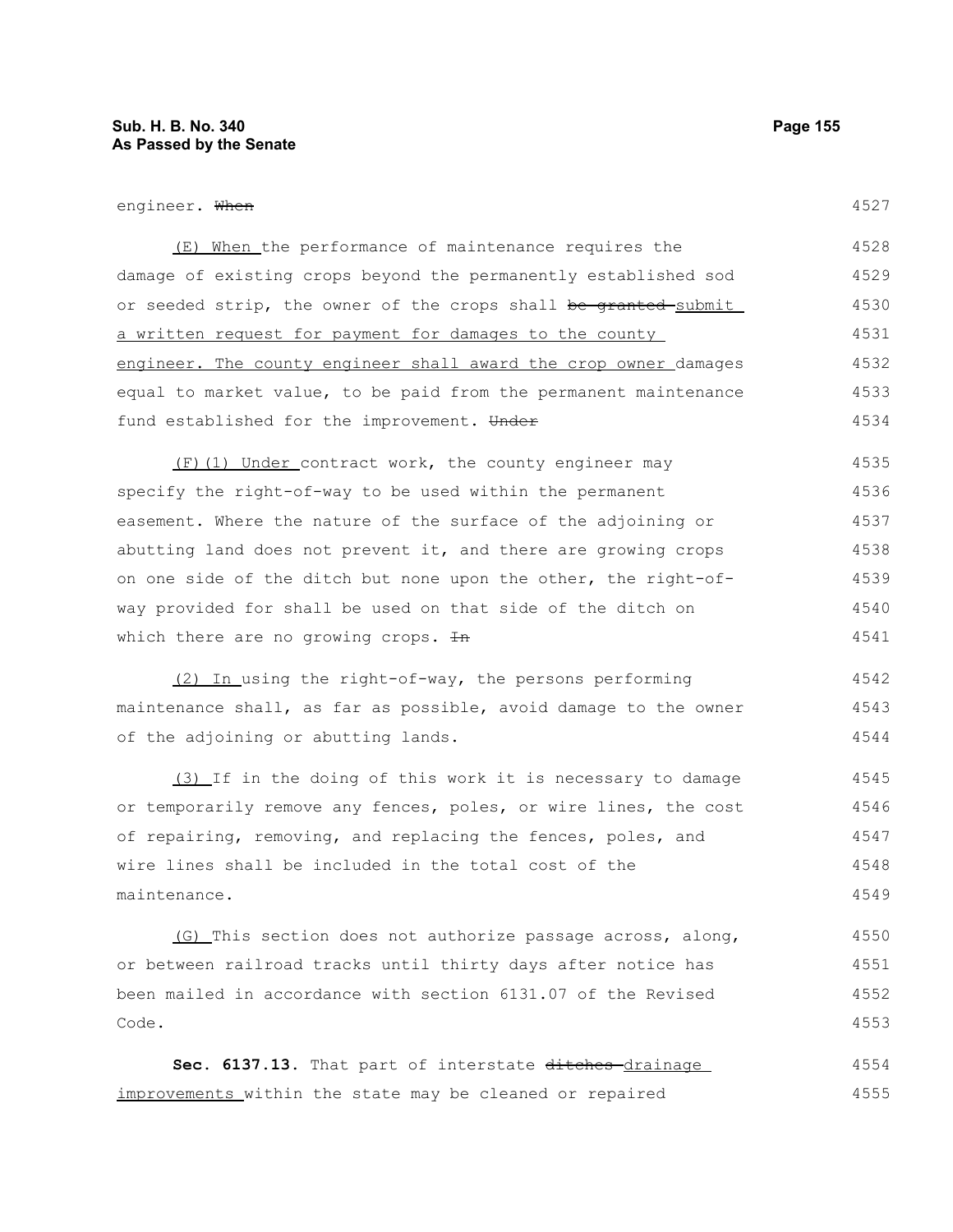#### engineer. When

| (E) When the performance of maintenance requires the                        | 4528 |
|-----------------------------------------------------------------------------|------|
| damage of existing crops beyond the permanently established sod             | 4529 |
| or seeded strip, the owner of the crops shall <del>be granted </del> submit | 4530 |
| a written request for payment for damages to the county                     | 4531 |
| engineer. The county engineer shall award the crop owner damages            | 4532 |
| equal to market value, to be paid from the permanent maintenance            | 4533 |
| fund established for the improvement. Under                                 | 4534 |

(F)(1) Under contract work, the county engineer may specify the right-of-way to be used within the permanent easement. Where the nature of the surface of the adjoining or abutting land does not prevent it, and there are growing crops on one side of the ditch but none upon the other, the right-ofway provided for shall be used on that side of the ditch on which there are no growing crops.  $\text{In}$ 4535 4536 4537 4538 4539 4540 4541

(2) In using the right-of-way, the persons performing maintenance shall, as far as possible, avoid damage to the owner of the adjoining or abutting lands. 4542 4543 4544

(3) If in the doing of this work it is necessary to damage or temporarily remove any fences, poles, or wire lines, the cost of repairing, removing, and replacing the fences, poles, and wire lines shall be included in the total cost of the maintenance. 4545 4546 4547 4548 4549

(G) This section does not authorize passage across, along, or between railroad tracks until thirty days after notice has been mailed in accordance with section 6131.07 of the Revised Code. 4550 4551 4552 4553

Sec. 6137.13. That part of interstate ditches-drainage improvements within the state may be cleaned or repaired 4554 4555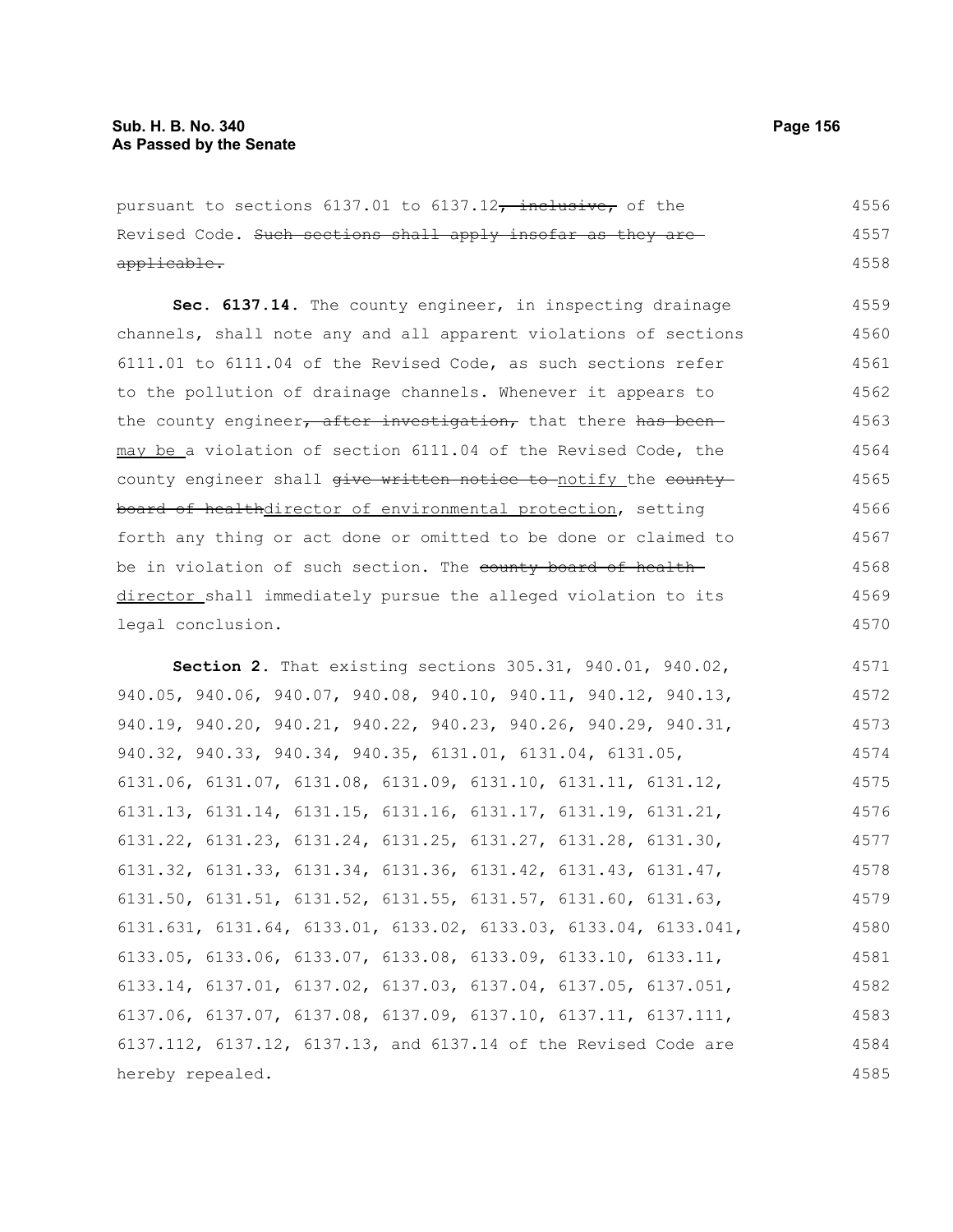| pursuant to sections 6137.01 to 6137.12, inclusive, of the                          | 4556 |
|-------------------------------------------------------------------------------------|------|
| Revised Code. Such sections shall apply insofar as they are                         | 4557 |
| applicable.                                                                         | 4558 |
| Sec. 6137.14. The county engineer, in inspecting drainage                           | 4559 |
| channels, shall note any and all apparent violations of sections                    | 4560 |
| 6111.01 to 6111.04 of the Revised Code, as such sections refer                      | 4561 |
| to the pollution of drainage channels. Whenever it appears to                       | 4562 |
| the county engineer, after investigation, that there has been-                      | 4563 |
| may be a violation of section 6111.04 of the Revised Code, the                      | 4564 |
| county engineer shall give written notice to-notify the county                      | 4565 |
| board of healthdirector of environmental protection, setting                        | 4566 |
| forth any thing or act done or omitted to be done or claimed to                     | 4567 |
| be in violation of such section. The county board of health-                        | 4568 |
| director shall immediately pursue the alleged violation to its                      | 4569 |
| legal conclusion.                                                                   | 4570 |
| Section 2. That existing sections 305.31, 940.01, 940.02,                           | 4571 |
| 940.05, 940.06, 940.07, 940.08, 940.10, 940.11, 940.12, 940.13,                     | 4572 |
| 940.19, 940.20, 940.21, 940.22, 940.23, 940.26, 940.29, 940.31,                     | 4573 |
| 940.32, 940.33, 940.34, 940.35, 6131.01, 6131.04, 6131.05,                          | 4574 |
| 6131.06, 6131.07, 6131.08, 6131.09, 6131.10, 6131.11, 6131.12,                      | 4575 |
| 6131.13, 6131.14, 6131.15, 6131.16, 6131.17, 6131.19, 6131.21,                      | 4576 |
| $6131.22$ , $6131.23$ , $6131.24$ , $6131.25$ , $6131.27$ , $6131.28$ , $6131.30$ , | 4577 |
| 6131.32, 6131.33, 6131.34, 6131.36, 6131.42, 6131.43, 6131.47,                      | 4578 |
| $6131.50$ , $6131.51$ , $6131.52$ , $6131.55$ , $6131.57$ , $6131.60$ , $6131.63$ , | 4579 |
| $6131.631, 6131.64, 6133.01, 6133.02, 6133.03, 6133.04, 6133.041,$                  | 4580 |
| 6133.05, 6133.06, 6133.07, 6133.08, 6133.09, 6133.10, 6133.11,                      | 4581 |
| 6133.14, 6137.01, 6137.02, 6137.03, 6137.04, 6137.05, 6137.051,                     | 4582 |
| 6137.06, 6137.07, 6137.08, 6137.09, 6137.10, 6137.11, 6137.111,                     | 4583 |
| 6137.112, 6137.12, 6137.13, and 6137.14 of the Revised Code are                     | 4584 |
| hereby repealed.                                                                    | 4585 |